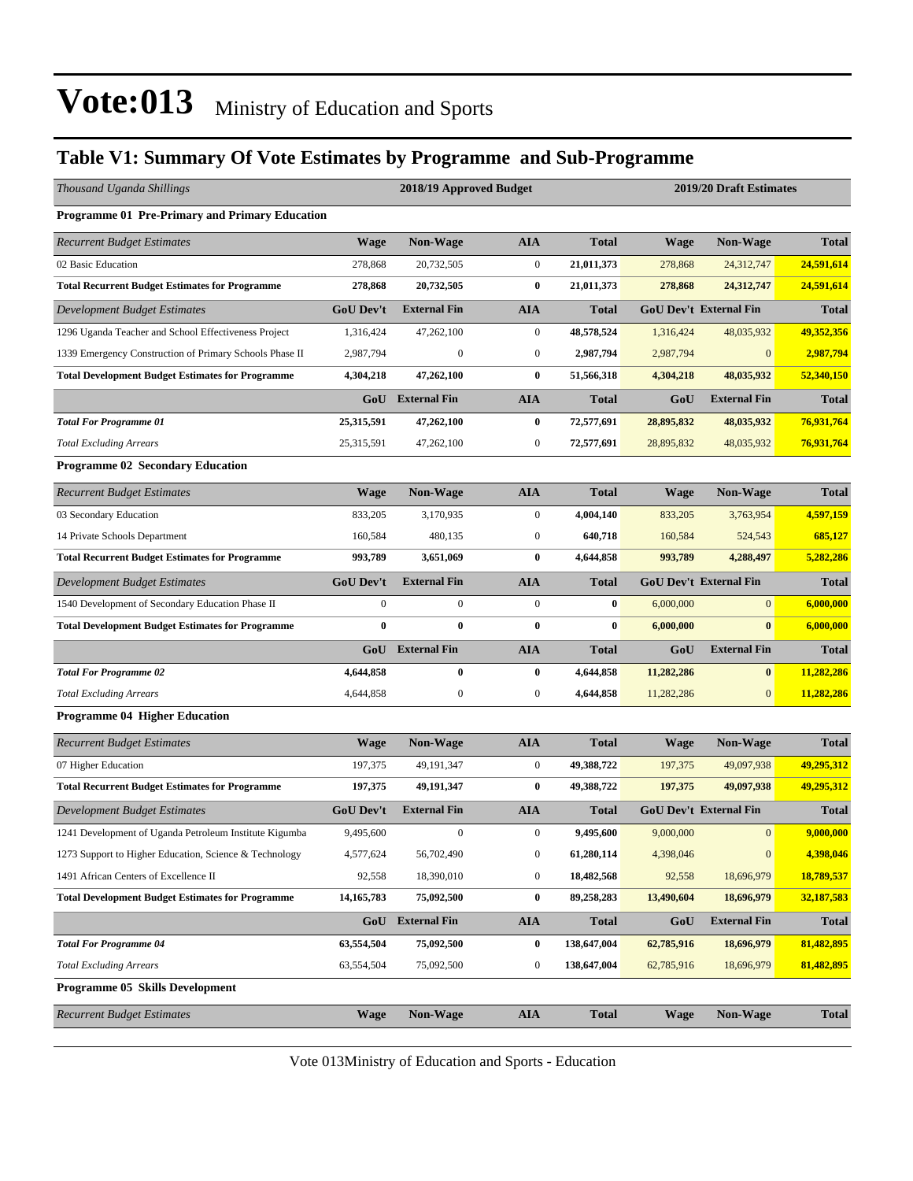#### **Table V1: Summary Of Vote Estimates by Programme and Sub-Programme**

| Thousand Uganda Shillings                               |                  | 2018/19 Approved Budget |                  |              | 2019/20 Draft Estimates |                               |              |
|---------------------------------------------------------|------------------|-------------------------|------------------|--------------|-------------------------|-------------------------------|--------------|
| Programme 01 Pre-Primary and Primary Education          |                  |                         |                  |              |                         |                               |              |
| <b>Recurrent Budget Estimates</b>                       | <b>Wage</b>      | Non-Wage                | <b>AIA</b>       | <b>Total</b> | <b>Wage</b>             | Non-Wage                      | <b>Total</b> |
| 02 Basic Education                                      | 278,868          | 20,732,505              | $\boldsymbol{0}$ | 21,011,373   | 278,868                 | 24,312,747                    | 24,591,614   |
| <b>Total Recurrent Budget Estimates for Programme</b>   | 278,868          | 20,732,505              | $\bf{0}$         | 21,011,373   | 278,868                 | 24,312,747                    | 24,591,614   |
| Development Budget Estimates                            | <b>GoU Dev't</b> | <b>External Fin</b>     | <b>AIA</b>       | <b>Total</b> |                         | <b>GoU Dev't External Fin</b> | <b>Total</b> |
| 1296 Uganda Teacher and School Effectiveness Project    | 1,316,424        | 47,262,100              | $\mathbf{0}$     | 48,578,524   | 1,316,424               | 48,035,932                    | 49,352,356   |
| 1339 Emergency Construction of Primary Schools Phase II | 2,987,794        | $\boldsymbol{0}$        | $\boldsymbol{0}$ | 2,987,794    | 2,987,794               | $\mathbf{0}$                  | 2,987,794    |
| <b>Total Development Budget Estimates for Programme</b> | 4,304,218        | 47,262,100              | $\bf{0}$         | 51,566,318   | 4,304,218               | 48,035,932                    | 52,340,150   |
|                                                         |                  | <b>GoU</b> External Fin | <b>AIA</b>       | <b>Total</b> | GoU                     | <b>External Fin</b>           | <b>Total</b> |
| <b>Total For Programme 01</b>                           | 25,315,591       | 47,262,100              | $\bf{0}$         | 72,577,691   | 28,895,832              | 48,035,932                    | 76,931,764   |
| <b>Total Excluding Arrears</b>                          | 25,315,591       | 47,262,100              | $\boldsymbol{0}$ | 72,577,691   | 28,895,832              | 48,035,932                    | 76,931,764   |
| <b>Programme 02 Secondary Education</b>                 |                  |                         |                  |              |                         |                               |              |
| <b>Recurrent Budget Estimates</b>                       | <b>Wage</b>      | <b>Non-Wage</b>         | <b>AIA</b>       | <b>Total</b> | <b>Wage</b>             | <b>Non-Wage</b>               | <b>Total</b> |
| 03 Secondary Education                                  | 833,205          | 3,170,935               | $\boldsymbol{0}$ | 4,004,140    | 833,205                 | 3,763,954                     | 4,597,159    |
| 14 Private Schools Department                           | 160,584          | 480,135                 | $\boldsymbol{0}$ | 640,718      | 160,584                 | 524,543                       | 685,127      |
| <b>Total Recurrent Budget Estimates for Programme</b>   | 993,789          | 3,651,069               | $\bf{0}$         | 4,644,858    | 993,789                 | 4,288,497                     | 5,282,286    |
| Development Budget Estimates                            | <b>GoU Dev't</b> | <b>External Fin</b>     | <b>AIA</b>       | <b>Total</b> |                         | <b>GoU Dev't External Fin</b> | <b>Total</b> |
| 1540 Development of Secondary Education Phase II        | $\boldsymbol{0}$ | $\boldsymbol{0}$        | $\boldsymbol{0}$ | $\bf{0}$     | 6,000,000               | $\overline{0}$                | 6,000,000    |
| <b>Total Development Budget Estimates for Programme</b> | $\bf{0}$         | $\bf{0}$                | $\bf{0}$         | $\bf{0}$     | 6,000,000               | $\bf{0}$                      | 6,000,000    |
|                                                         |                  | <b>GoU</b> External Fin | <b>AIA</b>       | <b>Total</b> | GoU                     | <b>External Fin</b>           | <b>Total</b> |
| <b>Total For Programme 02</b>                           | 4,644,858        | $\bf{0}$                | $\bf{0}$         | 4,644,858    | 11,282,286              | $\bf{0}$                      | 11,282,286   |
| <b>Total Excluding Arrears</b>                          | 4,644,858        | $\boldsymbol{0}$        | $\boldsymbol{0}$ | 4,644,858    | 11,282,286              | $\overline{0}$                | 11,282,286   |
| <b>Programme 04 Higher Education</b>                    |                  |                         |                  |              |                         |                               |              |
| <b>Recurrent Budget Estimates</b>                       | <b>Wage</b>      | Non-Wage                | <b>AIA</b>       | <b>Total</b> | <b>Wage</b>             | Non-Wage                      | <b>Total</b> |
| 07 Higher Education                                     | 197,375          | 49,191,347              | $\boldsymbol{0}$ | 49,388,722   | 197,375                 | 49,097,938                    | 49,295,312   |
| <b>Total Recurrent Budget Estimates for Programme</b>   | 197,375          | 49,191,347              | $\bf{0}$         | 49,388,722   | 197,375                 | 49,097,938                    | 49,295,312   |
| <b>Development Budget Estimates</b>                     | <b>GoU Dev't</b> | <b>External Fin</b>     | <b>AIA</b>       | <b>Total</b> |                         | <b>GoU Dev't External Fin</b> | <b>Total</b> |
| 1241 Development of Uganda Petroleum Institute Kigumba  | 9,495,600        | $\boldsymbol{0}$        | $\boldsymbol{0}$ | 9,495,600    | 9,000,000               | $\mathbf{0}$                  | 9,000,000    |
| 1273 Support to Higher Education, Science & Technology  | 4,577,624        | 56,702,490              | $\boldsymbol{0}$ | 61,280,114   | 4,398,046               | $\boldsymbol{0}$              | 4,398,046    |
| 1491 African Centers of Excellence II                   | 92,558           | 18,390,010              | $\boldsymbol{0}$ | 18,482,568   | 92,558                  | 18,696,979                    | 18,789,537   |
| <b>Total Development Budget Estimates for Programme</b> | 14, 165, 783     | 75,092,500              | $\bf{0}$         | 89,258,283   | 13,490,604              | 18,696,979                    | 32,187,583   |
|                                                         |                  | GoU External Fin        | <b>AIA</b>       | <b>Total</b> | GoU                     | <b>External Fin</b>           | <b>Total</b> |
| <b>Total For Programme 04</b>                           | 63,554,504       | 75,092,500              | $\bf{0}$         | 138,647,004  | 62,785,916              | 18,696,979                    | 81,482,895   |
| <b>Total Excluding Arrears</b>                          | 63,554,504       | 75,092,500              | $\boldsymbol{0}$ | 138,647,004  | 62,785,916              | 18,696,979                    | 81,482,895   |
| <b>Programme 05 Skills Development</b>                  |                  |                         |                  |              |                         |                               |              |
| <b>Recurrent Budget Estimates</b>                       | <b>Wage</b>      | Non-Wage                | <b>AIA</b>       | <b>Total</b> | <b>Wage</b>             | Non-Wage                      | <b>Total</b> |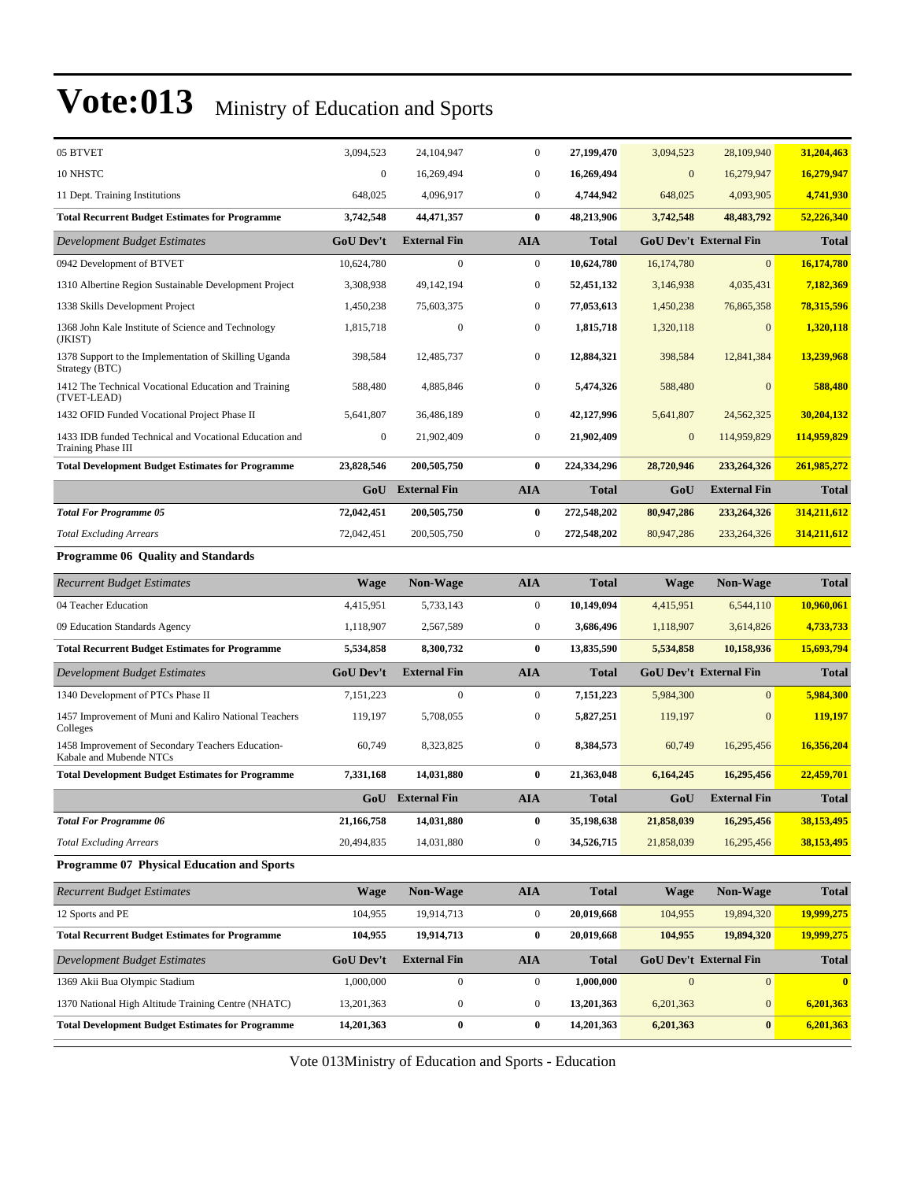| 05 BTVET                                                                     | 3,094,523        | 24, 104, 947            | $\boldsymbol{0}$ | 27,199,470   | 3,094,523      | 28,109,940                    | 31,204,463   |
|------------------------------------------------------------------------------|------------------|-------------------------|------------------|--------------|----------------|-------------------------------|--------------|
| 10 NHSTC                                                                     | $\boldsymbol{0}$ | 16,269,494              | $\bf{0}$         | 16,269,494   | $\mathbf{0}$   | 16,279,947                    | 16,279,947   |
| 11 Dept. Training Institutions                                               | 648,025          | 4,096,917               | $\mathbf{0}$     | 4,744,942    | 648,025        | 4,093,905                     | 4,741,930    |
| <b>Total Recurrent Budget Estimates for Programme</b>                        | 3,742,548        | 44,471,357              | $\bf{0}$         | 48,213,906   | 3,742,548      | 48, 483, 792                  | 52,226,340   |
| <b>Development Budget Estimates</b>                                          | <b>GoU Dev't</b> | <b>External Fin</b>     | <b>AIA</b>       | <b>Total</b> |                | <b>GoU Dev't External Fin</b> | <b>Total</b> |
| 0942 Development of BTVET                                                    | 10,624,780       | $\boldsymbol{0}$        | $\mathbf{0}$     | 10,624,780   | 16,174,780     | $\mathbf{0}$                  | 16,174,780   |
| 1310 Albertine Region Sustainable Development Project                        | 3,308,938        | 49,142,194              | $\boldsymbol{0}$ | 52,451,132   | 3,146,938      | 4,035,431                     | 7,182,369    |
| 1338 Skills Development Project                                              | 1,450,238        | 75,603,375              | $\mathbf{0}$     | 77,053,613   | 1,450,238      | 76,865,358                    | 78,315,596   |
| 1368 John Kale Institute of Science and Technology<br>(JKIST)                | 1,815,718        | $\boldsymbol{0}$        | $\boldsymbol{0}$ | 1,815,718    | 1,320,118      | $\mathbf{0}$                  | 1,320,118    |
| 1378 Support to the Implementation of Skilling Uganda<br>Strategy (BTC)      | 398,584          | 12,485,737              | $\boldsymbol{0}$ | 12,884,321   | 398,584        | 12,841,384                    | 13,239,968   |
| 1412 The Technical Vocational Education and Training<br>(TVET-LEAD)          | 588,480          | 4,885,846               | $\mathbf{0}$     | 5,474,326    | 588,480        | $\mathbf{0}$                  | 588,480      |
| 1432 OFID Funded Vocational Project Phase II                                 | 5,641,807        | 36,486,189              | $\mathbf{0}$     | 42,127,996   | 5,641,807      | 24,562,325                    | 30,204,132   |
| 1433 IDB funded Technical and Vocational Education and<br>Training Phase III | $\boldsymbol{0}$ | 21,902,409              | $\boldsymbol{0}$ | 21,902,409   | $\mathbf{0}$   | 114,959,829                   | 114,959,829  |
| <b>Total Development Budget Estimates for Programme</b>                      | 23,828,546       | 200,505,750             | $\bf{0}$         | 224,334,296  | 28,720,946     | 233,264,326                   | 261,985,272  |
|                                                                              |                  | <b>GoU</b> External Fin | <b>AIA</b>       | <b>Total</b> | GoU            | External Fin                  | <b>Total</b> |
| <b>Total For Programme 05</b>                                                | 72,042,451       | 200,505,750             | $\bf{0}$         | 272,548,202  | 80,947,286     | 233,264,326                   | 314,211,612  |
| <b>Total Excluding Arrears</b>                                               | 72,042,451       | 200, 505, 750           | $\boldsymbol{0}$ | 272,548,202  | 80,947,286     | 233, 264, 326                 | 314,211,612  |
| <b>Programme 06 Quality and Standards</b>                                    |                  |                         |                  |              |                |                               |              |
| <b>Recurrent Budget Estimates</b>                                            | <b>Wage</b>      | <b>Non-Wage</b>         | AIA              | <b>Total</b> | <b>Wage</b>    | <b>Non-Wage</b>               | <b>Total</b> |
| 04 Teacher Education                                                         | 4,415,951        | 5,733,143               | $\boldsymbol{0}$ | 10,149,094   | 4,415,951      | 6,544,110                     | 10,960,061   |
| 09 Education Standards Agency                                                |                  |                         | $\boldsymbol{0}$ | 3,686,496    | 1,118,907      |                               |              |
|                                                                              | 1,118,907        | 2,567,589               |                  |              |                | 3,614,826                     | 4,733,733    |
| <b>Total Recurrent Budget Estimates for Programme</b>                        | 5,534,858        | 8,300,732               | $\bf{0}$         | 13,835,590   | 5,534,858      | 10,158,936                    | 15,693,794   |
| Development Budget Estimates                                                 | <b>GoU Dev't</b> | <b>External Fin</b>     | <b>AIA</b>       | <b>Total</b> |                | <b>GoU Dev't External Fin</b> | <b>Total</b> |
| 1340 Development of PTCs Phase II                                            | 7,151,223        | $\boldsymbol{0}$        | $\boldsymbol{0}$ | 7,151,223    | 5,984,300      | $\overline{0}$                | 5,984,300    |
| 1457 Improvement of Muni and Kaliro National Teachers<br>Colleges            | 119,197          | 5,708,055               | $\boldsymbol{0}$ | 5,827,251    | 119,197        | $\mathbf{0}$                  | 119,197      |
| 1458 Improvement of Secondary Teachers Education-<br>Kabale and Mubende NTCs | 60,749           | 8,323,825               | $\boldsymbol{0}$ | 8,384,573    | 60,749         | 16,295,456                    | 16,356,204   |
| <b>Total Development Budget Estimates for Programme</b>                      | 7,331,168        | 14,031,880              | $\bf{0}$         | 21,363,048   | 6,164,245      | 16,295,456                    | 22,459,701   |
|                                                                              |                  | GoU External Fin        | <b>AIA</b>       | <b>Total</b> | GoU            | <b>External Fin</b>           | <b>Total</b> |
| <b>Total For Programme 06</b>                                                | 21,166,758       | 14,031,880              | $\bf{0}$         | 35,198,638   | 21,858,039     | 16,295,456                    | 38,153,495   |
| <b>Total Excluding Arrears</b>                                               | 20,494,835       | 14,031,880              | $\boldsymbol{0}$ | 34,526,715   | 21,858,039     | 16,295,456                    | 38,153,495   |
| <b>Programme 07 Physical Education and Sports</b>                            |                  |                         |                  |              |                |                               |              |
| <b>Recurrent Budget Estimates</b>                                            | <b>Wage</b>      | Non-Wage                | <b>AIA</b>       | <b>Total</b> | <b>Wage</b>    | Non-Wage                      | <b>Total</b> |
| 12 Sports and PE                                                             | 104,955          | 19,914,713              | $\boldsymbol{0}$ | 20,019,668   | 104,955        | 19,894,320                    | 19,999,275   |
| <b>Total Recurrent Budget Estimates for Programme</b>                        | 104,955          | 19,914,713              | $\bf{0}$         | 20,019,668   | 104,955        | 19,894,320                    | 19,999,275   |
| Development Budget Estimates                                                 | <b>GoU Dev't</b> | <b>External Fin</b>     | <b>AIA</b>       | <b>Total</b> |                | <b>GoU Dev't External Fin</b> | <b>Total</b> |
| 1369 Akii Bua Olympic Stadium                                                | 1,000,000        | $\boldsymbol{0}$        | $\overline{0}$   | 1,000,000    | $\overline{0}$ | $\mathbf{0}$                  | $\mathbf{0}$ |
| 1370 National High Altitude Training Centre (NHATC)                          | 13,201,363       | 0                       | $\boldsymbol{0}$ | 13,201,363   | 6,201,363      | $\boldsymbol{0}$              | 6,201,363    |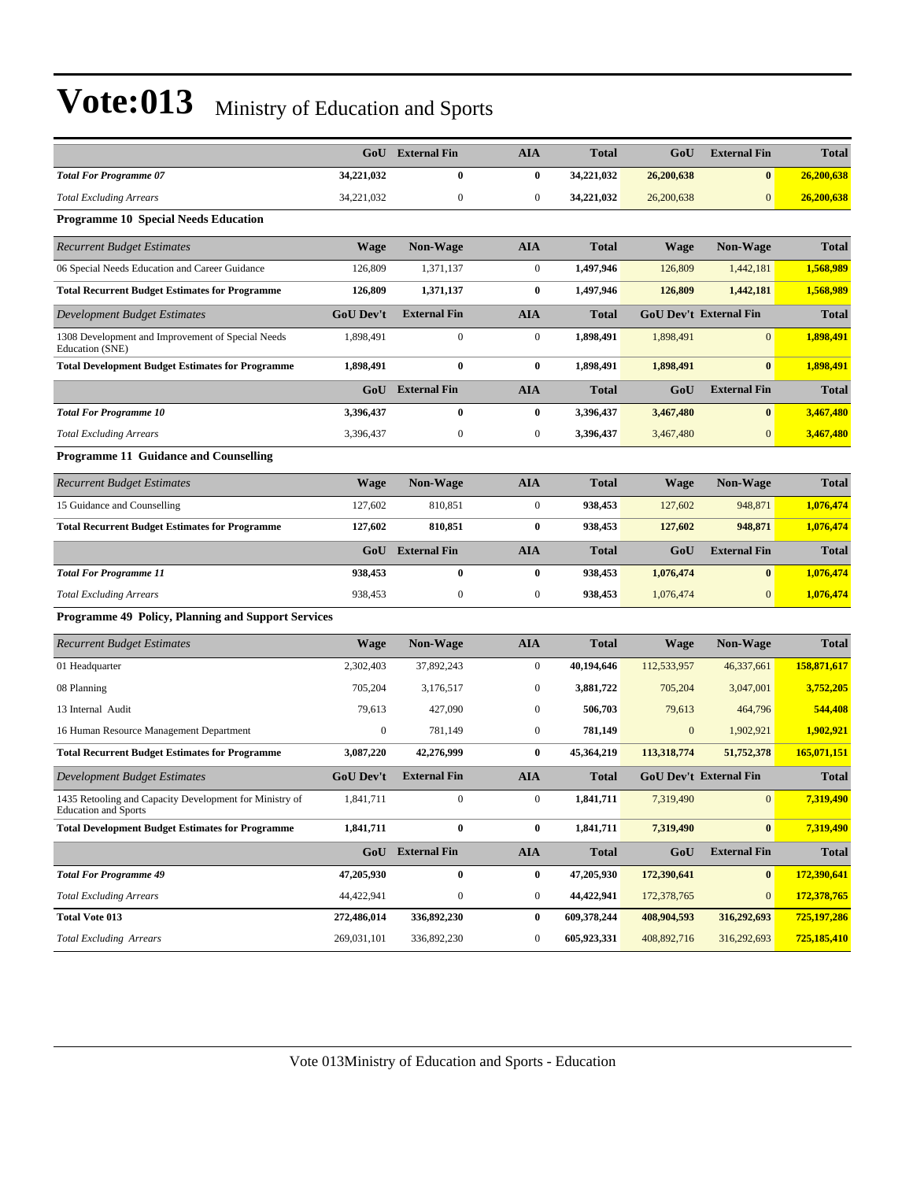|                                                                                 |                  | <b>GoU</b> External Fin | <b>AIA</b>       | <b>Total</b> | GoU              | <b>External Fin</b>           | <b>Total</b> |
|---------------------------------------------------------------------------------|------------------|-------------------------|------------------|--------------|------------------|-------------------------------|--------------|
| <b>Total For Programme 07</b>                                                   | 34,221,032       | 0                       | $\bf{0}$         | 34,221,032   | 26,200,638       | $\bf{0}$                      | 26,200,638   |
| <b>Total Excluding Arrears</b>                                                  | 34,221,032       | $\boldsymbol{0}$        | $\mathbf{0}$     | 34,221,032   | 26,200,638       | $\overline{0}$                | 26,200,638   |
| <b>Programme 10 Special Needs Education</b>                                     |                  |                         |                  |              |                  |                               |              |
| <b>Recurrent Budget Estimates</b>                                               | <b>Wage</b>      | Non-Wage                | <b>AIA</b>       | <b>Total</b> | Wage             | Non-Wage                      | <b>Total</b> |
| 06 Special Needs Education and Career Guidance                                  | 126,809          | 1,371,137               | $\mathbf{0}$     | 1,497,946    | 126,809          | 1,442,181                     | 1,568,989    |
| <b>Total Recurrent Budget Estimates for Programme</b>                           | 126,809          | 1,371,137               | $\bf{0}$         | 1,497,946    | 126,809          | 1,442,181                     | 1,568,989    |
| Development Budget Estimates                                                    | <b>GoU Dev't</b> | <b>External Fin</b>     | <b>AIA</b>       | <b>Total</b> |                  | <b>GoU Dev't External Fin</b> | <b>Total</b> |
| 1308 Development and Improvement of Special Needs<br>Education (SNE)            | 1,898,491        | $\boldsymbol{0}$        | $\mathbf{0}$     | 1,898,491    | 1,898,491        | $\overline{0}$                | 1,898,491    |
| <b>Total Development Budget Estimates for Programme</b>                         | 1,898,491        | $\bf{0}$                | $\bf{0}$         | 1,898,491    | 1,898,491        | $\bf{0}$                      | 1,898,491    |
|                                                                                 | GoU              | <b>External Fin</b>     | <b>AIA</b>       | <b>Total</b> | GoU              | <b>External Fin</b>           | <b>Total</b> |
| <b>Total For Programme 10</b>                                                   | 3,396,437        | $\bf{0}$                | $\bf{0}$         | 3,396,437    | 3,467,480        | $\bf{0}$                      | 3,467,480    |
| <b>Total Excluding Arrears</b>                                                  | 3,396,437        | $\boldsymbol{0}$        | $\boldsymbol{0}$ | 3,396,437    | 3,467,480        | $\mathbf{0}$                  | 3,467,480    |
| <b>Programme 11 Guidance and Counselling</b>                                    |                  |                         |                  |              |                  |                               |              |
| <b>Recurrent Budget Estimates</b>                                               | <b>Wage</b>      | <b>Non-Wage</b>         | <b>AIA</b>       | <b>Total</b> | Wage             | <b>Non-Wage</b>               | <b>Total</b> |
| 15 Guidance and Counselling                                                     | 127,602          | 810,851                 | $\boldsymbol{0}$ | 938,453      | 127,602          | 948,871                       | 1,076,474    |
| <b>Total Recurrent Budget Estimates for Programme</b>                           | 127,602          | 810,851                 | $\bf{0}$         | 938,453      | 127,602          | 948,871                       | 1,076,474    |
|                                                                                 | GoU              | <b>External Fin</b>     | <b>AIA</b>       | <b>Total</b> | GoU              | <b>External Fin</b>           | <b>Total</b> |
| <b>Total For Programme 11</b>                                                   | 938,453          | $\bf{0}$                | $\bf{0}$         | 938,453      | 1,076,474        | $\bf{0}$                      | 1,076,474    |
| <b>Total Excluding Arrears</b>                                                  | 938,453          | $\boldsymbol{0}$        | $\boldsymbol{0}$ | 938,453      | 1,076,474        | $\mathbf{0}$                  | 1,076,474    |
| Programme 49 Policy, Planning and Support Services                              |                  |                         |                  |              |                  |                               |              |
| <b>Recurrent Budget Estimates</b>                                               | <b>Wage</b>      | <b>Non-Wage</b>         | <b>AIA</b>       | <b>Total</b> | Wage             | Non-Wage                      | <b>Total</b> |
| 01 Headquarter                                                                  | 2,302,403        | 37,892,243              | $\mathbf{0}$     | 40,194,646   | 112,533,957      | 46,337,661                    | 158,871,617  |
| 08 Planning                                                                     | 705,204          | 3,176,517               | $\mathbf{0}$     | 3,881,722    | 705,204          | 3,047,001                     | 3,752,205    |
| 13 Internal Audit                                                               | 79,613           | 427,090                 | $\bf{0}$         | 506,703      | 79,613           | 464,796                       | 544,408      |
| 16 Human Resource Management Department                                         | $\boldsymbol{0}$ | 781,149                 | $\boldsymbol{0}$ | 781,149      | $\boldsymbol{0}$ | 1,902,921                     | 1,902,921    |
| <b>Total Recurrent Budget Estimates for Programme</b>                           | 3,087,220        | 42,276,999              | $\bf{0}$         | 45,364,219   | 113,318,774      | 51,752,378                    | 165,071,151  |
| Development Budget Estimates                                                    | GoU Dev't        | <b>External Fin</b>     | <b>AIA</b>       | <b>Total</b> |                  | <b>GoU Dev't External Fin</b> | <b>Total</b> |
| 1435 Retooling and Capacity Development for Ministry of<br>Education and Sports | 1,841,711        | $\boldsymbol{0}$        | $\mathbf{0}$     | 1,841,711    | 7,319,490        | $\boldsymbol{0}$              | 7,319,490    |
| <b>Total Development Budget Estimates for Programme</b>                         | 1,841,711        | $\bf{0}$                | $\bf{0}$         | 1,841,711    | 7,319,490        | $\bf{0}$                      | 7,319,490    |
|                                                                                 |                  | GoU External Fin        | <b>AIA</b>       | <b>Total</b> | GoU              | <b>External Fin</b>           | <b>Total</b> |
| <b>Total For Programme 49</b>                                                   | 47,205,930       | $\pmb{0}$               | $\bf{0}$         | 47,205,930   | 172,390,641      | $\mathbf{0}$                  | 172,390,641  |
| <b>Total Excluding Arrears</b>                                                  | 44,422,941       | $\boldsymbol{0}$        | $\bf{0}$         | 44,422,941   | 172,378,765      | $\mathbf{0}$                  | 172,378,765  |
| <b>Total Vote 013</b>                                                           |                  |                         |                  |              |                  |                               |              |
|                                                                                 | 272,486,014      | 336,892,230             | $\bf{0}$         | 609,378,244  | 408,904,593      | 316,292,693                   | 725,197,286  |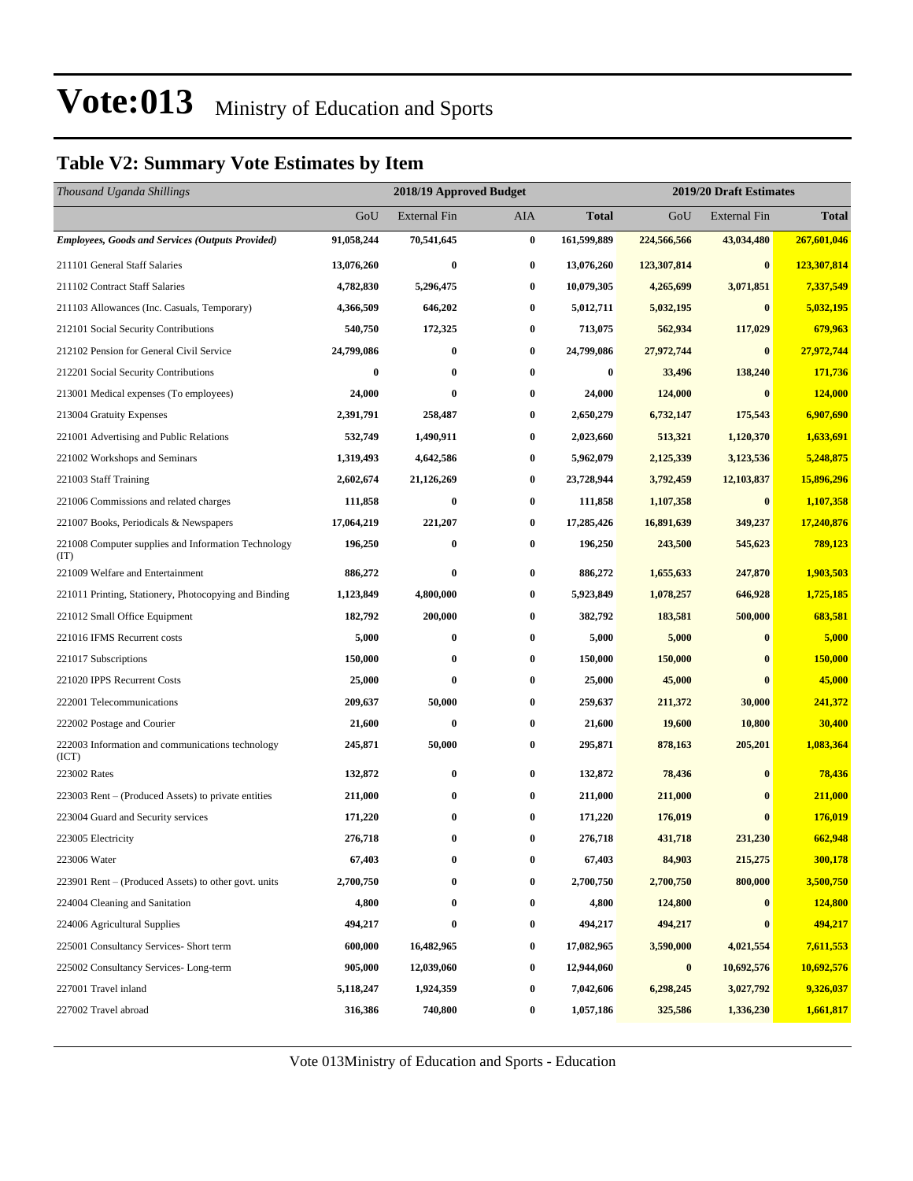#### **Table V2: Summary Vote Estimates by Item**

| Thousand Uganda Shillings                                   |            | 2018/19 Approved Budget |          |              | 2019/20 Draft Estimates |                     |              |  |  |
|-------------------------------------------------------------|------------|-------------------------|----------|--------------|-------------------------|---------------------|--------------|--|--|
|                                                             | GoU        | <b>External Fin</b>     | AIA      | <b>Total</b> | GoU                     | <b>External Fin</b> | <b>Total</b> |  |  |
| <b>Employees, Goods and Services (Outputs Provided)</b>     | 91,058,244 | 70,541,645              | $\bf{0}$ | 161,599,889  | 224,566,566             | 43,034,480          | 267,601,046  |  |  |
| 211101 General Staff Salaries                               | 13,076,260 | $\bf{0}$                | $\bf{0}$ | 13,076,260   | 123,307,814             | $\bf{0}$            | 123,307,814  |  |  |
| 211102 Contract Staff Salaries                              | 4,782,830  | 5,296,475               | $\bf{0}$ | 10,079,305   | 4,265,699               | 3,071,851           | 7,337,549    |  |  |
| 211103 Allowances (Inc. Casuals, Temporary)                 | 4,366,509  | 646,202                 | 0        | 5,012,711    | 5,032,195               | $\bf{0}$            | 5,032,195    |  |  |
| 212101 Social Security Contributions                        | 540,750    | 172,325                 | 0        | 713,075      | 562,934                 | 117,029             | 679,963      |  |  |
| 212102 Pension for General Civil Service                    | 24,799,086 | $\bf{0}$                | $\bf{0}$ | 24,799,086   | 27,972,744              | $\bf{0}$            | 27,972,744   |  |  |
| 212201 Social Security Contributions                        | $\bf{0}$   | $\bf{0}$                | 0        | $\bf{0}$     | 33,496                  | 138,240             | 171,736      |  |  |
| 213001 Medical expenses (To employees)                      | 24,000     | $\bf{0}$                | 0        | 24,000       | 124,000                 | $\bf{0}$            | 124,000      |  |  |
| 213004 Gratuity Expenses                                    | 2,391,791  | 258,487                 | 0        | 2,650,279    | 6,732,147               | 175,543             | 6,907,690    |  |  |
| 221001 Advertising and Public Relations                     | 532,749    | 1,490,911               | 0        | 2,023,660    | 513,321                 | 1,120,370           | 1,633,691    |  |  |
| 221002 Workshops and Seminars                               | 1,319,493  | 4,642,586               | 0        | 5,962,079    | 2,125,339               | 3,123,536           | 5,248,875    |  |  |
| 221003 Staff Training                                       | 2,602,674  | 21,126,269              | 0        | 23,728,944   | 3,792,459               | 12,103,837          | 15,896,296   |  |  |
| 221006 Commissions and related charges                      | 111,858    | $\bf{0}$                | $\bf{0}$ | 111,858      | 1,107,358               | $\bf{0}$            | 1,107,358    |  |  |
| 221007 Books, Periodicals & Newspapers                      | 17,064,219 | 221,207                 | 0        | 17,285,426   | 16,891,639              | 349,237             | 17,240,876   |  |  |
| 221008 Computer supplies and Information Technology<br>(TT) | 196,250    | $\bf{0}$                | 0        | 196,250      | 243,500                 | 545,623             | 789,123      |  |  |
| 221009 Welfare and Entertainment                            | 886,272    | $\bf{0}$                | $\bf{0}$ | 886,272      | 1,655,633               | 247,870             | 1,903,503    |  |  |
| 221011 Printing, Stationery, Photocopying and Binding       | 1,123,849  | 4,800,000               | 0        | 5,923,849    | 1,078,257               | 646,928             | 1,725,185    |  |  |
| 221012 Small Office Equipment                               | 182,792    | 200,000                 | 0        | 382,792      | 183,581                 | 500,000             | 683,581      |  |  |
| 221016 IFMS Recurrent costs                                 | 5,000      | $\bf{0}$                | $\bf{0}$ | 5,000        | 5,000                   | $\bf{0}$            | 5,000        |  |  |
| 221017 Subscriptions                                        | 150,000    | $\bf{0}$                | 0        | 150,000      | 150,000                 | $\bf{0}$            | 150,000      |  |  |
| 221020 IPPS Recurrent Costs                                 | 25,000     | $\bf{0}$                | $\bf{0}$ | 25,000       | 45,000                  | $\bf{0}$            | 45,000       |  |  |
| 222001 Telecommunications                                   | 209,637    | 50,000                  | 0        | 259,637      | 211,372                 | 30,000              | 241,372      |  |  |
| 222002 Postage and Courier                                  | 21,600     | $\bf{0}$                | 0        | 21,600       | 19,600                  | 10,800              | 30,400       |  |  |
| 222003 Information and communications technology<br>(ICT)   | 245,871    | 50,000                  | $\bf{0}$ | 295,871      | 878,163                 | 205,201             | 1,083,364    |  |  |
| 223002 Rates                                                | 132,872    | $\bf{0}$                | $\bf{0}$ | 132,872      | 78,436                  | $\bf{0}$            | 78,436       |  |  |
| 223003 Rent – (Produced Assets) to private entities         | 211,000    | $\bf{0}$                | $\bf{0}$ | 211,000      | 211,000                 | $\bf{0}$            | 211,000      |  |  |
| 223004 Guard and Security services                          | 171,220    | $\bf{0}$                | 0        | 171,220      | 176,019                 |                     | 176,019      |  |  |
| 223005 Electricity                                          | 276,718    | $\bf{0}$                | 0        | 276,718      | 431,718                 | 231,230             | 662,948      |  |  |
| 223006 Water                                                | 67,403     | $\bf{0}$                | 0        | 67,403       | 84,903                  | 215,275             | 300,178      |  |  |
| 223901 Rent – (Produced Assets) to other govt. units        | 2,700,750  | $\bf{0}$                | 0        | 2,700,750    | 2,700,750               | 800,000             | 3,500,750    |  |  |
| 224004 Cleaning and Sanitation                              | 4,800      | $\bf{0}$                | 0        | 4,800        | 124,800                 | $\bf{0}$            | 124,800      |  |  |
| 224006 Agricultural Supplies                                | 494,217    | $\bf{0}$                | 0        | 494,217      | 494,217                 |                     | 494,217      |  |  |
| 225001 Consultancy Services- Short term                     | 600,000    | 16,482,965              | 0        | 17,082,965   | 3,590,000               | 4,021,554           | 7,611,553    |  |  |
| 225002 Consultancy Services-Long-term                       | 905,000    | 12,039,060              | 0        | 12,944,060   | $\bf{0}$                | 10,692,576          | 10,692,576   |  |  |
| 227001 Travel inland                                        | 5,118,247  | 1,924,359               | 0        | 7,042,606    | 6,298,245               | 3,027,792           | 9,326,037    |  |  |
| 227002 Travel abroad                                        | 316,386    | 740,800                 | 0        | 1,057,186    | 325,586                 | 1,336,230           | 1,661,817    |  |  |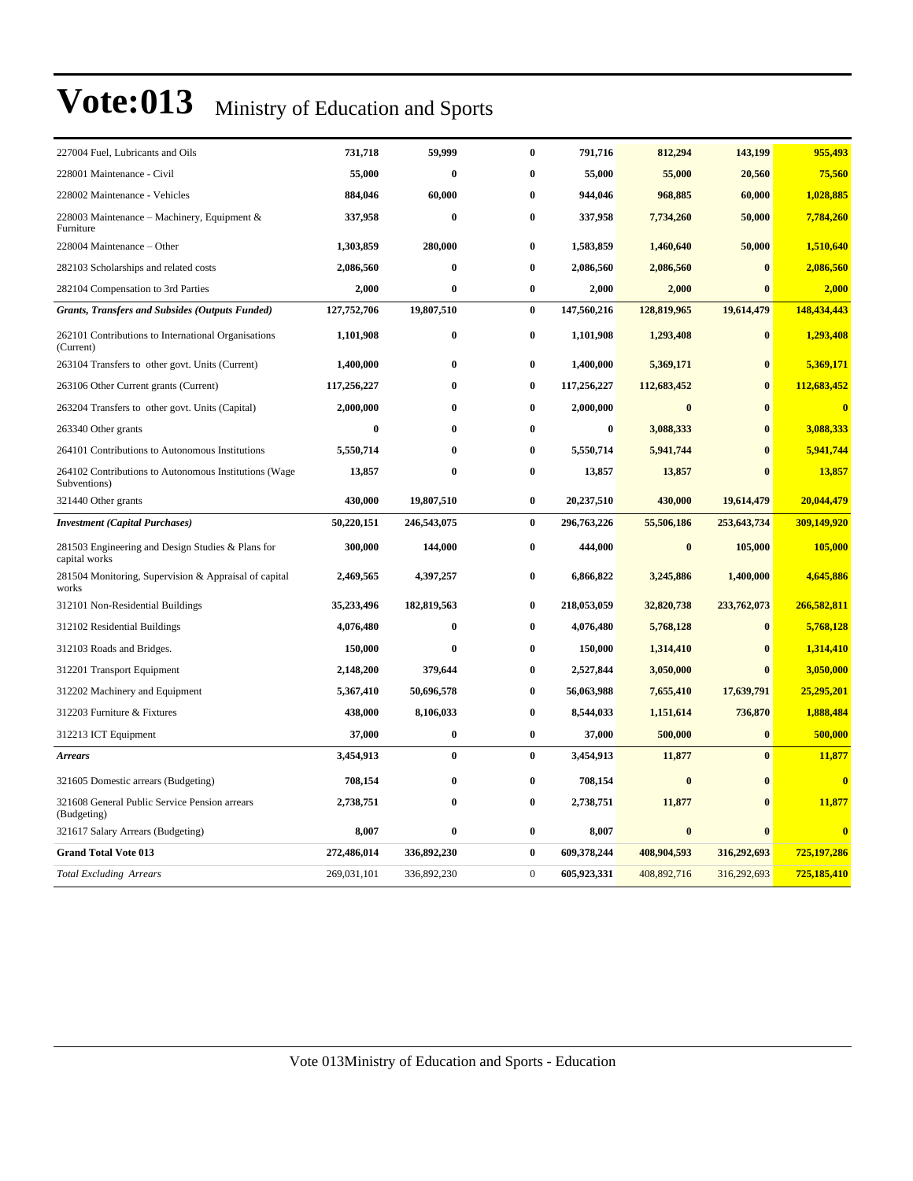| 227004 Fuel, Lubricants and Oils                                      | 731,718     | 59,999      | $\bf{0}$     | 791,716     | 812,294     | 143,199      | 955,493     |
|-----------------------------------------------------------------------|-------------|-------------|--------------|-------------|-------------|--------------|-------------|
| 228001 Maintenance - Civil                                            | 55,000      | $\bf{0}$    | 0            | 55,000      | 55,000      | 20,560       | 75,560      |
| 228002 Maintenance - Vehicles                                         | 884,046     | 60,000      | 0            | 944,046     | 968,885     | 60,000       | 1,028,885   |
| 228003 Maintenance – Machinery, Equipment &<br>Furniture              | 337,958     | $\bf{0}$    | $\bf{0}$     | 337,958     | 7,734,260   | 50,000       | 7,784,260   |
| 228004 Maintenance - Other                                            | 1,303,859   | 280,000     | $\bf{0}$     | 1,583,859   | 1,460,640   | 50,000       | 1,510,640   |
| 282103 Scholarships and related costs                                 | 2,086,560   | $\bf{0}$    | $\bf{0}$     | 2,086,560   | 2,086,560   | $\bf{0}$     | 2,086,560   |
| 282104 Compensation to 3rd Parties                                    | 2,000       | $\bf{0}$    | 0            | 2,000       | 2,000       | $\bf{0}$     | 2,000       |
| <b>Grants, Transfers and Subsides (Outputs Funded)</b>                | 127,752,706 | 19,807,510  | $\bf{0}$     | 147,560,216 | 128,819,965 | 19,614,479   | 148,434,443 |
| 262101 Contributions to International Organisations<br>(Current)      | 1,101,908   | $\bf{0}$    | 0            | 1,101,908   | 1,293,408   | $\bf{0}$     | 1,293,408   |
| 263104 Transfers to other govt. Units (Current)                       | 1,400,000   | $\bf{0}$    | 0            | 1,400,000   | 5,369,171   | $\bf{0}$     | 5,369,171   |
| 263106 Other Current grants (Current)                                 | 117,256,227 | $\bf{0}$    | $\bf{0}$     | 117,256,227 | 112,683,452 | $\bf{0}$     | 112,683,452 |
| 263204 Transfers to other govt. Units (Capital)                       | 2,000,000   | $\bf{0}$    | 0            | 2,000,000   | $\bf{0}$    | $\bf{0}$     | $\bf{0}$    |
| 263340 Other grants                                                   | $\bf{0}$    | $\bf{0}$    | $\bf{0}$     | $\bf{0}$    | 3,088,333   | $\mathbf{0}$ | 3,088,333   |
| 264101 Contributions to Autonomous Institutions                       | 5,550,714   | $\bf{0}$    | $\bf{0}$     | 5,550,714   | 5,941,744   | $\mathbf{0}$ | 5,941,744   |
| 264102 Contributions to Autonomous Institutions (Wage<br>Subventions) | 13,857      | $\bf{0}$    | 0            | 13,857      | 13,857      | $\mathbf{0}$ | 13,857      |
| 321440 Other grants                                                   | 430,000     | 19,807,510  | $\bf{0}$     | 20,237,510  | 430,000     | 19,614,479   | 20,044,479  |
| <b>Investment</b> (Capital Purchases)                                 | 50,220,151  | 246,543,075 | $\bf{0}$     | 296,763,226 | 55,506,186  | 253,643,734  | 309,149,920 |
| 281503 Engineering and Design Studies & Plans for<br>capital works    | 300,000     | 144,000     | $\bf{0}$     | 444,000     | $\bf{0}$    | 105,000      | 105,000     |
| 281504 Monitoring, Supervision & Appraisal of capital<br>works        | 2,469,565   | 4,397,257   | 0            | 6,866,822   | 3,245,886   | 1,400,000    | 4,645,886   |
| 312101 Non-Residential Buildings                                      | 35,233,496  | 182,819,563 | $\bf{0}$     | 218,053,059 | 32,820,738  | 233,762,073  | 266,582,811 |
| 312102 Residential Buildings                                          | 4,076,480   | $\bf{0}$    | 0            | 4,076,480   | 5,768,128   | $\bf{0}$     | 5,768,128   |
| 312103 Roads and Bridges.                                             | 150,000     | $\bf{0}$    | $\bf{0}$     | 150,000     | 1,314,410   | $\mathbf{0}$ | 1,314,410   |
| 312201 Transport Equipment                                            | 2,148,200   | 379,644     | 0            | 2,527,844   | 3,050,000   | $\mathbf{0}$ | 3,050,000   |
| 312202 Machinery and Equipment                                        | 5,367,410   | 50,696,578  | 0            | 56,063,988  | 7,655,410   | 17,639,791   | 25,295,201  |
| 312203 Furniture & Fixtures                                           | 438,000     | 8,106,033   | $\bf{0}$     | 8,544,033   | 1,151,614   | 736,870      | 1,888,484   |
| 312213 ICT Equipment                                                  | 37,000      | $\bf{0}$    | $\bf{0}$     | 37,000      | 500,000     | $\bf{0}$     | 500,000     |
| <b>Arrears</b>                                                        | 3,454,913   | $\bf{0}$    | $\bf{0}$     | 3,454,913   | 11,877      | $\mathbf{0}$ | 11,877      |
| 321605 Domestic arrears (Budgeting)                                   | 708,154     | $\bf{0}$    | $\bf{0}$     | 708,154     | $\bf{0}$    | $\bf{0}$     | $\bf{0}$    |
| 321608 General Public Service Pension arrears<br>(Budgeting)          | 2,738,751   | $\bf{0}$    | 0            | 2,738,751   | 11,877      | $\bf{0}$     | 11,877      |
| 321617 Salary Arrears (Budgeting)                                     | 8,007       | $\bf{0}$    | 0            | 8,007       | $\bf{0}$    | $\bf{0}$     | $\bf{0}$    |
| <b>Grand Total Vote 013</b>                                           | 272,486,014 | 336,892,230 | $\bf{0}$     | 609,378,244 | 408,904,593 | 316,292,693  | 725,197,286 |
| <b>Total Excluding Arrears</b>                                        | 269,031,101 | 336,892,230 | $\mathbf{0}$ | 605,923,331 | 408,892,716 | 316,292,693  | 725,185,410 |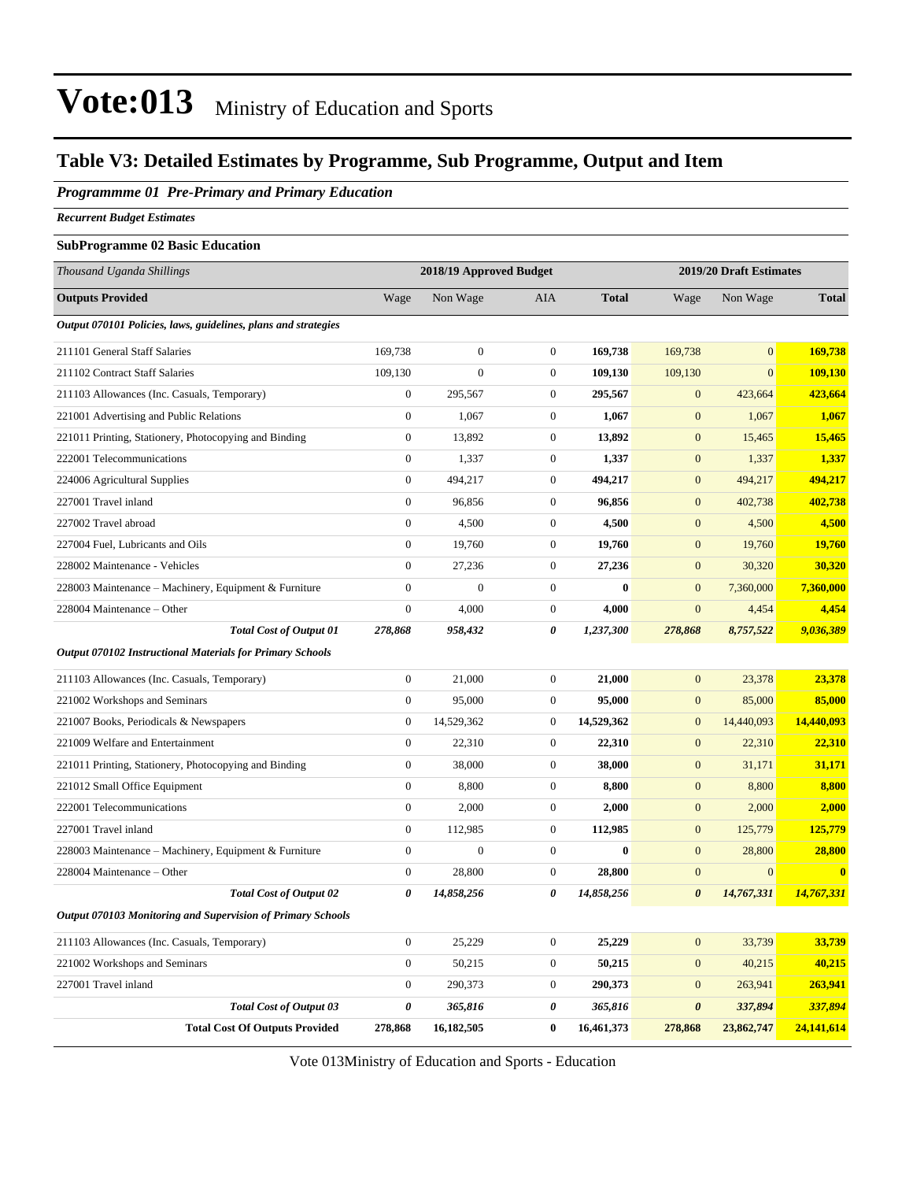#### **Table V3: Detailed Estimates by Programme, Sub Programme, Output and Item**

#### *Programmme 01 Pre-Primary and Primary Education*

*Recurrent Budget Estimates*

#### **SubProgramme 02 Basic Education**

| Thousand Uganda Shillings                                        |                  | 2018/19 Approved Budget |                  |              |                       | 2019/20 Draft Estimates |              |
|------------------------------------------------------------------|------------------|-------------------------|------------------|--------------|-----------------------|-------------------------|--------------|
| <b>Outputs Provided</b>                                          | Wage             | Non Wage                | AIA              | <b>Total</b> | Wage                  | Non Wage                | <b>Total</b> |
| Output 070101 Policies, laws, guidelines, plans and strategies   |                  |                         |                  |              |                       |                         |              |
| 211101 General Staff Salaries                                    | 169,738          | $\boldsymbol{0}$        | $\boldsymbol{0}$ | 169,738      | 169,738               | $\mathbf{0}$            | 169,738      |
| 211102 Contract Staff Salaries                                   | 109,130          | $\mathbf{0}$            | $\boldsymbol{0}$ | 109,130      | 109,130               | $\mathbf{0}$            | 109,130      |
| 211103 Allowances (Inc. Casuals, Temporary)                      | $\boldsymbol{0}$ | 295,567                 | $\boldsymbol{0}$ | 295,567      | $\mathbf{0}$          | 423,664                 | 423,664      |
| 221001 Advertising and Public Relations                          | $\boldsymbol{0}$ | 1,067                   | $\boldsymbol{0}$ | 1,067        | $\boldsymbol{0}$      | 1,067                   | 1,067        |
| 221011 Printing, Stationery, Photocopying and Binding            | $\boldsymbol{0}$ | 13,892                  | $\boldsymbol{0}$ | 13,892       | $\mathbf{0}$          | 15,465                  | 15,465       |
| 222001 Telecommunications                                        | $\boldsymbol{0}$ | 1,337                   | $\boldsymbol{0}$ | 1,337        | $\mathbf{0}$          | 1,337                   | 1,337        |
| 224006 Agricultural Supplies                                     | $\overline{0}$   | 494,217                 | $\boldsymbol{0}$ | 494,217      | $\boldsymbol{0}$      | 494,217                 | 494,217      |
| 227001 Travel inland                                             | $\boldsymbol{0}$ | 96,856                  | $\boldsymbol{0}$ | 96,856       | $\boldsymbol{0}$      | 402,738                 | 402,738      |
| 227002 Travel abroad                                             | $\boldsymbol{0}$ | 4,500                   | $\boldsymbol{0}$ | 4,500        | $\boldsymbol{0}$      | 4,500                   | 4,500        |
| 227004 Fuel, Lubricants and Oils                                 | $\boldsymbol{0}$ | 19,760                  | $\boldsymbol{0}$ | 19,760       | $\boldsymbol{0}$      | 19,760                  | 19,760       |
| 228002 Maintenance - Vehicles                                    | $\overline{0}$   | 27,236                  | $\boldsymbol{0}$ | 27,236       | $\mathbf{0}$          | 30,320                  | 30,320       |
| 228003 Maintenance - Machinery, Equipment & Furniture            | $\overline{0}$   | $\mathbf{0}$            | $\boldsymbol{0}$ | $\mathbf{0}$ | $\mathbf{0}$          | 7,360,000               | 7,360,000    |
| 228004 Maintenance – Other                                       | $\boldsymbol{0}$ | 4,000                   | $\mathbf{0}$     | 4,000        | $\boldsymbol{0}$      | 4,454                   | 4,454        |
| <b>Total Cost of Output 01</b>                                   | 278,868          | 958,432                 | 0                | 1,237,300    | 278,868               | 8,757,522               | 9,036,389    |
| <b>Output 070102 Instructional Materials for Primary Schools</b> |                  |                         |                  |              |                       |                         |              |
| 211103 Allowances (Inc. Casuals, Temporary)                      | $\boldsymbol{0}$ | 21,000                  | $\boldsymbol{0}$ | 21,000       | $\boldsymbol{0}$      | 23,378                  | 23,378       |
| 221002 Workshops and Seminars                                    | $\boldsymbol{0}$ | 95,000                  | $\boldsymbol{0}$ | 95,000       | $\mathbf{0}$          | 85,000                  | 85,000       |
| 221007 Books, Periodicals & Newspapers                           | $\boldsymbol{0}$ | 14,529,362              | $\boldsymbol{0}$ | 14,529,362   | $\boldsymbol{0}$      | 14,440,093              | 14,440,093   |
| 221009 Welfare and Entertainment                                 | $\boldsymbol{0}$ | 22,310                  | $\boldsymbol{0}$ | 22,310       | $\boldsymbol{0}$      | 22,310                  | 22,310       |
| 221011 Printing, Stationery, Photocopying and Binding            | $\boldsymbol{0}$ | 38,000                  | $\boldsymbol{0}$ | 38,000       | $\mathbf{0}$          | 31,171                  | 31,171       |
| 221012 Small Office Equipment                                    | $\boldsymbol{0}$ | 8,800                   | $\boldsymbol{0}$ | 8,800        | $\mathbf{0}$          | 8,800                   | 8,800        |
| 222001 Telecommunications                                        | $\boldsymbol{0}$ | 2,000                   | $\boldsymbol{0}$ | 2,000        | $\mathbf{0}$          | 2,000                   | 2,000        |
| 227001 Travel inland                                             | $\boldsymbol{0}$ | 112,985                 | $\boldsymbol{0}$ | 112,985      | $\boldsymbol{0}$      | 125,779                 | 125,779      |
| 228003 Maintenance - Machinery, Equipment & Furniture            | $\boldsymbol{0}$ | $\boldsymbol{0}$        | $\boldsymbol{0}$ | $\bf{0}$     | $\mathbf{0}$          | 28,800                  | 28,800       |
| 228004 Maintenance – Other                                       | $\boldsymbol{0}$ | 28,800                  | $\boldsymbol{0}$ | 28,800       | $\boldsymbol{0}$      | $\mathbf{0}$            | $\bf{0}$     |
| <b>Total Cost of Output 02</b>                                   | 0                | 14,858,256              | 0                | 14,858,256   | $\boldsymbol{\theta}$ | 14,767,331              | 14,767,331   |
| Output 070103 Monitoring and Supervision of Primary Schools      |                  |                         |                  |              |                       |                         |              |
| 211103 Allowances (Inc. Casuals, Temporary)                      | $\boldsymbol{0}$ | 25,229                  | $\boldsymbol{0}$ | 25,229       | $\mathbf{0}$          | 33,739                  | 33,739       |
| 221002 Workshops and Seminars                                    | $\boldsymbol{0}$ | 50,215                  | $\boldsymbol{0}$ | 50,215       | $\boldsymbol{0}$      | 40,215                  | 40,215       |
| 227001 Travel inland                                             | $\boldsymbol{0}$ | 290,373                 | $\boldsymbol{0}$ | 290,373      | $\boldsymbol{0}$      | 263,941                 | 263,941      |
| <b>Total Cost of Output 03</b>                                   | 0                | 365,816                 | 0                | 365,816      | $\pmb{\theta}$        | 337,894                 | 337,894      |
| <b>Total Cost Of Outputs Provided</b>                            | 278,868          | 16,182,505              | $\bf{0}$         | 16,461,373   | 278,868               | 23,862,747              | 24,141,614   |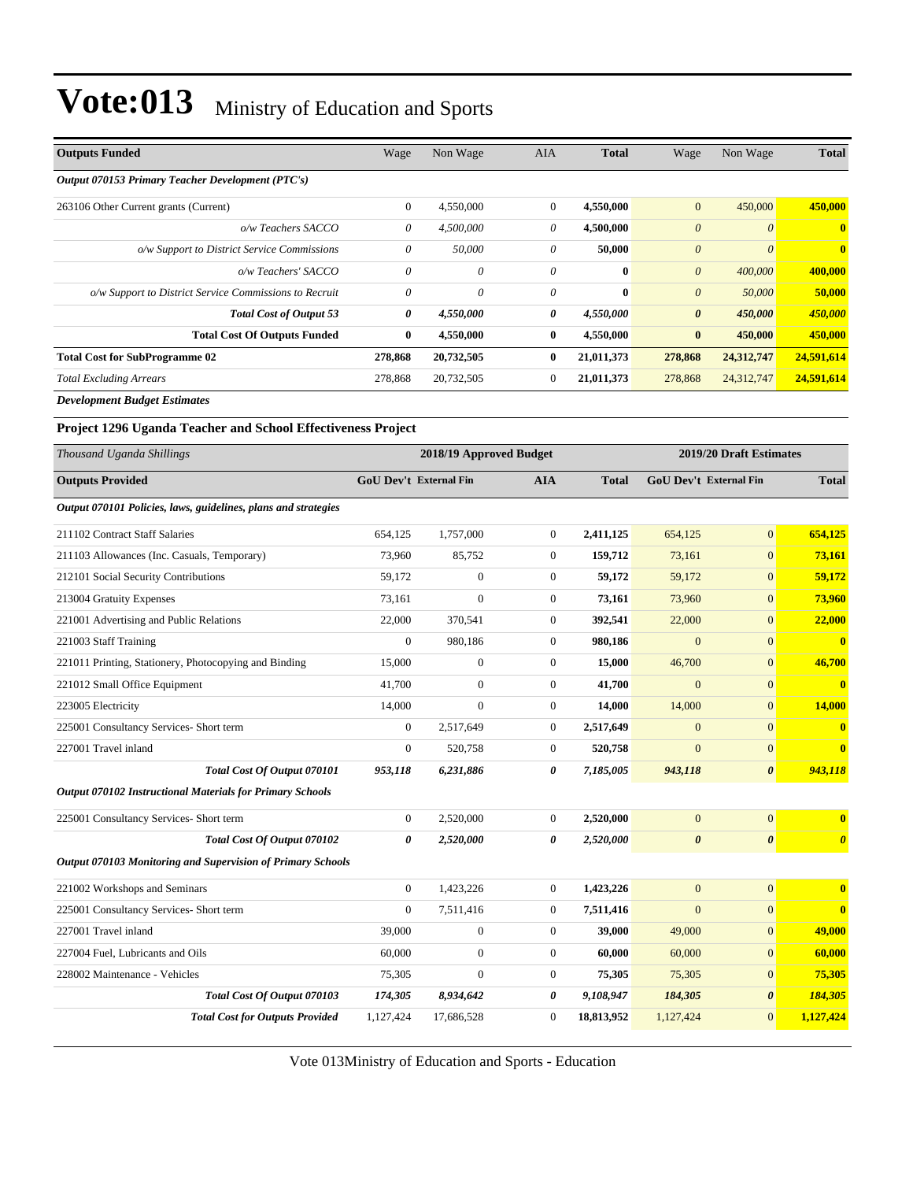| <b>Outputs Funded</b>                                  | Wage         | Non Wage   | <b>AIA</b>     | <b>Total</b> | Wage                  | Non Wage              | <b>Total</b> |
|--------------------------------------------------------|--------------|------------|----------------|--------------|-----------------------|-----------------------|--------------|
| Output 070153 Primary Teacher Development (PTC's)      |              |            |                |              |                       |                       |              |
| 263106 Other Current grants (Current)                  | $\mathbf{0}$ | 4,550,000  | $\overline{0}$ | 4,550,000    | $\mathbf{0}$          | 450,000               | 450,000      |
| o/w Teachers SACCO                                     | 0            | 4,500,000  | 0              | 4,500,000    | $\boldsymbol{\theta}$ | $\boldsymbol{\theta}$ | $\mathbf{0}$ |
| o/w Support to District Service Commissions            | $\theta$     | 50,000     | $\theta$       | 50,000       | $\theta$              | $\boldsymbol{\theta}$ | $\mathbf{0}$ |
| o/w Teachers' SACCO                                    | $\theta$     | 0          | $\theta$       | $\mathbf{0}$ | $\boldsymbol{\theta}$ | 400,000               | 400,000      |
| o/w Support to District Service Commissions to Recruit | $\theta$     | 0          | $\theta$       | $\mathbf{0}$ | $\theta$              | 50,000                | 50,000       |
| <b>Total Cost of Output 53</b>                         | 0            | 4,550,000  | 0              | 4,550,000    | $\boldsymbol{\theta}$ | 450,000               | 450,000      |
| <b>Total Cost Of Outputs Funded</b>                    | $\bf{0}$     | 4,550,000  | $\mathbf{0}$   | 4,550,000    | $\bf{0}$              | 450,000               | 450,000      |
| <b>Total Cost for SubProgramme 02</b>                  | 278,868      | 20,732,505 | $\mathbf{0}$   | 21,011,373   | 278,868               | 24,312,747            | 24,591,614   |
| <b>Total Excluding Arrears</b>                         | 278,868      | 20,732,505 | $\theta$       | 21,011,373   | 278,868               | 24,312,747            | 24,591,614   |
| Douglasses and Dr. Jack Fatiments                      |              |            |                |              |                       |                       |              |

*Development Budget Estimates*

#### **Project 1296 Uganda Teacher and School Effectiveness Project**

| Thousand Uganda Shillings                                        |                  | 2018/19 Approved Budget       |                  |              |                               | 2019/20 Draft Estimates |                         |
|------------------------------------------------------------------|------------------|-------------------------------|------------------|--------------|-------------------------------|-------------------------|-------------------------|
| <b>Outputs Provided</b>                                          |                  | <b>GoU Dev't External Fin</b> | <b>AIA</b>       | <b>Total</b> | <b>GoU Dev't External Fin</b> |                         | <b>Total</b>            |
| Output 070101 Policies, laws, guidelines, plans and strategies   |                  |                               |                  |              |                               |                         |                         |
| 211102 Contract Staff Salaries                                   | 654,125          | 1,757,000                     | $\overline{0}$   | 2,411,125    | 654,125                       | $\mathbf{0}$            | 654,125                 |
| 211103 Allowances (Inc. Casuals, Temporary)                      | 73,960           | 85,752                        | $\overline{0}$   | 159,712      | 73,161                        | $\mathbf{0}$            | 73,161                  |
| 212101 Social Security Contributions                             | 59.172           | $\mathbf{0}$                  | $\overline{0}$   | 59.172       | 59,172                        | $\mathbf{0}$            | 59,172                  |
| 213004 Gratuity Expenses                                         | 73.161           | $\mathbf{0}$                  | $\overline{0}$   | 73,161       | 73,960                        | $\mathbf{0}$            | 73,960                  |
| 221001 Advertising and Public Relations                          | 22,000           | 370,541                       | $\overline{0}$   | 392,541      | 22,000                        | $\mathbf{0}$            | 22,000                  |
| 221003 Staff Training                                            | $\overline{0}$   | 980,186                       | $\overline{0}$   | 980,186      | $\overline{0}$                | $\mathbf{0}$            | $\mathbf{0}$            |
| 221011 Printing, Stationery, Photocopying and Binding            | 15,000           | $\mathbf{0}$                  | $\overline{0}$   | 15,000       | 46,700                        | $\mathbf{0}$            | 46,700                  |
| 221012 Small Office Equipment                                    | 41,700           | $\boldsymbol{0}$              | $\boldsymbol{0}$ | 41,700       | $\mathbf{0}$                  | $\mathbf{0}$            | $\bf{0}$                |
| 223005 Electricity                                               | 14,000           | $\mathbf{0}$                  | 0                | 14,000       | 14,000                        | $\mathbf{0}$            | 14,000                  |
| 225001 Consultancy Services- Short term                          | $\overline{0}$   | 2,517,649                     | $\overline{0}$   | 2,517,649    | $\overline{0}$                | $\mathbf{0}$            | $\bf{0}$                |
| 227001 Travel inland                                             | $\overline{0}$   | 520.758                       | $\overline{0}$   | 520,758      | $\theta$                      | $\overline{0}$          | $\overline{\mathbf{0}}$ |
| Total Cost Of Output 070101                                      | 953,118          | 6,231,886                     | 0                | 7,185,005    | 943,118                       | $\boldsymbol{\theta}$   | 943,118                 |
| <b>Output 070102 Instructional Materials for Primary Schools</b> |                  |                               |                  |              |                               |                         |                         |
| 225001 Consultancy Services- Short term                          | $\boldsymbol{0}$ | 2,520,000                     | $\boldsymbol{0}$ | 2,520,000    | $\mathbf{0}$                  | $\mathbf{0}$            | $\bf{0}$                |
| Total Cost Of Output 070102                                      | 0                | 2,520,000                     | 0                | 2,520,000    | $\boldsymbol{\theta}$         | $\boldsymbol{\theta}$   | $\boldsymbol{\theta}$   |
| Output 070103 Monitoring and Supervision of Primary Schools      |                  |                               |                  |              |                               |                         |                         |
| 221002 Workshops and Seminars                                    | $\boldsymbol{0}$ | 1,423,226                     | $\overline{0}$   | 1,423,226    | $\mathbf{0}$                  | $\mathbf{0}$            | $\bf{0}$                |
| 225001 Consultancy Services- Short term                          | $\Omega$         | 7,511,416                     | $\overline{0}$   | 7,511,416    | $\overline{0}$                | $\mathbf{0}$            | $\bf{0}$                |
| 227001 Travel inland                                             | 39,000           | $\mathbf{0}$                  | 0                | 39,000       | 49,000                        | $\mathbf{0}$            | 49,000                  |
| 227004 Fuel, Lubricants and Oils                                 | 60,000           | $\mathbf{0}$                  | $\overline{0}$   | 60,000       | 60,000                        | $\overline{0}$          | 60,000                  |
| 228002 Maintenance - Vehicles                                    | 75,305           | $\mathbf{0}$                  | $\overline{0}$   | 75,305       | 75,305                        | $\mathbf{0}$            | 75,305                  |
| Total Cost Of Output 070103                                      | 174,305          | 8,934,642                     | 0                | 9,108,947    | 184,305                       | $\boldsymbol{\theta}$   | 184,305                 |
| <b>Total Cost for Outputs Provided</b>                           | 1,127,424        | 17,686,528                    | $\mathbf{0}$     | 18,813,952   | 1,127,424                     | $\mathbf{0}$            | 1,127,424               |
|                                                                  |                  |                               |                  |              |                               |                         |                         |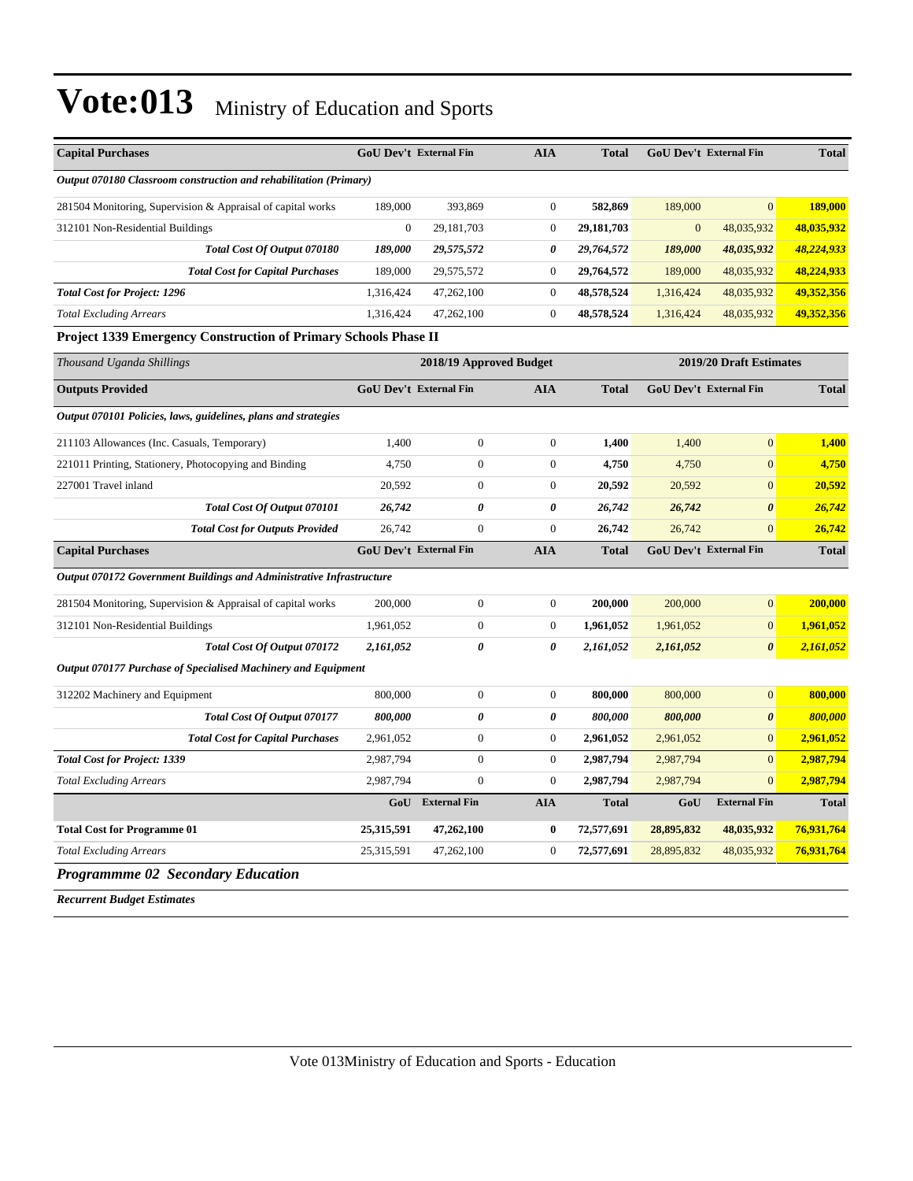| <b>Capital Purchases</b>                                             | <b>GoU Dev't External Fin</b> |                         | <b>AIA</b>       | <b>Total</b> |              | <b>GoU Dev't External Fin</b> | <b>Total</b> |
|----------------------------------------------------------------------|-------------------------------|-------------------------|------------------|--------------|--------------|-------------------------------|--------------|
| Output 070180 Classroom construction and rehabilitation (Primary)    |                               |                         |                  |              |              |                               |              |
| 281504 Monitoring, Supervision & Appraisal of capital works          | 189,000                       | 393,869                 | $\overline{0}$   | 582,869      | 189,000      | $\Omega$                      | 189,000      |
| 312101 Non-Residential Buildings                                     | $\boldsymbol{0}$              | 29,181,703              | $\boldsymbol{0}$ | 29,181,703   | $\mathbf{0}$ | 48,035,932                    | 48,035,932   |
| Total Cost Of Output 070180                                          | 189,000                       | 29,575,572              | 0                | 29,764,572   | 189,000      | 48,035,932                    | 48,224,933   |
| <b>Total Cost for Capital Purchases</b>                              | 189,000                       | 29,575,572              | $\boldsymbol{0}$ | 29,764,572   | 189,000      | 48,035,932                    | 48,224,933   |
| <b>Total Cost for Project: 1296</b>                                  | 1,316,424                     | 47,262,100              | $\boldsymbol{0}$ | 48,578,524   | 1,316,424    | 48,035,932                    | 49,352,356   |
| <b>Total Excluding Arrears</b>                                       | 1,316,424                     | 47,262,100              | $\boldsymbol{0}$ | 48,578,524   | 1,316,424    | 48,035,932                    | 49,352,356   |
| Project 1339 Emergency Construction of Primary Schools Phase II      |                               |                         |                  |              |              |                               |              |
| Thousand Uganda Shillings                                            |                               | 2018/19 Approved Budget |                  |              |              | 2019/20 Draft Estimates       |              |
| <b>Outputs Provided</b>                                              | <b>GoU Dev't External Fin</b> |                         | <b>AIA</b>       | <b>Total</b> |              | <b>GoU Dev't External Fin</b> | <b>Total</b> |
| Output 070101 Policies, laws, guidelines, plans and strategies       |                               |                         |                  |              |              |                               |              |
| 211103 Allowances (Inc. Casuals, Temporary)                          | 1,400                         | $\boldsymbol{0}$        | $\boldsymbol{0}$ | 1,400        | 1,400        | $\mathbf{0}$                  | 1,400        |
| 221011 Printing, Stationery, Photocopying and Binding                | 4,750                         | $\boldsymbol{0}$        | $\boldsymbol{0}$ | 4,750        | 4,750        | $\mathbf{0}$                  | 4,750        |
| 227001 Travel inland                                                 | 20,592                        | $\boldsymbol{0}$        | $\boldsymbol{0}$ | 20,592       | 20,592       | $\mathbf{0}$                  | 20,592       |
| Total Cost Of Output 070101                                          | 26,742                        | $\theta$                | 0                | 26,742       | 26,742       | $\boldsymbol{\theta}$         | 26,742       |
| <b>Total Cost for Outputs Provided</b>                               | 26,742                        | $\boldsymbol{0}$        | $\boldsymbol{0}$ | 26,742       | 26,742       | $\overline{0}$                | 26,742       |
| <b>Capital Purchases</b>                                             | <b>GoU Dev't External Fin</b> |                         | <b>AIA</b>       | <b>Total</b> |              | GoU Dev't External Fin        | <b>Total</b> |
| Output 070172 Government Buildings and Administrative Infrastructure |                               |                         |                  |              |              |                               |              |
| 281504 Monitoring, Supervision & Appraisal of capital works          | 200,000                       | $\boldsymbol{0}$        | $\overline{0}$   | 200,000      | 200,000      | $\overline{0}$                | 200,000      |
| 312101 Non-Residential Buildings                                     | 1,961,052                     | $\boldsymbol{0}$        | $\overline{0}$   | 1,961,052    | 1,961,052    | $\overline{0}$                | 1,961,052    |
| Total Cost Of Output 070172                                          | 2,161,052                     | $\theta$                | 0                | 2,161,052    | 2,161,052    | $\theta$                      | 2,161,052    |
| Output 070177 Purchase of Specialised Machinery and Equipment        |                               |                         |                  |              |              |                               |              |
| 312202 Machinery and Equipment                                       | 800,000                       | $\boldsymbol{0}$        | $\boldsymbol{0}$ | 800,000      | 800,000      | $\overline{0}$                | 800,000      |
| Total Cost Of Output 070177                                          | 800,000                       | 0                       | 0                | 800,000      | 800,000      | $\boldsymbol{\theta}$         | 800,000      |
| <b>Total Cost for Capital Purchases</b>                              | 2,961,052                     | $\boldsymbol{0}$        | $\boldsymbol{0}$ | 2,961,052    | 2,961,052    | $\mathbf{0}$                  | 2,961,052    |
| <b>Total Cost for Project: 1339</b>                                  | 2,987,794                     | $\boldsymbol{0}$        | $\boldsymbol{0}$ | 2,987,794    | 2,987,794    | $\mathbf{0}$                  | 2,987,794    |
| <b>Total Excluding Arrears</b>                                       | 2,987,794                     | $\boldsymbol{0}$        | $\overline{0}$   | 2,987,794    | 2,987,794    | $\overline{0}$                | 2,987,794    |
|                                                                      |                               | GoU External Fin        | <b>AIA</b>       | <b>Total</b> | GoU          | <b>External Fin</b>           | <b>Total</b> |
| <b>Total Cost for Programme 01</b>                                   | 25,315,591                    | 47,262,100              | $\bf{0}$         | 72,577,691   | 28,895,832   | 48,035,932                    | 76,931,764   |
| <b>Total Excluding Arrears</b>                                       | 25,315,591                    | 47,262,100              | $\boldsymbol{0}$ | 72,577,691   | 28,895,832   | 48,035,932                    | 76,931,764   |
| <b>Programmme 02 Secondary Education</b>                             |                               |                         |                  |              |              |                               |              |

*Recurrent Budget Estimates*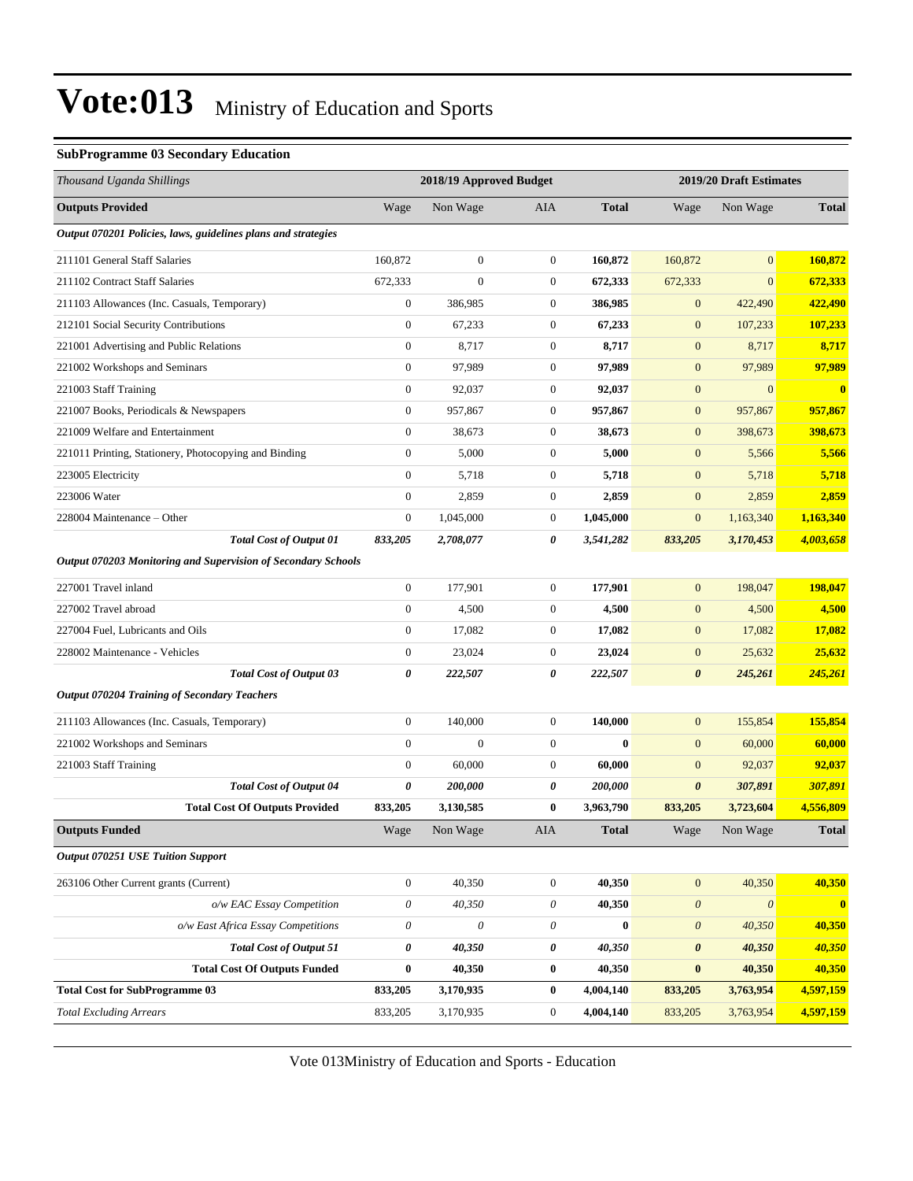#### **SubProgramme 03 Secondary Education**

| Thousand Uganda Shillings                                            |                  | 2018/19 Approved Budget |                  |              |                       | 2019/20 Draft Estimates |              |
|----------------------------------------------------------------------|------------------|-------------------------|------------------|--------------|-----------------------|-------------------------|--------------|
| <b>Outputs Provided</b>                                              | Wage             | Non Wage                | AIA              | <b>Total</b> | Wage                  | Non Wage                | <b>Total</b> |
| Output 070201 Policies, laws, guidelines plans and strategies        |                  |                         |                  |              |                       |                         |              |
| 211101 General Staff Salaries                                        | 160,872          | $\boldsymbol{0}$        | $\boldsymbol{0}$ | 160,872      | 160,872               | $\mathbf{0}$            | 160,872      |
| 211102 Contract Staff Salaries                                       | 672,333          | $\overline{0}$          | $\boldsymbol{0}$ | 672,333      | 672,333               | $\boldsymbol{0}$        | 672,333      |
| 211103 Allowances (Inc. Casuals, Temporary)                          | $\boldsymbol{0}$ | 386,985                 | $\boldsymbol{0}$ | 386,985      | $\mathbf{0}$          | 422,490                 | 422,490      |
| 212101 Social Security Contributions                                 | $\boldsymbol{0}$ | 67,233                  | $\boldsymbol{0}$ | 67,233       | $\mathbf{0}$          | 107,233                 | 107,233      |
| 221001 Advertising and Public Relations                              | $\boldsymbol{0}$ | 8,717                   | $\boldsymbol{0}$ | 8,717        | $\mathbf{0}$          | 8,717                   | 8,717        |
| 221002 Workshops and Seminars                                        | $\mathbf{0}$     | 97,989                  | $\boldsymbol{0}$ | 97,989       | $\mathbf{0}$          | 97,989                  | 97,989       |
| 221003 Staff Training                                                | $\boldsymbol{0}$ | 92,037                  | $\boldsymbol{0}$ | 92,037       | $\mathbf{0}$          | $\mathbf{0}$            | $\bf{0}$     |
| 221007 Books, Periodicals & Newspapers                               | $\boldsymbol{0}$ | 957,867                 | $\boldsymbol{0}$ | 957,867      | $\mathbf{0}$          | 957,867                 | 957,867      |
| 221009 Welfare and Entertainment                                     | $\boldsymbol{0}$ | 38,673                  | $\boldsymbol{0}$ | 38,673       | $\mathbf{0}$          | 398,673                 | 398,673      |
| 221011 Printing, Stationery, Photocopying and Binding                | $\boldsymbol{0}$ | 5,000                   | $\boldsymbol{0}$ | 5,000        | $\mathbf{0}$          | 5,566                   | 5,566        |
| 223005 Electricity                                                   | $\boldsymbol{0}$ | 5,718                   | $\boldsymbol{0}$ | 5,718        | $\mathbf{0}$          | 5,718                   | 5,718        |
| 223006 Water                                                         | $\boldsymbol{0}$ | 2,859                   | $\boldsymbol{0}$ | 2,859        | $\mathbf{0}$          | 2,859                   | 2,859        |
| 228004 Maintenance - Other                                           | $\boldsymbol{0}$ | 1,045,000               | $\boldsymbol{0}$ | 1,045,000    | $\boldsymbol{0}$      | 1,163,340               | 1,163,340    |
| <b>Total Cost of Output 01</b>                                       | 833,205          | 2,708,077               | 0                | 3,541,282    | 833,205               | 3,170,453               | 4,003,658    |
| <b>Output 070203 Monitoring and Supervision of Secondary Schools</b> |                  |                         |                  |              |                       |                         |              |
| 227001 Travel inland                                                 | $\boldsymbol{0}$ | 177,901                 | $\boldsymbol{0}$ | 177,901      | $\mathbf{0}$          | 198,047                 | 198,047      |
| 227002 Travel abroad                                                 | $\boldsymbol{0}$ | 4,500                   | $\overline{0}$   | 4,500        | $\mathbf{0}$          | 4,500                   | 4,500        |
| 227004 Fuel, Lubricants and Oils                                     | $\boldsymbol{0}$ | 17,082                  | $\boldsymbol{0}$ | 17,082       | $\mathbf{0}$          | 17,082                  | 17,082       |
| 228002 Maintenance - Vehicles                                        | $\boldsymbol{0}$ | 23,024                  | $\boldsymbol{0}$ | 23,024       | $\mathbf{0}$          | 25,632                  | 25,632       |
| <b>Total Cost of Output 03</b>                                       | 0                | 222,507                 | 0                | 222,507      | $\boldsymbol{\theta}$ | 245,261                 | 245,261      |
| <b>Output 070204 Training of Secondary Teachers</b>                  |                  |                         |                  |              |                       |                         |              |
| 211103 Allowances (Inc. Casuals, Temporary)                          | $\boldsymbol{0}$ | 140,000                 | $\boldsymbol{0}$ | 140,000      | $\mathbf{0}$          | 155,854                 | 155,854      |
| 221002 Workshops and Seminars                                        | $\mathbf{0}$     | $\mathbf{0}$            | $\boldsymbol{0}$ | $\mathbf{0}$ | $\mathbf{0}$          | 60,000                  | 60,000       |
| 221003 Staff Training                                                | $\mathbf{0}$     | 60,000                  | $\boldsymbol{0}$ | 60,000       | $\mathbf{0}$          | 92,037                  | 92,037       |
| <b>Total Cost of Output 04</b>                                       | 0                | 200,000                 | 0                | 200,000      | $\boldsymbol{\theta}$ | 307,891                 | 307,891      |
| <b>Total Cost Of Outputs Provided</b>                                | 833,205          | 3,130,585               | 0                | 3,963,790    | 833,205               | 3,723,604               | 4,556,809    |
| <b>Outputs Funded</b>                                                | Wage             | Non Wage                | AIA              | <b>Total</b> | Wage                  | Non Wage                | <b>Total</b> |
| <b>Output 070251 USE Tuition Support</b>                             |                  |                         |                  |              |                       |                         |              |
| 263106 Other Current grants (Current)                                | $\boldsymbol{0}$ | 40,350                  | $\boldsymbol{0}$ | 40,350       | $\boldsymbol{0}$      | 40,350                  | 40,350       |
| o/w EAC Essay Competition                                            | 0                | 40,350                  | 0                | 40,350       | $\boldsymbol{\theta}$ | $\boldsymbol{\theta}$   | $\bullet$    |
| o/w East Africa Essay Competitions                                   | 0                | 0                       | 0                | $\bf{0}$     | $\boldsymbol{\theta}$ | 40,350                  | 40,350       |
| <b>Total Cost of Output 51</b>                                       | 0                | 40,350                  | 0                | 40,350       | $\pmb{\theta}$        | 40,350                  | 40,350       |
| <b>Total Cost Of Outputs Funded</b>                                  | $\bf{0}$         | 40,350                  | $\boldsymbol{0}$ | 40,350       | $\bf{0}$              | 40,350                  | 40,350       |
| <b>Total Cost for SubProgramme 03</b>                                | 833,205          | 3,170,935               | $\boldsymbol{0}$ | 4,004,140    | 833,205               | 3,763,954               | 4,597,159    |
| <b>Total Excluding Arrears</b>                                       | 833,205          | 3,170,935               | 0                | 4,004,140    | 833,205               | 3,763,954               | 4,597,159    |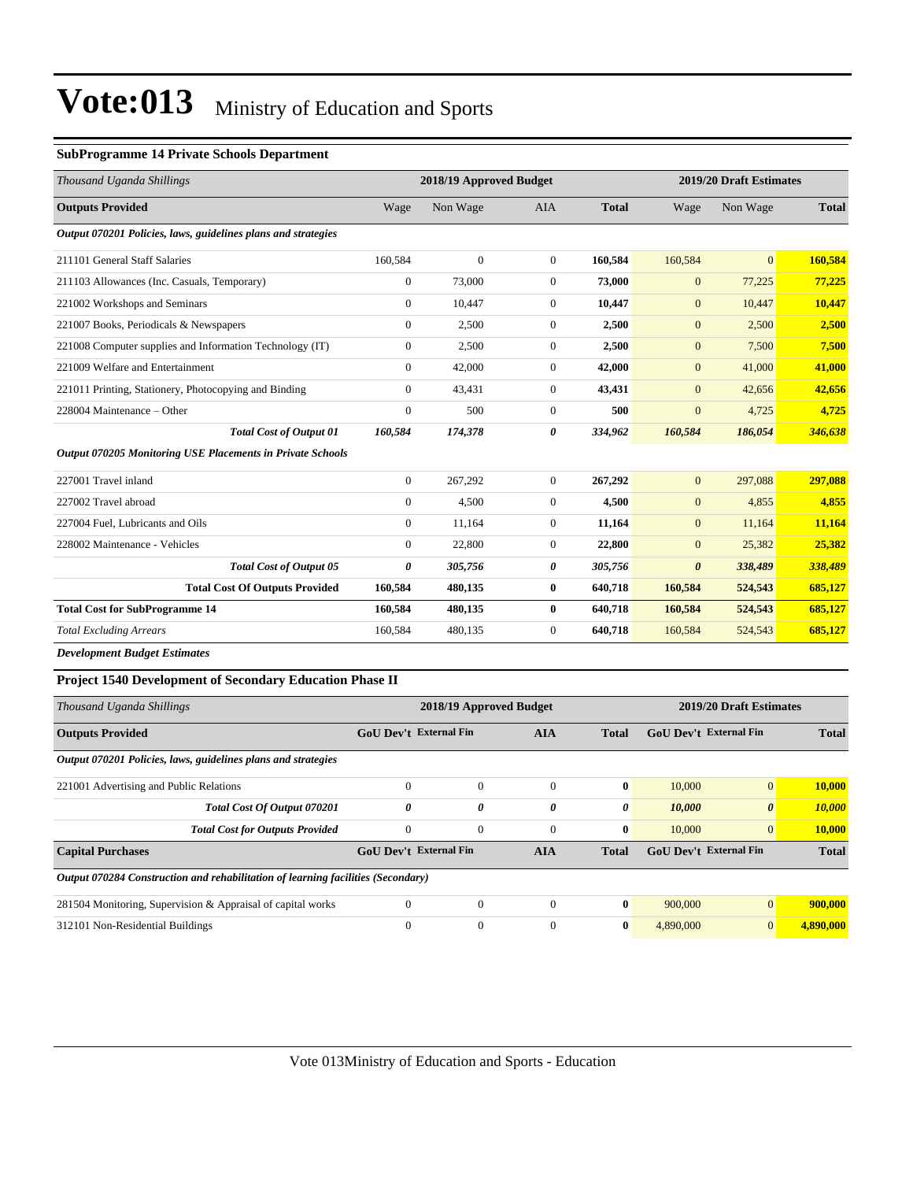#### **SubProgramme 14 Private Schools Department**

| Thousand Uganda Shillings                                                        |                               | 2018/19 Approved Budget |                  |                |                  | 2019/20 Draft Estimates |              |
|----------------------------------------------------------------------------------|-------------------------------|-------------------------|------------------|----------------|------------------|-------------------------|--------------|
| <b>Outputs Provided</b>                                                          | Wage                          | Non Wage                | AIA              | <b>Total</b>   | Wage             | Non Wage                | <b>Total</b> |
| Output 070201 Policies, laws, guidelines plans and strategies                    |                               |                         |                  |                |                  |                         |              |
| 211101 General Staff Salaries                                                    | 160,584                       | $\boldsymbol{0}$        | $\mathbf{0}$     | 160,584        | 160,584          | $\boldsymbol{0}$        | 160,584      |
| 211103 Allowances (Inc. Casuals, Temporary)                                      | $\boldsymbol{0}$              | 73,000                  | $\boldsymbol{0}$ | 73,000         | $\mathbf{0}$     | 77,225                  | 77,225       |
| 221002 Workshops and Seminars                                                    | $\boldsymbol{0}$              | 10,447                  | $\boldsymbol{0}$ | 10,447         | $\mathbf{0}$     | 10,447                  | 10,447       |
| 221007 Books, Periodicals & Newspapers                                           | $\mathbf{0}$                  | 2,500                   | $\boldsymbol{0}$ | 2,500          | $\mathbf{0}$     | 2,500                   | 2,500        |
| 221008 Computer supplies and Information Technology (IT)                         | $\boldsymbol{0}$              | 2,500                   | $\boldsymbol{0}$ | 2,500          | $\boldsymbol{0}$ | 7,500                   | 7,500        |
| 221009 Welfare and Entertainment                                                 | $\boldsymbol{0}$              | 42,000                  | $\boldsymbol{0}$ | 42,000         | $\boldsymbol{0}$ | 41,000                  | 41,000       |
| 221011 Printing, Stationery, Photocopying and Binding                            | $\boldsymbol{0}$              | 43,431                  | $\boldsymbol{0}$ | 43,431         | $\boldsymbol{0}$ | 42,656                  | 42,656       |
| 228004 Maintenance - Other                                                       | $\boldsymbol{0}$              | 500                     | $\boldsymbol{0}$ | 500            | $\boldsymbol{0}$ | 4,725                   | 4,725        |
| <b>Total Cost of Output 01</b>                                                   | 160,584                       | 174,378                 | 0                | 334,962        | 160,584          | 186,054                 | 346,638      |
| Output 070205 Monitoring USE Placements in Private Schools                       |                               |                         |                  |                |                  |                         |              |
| 227001 Travel inland                                                             | $\boldsymbol{0}$              | 267,292                 | $\boldsymbol{0}$ | 267,292        | $\boldsymbol{0}$ | 297,088                 | 297,088      |
| 227002 Travel abroad                                                             | $\boldsymbol{0}$              | 4,500                   | $\boldsymbol{0}$ | 4,500          | $\mathbf{0}$     | 4,855                   | 4,855        |
| 227004 Fuel, Lubricants and Oils                                                 | $\mathbf{0}$                  | 11,164                  | $\boldsymbol{0}$ | 11,164         | $\mathbf{0}$     | 11,164                  | 11,164       |
| 228002 Maintenance - Vehicles                                                    | $\mathbf{0}$                  | 22,800                  | $\mathbf{0}$     | 22,800         | $\mathbf{0}$     | 25,382                  | 25,382       |
| Total Cost of Output 05                                                          | $\boldsymbol{\theta}$         | 305,756                 | 0                | 305,756        | $\pmb{\theta}$   | 338,489                 | 338,489      |
| <b>Total Cost Of Outputs Provided</b>                                            | 160,584                       | 480,135                 | 0                | 640,718        | 160,584          | 524,543                 | 685,127      |
| <b>Total Cost for SubProgramme 14</b>                                            | 160,584                       | 480,135                 | 0                | 640,718        | 160,584          | 524,543                 | 685,127      |
| <b>Total Excluding Arrears</b>                                                   | 160,584                       | 480,135                 | $\overline{0}$   | 640,718        | 160,584          | 524,543                 | 685,127      |
| <b>Development Budget Estimates</b>                                              |                               |                         |                  |                |                  |                         |              |
| <b>Project 1540 Development of Secondary Education Phase II</b>                  |                               |                         |                  |                |                  |                         |              |
| Thousand Uganda Shillings                                                        |                               | 2018/19 Approved Budget |                  |                |                  | 2019/20 Draft Estimates |              |
| <b>Outputs Provided</b>                                                          | GoU Dev't External Fin        |                         | AIA              | <b>Total</b>   |                  | GoU Dev't External Fin  | <b>Total</b> |
| Output 070201 Policies, laws, guidelines plans and strategies                    |                               |                         |                  |                |                  |                         |              |
| 221001 Advertising and Public Relations                                          | $\boldsymbol{0}$              | $\boldsymbol{0}$        | $\boldsymbol{0}$ | $\bf{0}$       | 10,000           | $\overline{0}$          | 10,000       |
| Total Cost Of Output 070201                                                      | $\boldsymbol{\theta}$         | 0                       | 0                | $\pmb{\theta}$ | 10,000           | $\boldsymbol{\theta}$   | 10,000       |
| <b>Total Cost for Outputs Provided</b>                                           | $\overline{0}$                | $\overline{0}$          | $\overline{0}$   | $\bf{0}$       | 10,000           | $\mathbf{0}$            | 10,000       |
| <b>Capital Purchases</b>                                                         | <b>GoU Dev't External Fin</b> |                         | <b>AIA</b>       | <b>Total</b>   |                  | GoU Dev't External Fin  | <b>Total</b> |
| Output 070284 Construction and rehabilitation of learning facilities (Secondary) |                               |                         |                  |                |                  |                         |              |
| 281504 Monitoring, Supervision & Appraisal of capital works                      | $\boldsymbol{0}$              | $\boldsymbol{0}$        | $\boldsymbol{0}$ | $\bf{0}$       | 900,000          | $\mathbf{0}$            | 900,000      |
| 312101 Non-Residential Buildings                                                 | $\mathbf{0}$                  | $\boldsymbol{0}$        | $\overline{0}$   | $\bf{0}$       | 4,890,000        | $\mathbf{0}$            | 4,890,000    |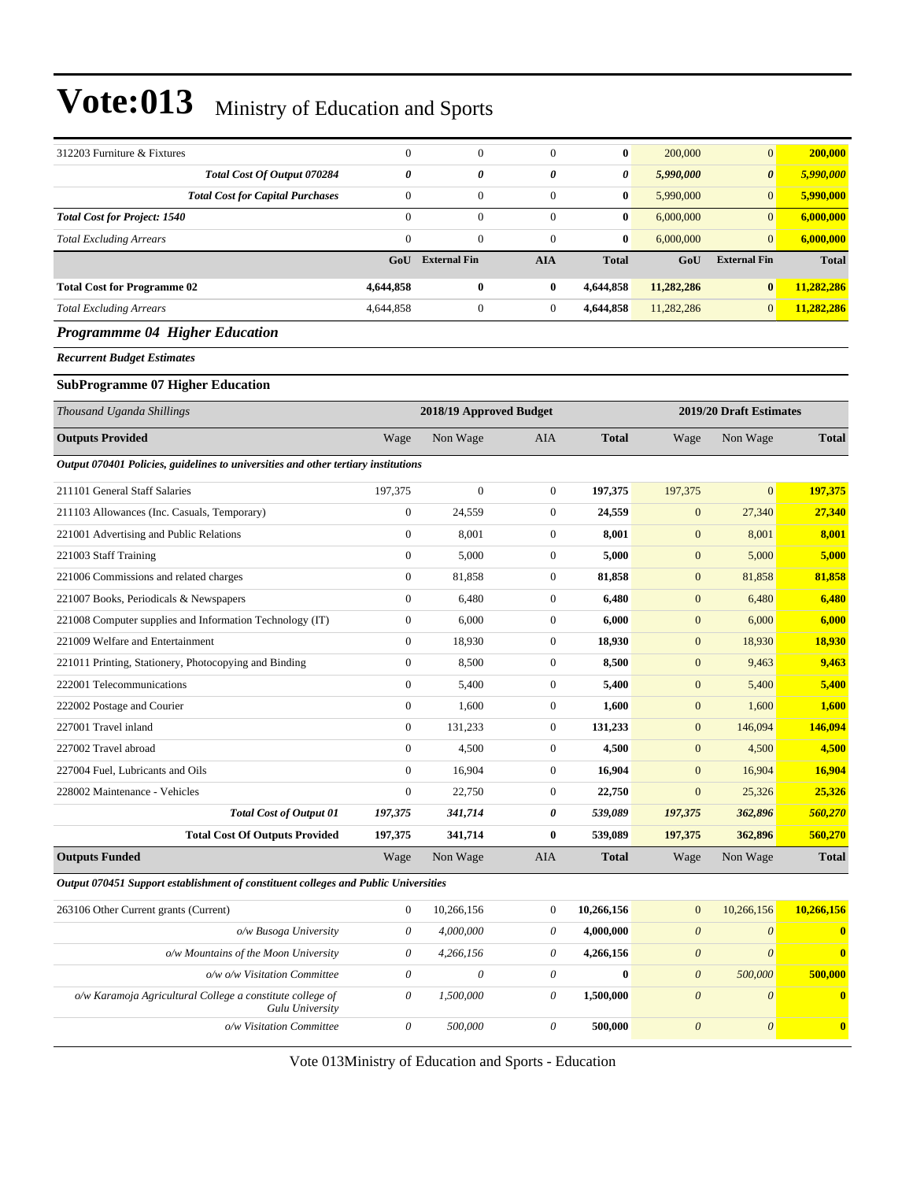| 312203 Furniture & Fixtures                                                         | $\mathbf{0}$          | $\mathbf{0}$              | $\boldsymbol{0}$ | $\bf{0}$         | 200,000                   | $\mathbf{0}$              | 200,000                 |
|-------------------------------------------------------------------------------------|-----------------------|---------------------------|------------------|------------------|---------------------------|---------------------------|-------------------------|
| Total Cost Of Output 070284                                                         | 0                     | 0                         | 0                | 0                | 5,990,000                 | $\boldsymbol{\theta}$     | 5,990,000               |
| <b>Total Cost for Capital Purchases</b>                                             | $\boldsymbol{0}$      | $\overline{0}$            | $\boldsymbol{0}$ | $\bf{0}$         | 5,990,000                 | $\mathbf{0}$              | 5,990,000               |
| <b>Total Cost for Project: 1540</b>                                                 | $\theta$              | $\overline{0}$            | $\boldsymbol{0}$ | $\bf{0}$         | 6,000,000                 | $\overline{0}$            | 6,000,000               |
| <b>Total Excluding Arrears</b>                                                      | $\mathbf{0}$          | $\boldsymbol{0}$          | $\overline{0}$   | $\bf{0}$         | 6,000,000                 | $\mathbf{0}$              | 6,000,000               |
|                                                                                     | GoU                   | <b>External Fin</b>       | <b>AIA</b>       | <b>Total</b>     | GoU                       | <b>External Fin</b>       | <b>Total</b>            |
| <b>Total Cost for Programme 02</b>                                                  | 4,644,858             | 0                         | $\bf{0}$         | 4,644,858        | 11,282,286                | $\bf{0}$                  | 11,282,286              |
| <b>Total Excluding Arrears</b>                                                      | 4,644,858             | $\boldsymbol{0}$          | $\boldsymbol{0}$ | 4,644,858        | 11,282,286                | $\mathbf{0}$              | 11,282,286              |
| Programmme 04 Higher Education                                                      |                       |                           |                  |                  |                           |                           |                         |
| <b>Recurrent Budget Estimates</b>                                                   |                       |                           |                  |                  |                           |                           |                         |
| <b>SubProgramme 07 Higher Education</b>                                             |                       |                           |                  |                  |                           |                           |                         |
| Thousand Uganda Shillings                                                           |                       | 2018/19 Approved Budget   |                  |                  |                           | 2019/20 Draft Estimates   |                         |
| <b>Outputs Provided</b>                                                             | Wage                  | Non Wage                  | AIA              | <b>Total</b>     | Wage                      | Non Wage                  | <b>Total</b>            |
| Output 070401 Policies, guidelines to universities and other tertiary institutions  |                       |                           |                  |                  |                           |                           |                         |
| 211101 General Staff Salaries                                                       | 197,375               | $\boldsymbol{0}$          | $\boldsymbol{0}$ | 197,375          | 197,375                   | $\mathbf{0}$              | 197,375                 |
| 211103 Allowances (Inc. Casuals, Temporary)                                         | $\mathbf{0}$          | 24,559                    | $\boldsymbol{0}$ | 24,559           | $\boldsymbol{0}$          | 27,340                    | 27,340                  |
| 221001 Advertising and Public Relations                                             | $\mathbf{0}$          | 8,001                     | $\boldsymbol{0}$ | 8,001            | $\mathbf{0}$              | 8,001                     | 8,001                   |
| 221003 Staff Training                                                               | $\boldsymbol{0}$      | 5,000                     | $\boldsymbol{0}$ | 5,000            | $\mathbf{0}$              | 5,000                     | 5,000                   |
| 221006 Commissions and related charges                                              | $\boldsymbol{0}$      | 81,858                    | 0                | 81,858           | $\mathbf{0}$              | 81,858                    | 81,858                  |
| 221007 Books, Periodicals & Newspapers                                              | $\boldsymbol{0}$      | 6,480                     | $\boldsymbol{0}$ | 6,480            | $\boldsymbol{0}$          | 6,480                     | 6,480                   |
| 221008 Computer supplies and Information Technology (IT)                            | $\mathbf{0}$          | 6,000                     | $\boldsymbol{0}$ | 6,000            | $\boldsymbol{0}$          | 6,000                     | 6,000                   |
| 221009 Welfare and Entertainment                                                    | $\boldsymbol{0}$      | 18,930                    | $\boldsymbol{0}$ | 18,930           | $\mathbf{0}$              | 18,930                    | 18,930                  |
| 221011 Printing, Stationery, Photocopying and Binding                               | $\boldsymbol{0}$      | 8,500                     | $\boldsymbol{0}$ | 8,500            | $\mathbf{0}$              | 9,463                     | 9,463                   |
| 222001 Telecommunications                                                           | $\boldsymbol{0}$      | 5,400                     | 0                | 5,400            | $\mathbf{0}$              | 5,400                     | 5,400                   |
| 222002 Postage and Courier                                                          | $\boldsymbol{0}$      | 1,600                     | $\boldsymbol{0}$ | 1,600            | $\mathbf{0}$              | 1,600                     | 1,600                   |
| 227001 Travel inland                                                                | $\boldsymbol{0}$      | 131,233                   | $\boldsymbol{0}$ | 131,233          | $\boldsymbol{0}$          | 146,094                   | 146,094                 |
| 227002 Travel abroad                                                                | $\mathbf{0}$          | 4,500                     | $\boldsymbol{0}$ | 4,500            | $\mathbf{0}$              | 4,500                     | 4,500                   |
| 227004 Fuel, Lubricants and Oils                                                    | $\boldsymbol{0}$      | 16,904                    | $\boldsymbol{0}$ | 16,904           | $\mathbf{0}$              | 16,904                    | 16,904                  |
| 228002 Maintenance - Vehicles                                                       | $\mathbf{0}$          | 22,750                    | $\boldsymbol{0}$ | 22,750           | $\mathbf{0}$              | 25,326                    | 25,326                  |
| <b>Total Cost of Output 01</b>                                                      | 197,375               | 341,714                   | 0                | 539,089          | 197,375                   | 362,896                   | 560,270                 |
| <b>Total Cost Of Outputs Provided</b>                                               | 197,375               | 341,714                   | 0                | 539,089          | 197,375                   | 362,896                   | 560,270                 |
| <b>Outputs Funded</b>                                                               | Wage                  | Non Wage                  | AIA              | <b>Total</b>     | Wage                      | Non Wage                  | <b>Total</b>            |
| Output 070451 Support establishment of constituent colleges and Public Universities |                       |                           |                  |                  |                           |                           |                         |
| 263106 Other Current grants (Current)                                               | $\boldsymbol{0}$      | 10,266,156                | $\boldsymbol{0}$ | 10,266,156       | $\boldsymbol{0}$          | 10,266,156                | 10,266,156              |
| o/w Busoga University                                                               | $\theta$              | 4,000,000                 | 0                | 4,000,000        | $\boldsymbol{\theta}$     | $\boldsymbol{\theta}$     | $\bullet$               |
| o/w Mountains of the Moon University                                                | $\theta$              | 4,266,156                 | 0                | 4,266,156        | $\boldsymbol{\theta}$     | $\boldsymbol{\theta}$     | $\mathbf{0}$            |
| o/w o/w Visitation Committee                                                        | $\boldsymbol{\theta}$ | $\boldsymbol{\mathit{0}}$ | 0                | $\boldsymbol{0}$ | $\boldsymbol{\theta}$     | 500,000                   | 500,000                 |
| o/w Karamoja Agricultural College a constitute college of<br>Gulu University        | $\boldsymbol{\theta}$ | 1,500,000                 | 0                | 1,500,000        | $\boldsymbol{\theta}$     | $\boldsymbol{\mathit{0}}$ | $\mathbf{0}$            |
| o/w Visitation Committee                                                            | $\boldsymbol{\theta}$ | 500,000                   | $\theta$         | 500,000          | $\boldsymbol{\mathit{0}}$ | 0                         | $\overline{\mathbf{0}}$ |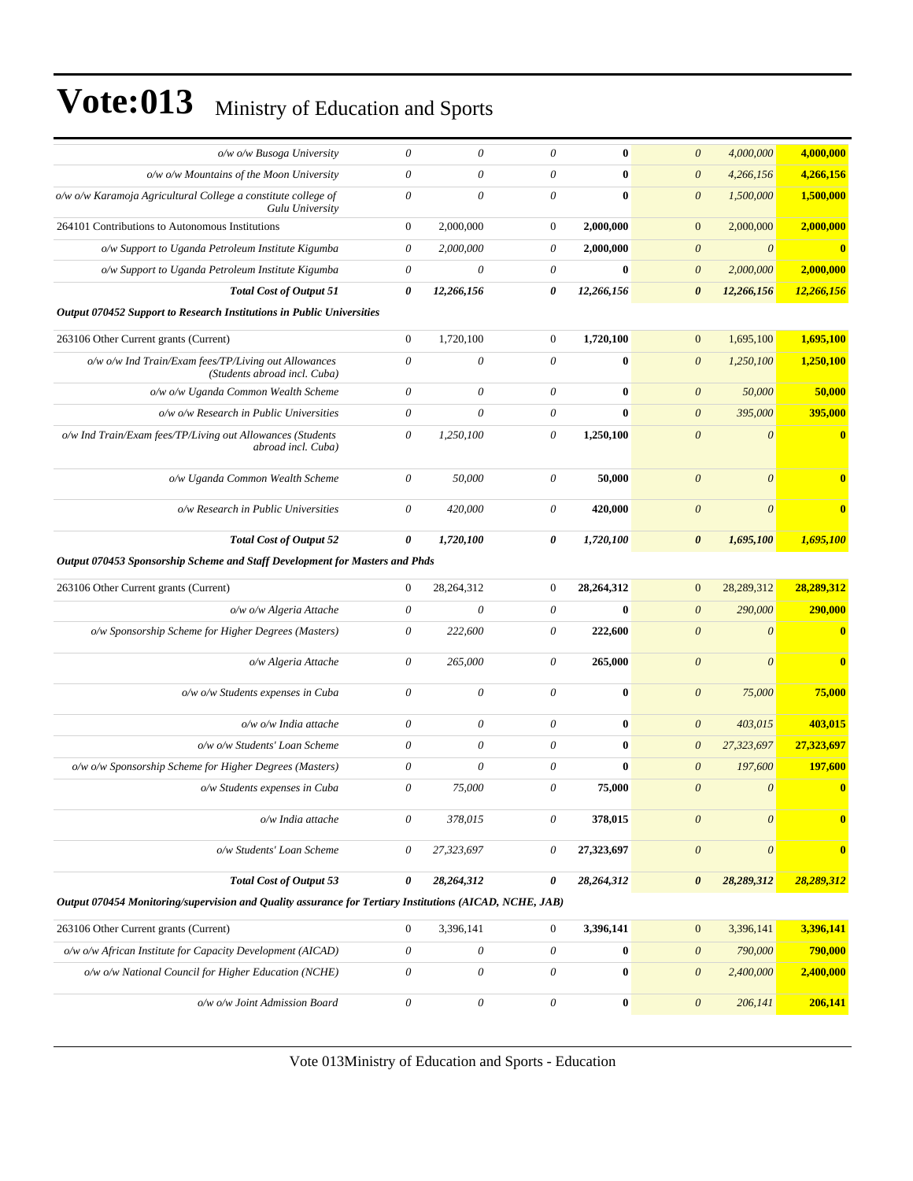| o/w o/w Busoga University                                                                               | $\theta$                  | 0                         | $\theta$                  | $\bf{0}$         | $\boldsymbol{0}$      | 4,000,000             | 4,000,000               |
|---------------------------------------------------------------------------------------------------------|---------------------------|---------------------------|---------------------------|------------------|-----------------------|-----------------------|-------------------------|
| o/w o/w Mountains of the Moon University                                                                | $\boldsymbol{\mathit{0}}$ | $\theta$                  | $\boldsymbol{\mathit{0}}$ | $\bf{0}$         | $\boldsymbol{\theta}$ | 4,266,156             | 4,266,156               |
| o/w o/w Karamoja Agricultural College a constitute college of<br>Gulu University                        | $\boldsymbol{0}$          | 0                         | $\theta$                  | $\bf{0}$         | $\boldsymbol{\theta}$ | 1,500,000             | 1,500,000               |
| 264101 Contributions to Autonomous Institutions                                                         | $\mathbf{0}$              | 2,000,000                 | $\boldsymbol{0}$          | 2,000,000        | $\mathbf{0}$          | 2,000,000             | 2.000.000               |
| o/w Support to Uganda Petroleum Institute Kigumba                                                       | $\boldsymbol{\theta}$     | 2,000,000                 | $\theta$                  | 2,000,000        | $\boldsymbol{\theta}$ | $\boldsymbol{\theta}$ | $\bf{0}$                |
| o/w Support to Uganda Petroleum Institute Kigumba                                                       | $\boldsymbol{\mathit{0}}$ | 0                         | $\theta$                  | $\bf{0}$         | $\boldsymbol{\theta}$ | 2,000,000             | 2,000,000               |
| <b>Total Cost of Output 51</b>                                                                          | $\boldsymbol{\theta}$     | 12,266,156                | 0                         | 12,266,156       | $\boldsymbol{\theta}$ | 12,266,156            | 12,266,156              |
| Output 070452 Support to Research Institutions in Public Universities                                   |                           |                           |                           |                  |                       |                       |                         |
| 263106 Other Current grants (Current)                                                                   | $\mathbf{0}$              | 1,720,100                 | $\boldsymbol{0}$          | 1,720,100        | $\mathbf{0}$          | 1,695,100             | 1,695,100               |
| o/w o/w Ind Train/Exam fees/TP/Living out Allowances<br>(Students abroad incl. Cuba)                    | $\theta$                  | 0                         | $\theta$                  | $\bf{0}$         | $\boldsymbol{0}$      | 1,250,100             | 1,250,100               |
| o/w o/w Uganda Common Wealth Scheme                                                                     | $\boldsymbol{\mathit{0}}$ | $\boldsymbol{\mathit{0}}$ | $\theta$                  | $\bf{0}$         | $\boldsymbol{0}$      | 50,000                | 50,000                  |
| o/w o/w Research in Public Universities                                                                 | $\boldsymbol{\mathit{0}}$ | 0                         | $\theta$                  | $\bf{0}$         | $\boldsymbol{0}$      | 395,000               | 395,000                 |
| o/w Ind Train/Exam fees/TP/Living out Allowances (Students<br>abroad incl. Cuba)                        | $\boldsymbol{\theta}$     | 1,250,100                 | $\theta$                  | 1,250,100        | $\theta$              | $\theta$              | $\overline{\mathbf{0}}$ |
| o/w Uganda Common Wealth Scheme                                                                         | $\boldsymbol{\mathit{0}}$ | 50,000                    | $\boldsymbol{\mathit{0}}$ | 50,000           | $\boldsymbol{\theta}$ | $\theta$              | $\bf{0}$                |
| o/w Research in Public Universities                                                                     | $\boldsymbol{\theta}$     | 420,000                   | $\theta$                  | 420,000          | $\boldsymbol{\theta}$ | $\boldsymbol{\theta}$ | $\bf{0}$                |
| <b>Total Cost of Output 52</b>                                                                          | $\boldsymbol{\theta}$     | 1,720,100                 | 0                         | 1,720,100        | $\boldsymbol{\theta}$ | 1,695,100             | 1,695,100               |
| Output 070453 Sponsorship Scheme and Staff Development for Masters and Phds                             |                           |                           |                           |                  |                       |                       |                         |
| 263106 Other Current grants (Current)                                                                   | $\boldsymbol{0}$          | 28,264,312                | $\boldsymbol{0}$          | 28,264,312       | $\mathbf{0}$          | 28,289,312            | 28,289,312              |
| o/w o/w Algeria Attache                                                                                 | $\boldsymbol{\theta}$     | 0                         | $\theta$                  | $\bf{0}$         | $\boldsymbol{0}$      | 290,000               | 290,000                 |
| o/w Sponsorship Scheme for Higher Degrees (Masters)                                                     | $\boldsymbol{\mathit{0}}$ | 222,600                   | $\theta$                  | 222,600          | $\boldsymbol{\theta}$ | $\theta$              | $\bf{0}$                |
| o/w Algeria Attache                                                                                     | $\theta$                  | 265,000                   | $\theta$                  | 265,000          | $\theta$              | $\theta$              | $\bf{0}$                |
| o/w o/w Students expenses in Cuba                                                                       | $\boldsymbol{\theta}$     | $\boldsymbol{\mathit{0}}$ | $\boldsymbol{\mathit{0}}$ | $\bf{0}$         | $\boldsymbol{0}$      | 75,000                | 75,000                  |
| o/w o/w India attache                                                                                   | $\boldsymbol{\mathit{0}}$ | 0                         | $\boldsymbol{\mathit{0}}$ | $\bf{0}$         | $\boldsymbol{\theta}$ | 403,015               | 403,015                 |
| o/w o/w Students' Loan Scheme                                                                           | $\boldsymbol{\mathit{0}}$ | $\boldsymbol{\mathit{0}}$ | $\boldsymbol{\mathit{0}}$ | $\bf{0}$         | $\boldsymbol{\theta}$ | 27,323,697            | 27,323,697              |
| o/w o/w Sponsorship Scheme for Higher Degrees (Masters)                                                 | 0                         | 0                         | $\theta$                  | $\bf{0}$         | $\boldsymbol{\theta}$ | 197,600               | 197,600                 |
| o/w Students expenses in Cuba                                                                           |                           |                           |                           |                  |                       |                       |                         |
|                                                                                                         | $\theta$                  | 75,000                    | $\theta$                  | 75,000           | $\theta$              | $\theta$              | $\overline{\mathbf{0}}$ |
| o/w India attache                                                                                       | $\theta$                  | 378,015                   | $\boldsymbol{\mathit{0}}$ | 378,015          | $\boldsymbol{\theta}$ | $\boldsymbol{\theta}$ | $\bf{0}$                |
| o/w Students' Loan Scheme                                                                               | $\theta$                  | 27,323,697                | $\boldsymbol{\mathit{0}}$ | 27,323,697       | $\boldsymbol{\theta}$ | $\boldsymbol{\theta}$ | $\bf{0}$                |
| <b>Total Cost of Output 53</b>                                                                          | 0                         | 28,264,312                | 0                         | 28,264,312       | $\boldsymbol{\theta}$ | 28,289,312            | 28,289,312              |
| Output 070454 Monitoring/supervision and Quality assurance for Tertiary Institutions (AICAD, NCHE, JAB) |                           |                           |                           |                  |                       |                       |                         |
| 263106 Other Current grants (Current)                                                                   | $\boldsymbol{0}$          | 3,396,141                 | $\boldsymbol{0}$          | 3,396,141        | $\mathbf{0}$          | 3,396,141             | 3,396,141               |
| o/w o/w African Institute for Capacity Development (AICAD)                                              | $\theta$                  | $\boldsymbol{\mathit{0}}$ | 0                         | $\boldsymbol{0}$ | $\boldsymbol{\theta}$ | 790,000               | 790,000                 |
| o/w o/w National Council for Higher Education (NCHE)                                                    | $\theta$                  | 0                         | 0                         | $\boldsymbol{0}$ | $\boldsymbol{\theta}$ | 2,400,000             | 2,400,000               |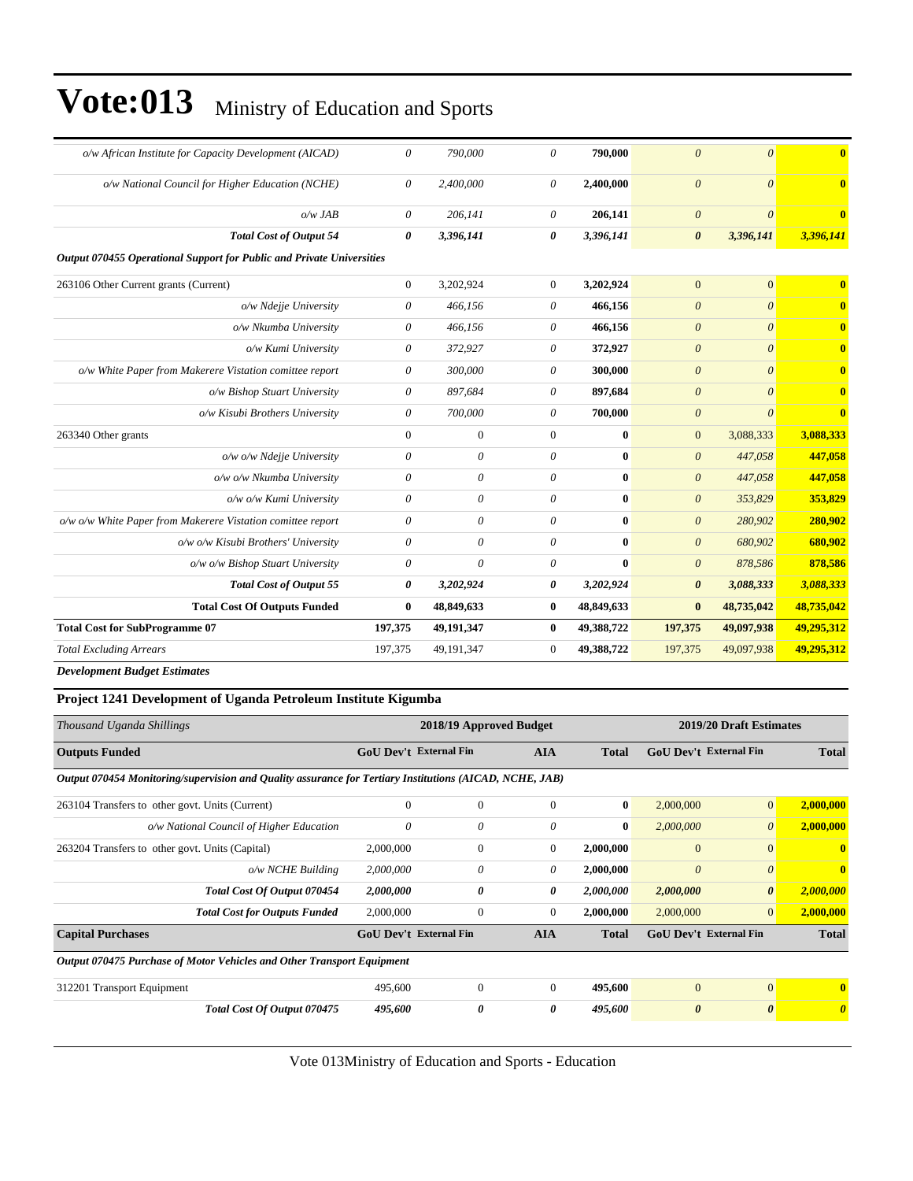| o/w African Institute for Capacity Development (AICAD)                | 0              | 790,000               | $\theta$       | 790,000    | $\theta$              | $\theta$              | $\bf{0}$                |
|-----------------------------------------------------------------------|----------------|-----------------------|----------------|------------|-----------------------|-----------------------|-------------------------|
| o/w National Council for Higher Education (NCHE)                      | $\theta$       | 2,400,000             | $\theta$       | 2,400,000  | $\theta$              | $\theta$              | $\mathbf{0}$            |
| $o/w$ JAB                                                             | 0              | 206.141               | $\theta$       | 206,141    | $\boldsymbol{\theta}$ | $\theta$              | $\bf{0}$                |
| <b>Total Cost of Output 54</b>                                        | 0              | 3,396,141             | 0              | 3,396,141  | $\boldsymbol{\theta}$ | 3,396,141             | 3,396,141               |
| Output 070455 Operational Support for Public and Private Universities |                |                       |                |            |                       |                       |                         |
| 263106 Other Current grants (Current)                                 | $\overline{0}$ | 3,202,924             | $\overline{0}$ | 3,202,924  | $\overline{0}$        | $\overline{0}$        | $\mathbf{0}$            |
| o/w Ndejje University                                                 | 0              | 466,156               | $\theta$       | 466,156    | $\boldsymbol{\theta}$ | $\theta$              | $\mathbf{0}$            |
| o/w Nkumba University                                                 | 0              | 466,156               | $\theta$       | 466,156    | $\boldsymbol{\theta}$ | $\theta$              | $\mathbf{0}$            |
| o/w Kumi University                                                   | 0              | 372,927               | 0              | 372,927    | $\boldsymbol{\theta}$ | $\theta$              | $\mathbf{0}$            |
| o/w White Paper from Makerere Vistation comittee report               | 0              | 300,000               | 0              | 300,000    | $\boldsymbol{\theta}$ | $\theta$              | $\mathbf{0}$            |
| o/w Bishop Stuart University                                          | 0              | 897,684               | $\theta$       | 897,684    | $\boldsymbol{\theta}$ | $\boldsymbol{\theta}$ | $\overline{\mathbf{0}}$ |
| o/w Kisubi Brothers University                                        | 0              | 700,000               | $\theta$       | 700,000    | $\theta$              | $\boldsymbol{\theta}$ | $\overline{\mathbf{0}}$ |
| 263340 Other grants                                                   | $\overline{0}$ | $\mathbf{0}$          | $\overline{0}$ | $\bf{0}$   | $\overline{0}$        | 3,088,333             | 3,088,333               |
| o/w o/w Ndejje University                                             | $\theta$       | $\boldsymbol{\theta}$ | $\theta$       | 0          | $\boldsymbol{\theta}$ | 447,058               | 447,058                 |
| o/w o/w Nkumba University                                             | $\theta$       | $\theta$              | $\theta$       | 0          | $\boldsymbol{\theta}$ | 447,058               | 447,058                 |
| o/w o/w Kumi University                                               | 0              | $\theta$              | $\theta$       | $\bf{0}$   | $\boldsymbol{\theta}$ | 353,829               | 353,829                 |
| o/w o/w White Paper from Makerere Vistation comittee report           | $\theta$       | $\boldsymbol{\theta}$ | $\theta$       | $\bf{0}$   | $\boldsymbol{\theta}$ | 280,902               | 280,902                 |
| o/w o/w Kisubi Brothers' University                                   | 0              | $\boldsymbol{\theta}$ | $\theta$       | 0          | $\theta$              | 680,902               | 680,902                 |
| o/w o/w Bishop Stuart University                                      | $\theta$       | $\theta$              | $\theta$       | $\bf{0}$   | $\boldsymbol{\theta}$ | 878,586               | 878,586                 |
| <b>Total Cost of Output 55</b>                                        | 0              | 3,202,924             | 0              | 3,202,924  | $\boldsymbol{\theta}$ | 3,088,333             | 3,088,333               |
| <b>Total Cost Of Outputs Funded</b>                                   | $\bf{0}$       | 48,849,633            | $\bf{0}$       | 48,849,633 | $\bf{0}$              | 48,735,042            | 48,735,042              |
| <b>Total Cost for SubProgramme 07</b>                                 | 197,375        | 49,191,347            | $\bf{0}$       | 49,388,722 | 197,375               | 49,097,938            | 49,295,312              |
| <b>Total Excluding Arrears</b>                                        | 197,375        | 49,191,347            | $\mathbf{0}$   | 49,388,722 | 197,375               | 49,097,938            | 49,295,312              |
|                                                                       |                |                       |                |            |                       |                       |                         |

*Development Budget Estimates*

#### **Project 1241 Development of Uganda Petroleum Institute Kigumba**

| Thousand Uganda Shillings                                                                               |                               | 2018/19 Approved Budget |            |              |                               | 2019/20 Draft Estimates |                       |  |  |
|---------------------------------------------------------------------------------------------------------|-------------------------------|-------------------------|------------|--------------|-------------------------------|-------------------------|-----------------------|--|--|
| <b>Outputs Funded</b>                                                                                   | <b>GoU Dev't External Fin</b> |                         | <b>AIA</b> | <b>Total</b> | <b>GoU</b> Dev't External Fin |                         | <b>Total</b>          |  |  |
| Output 070454 Monitoring/supervision and Quality assurance for Tertiary Institutions (AICAD, NCHE, JAB) |                               |                         |            |              |                               |                         |                       |  |  |
| 263104 Transfers to other govt. Units (Current)                                                         | $\Omega$                      | $\mathbf{0}$            | $\Omega$   | $\bf{0}$     | 2,000,000                     | $\vert 0 \vert$         | 2,000,000             |  |  |
| o/w National Council of Higher Education                                                                | 0                             | 0                       | 0          | $\bf{0}$     | 2,000,000                     | $\theta$                | 2,000,000             |  |  |
| 263204 Transfers to other govt. Units (Capital)                                                         | 2,000,000                     | $\mathbf{0}$            | $\Omega$   | 2,000,000    | $\mathbf{0}$                  | $\Omega$                | $\mathbf{0}$          |  |  |
| $o/w$ NCHE Building                                                                                     | 2,000,000                     | 0                       | 0          | 2,000,000    | $\theta$                      | $\theta$                | $\bf{0}$              |  |  |
| Total Cost Of Output 070454                                                                             | 2,000,000                     | 0                       | 0          | 2,000,000    | 2,000,000                     | $\boldsymbol{\theta}$   | 2,000,000             |  |  |
| <b>Total Cost for Outputs Funded</b>                                                                    | 2,000,000                     | $\mathbf{0}$            | 0          | 2,000,000    | 2,000,000                     | $\overline{0}$          | 2,000,000             |  |  |
| <b>Capital Purchases</b>                                                                                | <b>GoU Dev't External Fin</b> |                         | <b>AIA</b> | <b>Total</b> | <b>GoU Dev't External Fin</b> |                         | <b>Total</b>          |  |  |
| Output 070475 Purchase of Motor Vehicles and Other Transport Equipment                                  |                               |                         |            |              |                               |                         |                       |  |  |
| 312201 Transport Equipment                                                                              | 495,600                       | $\Omega$                | $\Omega$   | 495,600      | $\Omega$                      | $\Omega$                | $\mathbf{0}$          |  |  |
| Total Cost Of Output 070475                                                                             | 495,600                       | 0                       | 0          | 495,600      | $\boldsymbol{\theta}$         | $\boldsymbol{\theta}$   | $\boldsymbol{\theta}$ |  |  |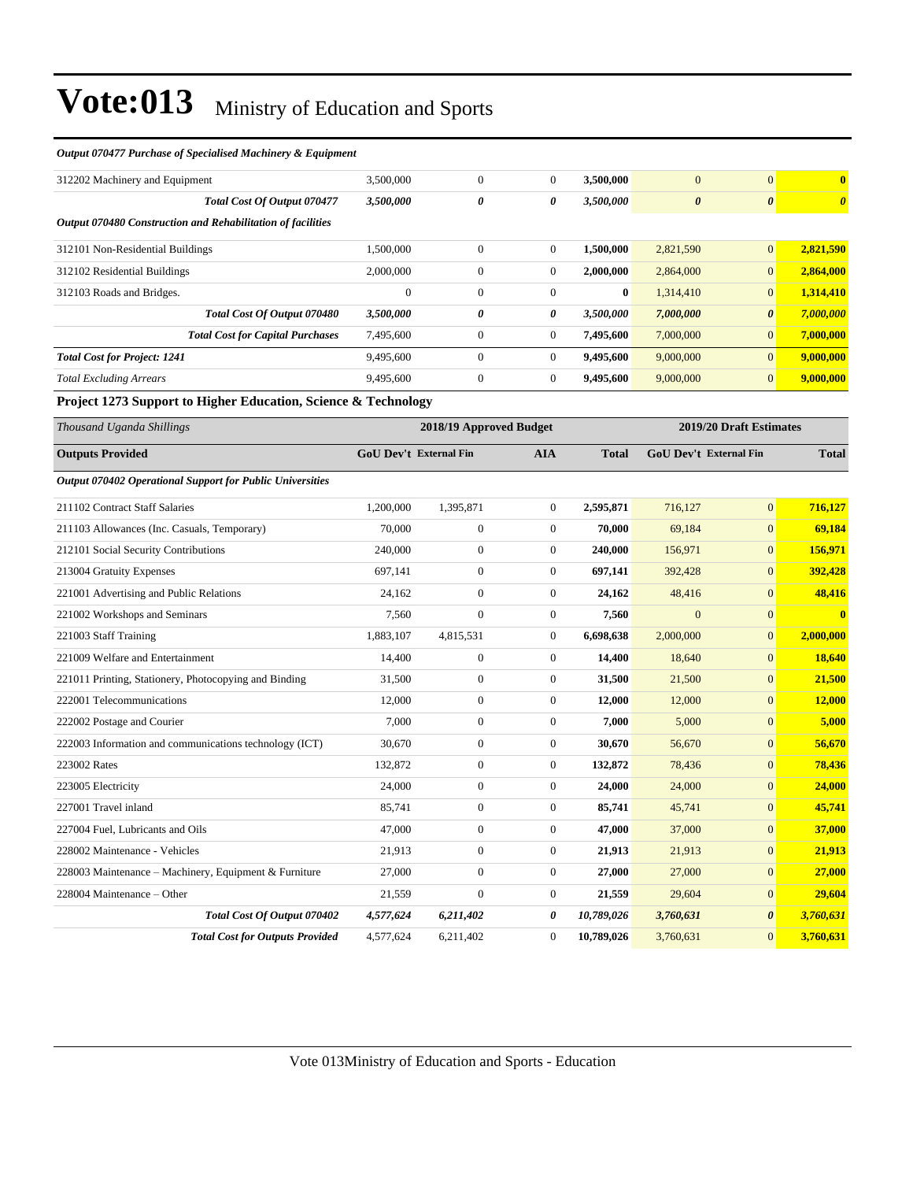#### *Output 070477 Purchase of Specialised Machinery & Equipment*

| 312202 Machinery and Equipment                              | 3,500,000    | $\boldsymbol{0}$ | $\mathbf{0}$ | 3,500,000 | $\mathbf{0}$          | $\overline{0}$        | $\mathbf{0}$          |
|-------------------------------------------------------------|--------------|------------------|--------------|-----------|-----------------------|-----------------------|-----------------------|
| Total Cost Of Output 070477                                 | 3,500,000    | 0                | 0            | 3,500,000 | $\boldsymbol{\theta}$ | $\boldsymbol{\theta}$ | $\boldsymbol{\theta}$ |
| Output 070480 Construction and Rehabilitation of facilities |              |                  |              |           |                       |                       |                       |
| 312101 Non-Residential Buildings                            | 1.500.000    | $\overline{0}$   | $\mathbf{0}$ | 1.500.000 | 2,821,590             | $\overline{0}$        | 2,821,590             |
| 312102 Residential Buildings                                | 2,000,000    | $\boldsymbol{0}$ | $\Omega$     | 2,000,000 | 2,864,000             | $\overline{0}$        | 2,864,000             |
| 312103 Roads and Bridges.                                   | $\mathbf{0}$ | $\boldsymbol{0}$ | $\theta$     | $\bf{0}$  | 1,314,410             | $\overline{0}$        | 1,314,410             |
| Total Cost Of Output 070480                                 | 3,500,000    | 0                | 0            | 3,500,000 | 7,000,000             | 0                     | 7,000,000             |
| <b>Total Cost for Capital Purchases</b>                     | 7,495,600    | $\boldsymbol{0}$ | $\mathbf{0}$ | 7,495,600 | 7,000,000             | $\mathbf{0}$          | 7,000,000             |
| <b>Total Cost for Project: 1241</b>                         | 9,495,600    | $\Omega$         | $\Omega$     | 9,495,600 | 9,000,000             | $\overline{0}$        | 9,000,000             |
| <b>Total Excluding Arrears</b>                              | 9,495,600    | $\boldsymbol{0}$ | $\mathbf{0}$ | 9,495,600 | 9,000,000             | $\overline{0}$        | 9,000,000             |
|                                                             |              |                  |              |           |                       |                       |                       |

**Project 1273 Support to Higher Education, Science & Technology**

| Thousand Uganda Shillings                                 |                        | 2018/19 Approved Budget |                  |              | 2019/20 Draft Estimates       |                |              |
|-----------------------------------------------------------|------------------------|-------------------------|------------------|--------------|-------------------------------|----------------|--------------|
| <b>Outputs Provided</b>                                   | GoU Dev't External Fin |                         | <b>AIA</b>       | <b>Total</b> | <b>GoU Dev't External Fin</b> |                | <b>Total</b> |
| Output 070402 Operational Support for Public Universities |                        |                         |                  |              |                               |                |              |
| 211102 Contract Staff Salaries                            | 1,200,000              | 1,395,871               | $\overline{0}$   | 2,595,871    | 716,127                       | $\overline{0}$ | 716,127      |
| 211103 Allowances (Inc. Casuals, Temporary)               | 70,000                 | $\boldsymbol{0}$        | $\overline{0}$   | 70,000       | 69,184                        | $\overline{0}$ | 69,184       |
| 212101 Social Security Contributions                      | 240,000                | $\boldsymbol{0}$        | $\overline{0}$   | 240,000      | 156,971                       | $\overline{0}$ | 156,971      |
| 213004 Gratuity Expenses                                  | 697,141                | $\boldsymbol{0}$        | $\boldsymbol{0}$ | 697,141      | 392,428                       | $\overline{0}$ | 392,428      |
| 221001 Advertising and Public Relations                   | 24,162                 | $\boldsymbol{0}$        | $\overline{0}$   | 24,162       | 48,416                        | $\overline{0}$ | 48,416       |
| 221002 Workshops and Seminars                             | 7,560                  | $\boldsymbol{0}$        | $\overline{0}$   | 7,560        | $\overline{0}$                | $\overline{0}$ | $\mathbf{0}$ |
| 221003 Staff Training                                     | 1,883,107              | 4,815,531               | $\overline{0}$   | 6,698,638    | 2,000,000                     | $\overline{0}$ | 2,000,000    |
| 221009 Welfare and Entertainment                          | 14.400                 | $\boldsymbol{0}$        | $\overline{0}$   | 14,400       | 18,640                        | $\overline{0}$ | 18,640       |
| 221011 Printing, Stationery, Photocopying and Binding     | 31,500                 | $\boldsymbol{0}$        | $\overline{0}$   | 31,500       | 21,500                        | $\overline{0}$ | 21,500       |
| 222001 Telecommunications                                 | 12,000                 | $\boldsymbol{0}$        | $\mathbf{0}$     | 12,000       | 12,000                        | $\overline{0}$ | 12,000       |
| 222002 Postage and Courier                                | 7.000                  | $\overline{0}$          | $\overline{0}$   | 7,000        | 5,000                         | $\overline{0}$ | 5,000        |
| 222003 Information and communications technology (ICT)    | 30,670                 | $\boldsymbol{0}$        | $\overline{0}$   | 30,670       | 56,670                        | $\overline{0}$ | 56,670       |
| 223002 Rates                                              | 132,872                | $\boldsymbol{0}$        | $\overline{0}$   | 132,872      | 78,436                        | $\overline{0}$ | 78,436       |
| 223005 Electricity                                        | 24,000                 | $\boldsymbol{0}$        | $\overline{0}$   | 24,000       | 24,000                        | $\overline{0}$ | 24,000       |
| 227001 Travel inland                                      | 85,741                 | $\boldsymbol{0}$        | $\overline{0}$   | 85,741       | 45,741                        | $\overline{0}$ | 45,741       |
| 227004 Fuel, Lubricants and Oils                          | 47,000                 | $\boldsymbol{0}$        | $\overline{0}$   | 47,000       | 37,000                        | $\overline{0}$ | 37,000       |
| 228002 Maintenance - Vehicles                             | 21,913                 | $\boldsymbol{0}$        | $\mathbf{0}$     | 21,913       | 21,913                        | $\overline{0}$ | 21,913       |
| 228003 Maintenance - Machinery, Equipment & Furniture     | 27,000                 | $\overline{0}$          | $\overline{0}$   | 27,000       | 27,000                        | $\overline{0}$ | 27,000       |
| 228004 Maintenance - Other                                | 21,559                 | $\overline{0}$          | $\overline{0}$   | 21,559       | 29,604                        | $\overline{0}$ | 29,604       |
| <b>Total Cost Of Output 070402</b>                        | 4,577,624              | 6,211,402               | 0                | 10,789,026   | 3,760,631                     | 0              | 3,760,631    |
| <b>Total Cost for Outputs Provided</b>                    | 4,577,624              | 6.211.402               | $\mathbf{0}$     | 10,789,026   | 3,760,631                     | $\overline{0}$ | 3,760,631    |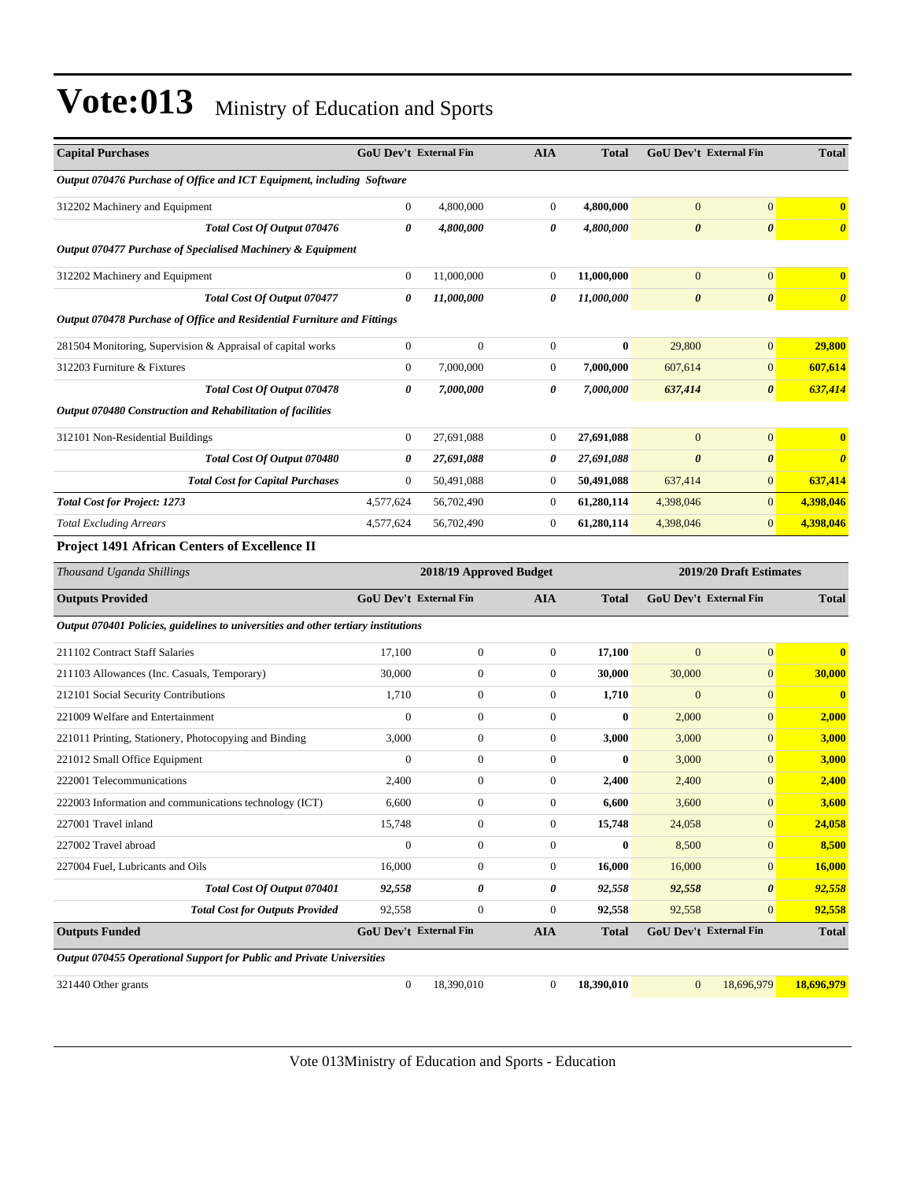| <b>Capital Purchases</b>                                                           | <b>GoU Dev't External Fin</b> |                         | <b>AIA</b>       | <b>Total</b> |                       | <b>GoU Dev't External Fin</b> | <b>Total</b>          |
|------------------------------------------------------------------------------------|-------------------------------|-------------------------|------------------|--------------|-----------------------|-------------------------------|-----------------------|
| Output 070476 Purchase of Office and ICT Equipment, including Software             |                               |                         |                  |              |                       |                               |                       |
| 312202 Machinery and Equipment                                                     | $\boldsymbol{0}$              | 4,800,000               | $\boldsymbol{0}$ | 4,800,000    | $\mathbf{0}$          | $\overline{0}$                | $\bf{0}$              |
| Total Cost Of Output 070476                                                        | 0                             | 4,800,000               | 0                | 4,800,000    | $\boldsymbol{\theta}$ | $\boldsymbol{\theta}$         | $\boldsymbol{\theta}$ |
| Output 070477 Purchase of Specialised Machinery & Equipment                        |                               |                         |                  |              |                       |                               |                       |
| 312202 Machinery and Equipment                                                     | $\mathbf{0}$                  | 11,000,000              | $\overline{0}$   | 11,000,000   | $\mathbf{0}$          | $\overline{0}$                | $\bf{0}$              |
| Total Cost Of Output 070477                                                        | $\boldsymbol{\theta}$         | 11,000,000              | 0                | 11,000,000   | $\boldsymbol{\theta}$ | $\boldsymbol{\theta}$         | $\boldsymbol{\theta}$ |
| Output 070478 Purchase of Office and Residential Furniture and Fittings            |                               |                         |                  |              |                       |                               |                       |
| 281504 Monitoring, Supervision & Appraisal of capital works                        | $\boldsymbol{0}$              | $\boldsymbol{0}$        | $\boldsymbol{0}$ | $\bf{0}$     | 29,800                | $\overline{0}$                | 29,800                |
| 312203 Furniture & Fixtures                                                        | $\mathbf{0}$                  | 7,000,000               | $\boldsymbol{0}$ | 7,000,000    | 607,614               | $\mathbf{0}$                  | 607,614               |
| Total Cost Of Output 070478                                                        | 0                             | 7,000,000               | 0                | 7,000,000    | 637,414               | $\boldsymbol{\theta}$         | 637,414               |
| Output 070480 Construction and Rehabilitation of facilities                        |                               |                         |                  |              |                       |                               |                       |
| 312101 Non-Residential Buildings                                                   | $\boldsymbol{0}$              | 27,691,088              | 0                | 27,691,088   | $\mathbf{0}$          | $\overline{0}$                | $\bf{0}$              |
| Total Cost Of Output 070480                                                        | 0                             | 27,691,088              | 0                | 27,691,088   | $\boldsymbol{\theta}$ | $\boldsymbol{\theta}$         | $\boldsymbol{\theta}$ |
| <b>Total Cost for Capital Purchases</b>                                            | $\boldsymbol{0}$              | 50,491,088              | 0                | 50,491,088   | 637,414               | $\mathbf{0}$                  | 637,414               |
| <b>Total Cost for Project: 1273</b>                                                | 4,577,624                     | 56,702,490              | $\mathbf{0}$     | 61,280,114   | 4,398,046             | $\mathbf{0}$                  | 4,398,046             |
| <b>Total Excluding Arrears</b>                                                     | 4,577,624                     | 56,702,490              | $\boldsymbol{0}$ | 61,280,114   | 4,398,046             | $\mathbf{0}$                  | 4,398,046             |
| <b>Project 1491 African Centers of Excellence II</b>                               |                               |                         |                  |              |                       |                               |                       |
| Thousand Uganda Shillings                                                          |                               | 2018/19 Approved Budget |                  |              |                       | 2019/20 Draft Estimates       |                       |
| <b>Outputs Provided</b>                                                            | GoU Dev't External Fin        |                         | <b>AIA</b>       | <b>Total</b> |                       | GoU Dev't External Fin        | <b>Total</b>          |
| Output 070401 Policies, guidelines to universities and other tertiary institutions |                               |                         |                  |              |                       |                               |                       |
| 211102 Contract Staff Salaries                                                     | 17,100                        | $\boldsymbol{0}$        | $\boldsymbol{0}$ | 17,100       | $\boldsymbol{0}$      | $\overline{0}$                | $\bf{0}$              |
| 211103 Allowances (Inc. Casuals, Temporary)                                        | 30,000                        | $\boldsymbol{0}$        | $\boldsymbol{0}$ | 30,000       | 30,000                | $\boldsymbol{0}$              | 30,000                |
| 212101 Social Security Contributions                                               | 1,710                         | $\boldsymbol{0}$        | 0                | 1,710        | $\mathbf{0}$          | $\boldsymbol{0}$              | $\mathbf{0}$          |
| 221009 Welfare and Entertainment                                                   | $\theta$                      | $\boldsymbol{0}$        | $\boldsymbol{0}$ | $\bf{0}$     | 2,000                 | $\overline{0}$                | 2,000                 |
| 221011 Printing, Stationery, Photocopying and Binding                              | 3,000                         | $\boldsymbol{0}$        | $\boldsymbol{0}$ | 3,000        | 3,000                 | $\mathbf{0}$                  | 3,000                 |
| 221012 Small Office Equipment                                                      | $\overline{0}$                | $\boldsymbol{0}$        | $\boldsymbol{0}$ | $\bf{0}$     | 3,000                 | $\mathbf{0}$                  | 3,000                 |
| 222001 Telecommunications                                                          | 2,400                         | $\boldsymbol{0}$        | $\boldsymbol{0}$ | 2,400        | 2,400                 | $\mathbf{0}$                  | 2,400                 |
| 222003 Information and communications technology (ICT)                             | 6,600                         | $\boldsymbol{0}$        | $\Omega$         | 6,600        | 3,600                 | $\mathbf{0}$                  | 3,600                 |
| 227001 Travel inland                                                               | 15,748                        | $\boldsymbol{0}$        | $\mathbf{0}$     | 15,748       | 24,058                | $\mathbf{0}$                  | 24,058                |
| 227002 Travel abroad                                                               | $\boldsymbol{0}$              | $\boldsymbol{0}$        | $\boldsymbol{0}$ | $\bf{0}$     | 8,500                 | $\mathbf{0}$                  | 8,500                 |
| 227004 Fuel, Lubricants and Oils                                                   | 16,000                        | $\boldsymbol{0}$        | $\boldsymbol{0}$ | 16,000       | 16,000                | $\mathbf{0}$                  | 16,000                |
| Total Cost Of Output 070401                                                        | 92,558                        | 0                       | 0                | 92,558       | 92,558                | $\pmb{\theta}$                | 92,558                |
| <b>Total Cost for Outputs Provided</b>                                             | 92,558                        | $\boldsymbol{0}$        | $\boldsymbol{0}$ | 92,558       | 92,558                | $\mathbf{0}$                  | 92,558                |
| <b>Outputs Funded</b>                                                              | <b>GoU Dev't External Fin</b> |                         | <b>AIA</b>       | <b>Total</b> |                       | GoU Dev't External Fin        | <b>Total</b>          |
| Output 070455 Operational Support for Public and Private Universities              |                               |                         |                  |              |                       |                               |                       |
| 321440 Other grants                                                                | $\boldsymbol{0}$              | 18,390,010              | $\mathbf{0}$     | 18,390,010   | $\mathbf{0}$          | 18,696,979                    | 18,696,979            |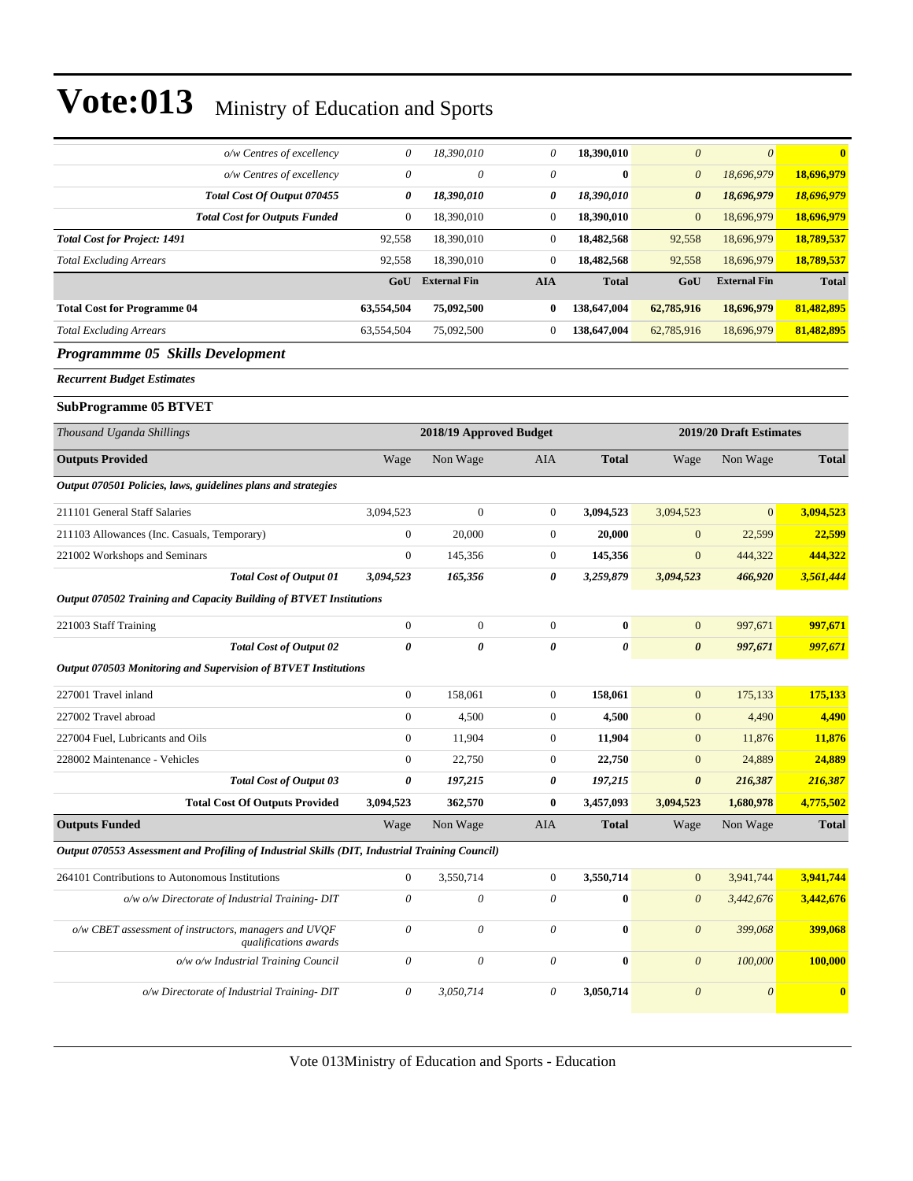| o/w Centres of excellency                                                                      | 0                         | 18,390,010                | 0                | 18,390,010   | $\boldsymbol{\theta}$ | $\boldsymbol{\theta}$   | $\overline{\mathbf{0}}$ |
|------------------------------------------------------------------------------------------------|---------------------------|---------------------------|------------------|--------------|-----------------------|-------------------------|-------------------------|
| o/w Centres of excellency                                                                      | $\theta$                  | 0                         | 0                | $\bf{0}$     | $\boldsymbol{\theta}$ | 18,696,979              | 18,696,979              |
| Total Cost Of Output 070455                                                                    | 0                         | 18,390,010                | 0                | 18,390,010   | $\boldsymbol{\theta}$ | 18,696,979              | 18,696,979              |
| <b>Total Cost for Outputs Funded</b>                                                           | $\boldsymbol{0}$          | 18,390,010                | $\boldsymbol{0}$ | 18,390,010   | $\mathbf{0}$          | 18,696,979              | 18,696,979              |
| <b>Total Cost for Project: 1491</b>                                                            | 92,558                    | 18,390,010                | $\mathbf{0}$     | 18,482,568   | 92,558                | 18,696,979              | 18,789,537              |
| <b>Total Excluding Arrears</b>                                                                 | 92,558                    | 18,390,010                | $\boldsymbol{0}$ | 18,482,568   | 92,558                | 18,696,979              | 18,789,537              |
|                                                                                                | GoU                       | <b>External Fin</b>       | <b>AIA</b>       | <b>Total</b> | GoU                   | <b>External Fin</b>     | <b>Total</b>            |
| <b>Total Cost for Programme 04</b>                                                             | 63,554,504                | 75,092,500                | $\bf{0}$         | 138,647,004  | 62,785,916            | 18,696,979              | 81,482,895              |
| <b>Total Excluding Arrears</b>                                                                 | 63,554,504                | 75,092,500                | $\mathbf{0}$     | 138,647,004  | 62,785,916            | 18,696,979              | 81,482,895              |
| Programmme 05 Skills Development                                                               |                           |                           |                  |              |                       |                         |                         |
| <b>Recurrent Budget Estimates</b>                                                              |                           |                           |                  |              |                       |                         |                         |
| <b>SubProgramme 05 BTVET</b>                                                                   |                           |                           |                  |              |                       |                         |                         |
| Thousand Uganda Shillings                                                                      |                           | 2018/19 Approved Budget   |                  |              |                       | 2019/20 Draft Estimates |                         |
| <b>Outputs Provided</b>                                                                        | Wage                      | Non Wage                  | AIA              | <b>Total</b> | Wage                  | Non Wage                | <b>Total</b>            |
| Output 070501 Policies, laws, guidelines plans and strategies                                  |                           |                           |                  |              |                       |                         |                         |
| 211101 General Staff Salaries                                                                  | 3,094,523                 | $\boldsymbol{0}$          | $\boldsymbol{0}$ | 3,094,523    | 3,094,523             | $\mathbf{0}$            | 3,094,523               |
| 211103 Allowances (Inc. Casuals, Temporary)                                                    | $\boldsymbol{0}$          | 20,000                    | $\boldsymbol{0}$ | 20,000       | $\boldsymbol{0}$      | 22,599                  | 22,599                  |
| 221002 Workshops and Seminars                                                                  | $\mathbf{0}$              | 145,356                   | $\mathbf{0}$     | 145,356      | $\mathbf{0}$          | 444,322                 | 444,322                 |
| <b>Total Cost of Output 01</b>                                                                 | 3,094,523                 | 165,356                   | 0                | 3,259,879    | 3,094,523             | 466,920                 | 3,561,444               |
| Output 070502 Training and Capacity Building of BTVET Institutions                             |                           |                           |                  |              |                       |                         |                         |
| 221003 Staff Training                                                                          | $\boldsymbol{0}$          | $\boldsymbol{0}$          | $\mathbf{0}$     | $\bf{0}$     | $\mathbf{0}$          | 997,671                 | 997,671                 |
| <b>Total Cost of Output 02</b>                                                                 | 0                         | 0                         | 0                | 0            | $\boldsymbol{\theta}$ | 997,671                 | 997,671                 |
| Output 070503 Monitoring and Supervision of BTVET Institutions                                 |                           |                           |                  |              |                       |                         |                         |
| 227001 Travel inland                                                                           | $\boldsymbol{0}$          | 158,061                   | $\mathbf{0}$     | 158,061      | $\boldsymbol{0}$      | 175,133                 | 175,133                 |
| 227002 Travel abroad                                                                           | $\mathbf{0}$              | 4,500                     | $\mathbf{0}$     | 4,500        | $\boldsymbol{0}$      | 4,490                   | 4,490                   |
| 227004 Fuel, Lubricants and Oils                                                               | $\boldsymbol{0}$          | 11,904                    | $\boldsymbol{0}$ | 11,904       | $\mathbf{0}$          | 11,876                  | 11,876                  |
| 228002 Maintenance - Vehicles                                                                  | $\boldsymbol{0}$          | 22,750                    | $\boldsymbol{0}$ | 22,750       | $\mathbf{0}$          | 24,889                  | 24,889                  |
| <b>Total Cost of Output 03</b>                                                                 | 0                         | 197,215                   | 0                | 197,215      | $\boldsymbol{\theta}$ | 216,387                 | 216,387                 |
| <b>Total Cost Of Outputs Provided</b>                                                          | 3,094,523                 | 362,570                   | 0                | 3,457,093    | 3,094,523             | 1,680,978               | 4,775,502               |
| <b>Outputs Funded</b>                                                                          | Wage                      | Non Wage                  | AIA              | <b>Total</b> | Wage                  | Non Wage                | <b>Total</b>            |
| Output 070553 Assessment and Profiling of Industrial Skills (DIT, Industrial Training Council) |                           |                           |                  |              |                       |                         |                         |
| 264101 Contributions to Autonomous Institutions                                                | $\boldsymbol{0}$          | 3,550,714                 | $\boldsymbol{0}$ | 3,550,714    | $\boldsymbol{0}$      | 3,941,744               | 3,941,744               |
| o/w o/w Directorate of Industrial Training-DIT                                                 | $\boldsymbol{\theta}$     | $\boldsymbol{\mathit{0}}$ | $\theta$         | $\bf{0}$     | $\boldsymbol{\theta}$ | 3,442,676               | 3,442,676               |
| $o/w$ CBET assessment of instructors, managers and UVQF<br>qualifications awards               | $\boldsymbol{\theta}$     | 0                         | 0                | $\bf{0}$     | $\boldsymbol{\theta}$ | 399,068                 | 399,068                 |
| o/w o/w Industrial Training Council                                                            | $\boldsymbol{\theta}$     | $\boldsymbol{\mathit{0}}$ | $\theta$         | $\bf{0}$     | $\boldsymbol{\theta}$ | 100,000                 | 100,000                 |
| o/w Directorate of Industrial Training-DIT                                                     | $\boldsymbol{\mathit{0}}$ | 3,050,714                 | $\theta$         | 3,050,714    | $\boldsymbol{\theta}$ | $\boldsymbol{\theta}$   | $\boldsymbol{0}$        |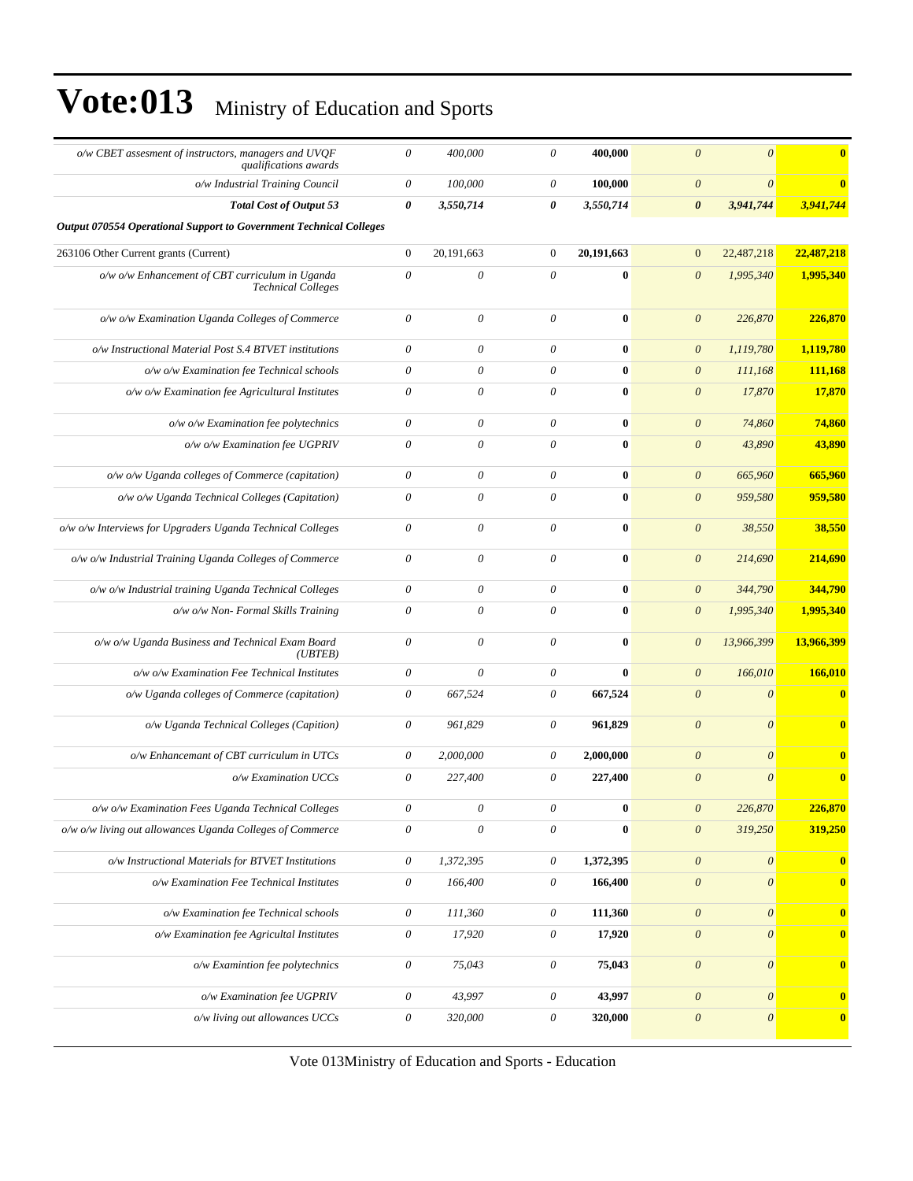| o/w CBET assesment of instructors, managers and UVQF<br>qualifications awards | $\boldsymbol{\theta}$     | 400,000               | $\theta$                  | 400,000          | $\theta$                  | $\boldsymbol{\theta}$     | $\bf{0}$                |
|-------------------------------------------------------------------------------|---------------------------|-----------------------|---------------------------|------------------|---------------------------|---------------------------|-------------------------|
| o/w Industrial Training Council                                               | $\theta$                  | 100,000               | $\theta$                  | 100,000          | $\boldsymbol{\theta}$     | $\boldsymbol{\theta}$     | $\overline{\mathbf{0}}$ |
| <b>Total Cost of Output 53</b>                                                | $\boldsymbol{\theta}$     | 3,550,714             | 0                         | 3,550,714        | $\boldsymbol{\theta}$     | 3,941,744                 | 3,941,744               |
| Output 070554 Operational Support to Government Technical Colleges            |                           |                       |                           |                  |                           |                           |                         |
| 263106 Other Current grants (Current)                                         | $\mathbf{0}$              | 20,191,663            | $\boldsymbol{0}$          | 20,191,663       | $\mathbf{0}$              | 22,487,218                | 22,487,218              |
| o/w o/w Enhancement of CBT curriculum in Uganda<br><b>Technical Colleges</b>  | $\theta$                  | $\theta$              | $\theta$                  | $\bf{0}$         | $\boldsymbol{\theta}$     | 1,995,340                 | 1,995,340               |
| o/w o/w Examination Uganda Colleges of Commerce                               | $\theta$                  | $\theta$              | $\boldsymbol{\theta}$     | $\bf{0}$         | $\boldsymbol{\theta}$     | 226,870                   | 226,870                 |
| o/w Instructional Material Post S.4 BTVET institutions                        | $\theta$                  | $\theta$              | $\theta$                  | $\bf{0}$         | $\boldsymbol{\theta}$     | 1,119,780                 | 1,119,780               |
| o/w o/w Examination fee Technical schools                                     | $\boldsymbol{\mathit{0}}$ | $\theta$              | $\boldsymbol{\theta}$     | $\bf{0}$         | $\boldsymbol{\theta}$     | 111,168                   | 111,168                 |
| o/w o/w Examination fee Agricultural Institutes                               | $\boldsymbol{\mathit{0}}$ | $\theta$              | $\theta$                  | $\bf{0}$         | $\boldsymbol{\theta}$     | 17,870                    | 17,870                  |
| $o/w$ $o/w$ Examination fee polytechnics                                      | $\boldsymbol{\theta}$     | $\theta$              | 0                         | $\bf{0}$         | $\boldsymbol{\theta}$     | 74,860                    | 74,860                  |
| o/w o/w Examination fee UGPRIV                                                | $\boldsymbol{\mathit{0}}$ | $\boldsymbol{\theta}$ | $\boldsymbol{\theta}$     | $\bf{0}$         | $\boldsymbol{\theta}$     | 43,890                    | 43,890                  |
| o/w o/w Uganda colleges of Commerce (capitation)                              | $\theta$                  | $\boldsymbol{\theta}$ | $\boldsymbol{\theta}$     | $\bf{0}$         | $\boldsymbol{\theta}$     | 665,960                   | 665,960                 |
| o/w o/w Uganda Technical Colleges (Capitation)                                | $\theta$                  | $\theta$              | $\theta$                  | $\bf{0}$         | $\theta$                  | 959,580                   | 959,580                 |
| o/w o/w Interviews for Upgraders Uganda Technical Colleges                    | $\boldsymbol{\theta}$     | $\theta$              | $\boldsymbol{\theta}$     | $\bf{0}$         | $\theta$                  | 38,550                    | 38,550                  |
| o/w o/w Industrial Training Uganda Colleges of Commerce                       | $\boldsymbol{\theta}$     | $\theta$              | $\boldsymbol{\theta}$     | $\bf{0}$         | $\boldsymbol{\theta}$     | 214,690                   | 214,690                 |
| o/w o/w Industrial training Uganda Technical Colleges                         | $\boldsymbol{\mathit{0}}$ | $\boldsymbol{\theta}$ | $\boldsymbol{\mathit{0}}$ | $\bf{0}$         | $\boldsymbol{\theta}$     | 344,790                   | 344,790                 |
| $o/w$ $o/w$ Non- Formal Skills Training                                       | $\boldsymbol{\mathit{0}}$ | $\theta$              | $\boldsymbol{\theta}$     | $\bf{0}$         | $\boldsymbol{\theta}$     | 1,995,340                 | 1,995,340               |
| o/w o/w Uganda Business and Technical Exam Board<br>(UBTEB)                   | $\boldsymbol{\mathit{0}}$ | $\boldsymbol{\theta}$ | $\theta$                  | $\bf{0}$         | $\boldsymbol{\theta}$     | 13,966,399                | 13,966,399              |
| o/w o/w Examination Fee Technical Institutes                                  | $\boldsymbol{\theta}$     | $\boldsymbol{\theta}$ | $\theta$                  | $\bf{0}$         | $\boldsymbol{\theta}$     | 166,010                   | 166,010                 |
| o/w Uganda colleges of Commerce (capitation)                                  | $\boldsymbol{\mathit{0}}$ | 667,524               | $\theta$                  | 667,524          | $\theta$                  | $\boldsymbol{\theta}$     | $\bf{0}$                |
| o/w Uganda Technical Colleges (Capition)                                      | $\boldsymbol{\mathit{0}}$ | 961,829               | $\theta$                  | 961,829          | $\theta$                  | $\boldsymbol{\theta}$     | $\bf{0}$                |
| o/w Enhancemant of CBT curriculum in UTCs                                     | $\boldsymbol{\theta}$     | 2,000,000             | $\theta$                  | 2,000,000        | $\boldsymbol{\theta}$     | $\boldsymbol{\theta}$     | $\mathbf{0}$            |
| o/w Examination UCCs                                                          | $\boldsymbol{\mathit{0}}$ | 227,400               | $\theta$                  | 227,400          | $\boldsymbol{\theta}$     | $\boldsymbol{\theta}$     | $\bf{0}$                |
| o/w o/w Examination Fees Uganda Technical Colleges                            | $\theta$                  | 0                     | 0                         | $\boldsymbol{0}$ | $\theta$                  | 226,870                   | <u>226,870 </u>         |
| o/w o/w living out allowances Uganda Colleges of Commerce                     | $\boldsymbol{\mathit{0}}$ | $\boldsymbol{\theta}$ | $\theta$                  | $\bf{0}$         | $\boldsymbol{\theta}$     | 319,250                   | 319,250                 |
| o/w Instructional Materials for BTVET Institutions                            | $\theta$                  | 1,372,395             | $\theta$                  | 1,372,395        | $\boldsymbol{\theta}$     | $\boldsymbol{\theta}$     | $\bf{0}$                |
| o/w Examination Fee Technical Institutes                                      | $\boldsymbol{\theta}$     | 166,400               | $\boldsymbol{\theta}$     | 166,400          | $\boldsymbol{\mathit{0}}$ | $\boldsymbol{\theta}$     | $\bf{0}$                |
| o/w Examination fee Technical schools                                         | $\boldsymbol{\theta}$     | 111,360               | $\boldsymbol{\theta}$     | 111,360          | $\boldsymbol{\theta}$     | $\boldsymbol{\theta}$     | $\bf{0}$                |
| o/w Examination fee Agricultal Institutes                                     | $\boldsymbol{\theta}$     | 17,920                | $\boldsymbol{\theta}$     | 17,920           | $\boldsymbol{\theta}$     | $\boldsymbol{\theta}$     | $\bf{0}$                |
| o/w Examintion fee polytechnics                                               | $\boldsymbol{\theta}$     | 75,043                | $\boldsymbol{\theta}$     | 75,043           | $\boldsymbol{\mathit{0}}$ | $\boldsymbol{\mathit{0}}$ | $\bf{0}$                |
| o/w Examination fee UGPRIV                                                    | $\theta$                  | 43,997                | $\theta$                  | 43,997           | $\boldsymbol{\theta}$     | $\boldsymbol{\mathit{0}}$ | $\bf{0}$                |
| o/w living out allowances UCCs                                                | $\boldsymbol{\theta}$     | 320,000               | $\theta$                  | 320,000          | $\boldsymbol{\theta}$     | $\boldsymbol{\theta}$     | $\bf{0}$                |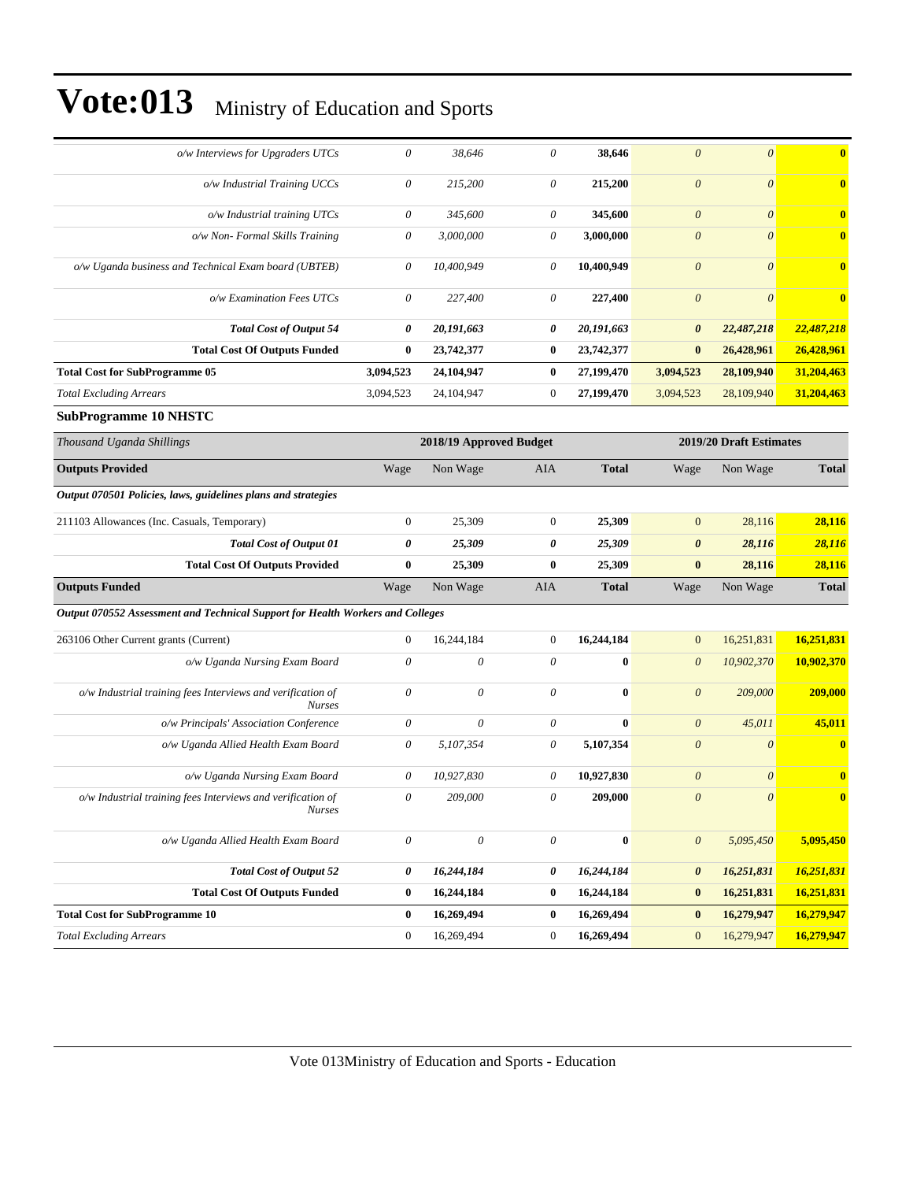| o/w Interviews for Upgraders UTCs                                              | 0                         | 38,646                    | 0                     | 38,646       | $\boldsymbol{\theta}$ | $\boldsymbol{\theta}$   | $\bf{0}$     |
|--------------------------------------------------------------------------------|---------------------------|---------------------------|-----------------------|--------------|-----------------------|-------------------------|--------------|
| o/w Industrial Training UCCs                                                   | 0                         | 215,200                   | 0                     | 215,200      | $\theta$              | $\boldsymbol{\theta}$   | $\bf{0}$     |
| $o/w$ Industrial training UTCs                                                 | 0                         | 345,600                   | $\theta$              | 345,600      | $\theta$              | $\theta$                | $\bf{0}$     |
| o/w Non- Formal Skills Training                                                | 0                         | 3,000,000                 | 0                     | 3,000,000    | $\boldsymbol{\theta}$ | $\theta$                | $\mathbf{0}$ |
| o/w Uganda business and Technical Exam board (UBTEB)                           | 0                         | 10,400,949                | $\theta$              | 10,400,949   | $\theta$              | $\boldsymbol{\theta}$   | $\bf{0}$     |
| o/w Examination Fees UTCs                                                      | 0                         | 227,400                   | 0                     | 227,400      | $\boldsymbol{\theta}$ | $\theta$                | $\bf{0}$     |
| <b>Total Cost of Output 54</b>                                                 | 0                         | 20,191,663                | 0                     | 20,191,663   | $\boldsymbol{\theta}$ | 22,487,218              | 22,487,218   |
| <b>Total Cost Of Outputs Funded</b>                                            | $\bf{0}$                  | 23,742,377                | $\bf{0}$              | 23,742,377   | $\bf{0}$              | 26,428,961              | 26,428,961   |
| <b>Total Cost for SubProgramme 05</b>                                          | 3,094,523                 | 24,104,947                | $\bf{0}$              | 27,199,470   | 3,094,523             | 28,109,940              | 31,204,463   |
| <b>Total Excluding Arrears</b>                                                 | 3,094,523                 | 24,104,947                | $\boldsymbol{0}$      | 27,199,470   | 3,094,523             | 28,109,940              | 31,204,463   |
| <b>SubProgramme 10 NHSTC</b>                                                   |                           |                           |                       |              |                       |                         |              |
| Thousand Uganda Shillings                                                      |                           | 2018/19 Approved Budget   |                       |              |                       | 2019/20 Draft Estimates |              |
| <b>Outputs Provided</b>                                                        | Wage                      | Non Wage                  | <b>AIA</b>            | <b>Total</b> | Wage                  | Non Wage                | <b>Total</b> |
| Output 070501 Policies, laws, guidelines plans and strategies                  |                           |                           |                       |              |                       |                         |              |
| 211103 Allowances (Inc. Casuals, Temporary)                                    | $\mathbf{0}$              | 25,309                    | $\mathbf{0}$          | 25,309       | $\mathbf{0}$          | 28,116                  | 28,116       |
| <b>Total Cost of Output 01</b>                                                 | 0                         | 25,309                    | 0                     | 25,309       | $\boldsymbol{\theta}$ | 28,116                  | 28,116       |
| <b>Total Cost Of Outputs Provided</b>                                          | $\bf{0}$                  | 25,309                    | $\bf{0}$              | 25,309       | $\bf{0}$              | 28,116                  | 28,116       |
| <b>Outputs Funded</b>                                                          | Wage                      | Non Wage                  | AIA                   | <b>Total</b> | Wage                  | Non Wage                | <b>Total</b> |
| Output 070552 Assessment and Technical Support for Health Workers and Colleges |                           |                           |                       |              |                       |                         |              |
| 263106 Other Current grants (Current)                                          | $\boldsymbol{0}$          | 16,244,184                | $\mathbf{0}$          | 16,244,184   | $\mathbf{0}$          | 16,251,831              | 16,251,831   |
| o/w Uganda Nursing Exam Board                                                  | 0                         | $\theta$                  | $\theta$              | $\bf{0}$     | $\boldsymbol{\theta}$ | 10,902,370              | 10,902,370   |
| o/w Industrial training fees Interviews and verification of<br><b>Nurses</b>   | 0                         | $\boldsymbol{\mathit{0}}$ | $\theta$              | $\bf{0}$     | $\boldsymbol{\theta}$ | 209,000                 | 209,000      |
| o/w Principals' Association Conference                                         | $\boldsymbol{\mathit{0}}$ | $\boldsymbol{\mathit{0}}$ | $\theta$              | $\bf{0}$     | $\boldsymbol{\theta}$ | 45,011                  | 45,011       |
| o/w Uganda Allied Health Exam Board                                            | 0                         | 5,107,354                 | 0                     | 5,107,354    | $\theta$              | $\boldsymbol{\theta}$   | $\bf{0}$     |
| o/w Uganda Nursing Exam Board                                                  | 0                         | 10,927,830                | 0                     | 10,927,830   | $\boldsymbol{\theta}$ | $\boldsymbol{\theta}$   | $\bf{0}$     |
| o/w Industrial training fees Interviews and verification of<br><b>Nurses</b>   | 0                         | 209,000                   | $\theta$              | 209,000      | $\boldsymbol{\theta}$ | $\boldsymbol{\theta}$   | $\mathbf{0}$ |
| o/w Uganda Allied Health Exam Board                                            | $\theta$                  | $\boldsymbol{\theta}$     | $\boldsymbol{\theta}$ | $\bf{0}$     | $\boldsymbol{\theta}$ | 5,095,450               | 5,095,450    |
| <b>Total Cost of Output 52</b>                                                 | 0                         | 16,244,184                | 0                     | 16,244,184   | $\boldsymbol{\theta}$ | 16,251,831              | 16,251,831   |
| <b>Total Cost Of Outputs Funded</b>                                            | $\bf{0}$                  | 16,244,184                | $\bf{0}$              | 16,244,184   | $\bf{0}$              | 16,251,831              | 16,251,831   |
| <b>Total Cost for SubProgramme 10</b>                                          |                           |                           |                       |              |                       | 16,279,947              |              |
|                                                                                | $\bf{0}$                  | 16,269,494                | $\bf{0}$              | 16,269,494   | $\bf{0}$              |                         | 16,279,947   |
| <b>Total Excluding Arrears</b>                                                 | $\mathbf{0}$              | 16,269,494                | $\boldsymbol{0}$      | 16,269,494   | $\boldsymbol{0}$      | 16,279,947              | 16,279,947   |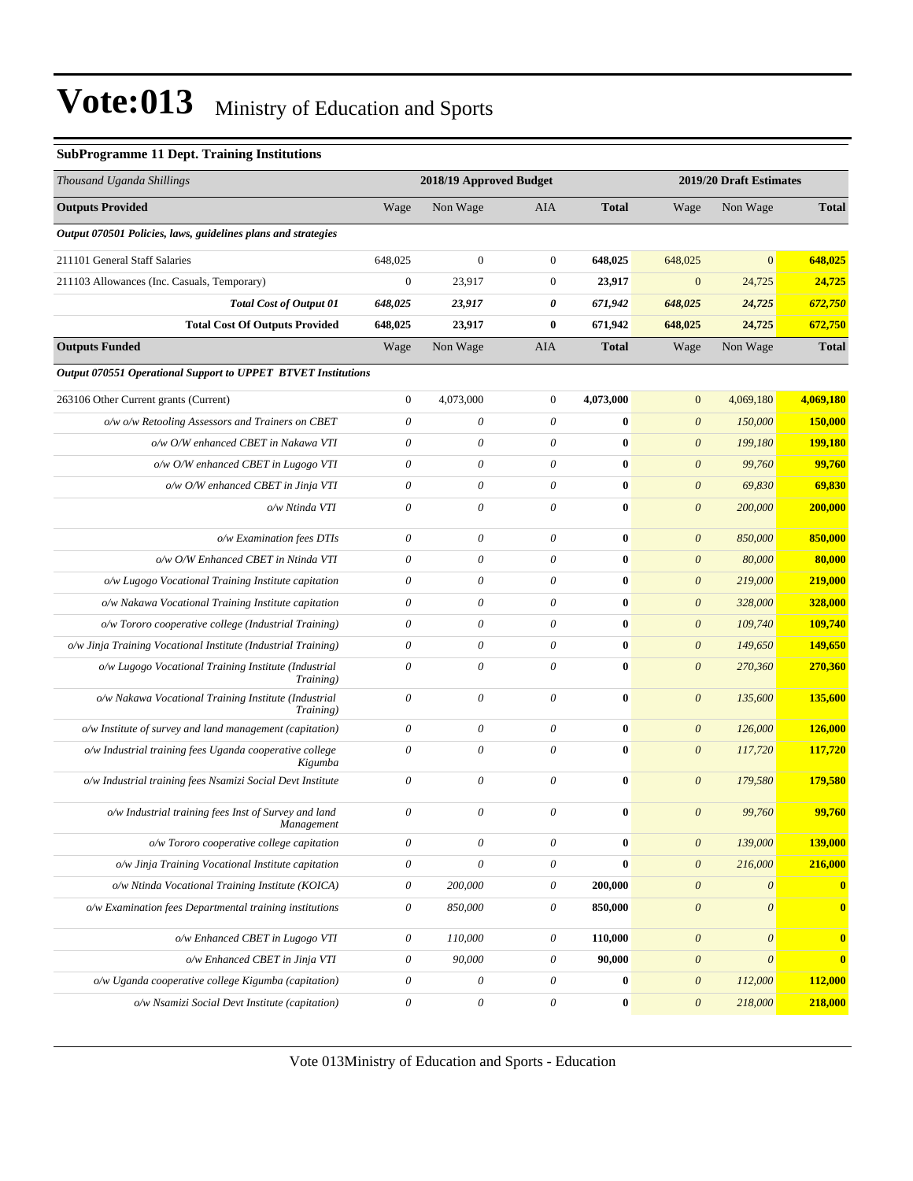#### **SubProgramme 11 Dept. Training Institutions**

| Thousand Uganda Shillings                                          |                           | 2018/19 Approved Budget   |                           |                  |                       | 2019/20 Draft Estimates   |              |
|--------------------------------------------------------------------|---------------------------|---------------------------|---------------------------|------------------|-----------------------|---------------------------|--------------|
| <b>Outputs Provided</b>                                            | Wage                      | Non Wage                  | AIA                       | <b>Total</b>     | Wage                  | Non Wage                  | <b>Total</b> |
| Output 070501 Policies, laws, guidelines plans and strategies      |                           |                           |                           |                  |                       |                           |              |
| 211101 General Staff Salaries                                      | 648,025                   | $\mathbf{0}$              | $\boldsymbol{0}$          | 648,025          | 648,025               | $\overline{0}$            | 648,025      |
| 211103 Allowances (Inc. Casuals, Temporary)                        | $\boldsymbol{0}$          | 23,917                    | $\boldsymbol{0}$          | 23,917           | $\mathbf{0}$          | 24,725                    | 24,725       |
| Total Cost of Output 01                                            | 648,025                   | 23,917                    | 0                         | 671,942          | 648,025               | 24,725                    | 672,750      |
| <b>Total Cost Of Outputs Provided</b>                              | 648,025                   | 23,917                    | $\bf{0}$                  | 671,942          | 648,025               | 24,725                    | 672,750      |
| <b>Outputs Funded</b>                                              | Wage                      | Non Wage                  | AIA                       | <b>Total</b>     | Wage                  | Non Wage                  | <b>Total</b> |
| Output 070551 Operational Support to UPPET BTVET Institutions      |                           |                           |                           |                  |                       |                           |              |
| 263106 Other Current grants (Current)                              | $\boldsymbol{0}$          | 4,073,000                 | $\boldsymbol{0}$          | 4,073,000        | $\mathbf{0}$          | 4,069,180                 | 4,069,180    |
| o/w o/w Retooling Assessors and Trainers on CBET                   | 0                         | $\theta$                  | $\theta$                  | $\bf{0}$         | $\theta$              | 150,000                   | 150,000      |
| o/w O/W enhanced CBET in Nakawa VTI                                | 0                         | $\boldsymbol{\mathit{0}}$ | $\boldsymbol{\mathit{0}}$ | $\bf{0}$         | $\boldsymbol{\theta}$ | 199,180                   | 199,180      |
| o/w O/W enhanced CBET in Lugogo VTI                                | $\boldsymbol{\mathit{0}}$ | $\boldsymbol{\mathit{0}}$ | $\boldsymbol{\theta}$     | $\bf{0}$         | $\boldsymbol{0}$      | 99,760                    | 99,760       |
| o/w O/W enhanced CBET in Jinja VTI                                 | 0                         | $\boldsymbol{\theta}$     | $\boldsymbol{\mathit{0}}$ | $\bf{0}$         | $\boldsymbol{0}$      | 69,830                    | 69,830       |
| o/w Ntinda VTI                                                     | $\theta$                  | $\boldsymbol{\mathit{0}}$ | $\theta$                  | $\bf{0}$         | $\theta$              | 200,000                   | 200,000      |
| o/w Examination fees DTIs                                          | $\boldsymbol{\mathit{0}}$ | $\boldsymbol{\mathit{0}}$ | $\boldsymbol{\theta}$     | $\bf{0}$         | $\theta$              | 850,000                   | 850,000      |
| o/w O/W Enhanced CBET in Ntinda VTI                                | $\theta$                  | $\boldsymbol{\mathit{0}}$ | $\theta$                  | $\bf{0}$         | $\theta$              | 80,000                    | 80,000       |
| o/w Lugogo Vocational Training Institute capitation                | 0                         | $\boldsymbol{\mathit{0}}$ | $\boldsymbol{\theta}$     | $\bf{0}$         | $\theta$              | 219,000                   | 219,000      |
| o/w Nakawa Vocational Training Institute capitation                | 0                         | $\boldsymbol{\theta}$     | $\theta$                  | $\bf{0}$         | $\theta$              | 328,000                   | 328,000      |
| o/w Tororo cooperative college (Industrial Training)               | $\boldsymbol{\mathit{0}}$ | $\boldsymbol{\mathit{0}}$ | $\boldsymbol{\mathit{0}}$ | $\bf{0}$         | $\theta$              | 109,740                   | 109,740      |
| o/w Jinja Training Vocational Institute (Industrial Training)      | $\boldsymbol{\mathit{0}}$ | $\boldsymbol{\mathit{0}}$ | $\boldsymbol{\theta}$     | $\bf{0}$         | $\theta$              | 149,650                   | 149,650      |
| o/w Lugogo Vocational Training Institute (Industrial<br>Training)  | $\theta$                  | $\theta$                  | $\theta$                  | $\bf{0}$         | $\theta$              | 270,360                   | 270,360      |
| o/w Nakawa Vocational Training Institute (Industrial<br>Training)  | $\boldsymbol{\mathit{0}}$ | $\boldsymbol{\mathit{0}}$ | $\boldsymbol{\theta}$     | $\bf{0}$         | $\theta$              | 135,600                   | 135,600      |
| o/w Institute of survey and land management (capitation)           | $\boldsymbol{\mathit{0}}$ | $\boldsymbol{\mathit{0}}$ | $\boldsymbol{\mathit{0}}$ | $\bf{0}$         | $\theta$              | 126,000                   | 126,000      |
| o/w Industrial training fees Uganda cooperative college<br>Kigumba | $\boldsymbol{\mathit{0}}$ | $\boldsymbol{\mathit{0}}$ | $\boldsymbol{\mathit{0}}$ | $\bf{0}$         | $\boldsymbol{\theta}$ | 117,720                   | 117,720      |
| o/w Industrial training fees Nsamizi Social Devt Institute         | 0                         | $\boldsymbol{\mathit{0}}$ | $\theta$                  | $\bf{0}$         | $\theta$              | 179,580                   | 179,580      |
| o/w Industrial training fees Inst of Survey and land<br>Management | 0                         | $\theta$                  | $\theta$                  | $\bf{0}$         | $\theta$              | 99,760                    | 99,760       |
| o/w Tororo cooperative college capitation                          | 0                         | $\boldsymbol{\mathit{0}}$ | $\boldsymbol{\theta}$     | $\bf{0}$         | $\theta$              | 139,000                   | 139,000      |
| o/w Jinja Training Vocational Institute capitation                 | $\boldsymbol{\theta}$     | $\boldsymbol{\mathit{0}}$ | $\boldsymbol{\mathit{0}}$ | $\bf{0}$         | $\boldsymbol{\theta}$ | 216,000                   | 216,000      |
| o/w Ntinda Vocational Training Institute (KOICA)                   | $\theta$                  | 200,000                   | $\boldsymbol{\mathit{0}}$ | 200,000          | $\boldsymbol{\theta}$ | $\boldsymbol{\mathit{0}}$ | $\bullet$    |
| o/w Examination fees Departmental training institutions            | $\boldsymbol{\theta}$     | 850,000                   | $\boldsymbol{\mathit{0}}$ | 850,000          | $\theta$              | $\boldsymbol{\theta}$     | $\mathbf{0}$ |
| o/w Enhanced CBET in Lugogo VTI                                    | $\theta$                  | 110,000                   | $\boldsymbol{\mathit{0}}$ | 110,000          | $\boldsymbol{\theta}$ | $\boldsymbol{\theta}$     | $\mathbf{0}$ |
| o/w Enhanced CBET in Jinja VTI                                     | $\theta$                  | 90,000                    | $\boldsymbol{\mathit{0}}$ | 90,000           | $\boldsymbol{\theta}$ | $\boldsymbol{\theta}$     | $\mathbf{0}$ |
| o/w Uganda cooperative college Kigumba (capitation)                | $\boldsymbol{\theta}$     | $\boldsymbol{\mathit{0}}$ | $\boldsymbol{\mathit{0}}$ | $\bf{0}$         | $\boldsymbol{\theta}$ | 112,000                   | 112,000      |
| o/w Nsamizi Social Devt Institute (capitation)                     | $\boldsymbol{\theta}$     | $\boldsymbol{\mathit{0}}$ | $\boldsymbol{\mathit{0}}$ | $\boldsymbol{0}$ | $\boldsymbol{\theta}$ | 218,000                   | 218,000      |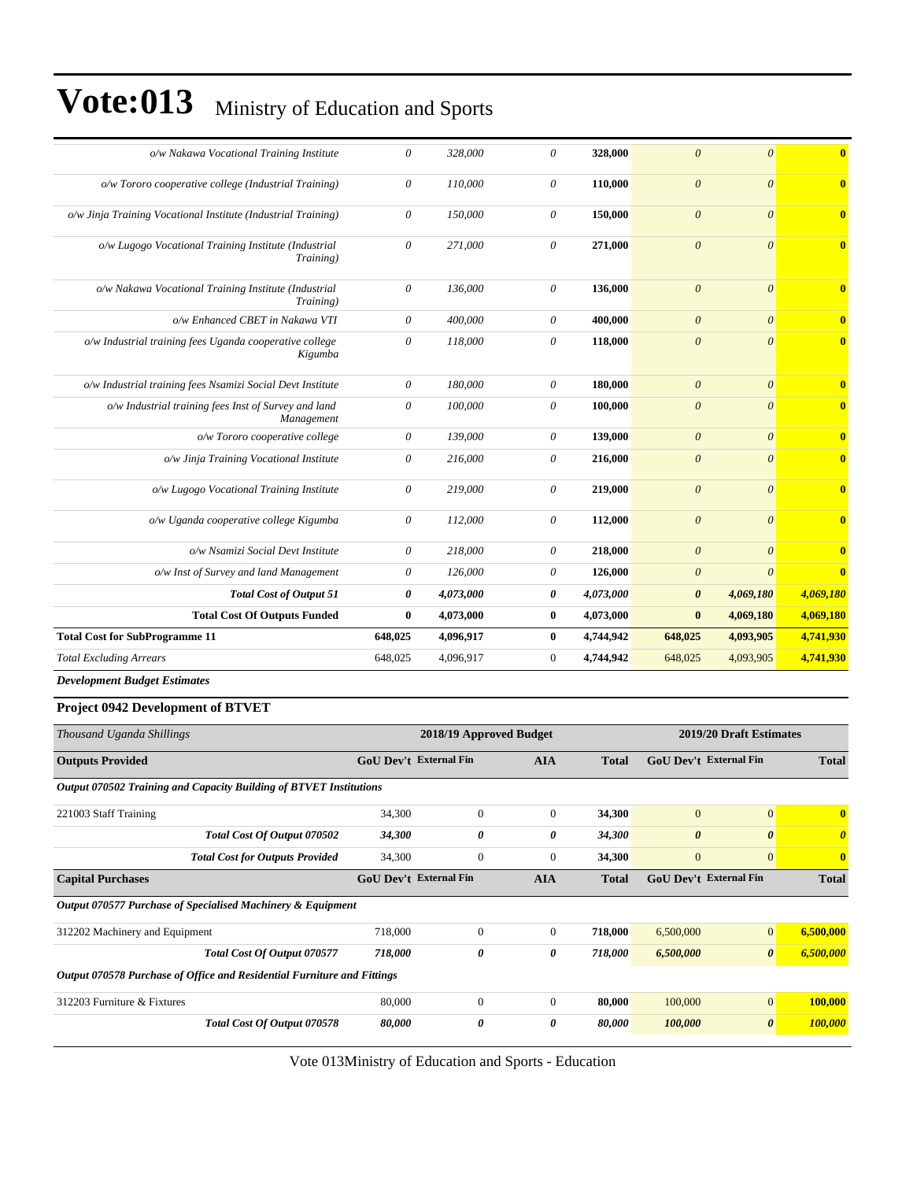| o/w Nakawa Vocational Training Institute                           | $\boldsymbol{\theta}$     | 328,000   | 0            | 328,000   | $\theta$                | $\theta$  | $\overline{\mathbf{0}}$ |
|--------------------------------------------------------------------|---------------------------|-----------|--------------|-----------|-------------------------|-----------|-------------------------|
| o/w Tororo cooperative college (Industrial Training)               | $\theta$                  | 110,000   | $\theta$     | 110.000   | $\theta$                | $\theta$  | $\overline{\mathbf{0}}$ |
| o/w Jinja Training Vocational Institute (Industrial Training)      | $\boldsymbol{\mathit{0}}$ | 150,000   | $\theta$     | 150,000   | $\theta$                | $\theta$  | $\mathbf{0}$            |
| o/w Lugogo Vocational Training Institute (Industrial<br>Training)  | $\theta$                  | 271,000   | 0            | 271,000   | $\theta$                | $\theta$  | $\overline{\mathbf{0}}$ |
| o/w Nakawa Vocational Training Institute (Industrial<br>Training)  | $\theta$                  | 136,000   | $\theta$     | 136,000   | $\theta$                | $\theta$  | $\overline{\mathbf{0}}$ |
| o/w Enhanced CBET in Nakawa VTI                                    | $\boldsymbol{\theta}$     | 400,000   | 0            | 400,000   | $\theta$                | $\theta$  | $\mathbf{0}$            |
| o/w Industrial training fees Uganda cooperative college<br>Kigumba | $\boldsymbol{\mathit{0}}$ | 118,000   | $\theta$     | 118,000   | $\overline{\mathbf{0}}$ | $\theta$  | $\mathbf{0}$            |
| o/w Industrial training fees Nsamizi Social Devt Institute         | $\theta$                  | 180,000   | $\theta$     | 180,000   | $\mathcal{O}$           | $\theta$  | $\mathbf{0}$            |
| o/w Industrial training fees Inst of Survey and land<br>Management | $\theta$                  | 100,000   | 0            | 100,000   | $\theta$                | $\theta$  | $\mathbf{0}$            |
| o/w Tororo cooperative college                                     | $\boldsymbol{\theta}$     | 139,000   | 0            | 139,000   | $\theta$                | $\theta$  | $\mathbf{0}$            |
| o/w Jinja Training Vocational Institute                            | $\boldsymbol{\mathit{0}}$ | 216,000   | $\theta$     | 216,000   | $\boldsymbol{\theta}$   | $\theta$  | $\overline{\mathbf{0}}$ |
| o/w Lugogo Vocational Training Institute                           | $\theta$                  | 219,000   | $\theta$     | 219,000   | $\theta$                | $\theta$  | $\mathbf{0}$            |
| o/w Uganda cooperative college Kigumba                             | $\theta$                  | 112,000   | 0            | 112,000   | $\theta$                | $\theta$  | $\mathbf{0}$            |
| o/w Nsamizi Social Devt Institute                                  | $\boldsymbol{\theta}$     | 218,000   | 0            | 218,000   | $\theta$                | $\theta$  | $\bf{0}$                |
| o/w Inst of Survey and land Management                             | $\boldsymbol{\theta}$     | 126,000   | 0            | 126,000   | $\theta$                | $\theta$  | $\overline{\mathbf{0}}$ |
| <b>Total Cost of Output 51</b>                                     | 0                         | 4,073,000 | 0            | 4,073,000 | 0                       | 4,069,180 | 4,069,180               |
| <b>Total Cost Of Outputs Funded</b>                                | $\bf{0}$                  | 4,073,000 | $\bf{0}$     | 4,073,000 | $\bf{0}$                | 4,069,180 | 4,069,180               |
| <b>Total Cost for SubProgramme 11</b>                              | 648,025                   | 4,096,917 | $\bf{0}$     | 4,744,942 | 648,025                 | 4,093,905 | 4,741,930               |
| <b>Total Excluding Arrears</b>                                     | 648,025                   | 4,096,917 | $\mathbf{0}$ | 4,744,942 | 648,025                 | 4,093,905 | 4,741,930               |
|                                                                    |                           |           |              |           |                         |           |                         |

*Development Budget Estimates*

#### **Project 0942 Development of BTVET**

| Thousand Uganda Shillings                                               |                               | 2018/19 Approved Budget |                |              |                               | 2019/20 Draft Estimates |                       |  |
|-------------------------------------------------------------------------|-------------------------------|-------------------------|----------------|--------------|-------------------------------|-------------------------|-----------------------|--|
| <b>Outputs Provided</b>                                                 | <b>GoU Dev't External Fin</b> |                         | <b>AIA</b>     | <b>Total</b> | <b>GoU Dev't External Fin</b> |                         | <b>Total</b>          |  |
| Output 070502 Training and Capacity Building of BTVET Institutions      |                               |                         |                |              |                               |                         |                       |  |
| 221003 Staff Training                                                   | 34,300                        | $\mathbf{0}$            | $\overline{0}$ | 34,300       | $\mathbf{0}$                  | $\overline{0}$          | $\mathbf{0}$          |  |
| Total Cost Of Output 070502                                             | 34,300                        | 0                       | 0              | 34,300       | $\boldsymbol{\theta}$         | $\boldsymbol{\theta}$   | $\boldsymbol{\theta}$ |  |
| <b>Total Cost for Outputs Provided</b>                                  | 34,300                        | $\mathbf{0}$            | $\overline{0}$ | 34,300       | $\mathbf{0}$                  | $\overline{0}$          | $\mathbf{0}$          |  |
| <b>Capital Purchases</b>                                                | <b>GoU Dev't External Fin</b> |                         | <b>AIA</b>     | <b>Total</b> | <b>GoU Dev't External Fin</b> |                         | <b>Total</b>          |  |
| Output 070577 Purchase of Specialised Machinery & Equipment             |                               |                         |                |              |                               |                         |                       |  |
| 312202 Machinery and Equipment                                          | 718,000                       | $\Omega$                | $\overline{0}$ | 718,000      | 6,500,000                     | $\overline{0}$          | 6,500,000             |  |
| Total Cost Of Output 070577                                             | 718,000                       | 0                       | 0              | 718,000      | 6,500,000                     | $\boldsymbol{\theta}$   | 6,500,000             |  |
| Output 070578 Purchase of Office and Residential Furniture and Fittings |                               |                         |                |              |                               |                         |                       |  |
| 312203 Furniture & Fixtures                                             | 80,000                        | $\Omega$                | $\Omega$       | 80,000       | 100,000                       | $\overline{0}$          | 100,000               |  |
| Total Cost Of Output 070578                                             | 80,000                        | 0                       | 0              | 80,000       | 100,000                       | $\boldsymbol{\theta}$   | 100,000               |  |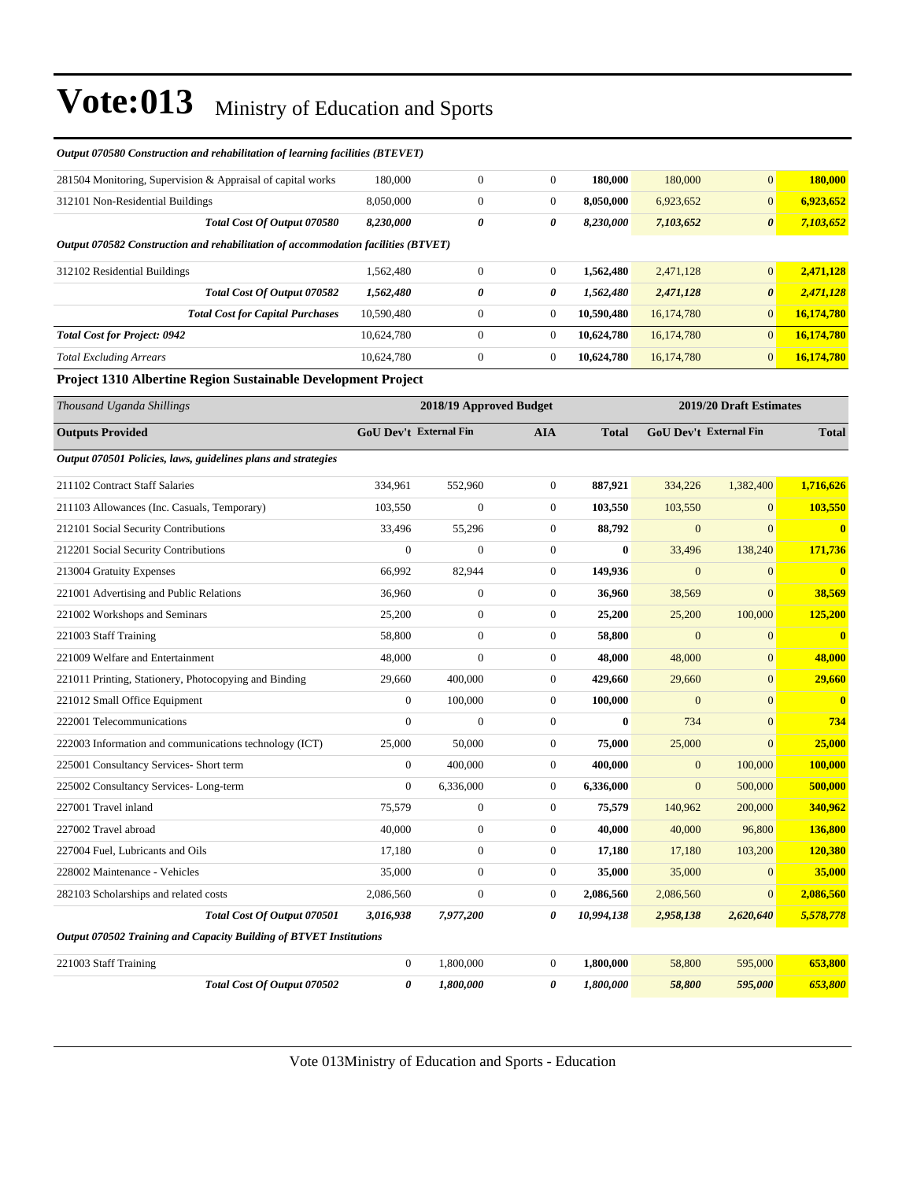| Output 070580 Construction and rehabilitation of learning facilities (BTEVET)     |                               |                         |                  |              |                        |                         |                         |
|-----------------------------------------------------------------------------------|-------------------------------|-------------------------|------------------|--------------|------------------------|-------------------------|-------------------------|
| 281504 Monitoring, Supervision & Appraisal of capital works                       | 180,000                       | $\boldsymbol{0}$        | $\boldsymbol{0}$ | 180,000      | 180,000                | $\mathbf{0}$            | 180,000                 |
| 312101 Non-Residential Buildings                                                  | 8,050,000                     | $\boldsymbol{0}$        | $\boldsymbol{0}$ | 8,050,000    | 6,923,652              | $\mathbf{0}$            | 6,923,652               |
| Total Cost Of Output 070580                                                       | 8,230,000                     | 0                       | 0                | 8,230,000    | 7,103,652              | $\theta$                | 7,103,652               |
| Output 070582 Construction and rehabilitation of accommodation facilities (BTVET) |                               |                         |                  |              |                        |                         |                         |
| 312102 Residential Buildings                                                      | 1,562,480                     | $\boldsymbol{0}$        | $\boldsymbol{0}$ | 1,562,480    | 2,471,128              | $\mathbf{0}$            | 2,471,128               |
| Total Cost Of Output 070582                                                       | 1,562,480                     | 0                       | 0                | 1,562,480    | 2,471,128              | $\boldsymbol{\theta}$   | 2,471,128               |
| <b>Total Cost for Capital Purchases</b>                                           | 10,590,480                    | $\boldsymbol{0}$        | $\mathbf{0}$     | 10,590,480   | 16,174,780             | $\Omega$                | 16,174,780              |
| <b>Total Cost for Project: 0942</b>                                               | 10,624,780                    | $\mathbf{0}$            | $\mathbf{0}$     | 10,624,780   | 16,174,780             | $\overline{0}$          | 16,174,780              |
| <b>Total Excluding Arrears</b>                                                    | 10,624,780                    | $\boldsymbol{0}$        | $\boldsymbol{0}$ | 10,624,780   | 16,174,780             | $\mathbf{0}$            | 16,174,780              |
| Project 1310 Albertine Region Sustainable Development Project                     |                               |                         |                  |              |                        |                         |                         |
| Thousand Uganda Shillings                                                         |                               | 2018/19 Approved Budget |                  |              |                        | 2019/20 Draft Estimates |                         |
| <b>Outputs Provided</b>                                                           | <b>GoU Dev't External Fin</b> |                         | <b>AIA</b>       | <b>Total</b> | GoU Dev't External Fin |                         | <b>Total</b>            |
| Output 070501 Policies, laws, guidelines plans and strategies                     |                               |                         |                  |              |                        |                         |                         |
| 211102 Contract Staff Salaries                                                    | 334,961                       | 552,960                 | $\boldsymbol{0}$ | 887,921      | 334,226                | 1,382,400               | 1.716.626               |
| 211103 Allowances (Inc. Casuals, Temporary)                                       | 103,550                       | $\theta$                | $\overline{0}$   | 103,550      | 103,550                | $\overline{0}$          | 103,550                 |
| 212101 Social Security Contributions                                              | 33,496                        | 55,296                  | $\mathbf{0}$     | 88,792       | $\mathbf{0}$           | $\mathbf{0}$            | $\mathbf{0}$            |
| 212201 Social Security Contributions                                              | $\overline{0}$                | $\overline{0}$          | $\boldsymbol{0}$ | $\bf{0}$     | 33,496                 | 138,240                 | 171,736                 |
| 213004 Gratuity Expenses                                                          | 66,992                        | 82,944                  | $\boldsymbol{0}$ | 149,936      | $\overline{0}$         | $\mathbf{0}$            | $\bf{0}$                |
| 221001 Advertising and Public Relations                                           | 36.960                        | $\overline{0}$          | $\mathbf{0}$     | 36,960       | 38,569                 | $\Omega$                | 38.569                  |
| 221002 Workshops and Seminars                                                     | 25,200                        | $\boldsymbol{0}$        | $\boldsymbol{0}$ | 25,200       | 25,200                 | 100,000                 | 125,200                 |
| 221003 Staff Training                                                             | 58,800                        | $\overline{0}$          | $\mathbf{0}$     | 58,800       | $\mathbf{0}$           | $\overline{0}$          | $\overline{\mathbf{0}}$ |
| 221009 Welfare and Entertainment                                                  | 48,000                        | $\overline{0}$          | $\boldsymbol{0}$ | 48,000       | 48,000                 | $\mathbf{0}$            | 48,000                  |
| 221011 Printing, Stationery, Photocopying and Binding                             | 29,660                        | 400,000                 | $\mathbf{0}$     | 429,660      | 29,660                 | $\overline{0}$          | 29,660                  |
| 221012 Small Office Equipment                                                     | $\mathbf{0}$                  | 100,000                 | $\overline{0}$   | 100,000      | $\mathbf{0}$           | $\overline{0}$          | $\overline{\mathbf{0}}$ |
| 222001 Telecommunications                                                         | $\mathbf{0}$                  | $\overline{0}$          | $\mathbf{0}$     | $\mathbf{0}$ | 734                    | $\overline{0}$          | 734                     |
|                                                                                   |                               |                         |                  |              |                        |                         |                         |

|                       | Output 070502 Training and Capacity Building of BTVET Institutions |           |           |        |         |         |
|-----------------------|--------------------------------------------------------------------|-----------|-----------|--------|---------|---------|
| 221003 Staff Training |                                                                    | - 800.000 | 1.800.000 | 58,800 | 595,000 | 653,800 |
|                       | Total Cost Of Output 070502                                        | 1.800.000 | 1.800.000 | 58,800 | 595,000 | 653.800 |

*Total Cost Of Output 070501 3,016,938 7,977,200 0 10,994,138 2,958,138 2,620,640 5,578,778*

225001 Consultancy Services- Short term 0 400,000 0 **400,000** 0 100,000 **100,000** 225002 Consultancy Services- Long-term 0 6,336,000 0 **6,336,000** 0 500,000 **500,000** 227001 Travel inland 75,579 0 0 **75,579** 140,962 200,000 **340,962** 227002 Travel abroad 40,000 0 0 **40,000** 40,000 96,800 **136,800** 227004 Fuel, Lubricants and Oils 17,180 0 0 **17,180** 17,180 103,200 **120,380** 228002 Maintenance - Vehicles 35,000 0 0 **35,000** 35,000 0 **35,000** 282103 Scholarships and related costs 2,086,560 0 0 **2,086,560** 2,086,560 0 **2,086,560**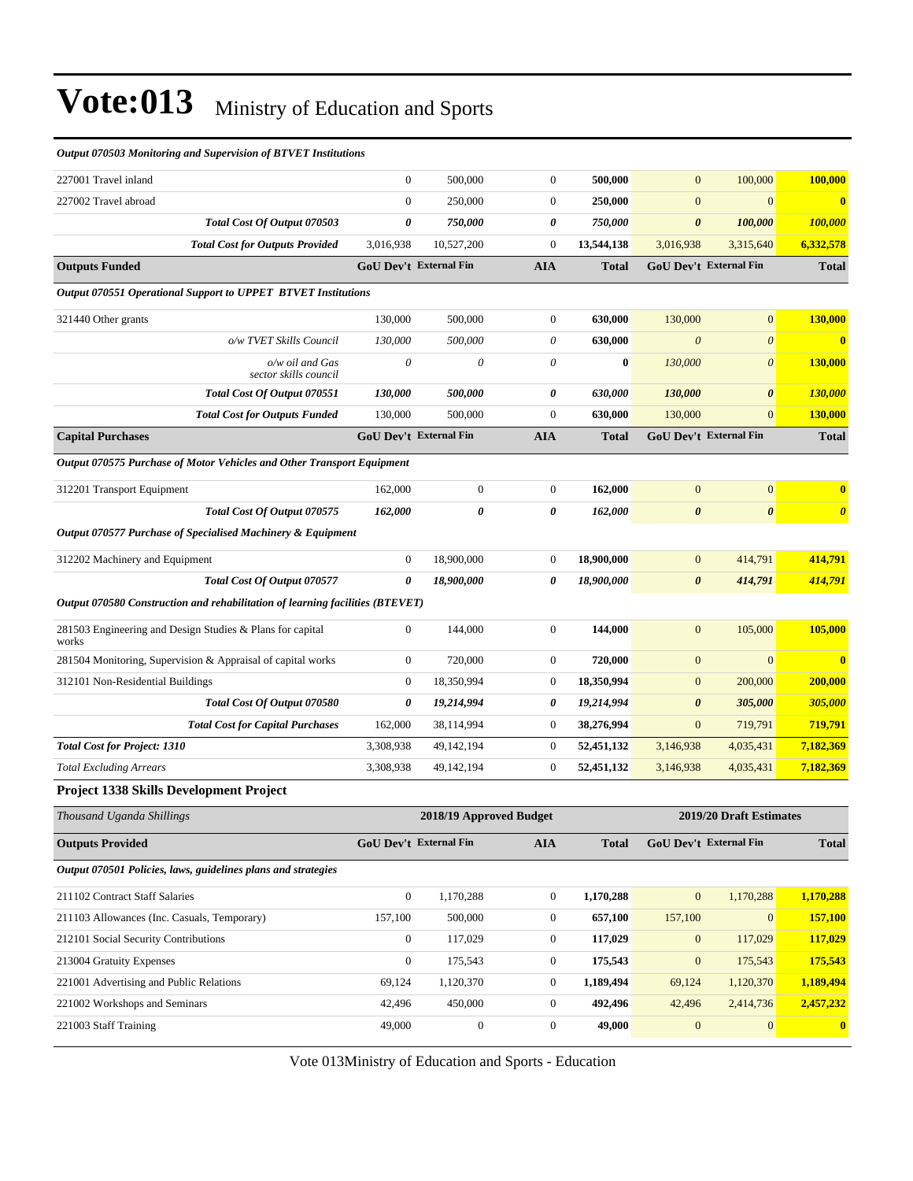| ошриг отооо топионид ини эирегтвит ор ил тил тизинион.                        |                  |                               |                  |              |                       |                               |                       |
|-------------------------------------------------------------------------------|------------------|-------------------------------|------------------|--------------|-----------------------|-------------------------------|-----------------------|
| 227001 Travel inland                                                          | $\boldsymbol{0}$ | 500,000                       | $\boldsymbol{0}$ | 500,000      | $\mathbf{0}$          | 100,000                       | 100,000               |
| 227002 Travel abroad                                                          | $\overline{0}$   | 250,000                       | $\boldsymbol{0}$ | 250,000      | $\mathbf{0}$          | $\overline{0}$                | $\mathbf{0}$          |
| Total Cost Of Output 070503                                                   | 0                | 750,000                       | 0                | 750,000      | $\boldsymbol{\theta}$ | 100,000                       | 100,000               |
| <b>Total Cost for Outputs Provided</b>                                        | 3,016,938        | 10,527,200                    | $\boldsymbol{0}$ | 13,544,138   | 3,016,938             | 3,315,640                     | 6,332,578             |
| <b>Outputs Funded</b>                                                         |                  | <b>GoU</b> Dev't External Fin | <b>AIA</b>       | <b>Total</b> |                       | <b>GoU Dev't External Fin</b> | <b>Total</b>          |
| Output 070551 Operational Support to UPPET BTVET Institutions                 |                  |                               |                  |              |                       |                               |                       |
| 321440 Other grants                                                           | 130,000          | 500,000                       | $\boldsymbol{0}$ | 630,000      | 130,000               | $\overline{0}$                | 130,000               |
| o/w TVET Skills Council                                                       | 130,000          | 500,000                       | $\theta$         | 630,000      | $\boldsymbol{\theta}$ | $\boldsymbol{\theta}$         | $\mathbf{0}$          |
| o/w oil and Gas<br>sector skills council                                      | 0                | 0                             | $\theta$         | $\bf{0}$     | 130,000               | $\boldsymbol{\theta}$         | 130,000               |
| Total Cost Of Output 070551                                                   | 130,000          | 500,000                       | 0                | 630,000      | 130,000               | $\boldsymbol{\theta}$         | 130,000               |
| <b>Total Cost for Outputs Funded</b>                                          | 130,000          | 500,000                       | $\boldsymbol{0}$ | 630,000      | 130,000               | $\boldsymbol{0}$              | <b>130,000</b>        |
| <b>Capital Purchases</b>                                                      |                  | <b>GoU Dev't External Fin</b> | <b>AIA</b>       | <b>Total</b> |                       | <b>GoU Dev't External Fin</b> | <b>Total</b>          |
| Output 070575 Purchase of Motor Vehicles and Other Transport Equipment        |                  |                               |                  |              |                       |                               |                       |
| 312201 Transport Equipment                                                    | 162,000          | $\boldsymbol{0}$              | $\boldsymbol{0}$ | 162,000      | $\mathbf{0}$          | $\boldsymbol{0}$              | $\mathbf{0}$          |
| Total Cost Of Output 070575                                                   | 162,000          | 0                             | 0                | 162,000      | $\boldsymbol{\theta}$ | $\boldsymbol{\theta}$         | $\boldsymbol{\theta}$ |
| Output 070577 Purchase of Specialised Machinery & Equipment                   |                  |                               |                  |              |                       |                               |                       |
| 312202 Machinery and Equipment                                                | $\boldsymbol{0}$ | 18,900,000                    | $\boldsymbol{0}$ | 18,900,000   | $\mathbf{0}$          | 414,791                       | 414,791               |
| Total Cost Of Output 070577                                                   | 0                | 18,900,000                    | 0                | 18,900,000   | $\boldsymbol{\theta}$ | 414,791                       | 414,791               |
| Output 070580 Construction and rehabilitation of learning facilities (BTEVET) |                  |                               |                  |              |                       |                               |                       |
| 281503 Engineering and Design Studies & Plans for capital<br>works            | $\boldsymbol{0}$ | 144,000                       | $\boldsymbol{0}$ | 144,000      | $\mathbf{0}$          | 105,000                       | 105,000               |
| 281504 Monitoring, Supervision & Appraisal of capital works                   | $\boldsymbol{0}$ | 720,000                       | $\boldsymbol{0}$ | 720,000      | $\mathbf{0}$          | $\boldsymbol{0}$              | $\mathbf{0}$          |
| 312101 Non-Residential Buildings                                              | $\boldsymbol{0}$ | 18,350,994                    | $\boldsymbol{0}$ | 18,350,994   | $\boldsymbol{0}$      | 200,000                       | 200,000               |
| Total Cost Of Output 070580                                                   | 0                | 19,214,994                    | 0                | 19,214,994   | $\boldsymbol{\theta}$ | 305,000                       | 305,000               |
| <b>Total Cost for Capital Purchases</b>                                       | 162,000          | 38,114,994                    | $\boldsymbol{0}$ | 38,276,994   | $\boldsymbol{0}$      | 719,791                       | 719,791               |
| <b>Total Cost for Project: 1310</b>                                           | 3,308,938        | 49,142,194                    | $\boldsymbol{0}$ | 52,451,132   | 3,146,938             | 4,035,431                     | 7,182,369             |
| <b>Total Excluding Arrears</b>                                                | 3,308,938        | 49,142,194                    | $\boldsymbol{0}$ | 52,451,132   | 3,146,938             | 4,035,431                     | 7,182,369             |
| Project 1338 Skills Development Project                                       |                  |                               |                  |              |                       |                               |                       |
| Thousand Uganda Shillings                                                     |                  | 2018/19 Approved Budget       |                  |              |                       | 2019/20 Draft Estimates       |                       |
| <b>Outputs Provided</b>                                                       |                  | <b>GoU Dev't External Fin</b> | <b>AIA</b>       | <b>Total</b> |                       | <b>GoU Dev't External Fin</b> | <b>Total</b>          |
| Output 070501 Policies, laws, guidelines plans and strategies                 |                  |                               |                  |              |                       |                               |                       |
| 211102 Contract Staff Salaries                                                | $\boldsymbol{0}$ | 1,170,288                     | $\boldsymbol{0}$ | 1,170,288    | $\boldsymbol{0}$      | 1,170,288                     | 1,170,288             |
| 211103 Allowances (Inc. Casuals, Temporary)                                   | 157,100          | 500,000                       | $\boldsymbol{0}$ | 657,100      | 157,100               | $\mathbf{0}$                  | 157,100               |
| 212101 Social Security Contributions                                          | $\boldsymbol{0}$ | 117,029                       | $\boldsymbol{0}$ | 117,029      | $\mathbf{0}$          | 117,029                       | 117,029               |
| 213004 Gratuity Expenses                                                      | $\boldsymbol{0}$ | 175,543                       | $\boldsymbol{0}$ | 175,543      | $\boldsymbol{0}$      | 175,543                       | 175,543               |
| 221001 Advertising and Public Relations                                       | 69,124           | 1,120,370                     | $\boldsymbol{0}$ | 1,189,494    | 69,124                | 1,120,370                     | 1,189,494             |
| 221002 Workshops and Seminars                                                 | 42,496           | 450,000                       | $\boldsymbol{0}$ | 492,496      | 42,496                | 2,414,736                     | 2,457,232             |
| 221003 Staff Training                                                         | 49,000           | $\boldsymbol{0}$              | $\boldsymbol{0}$ | 49,000       | $\boldsymbol{0}$      | $\boldsymbol{0}$              | $\mathbf{0}$          |

*Output 070503 Monitoring and Supervision of BTVET Institutions*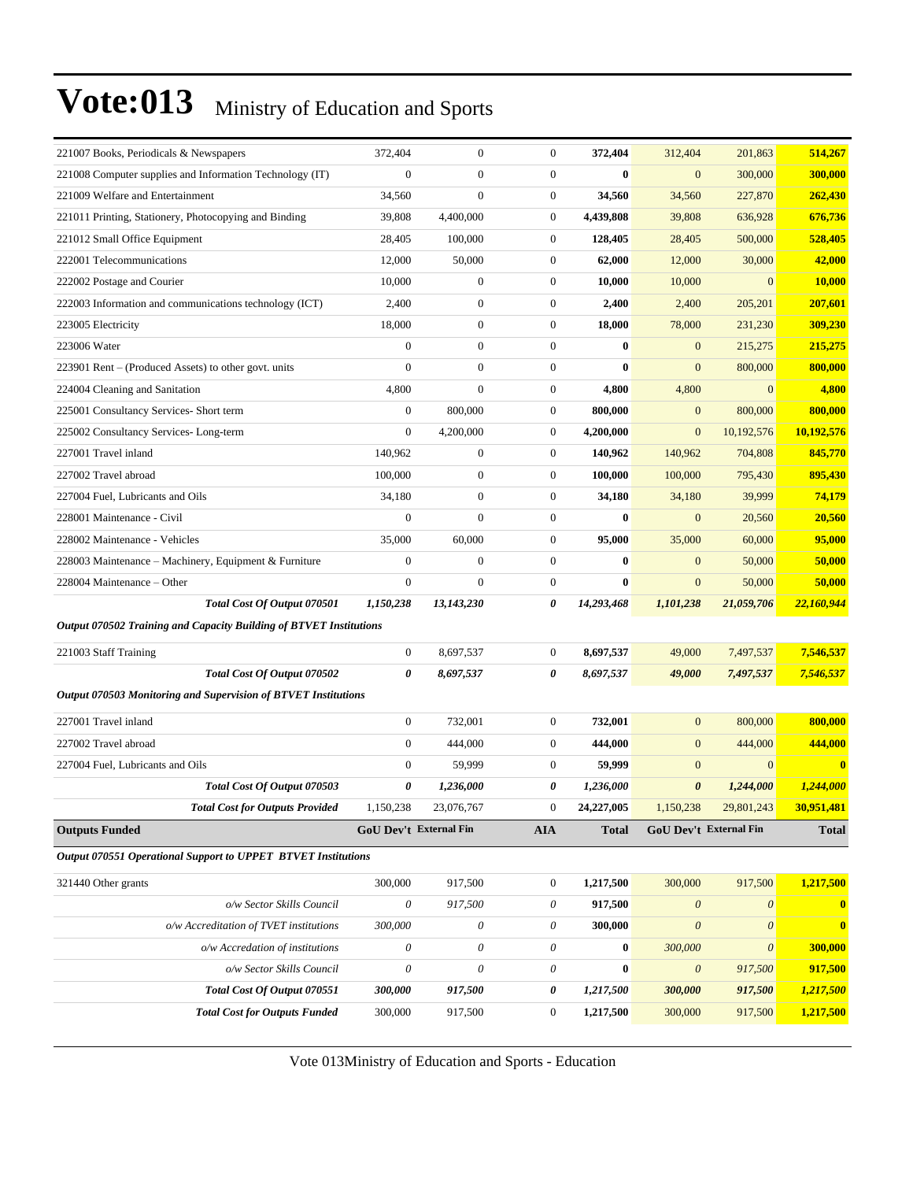| 221007 Books, Periodicals & Newspapers                             | 372,404                   | $\overline{0}$   | $\mathbf{0}$     | 372,404          | 312,404                   | 201,863                   | 514,267      |
|--------------------------------------------------------------------|---------------------------|------------------|------------------|------------------|---------------------------|---------------------------|--------------|
| 221008 Computer supplies and Information Technology (IT)           | $\overline{0}$            | $\overline{0}$   | $\boldsymbol{0}$ | 0                | $\mathbf{0}$              | 300,000                   | 300,000      |
| 221009 Welfare and Entertainment                                   | 34,560                    | $\boldsymbol{0}$ | $\mathbf{0}$     | 34,560           | 34,560                    | 227,870                   | 262,430      |
| 221011 Printing, Stationery, Photocopying and Binding              | 39,808                    | 4,400,000        | $\mathbf{0}$     | 4,439,808        | 39,808                    | 636,928                   | 676,736      |
| 221012 Small Office Equipment                                      | 28,405                    | 100,000          | $\boldsymbol{0}$ | 128,405          | 28,405                    | 500,000                   | 528,405      |
| 222001 Telecommunications                                          | 12,000                    | 50,000           | $\boldsymbol{0}$ | 62,000           | 12,000                    | 30,000                    | 42,000       |
| 222002 Postage and Courier                                         | 10,000                    | $\boldsymbol{0}$ | $\boldsymbol{0}$ | 10,000           | 10,000                    | $\overline{0}$            | 10,000       |
| 222003 Information and communications technology (ICT)             | 2,400                     | $\boldsymbol{0}$ | $\boldsymbol{0}$ | 2,400            | 2,400                     | 205,201                   | 207,601      |
| 223005 Electricity                                                 | 18,000                    | $\boldsymbol{0}$ | $\mathbf{0}$     | 18,000           | 78,000                    | 231,230                   | 309,230      |
| 223006 Water                                                       | $\mathbf{0}$              | $\boldsymbol{0}$ | $\mathbf{0}$     | $\bf{0}$         | $\mathbf{0}$              | 215,275                   | 215,275      |
| 223901 Rent – (Produced Assets) to other govt. units               | $\overline{0}$            | $\boldsymbol{0}$ | $\mathbf{0}$     | $\mathbf{0}$     | $\mathbf{0}$              | 800,000                   | 800,000      |
| 224004 Cleaning and Sanitation                                     | 4,800                     | $\overline{0}$   | $\boldsymbol{0}$ | 4,800            | 4,800                     | $\overline{0}$            | 4,800        |
| 225001 Consultancy Services- Short term                            | $\boldsymbol{0}$          | 800,000          | $\boldsymbol{0}$ | 800,000          | $\mathbf{0}$              | 800,000                   | 800,000      |
| 225002 Consultancy Services-Long-term                              | $\boldsymbol{0}$          | 4,200,000        | $\mathbf{0}$     | 4,200,000        | $\mathbf{0}$              | 10,192,576                | 10,192,576   |
| 227001 Travel inland                                               | 140,962                   | $\boldsymbol{0}$ | $\mathbf{0}$     | 140,962          | 140,962                   | 704,808                   | 845,770      |
| 227002 Travel abroad                                               | 100,000                   | $\boldsymbol{0}$ | $\mathbf{0}$     | 100,000          | 100,000                   | 795,430                   | 895,430      |
| 227004 Fuel, Lubricants and Oils                                   | 34,180                    | $\boldsymbol{0}$ | $\boldsymbol{0}$ | 34,180           | 34,180                    | 39,999                    | 74,179       |
| 228001 Maintenance - Civil                                         | $\boldsymbol{0}$          | $\boldsymbol{0}$ | $\boldsymbol{0}$ | $\bf{0}$         | $\mathbf{0}$              | 20,560                    | 20,560       |
| 228002 Maintenance - Vehicles                                      | 35,000                    | 60,000           | $\mathbf{0}$     | 95,000           | 35,000                    | 60,000                    | 95,000       |
| 228003 Maintenance – Machinery, Equipment & Furniture              | $\mathbf{0}$              | $\boldsymbol{0}$ | $\mathbf{0}$     | $\bf{0}$         | $\mathbf{0}$              | 50,000                    | 50,000       |
| 228004 Maintenance - Other                                         | $\mathbf{0}$              | $\overline{0}$   | $\mathbf{0}$     | $\bf{0}$         | $\mathbf{0}$              | 50,000                    | 50,000       |
| Total Cost Of Output 070501                                        | 1,150,238                 | 13,143,230       | 0                | 14,293,468       | 1,101,238                 | 21,059,706                | 22,160,944   |
| Output 070502 Training and Capacity Building of BTVET Institutions |                           |                  |                  |                  |                           |                           |              |
| 221003 Staff Training                                              | $\mathbf{0}$              | 8,697,537        | $\boldsymbol{0}$ | 8,697,537        | 49,000                    | 7,497,537                 | 7,546,537    |
| Total Cost Of Output 070502                                        | 0                         | 8,697,537        | 0                | 8,697,537        | 49,000                    | 7,497,537                 | 7,546,537    |
| Output 070503 Monitoring and Supervision of BTVET Institutions     |                           |                  |                  |                  |                           |                           |              |
| 227001 Travel inland                                               | $\overline{0}$            | 732,001          | $\mathbf{0}$     | 732,001          | $\mathbf{0}$              | 800,000                   | 800,000      |
| 227002 Travel abroad                                               | $\overline{0}$            | 444,000          | $\boldsymbol{0}$ | 444,000          | $\mathbf{0}$              | 444,000                   | 444,000      |
| 227004 Fuel, Lubricants and Oils                                   | $\overline{0}$            | 59,999           | $\mathbf{0}$     | 59,999           | $\mathbf{0}$              | $\overline{0}$            | $\bf{0}$     |
| Total Cost Of Output 070503                                        | 0                         | 1,236,000        | 0                | 1,236,000        | $\boldsymbol{\theta}$     | 1,244,000                 | 1,244,000    |
| <b>Total Cost for Outputs Provided</b>                             | 1,150,238                 | 23,076,767       | 0                | 24,227,005       | 1,150,238                 | 29,801,243                | 30,951,481   |
| <b>Outputs Funded</b>                                              | GoU Dev't External Fin    |                  | <b>AIA</b>       | <b>Total</b>     |                           | GoU Dev't External Fin    | <b>Total</b> |
| Output 070551 Operational Support to UPPET BTVET Institutions      |                           |                  |                  |                  |                           |                           |              |
| 321440 Other grants                                                | 300,000                   | 917,500          | $\boldsymbol{0}$ | 1,217,500        | 300,000                   | 917,500                   | 1,217,500    |
| o/w Sector Skills Council                                          | $\boldsymbol{\mathit{0}}$ | 917,500          | $\theta$         | 917,500          | $\boldsymbol{\theta}$     | $\boldsymbol{\theta}$     | $\bf{0}$     |
| o/w Accreditation of TVET institutions                             | 300,000                   | 0                | $\theta$         | 300,000          | $\boldsymbol{\mathit{0}}$ | $\boldsymbol{\mathit{0}}$ | $\bf{0}$     |
| o/w Accredation of institutions                                    | $\boldsymbol{\theta}$     | 0                | $\theta$         | $\boldsymbol{0}$ | 300,000                   | $\boldsymbol{\mathit{0}}$ | 300,000      |
| o/w Sector Skills Council                                          | $\boldsymbol{\mathit{0}}$ | 0                | $\theta$         | $\bf{0}$         | $\boldsymbol{\theta}$     | 917,500                   | 917,500      |
| Total Cost Of Output 070551                                        | 300,000                   | 917,500          | 0                | 1,217,500        | 300,000                   | 917,500                   | 1,217,500    |
| <b>Total Cost for Outputs Funded</b>                               | 300,000                   | 917,500          | $\boldsymbol{0}$ | 1,217,500        | 300,000                   | 917,500                   | 1,217,500    |
|                                                                    |                           |                  |                  |                  |                           |                           |              |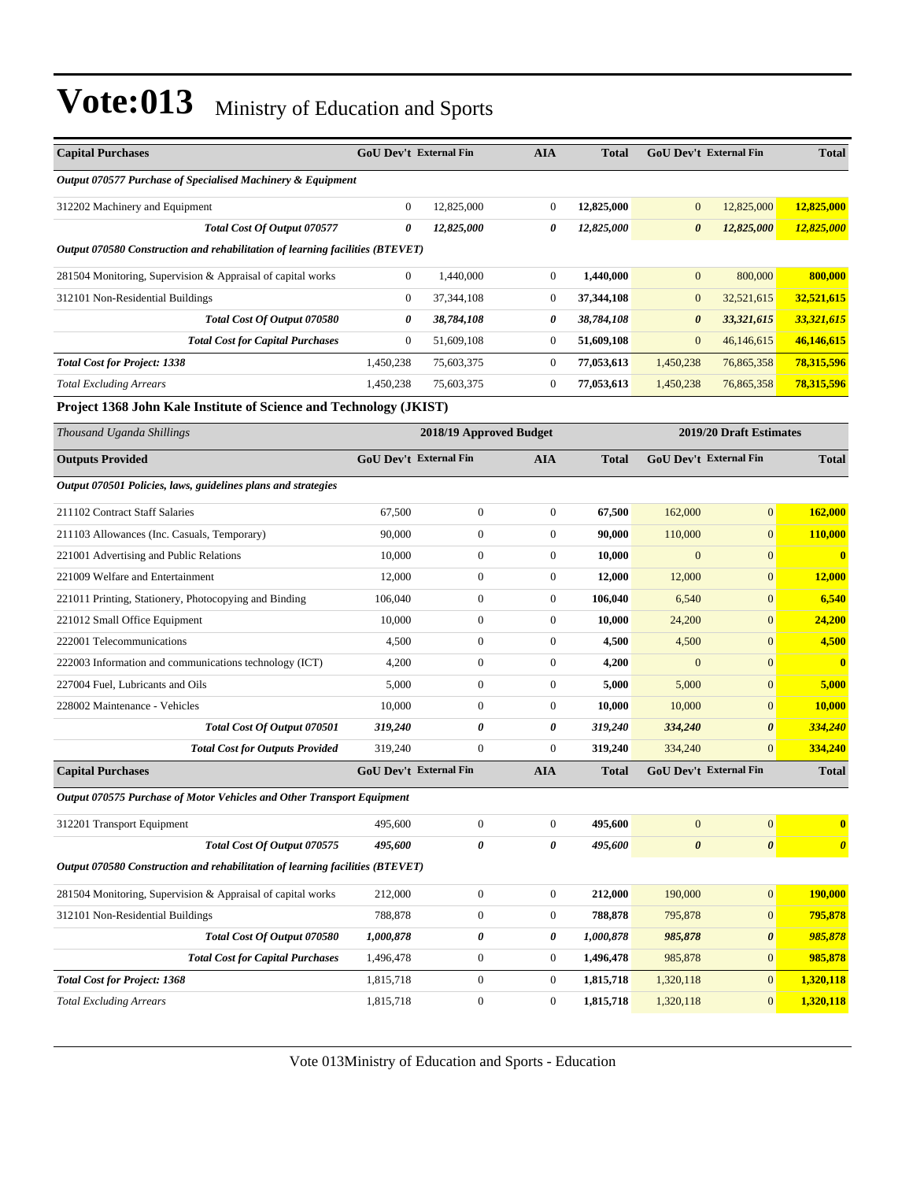| <b>Capital Purchases</b>                                                      | <b>GoU Dev't External Fin</b> |                         | <b>AIA</b>       | <b>Total</b> | <b>GoU Dev't External Fin</b> |                         | <b>Total</b>          |
|-------------------------------------------------------------------------------|-------------------------------|-------------------------|------------------|--------------|-------------------------------|-------------------------|-----------------------|
| Output 070577 Purchase of Specialised Machinery & Equipment                   |                               |                         |                  |              |                               |                         |                       |
| 312202 Machinery and Equipment                                                | $\boldsymbol{0}$              | 12,825,000              | $\boldsymbol{0}$ | 12,825,000   | $\mathbf{0}$                  | 12,825,000              | 12,825,000            |
| Total Cost Of Output 070577                                                   | 0                             | 12,825,000              | 0                | 12,825,000   | $\boldsymbol{\theta}$         | 12,825,000              | 12,825,000            |
| Output 070580 Construction and rehabilitation of learning facilities (BTEVET) |                               |                         |                  |              |                               |                         |                       |
| 281504 Monitoring, Supervision & Appraisal of capital works                   | $\mathbf{0}$                  | 1,440,000               | $\boldsymbol{0}$ | 1,440,000    | $\mathbf{0}$                  | 800,000                 | 800,000               |
| 312101 Non-Residential Buildings                                              | $\boldsymbol{0}$              | 37, 344, 108            | 0                | 37,344,108   | $\mathbf{0}$                  | 32,521,615              | 32,521,615            |
| Total Cost Of Output 070580                                                   | 0                             | 38,784,108              | 0                | 38,784,108   | $\boldsymbol{\theta}$         | 33,321,615              | 33,321,615            |
| <b>Total Cost for Capital Purchases</b>                                       | $\boldsymbol{0}$              | 51,609,108              | $\boldsymbol{0}$ | 51,609,108   | $\mathbf{0}$                  | 46,146,615              | 46,146,615            |
| <b>Total Cost for Project: 1338</b>                                           | 1,450,238                     | 75,603,375              | $\boldsymbol{0}$ | 77,053,613   | 1,450,238                     | 76,865,358              | 78,315,596            |
| <b>Total Excluding Arrears</b>                                                | 1,450,238                     | 75,603,375              | $\boldsymbol{0}$ | 77,053,613   | 1,450,238                     | 76,865,358              | 78,315,596            |
| Project 1368 John Kale Institute of Science and Technology (JKIST)            |                               |                         |                  |              |                               |                         |                       |
| Thousand Uganda Shillings                                                     |                               | 2018/19 Approved Budget |                  |              |                               | 2019/20 Draft Estimates |                       |
| <b>Outputs Provided</b>                                                       | GoU Dev't External Fin        |                         | <b>AIA</b>       | <b>Total</b> | <b>GoU Dev't External Fin</b> |                         | <b>Total</b>          |
| Output 070501 Policies, laws, guidelines plans and strategies                 |                               |                         |                  |              |                               |                         |                       |
| 211102 Contract Staff Salaries                                                | 67,500                        | $\boldsymbol{0}$        | $\boldsymbol{0}$ | 67,500       | 162,000                       | $\boldsymbol{0}$        | 162,000               |
| 211103 Allowances (Inc. Casuals, Temporary)                                   | 90,000                        | $\boldsymbol{0}$        | $\boldsymbol{0}$ | 90,000       | 110,000                       | $\overline{0}$          | 110,000               |
| 221001 Advertising and Public Relations                                       | 10,000                        | $\boldsymbol{0}$        | $\boldsymbol{0}$ | 10,000       | $\overline{0}$                | $\overline{0}$          | $\bf{0}$              |
| 221009 Welfare and Entertainment                                              | 12,000                        | $\boldsymbol{0}$        | $\boldsymbol{0}$ | 12,000       | 12,000                        | $\overline{0}$          | 12,000                |
| 221011 Printing, Stationery, Photocopying and Binding                         | 106,040                       | $\boldsymbol{0}$        | $\boldsymbol{0}$ | 106,040      | 6,540                         | $\overline{0}$          | 6,540                 |
| 221012 Small Office Equipment                                                 | 10,000                        | $\boldsymbol{0}$        | $\boldsymbol{0}$ | 10,000       | 24,200                        | $\overline{0}$          | 24,200                |
| 222001 Telecommunications                                                     | 4,500                         | $\boldsymbol{0}$        | $\boldsymbol{0}$ | 4,500        | 4,500                         | $\overline{0}$          | 4,500                 |
| 222003 Information and communications technology (ICT)                        | 4,200                         | $\boldsymbol{0}$        | $\boldsymbol{0}$ | 4,200        | $\overline{0}$                | $\overline{0}$          | $\bf{0}$              |
| 227004 Fuel, Lubricants and Oils                                              | 5,000                         | $\boldsymbol{0}$        | $\boldsymbol{0}$ | 5,000        | 5,000                         | $\overline{0}$          | 5,000                 |
| 228002 Maintenance - Vehicles                                                 | 10,000                        | $\boldsymbol{0}$        | $\boldsymbol{0}$ | 10,000       | 10,000                        | $\overline{0}$          | 10,000                |
| Total Cost Of Output 070501                                                   | 319,240                       | 0                       | 0                | 319,240      | 334,240                       | 0                       | 334,240               |
| <b>Total Cost for Outputs Provided</b>                                        | 319,240                       | $\overline{0}$          | $\boldsymbol{0}$ | 319,240      | 334,240                       | $\overline{0}$          | 334,240               |
| <b>Capital Purchases</b>                                                      | <b>GoU Dev't External Fin</b> |                         | <b>AIA</b>       | <b>Total</b> | <b>GoU Dev't External Fin</b> |                         | <b>Total</b>          |
| Output 070575 Purchase of Motor Vehicles and Other Transport Equipment        |                               |                         |                  |              |                               |                         |                       |
| 312201 Transport Equipment                                                    | 495,600                       | $\boldsymbol{0}$        | $\boldsymbol{0}$ | 495,600      | $\mathbf{0}$                  | $\overline{0}$          | $\boldsymbol{0}$      |
| Total Cost Of Output 070575                                                   | 495,600                       | 0                       | 0                | 495,600      | $\pmb{\theta}$                | $\pmb{\theta}$          | $\boldsymbol{\theta}$ |
| Output 070580 Construction and rehabilitation of learning facilities (BTEVET) |                               |                         |                  |              |                               |                         |                       |
| 281504 Monitoring, Supervision & Appraisal of capital works                   | 212,000                       | $\boldsymbol{0}$        | $\boldsymbol{0}$ | 212,000      | 190,000                       | $\boldsymbol{0}$        | 190,000               |
| 312101 Non-Residential Buildings                                              | 788,878                       | $\boldsymbol{0}$        | 0                | 788,878      | 795,878                       | $\bf{0}$                | 795,878               |
| Total Cost Of Output 070580                                                   | 1,000,878                     | 0                       | 0                | 1,000,878    | 985,878                       | 0                       | 985,878               |
| <b>Total Cost for Capital Purchases</b>                                       | 1,496,478                     | $\boldsymbol{0}$        | $\boldsymbol{0}$ | 1,496,478    | 985,878                       | $\bf{0}$                | 985,878               |
| <b>Total Cost for Project: 1368</b>                                           | 1,815,718                     | $\boldsymbol{0}$        | 0                | 1,815,718    | 1,320,118                     | $\boldsymbol{0}$        | 1,320,118             |
| <b>Total Excluding Arrears</b>                                                | 1,815,718                     | $\boldsymbol{0}$        | 0                | 1,815,718    | 1,320,118                     | $\mathbf{0}$            | 1,320,118             |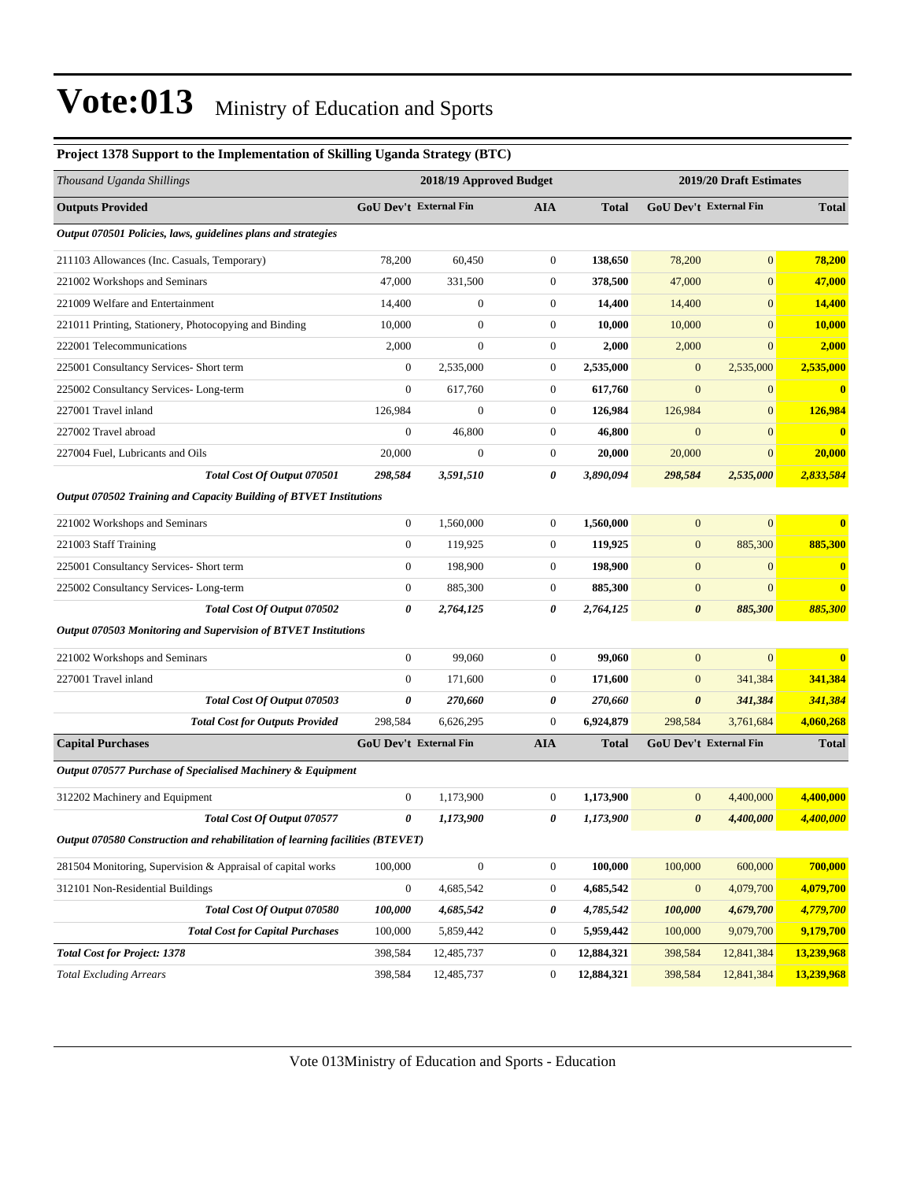| Project 1378 Support to the Implementation of Skilling Uganda Strategy (BTC)  |                  |                               |                  |                         |                       |                               |                  |
|-------------------------------------------------------------------------------|------------------|-------------------------------|------------------|-------------------------|-----------------------|-------------------------------|------------------|
| Thousand Uganda Shillings                                                     |                  | 2018/19 Approved Budget       |                  | 2019/20 Draft Estimates |                       |                               |                  |
| <b>Outputs Provided</b>                                                       |                  | GoU Dev't External Fin        | <b>AIA</b>       | <b>Total</b>            |                       | <b>GoU Dev't External Fin</b> | <b>Total</b>     |
| Output 070501 Policies, laws, guidelines plans and strategies                 |                  |                               |                  |                         |                       |                               |                  |
| 211103 Allowances (Inc. Casuals, Temporary)                                   | 78,200           | 60,450                        | $\boldsymbol{0}$ | 138,650                 | 78,200                | $\mathbf{0}$                  | 78,200           |
| 221002 Workshops and Seminars                                                 | 47,000           | 331,500                       | $\mathbf{0}$     | 378,500                 | 47,000                | $\overline{0}$                | 47,000           |
| 221009 Welfare and Entertainment                                              | 14,400           | $\boldsymbol{0}$              | $\boldsymbol{0}$ | 14,400                  | 14,400                | $\overline{0}$                | <b>14,400</b>    |
| 221011 Printing, Stationery, Photocopying and Binding                         | 10,000           | $\boldsymbol{0}$              | $\mathbf{0}$     | 10,000                  | 10,000                | $\overline{0}$                | 10,000           |
| 222001 Telecommunications                                                     | 2,000            | $\boldsymbol{0}$              | $\boldsymbol{0}$ | 2,000                   | 2,000                 | $\overline{0}$                | 2,000            |
| 225001 Consultancy Services- Short term                                       | $\boldsymbol{0}$ | 2,535,000                     | $\mathbf{0}$     | 2,535,000               | $\mathbf{0}$          | 2,535,000                     | 2,535,000        |
| 225002 Consultancy Services-Long-term                                         | $\boldsymbol{0}$ | 617,760                       | $\mathbf{0}$     | 617,760                 | $\overline{0}$        | $\overline{0}$                | $\boldsymbol{0}$ |
| 227001 Travel inland                                                          | 126,984          | $\boldsymbol{0}$              | $\boldsymbol{0}$ | 126,984                 | 126,984               | $\mathbf{0}$                  | 126,984          |
| 227002 Travel abroad                                                          | $\boldsymbol{0}$ | 46,800                        | $\mathbf{0}$     | 46,800                  | $\mathbf{0}$          | $\overline{0}$                | $\bf{0}$         |
| 227004 Fuel, Lubricants and Oils                                              | 20,000           | $\boldsymbol{0}$              | $\boldsymbol{0}$ | 20,000                  | 20,000                | $\mathbf{0}$                  | 20,000           |
| Total Cost Of Output 070501                                                   | 298,584          | 3,591,510                     | 0                | 3,890,094               | 298,584               | 2,535,000                     | 2,833,584        |
| Output 070502 Training and Capacity Building of BTVET Institutions            |                  |                               |                  |                         |                       |                               |                  |
| 221002 Workshops and Seminars                                                 | $\boldsymbol{0}$ | 1,560,000                     | $\mathbf{0}$     | 1,560,000               | $\mathbf{0}$          | $\overline{0}$                | $\bf{0}$         |
| 221003 Staff Training                                                         | $\boldsymbol{0}$ | 119,925                       | $\boldsymbol{0}$ | 119,925                 | $\mathbf{0}$          | 885,300                       | 885,300          |
| 225001 Consultancy Services- Short term                                       | $\boldsymbol{0}$ | 198,900                       | $\mathbf{0}$     | 198,900                 | $\boldsymbol{0}$      | $\mathbf{0}$                  | $\bf{0}$         |
| 225002 Consultancy Services-Long-term                                         | $\boldsymbol{0}$ | 885,300                       | $\boldsymbol{0}$ | 885,300                 | $\boldsymbol{0}$      | $\overline{0}$                | $\bf{0}$         |
| Total Cost Of Output 070502                                                   | 0                | 2,764,125                     | 0                | 2,764,125               | $\boldsymbol{\theta}$ | 885,300                       | 885,300          |
| Output 070503 Monitoring and Supervision of BTVET Institutions                |                  |                               |                  |                         |                       |                               |                  |
| 221002 Workshops and Seminars                                                 | $\boldsymbol{0}$ | 99,060                        | $\mathbf{0}$     | 99,060                  | $\mathbf{0}$          | $\overline{0}$                | $\bf{0}$         |
| 227001 Travel inland                                                          | $\boldsymbol{0}$ | 171,600                       | $\mathbf{0}$     | 171,600                 | $\mathbf{0}$          | 341,384                       | 341,384          |
| Total Cost Of Output 070503                                                   | 0                | 270,660                       | 0                | 270,660                 | $\boldsymbol{\theta}$ | 341,384                       | 341,384          |
| <b>Total Cost for Outputs Provided</b>                                        | 298,584          | 6,626,295                     | $\mathbf{0}$     | 6,924,879               | 298,584               | 3,761,684                     | 4,060,268        |
| <b>Capital Purchases</b>                                                      |                  | <b>GoU Dev't External Fin</b> | <b>AIA</b>       | <b>Total</b>            |                       | GoU Dev't External Fin        | <b>Total</b>     |
| Output 070577 Purchase of Specialised Machinery & Equipment                   |                  |                               |                  |                         |                       |                               |                  |
| 312202 Machinery and Equipment                                                | $\boldsymbol{0}$ | 1,173,900                     | $\mathbf{0}$     | 1,173,900               | $\mathbf{0}$          | 4,400,000                     | 4,400,000        |
| Total Cost Of Output 070577                                                   | 0                | 1,173,900                     | 0                | 1,173,900               | $\boldsymbol{\theta}$ | 4,400,000                     | 4,400,000        |
| Output 070580 Construction and rehabilitation of learning facilities (BTEVET) |                  |                               |                  |                         |                       |                               |                  |
| 281504 Monitoring, Supervision & Appraisal of capital works                   | 100,000          | $\boldsymbol{0}$              | $\boldsymbol{0}$ | 100,000                 | 100,000               | 600,000                       | 700,000          |
| 312101 Non-Residential Buildings                                              | $\boldsymbol{0}$ | 4,685,542                     | $\boldsymbol{0}$ | 4,685,542               | $\boldsymbol{0}$      | 4,079,700                     | 4,079,700        |
| Total Cost Of Output 070580                                                   | 100,000          | 4,685,542                     | 0                | 4,785,542               | 100,000               | 4,679,700                     | 4,779,700        |
| <b>Total Cost for Capital Purchases</b>                                       | 100,000          | 5,859,442                     | $\boldsymbol{0}$ | 5,959,442               | 100,000               | 9,079,700                     | 9,179,700        |
| <b>Total Cost for Project: 1378</b>                                           | 398,584          | 12,485,737                    | $\boldsymbol{0}$ | 12,884,321              | 398,584               | 12,841,384                    | 13,239,968       |
| <b>Total Excluding Arrears</b>                                                | 398,584          | 12,485,737                    | $\boldsymbol{0}$ | 12,884,321              | 398,584               | 12,841,384                    | 13,239,968       |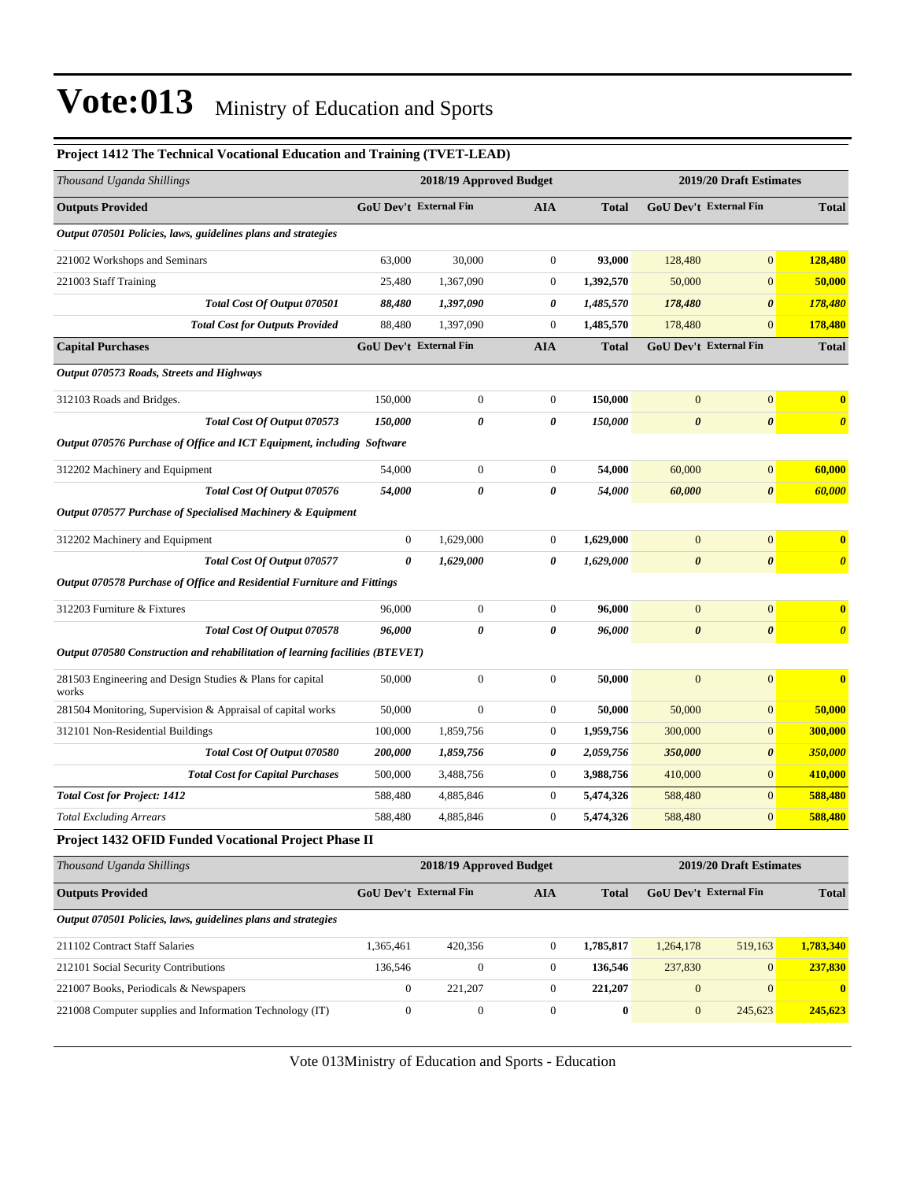*Output 070501 Policies, laws, guidelines plans and strategies*

| <b>Project 1412 The Technical Vocational Education and Training (TVET-LEAD)</b> |                               |                         |                  |              |                               |                                                   |                       |  |
|---------------------------------------------------------------------------------|-------------------------------|-------------------------|------------------|--------------|-------------------------------|---------------------------------------------------|-----------------------|--|
| Thousand Uganda Shillings                                                       |                               | 2018/19 Approved Budget |                  |              |                               | 2019/20 Draft Estimates<br>GoU Dev't External Fin |                       |  |
| <b>Outputs Provided</b>                                                         | GoU Dev't External Fin        |                         | <b>AIA</b>       | <b>Total</b> |                               |                                                   | <b>Total</b>          |  |
| Output 070501 Policies, laws, guidelines plans and strategies                   |                               |                         |                  |              |                               |                                                   |                       |  |
| 221002 Workshops and Seminars                                                   | 63,000                        | 30,000                  | $\boldsymbol{0}$ | 93,000       | 128,480                       | $\mathbf{0}$                                      | 128,480               |  |
| 221003 Staff Training                                                           | 25,480                        | 1,367,090               | $\boldsymbol{0}$ | 1,392,570    | 50,000                        | $\boldsymbol{0}$                                  | 50,000                |  |
| Total Cost Of Output 070501                                                     | 88,480                        | 1,397,090               | 0                | 1,485,570    | 178,480                       | $\pmb{\theta}$                                    | 178,480               |  |
| <b>Total Cost for Outputs Provided</b>                                          | 88,480                        | 1,397,090               | $\boldsymbol{0}$ | 1,485,570    | 178,480                       | $\boldsymbol{0}$                                  | 178,480               |  |
| <b>Capital Purchases</b>                                                        | <b>GoU Dev't External Fin</b> |                         | <b>AIA</b>       | <b>Total</b> | <b>GoU Dev't External Fin</b> |                                                   | <b>Total</b>          |  |
| Output 070573 Roads, Streets and Highways                                       |                               |                         |                  |              |                               |                                                   |                       |  |
| 312103 Roads and Bridges.                                                       | 150,000                       | $\boldsymbol{0}$        | $\boldsymbol{0}$ | 150,000      | $\overline{0}$                | $\boldsymbol{0}$                                  | $\bf{0}$              |  |
| Total Cost Of Output 070573                                                     | 150,000                       | 0                       | $\pmb{\theta}$   | 150,000      | $\boldsymbol{\theta}$         | $\pmb{\theta}$                                    | $\boldsymbol{\theta}$ |  |
| Output 070576 Purchase of Office and ICT Equipment, including Software          |                               |                         |                  |              |                               |                                                   |                       |  |
| 312202 Machinery and Equipment                                                  | 54,000                        | $\boldsymbol{0}$        | $\boldsymbol{0}$ | 54,000       | 60,000                        | $\boldsymbol{0}$                                  | 60,000                |  |
| Total Cost Of Output 070576                                                     | 54,000                        | 0                       | $\pmb{\theta}$   | 54,000       | 60,000                        | $\pmb{\theta}$                                    | 60,000                |  |
| Output 070577 Purchase of Specialised Machinery & Equipment                     |                               |                         |                  |              |                               |                                                   |                       |  |
| 312202 Machinery and Equipment                                                  | $\mathbf{0}$                  | 1,629,000               | $\mathbf{0}$     | 1,629,000    | $\mathbf{0}$                  | $\mathbf{0}$                                      | $\bf{0}$              |  |
| Total Cost Of Output 070577                                                     | $\boldsymbol{\theta}$         | 1,629,000               | 0                | 1,629,000    | $\boldsymbol{\theta}$         | $\pmb{\theta}$                                    | $\boldsymbol{\theta}$ |  |
| Output 070578 Purchase of Office and Residential Furniture and Fittings         |                               |                         |                  |              |                               |                                                   |                       |  |
| 312203 Furniture & Fixtures                                                     | 96,000                        | $\boldsymbol{0}$        | $\mathbf{0}$     | 96,000       | $\overline{0}$                | $\overline{0}$                                    | $\bf{0}$              |  |
| Total Cost Of Output 070578                                                     | 96,000                        | 0                       | 0                | 96,000       | $\boldsymbol{\theta}$         | $\boldsymbol{\theta}$                             | $\boldsymbol{\theta}$ |  |
| Output 070580 Construction and rehabilitation of learning facilities (BTEVET)   |                               |                         |                  |              |                               |                                                   |                       |  |
| 281503 Engineering and Design Studies & Plans for capital<br>works              | 50,000                        | $\boldsymbol{0}$        | $\boldsymbol{0}$ | 50,000       | $\overline{0}$                | $\overline{0}$                                    | $\bf{0}$              |  |
| 281504 Monitoring, Supervision & Appraisal of capital works                     | 50,000                        | $\boldsymbol{0}$        | $\boldsymbol{0}$ | 50,000       | 50,000                        | $\boldsymbol{0}$                                  | 50,000                |  |
| 312101 Non-Residential Buildings                                                | 100,000                       | 1,859,756               | $\boldsymbol{0}$ | 1,959,756    | 300,000                       | $\mathbf{0}$                                      | 300,000               |  |
| Total Cost Of Output 070580                                                     | 200,000                       | 1,859,756               | 0                | 2,059,756    | 350,000                       | $\boldsymbol{\theta}$                             | 350,000               |  |
| <b>Total Cost for Capital Purchases</b>                                         | 500,000                       | 3,488,756               | $\boldsymbol{0}$ | 3,988,756    | 410,000                       | $\mathbf{0}$                                      | 410,000               |  |
| <b>Total Cost for Project: 1412</b>                                             | 588,480                       | 4,885,846               | $\boldsymbol{0}$ | 5,474,326    | 588,480                       | $\boldsymbol{0}$                                  | 588,480               |  |
| <b>Total Excluding Arrears</b>                                                  | 588,480                       | 4,885,846               | $\boldsymbol{0}$ | 5,474,326    | 588,480                       | $\mathbf{0}$                                      | 588,480               |  |
| Project 1432 OFID Funded Vocational Project Phase II                            |                               |                         |                  |              |                               |                                                   |                       |  |
| Thousand Uganda Shillings                                                       |                               | 2018/19 Approved Budget |                  |              |                               | 2019/20 Draft Estimates                           |                       |  |

212101 Social Security Contributions 136,546 0 0 **136,546** 237,830 0 **237,830** 221007 Books, Periodicals & Newspapers 0 221,207 0 **221,207** 0 0 **0** 221008 Computer supplies and Information Technology (IT) 0 0 0 **0** 0 245,623 **245,623**

**Outputs Provided GoU Dev't External Fin AIA Total GoU Dev't External Fin Total**

211102 Contract Staff Salaries 1,365,461 420,356 0 **1,785,817** 1,264,178 519,163 **1,783,340**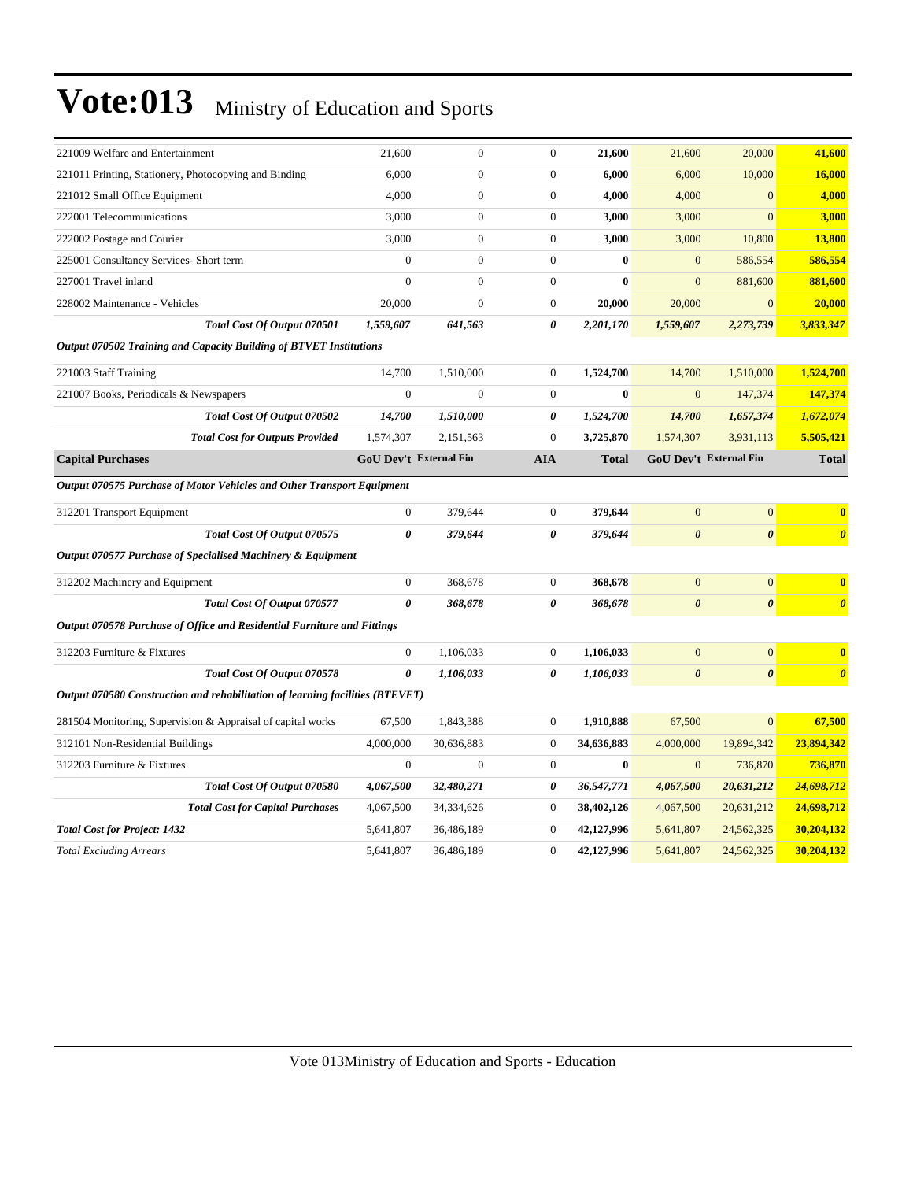| 221009 Welfare and Entertainment                                              | 21,600                 | $\mathbf{0}$     | $\boldsymbol{0}$ | 21,600       | 21,600                 | 20,000                | 41,600                  |
|-------------------------------------------------------------------------------|------------------------|------------------|------------------|--------------|------------------------|-----------------------|-------------------------|
| 221011 Printing, Stationery, Photocopying and Binding                         | 6,000                  | $\overline{0}$   | $\overline{0}$   | 6,000        | 6,000                  | 10,000                | 16,000                  |
| 221012 Small Office Equipment                                                 | 4,000                  | $\overline{0}$   | $\boldsymbol{0}$ | 4,000        | 4,000                  | $\overline{0}$        | 4,000                   |
| 222001 Telecommunications                                                     | 3,000                  | $\boldsymbol{0}$ | $\boldsymbol{0}$ | 3,000        | 3,000                  | $\mathbf{0}$          | 3,000                   |
| 222002 Postage and Courier                                                    | 3,000                  | $\overline{0}$   | $\overline{0}$   | 3,000        | 3,000                  | 10,800                | 13,800                  |
| 225001 Consultancy Services- Short term                                       | $\overline{0}$         | $\boldsymbol{0}$ | $\boldsymbol{0}$ | $\bf{0}$     | $\mathbf{0}$           | 586,554               | 586,554                 |
| 227001 Travel inland                                                          | $\theta$               | $\boldsymbol{0}$ | $\boldsymbol{0}$ | $\bf{0}$     | $\mathbf{0}$           | 881,600               | 881,600                 |
| 228002 Maintenance - Vehicles                                                 | 20,000                 | $\overline{0}$   | $\boldsymbol{0}$ | 20,000       | 20,000                 | $\mathbf{0}$          | 20,000                  |
| Total Cost Of Output 070501                                                   | 1,559,607              | 641,563          | 0                | 2,201,170    | 1,559,607              | 2,273,739             | 3,833,347               |
| Output 070502 Training and Capacity Building of BTVET Institutions            |                        |                  |                  |              |                        |                       |                         |
| 221003 Staff Training                                                         | 14,700                 | 1,510,000        | $\boldsymbol{0}$ | 1,524,700    | 14,700                 | 1,510,000             | 1,524,700               |
| 221007 Books, Periodicals & Newspapers                                        | $\boldsymbol{0}$       | $\overline{0}$   | $\overline{0}$   | $\bf{0}$     | $\overline{0}$         | 147,374               | 147,374                 |
| Total Cost Of Output 070502                                                   | 14,700                 | 1,510,000        | 0                | 1,524,700    | 14,700                 | 1,657,374             | 1,672,074               |
| <b>Total Cost for Outputs Provided</b>                                        | 1,574,307              | 2,151,563        | $\boldsymbol{0}$ | 3,725,870    | 1,574,307              | 3,931,113             | 5,505,421               |
| <b>Capital Purchases</b>                                                      | GoU Dev't External Fin |                  | <b>AIA</b>       | <b>Total</b> | GoU Dev't External Fin |                       | <b>Total</b>            |
| Output 070575 Purchase of Motor Vehicles and Other Transport Equipment        |                        |                  |                  |              |                        |                       |                         |
| 312201 Transport Equipment                                                    | $\boldsymbol{0}$       | 379,644          | $\boldsymbol{0}$ | 379,644      | $\mathbf{0}$           | $\overline{0}$        | $\bf{0}$                |
| Total Cost Of Output 070575                                                   | 0                      | 379,644          | 0                | 379,644      | $\boldsymbol{\theta}$  | $\boldsymbol{\theta}$ | $\boldsymbol{\theta}$   |
| Output 070577 Purchase of Specialised Machinery & Equipment                   |                        |                  |                  |              |                        |                       |                         |
| 312202 Machinery and Equipment                                                | $\mathbf{0}$           | 368,678          | $\overline{0}$   | 368,678      | $\mathbf{0}$           | $\mathbf{0}$          | $\overline{\mathbf{0}}$ |
| Total Cost Of Output 070577                                                   | 0                      | 368,678          | 0                | 368,678      | $\boldsymbol{\theta}$  | $\boldsymbol{\theta}$ | $\boldsymbol{\theta}$   |
| Output 070578 Purchase of Office and Residential Furniture and Fittings       |                        |                  |                  |              |                        |                       |                         |
| 312203 Furniture & Fixtures                                                   | $\boldsymbol{0}$       | 1,106,033        | $\boldsymbol{0}$ | 1,106,033    | $\mathbf{0}$           | $\overline{0}$        | $\bf{0}$                |
| Total Cost Of Output 070578                                                   | 0                      | 1,106,033        | 0                | 1,106,033    | $\boldsymbol{\theta}$  | $\boldsymbol{\theta}$ | $\boldsymbol{\theta}$   |
| Output 070580 Construction and rehabilitation of learning facilities (BTEVET) |                        |                  |                  |              |                        |                       |                         |
| 281504 Monitoring, Supervision & Appraisal of capital works                   | 67,500                 | 1,843,388        | $\boldsymbol{0}$ | 1,910,888    | 67,500                 | $\overline{0}$        | 67,500                  |
| 312101 Non-Residential Buildings                                              | 4,000,000              | 30,636,883       | $\boldsymbol{0}$ | 34,636,883   | 4,000,000              | 19,894,342            | 23,894,342              |
| 312203 Furniture & Fixtures                                                   | $\boldsymbol{0}$       | $\boldsymbol{0}$ | $\boldsymbol{0}$ | $\bf{0}$     | $\mathbf{0}$           | 736,870               | 736,870                 |
| Total Cost Of Output 070580                                                   | 4,067,500              | 32,480,271       | 0                | 36,547,771   | 4,067,500              | 20,631,212            | 24,698,712              |
| <b>Total Cost for Capital Purchases</b>                                       | 4,067,500              | 34,334,626       | $\boldsymbol{0}$ | 38,402,126   | 4,067,500              | 20,631,212            | 24,698,712              |
| <b>Total Cost for Project: 1432</b>                                           | 5,641,807              | 36,486,189       | $\overline{0}$   | 42,127,996   | 5,641,807              | 24,562,325            | 30,204,132              |
| <b>Total Excluding Arrears</b>                                                | 5,641,807              | 36,486,189       | $\overline{0}$   | 42,127,996   | 5,641,807              | 24,562,325            | 30,204,132              |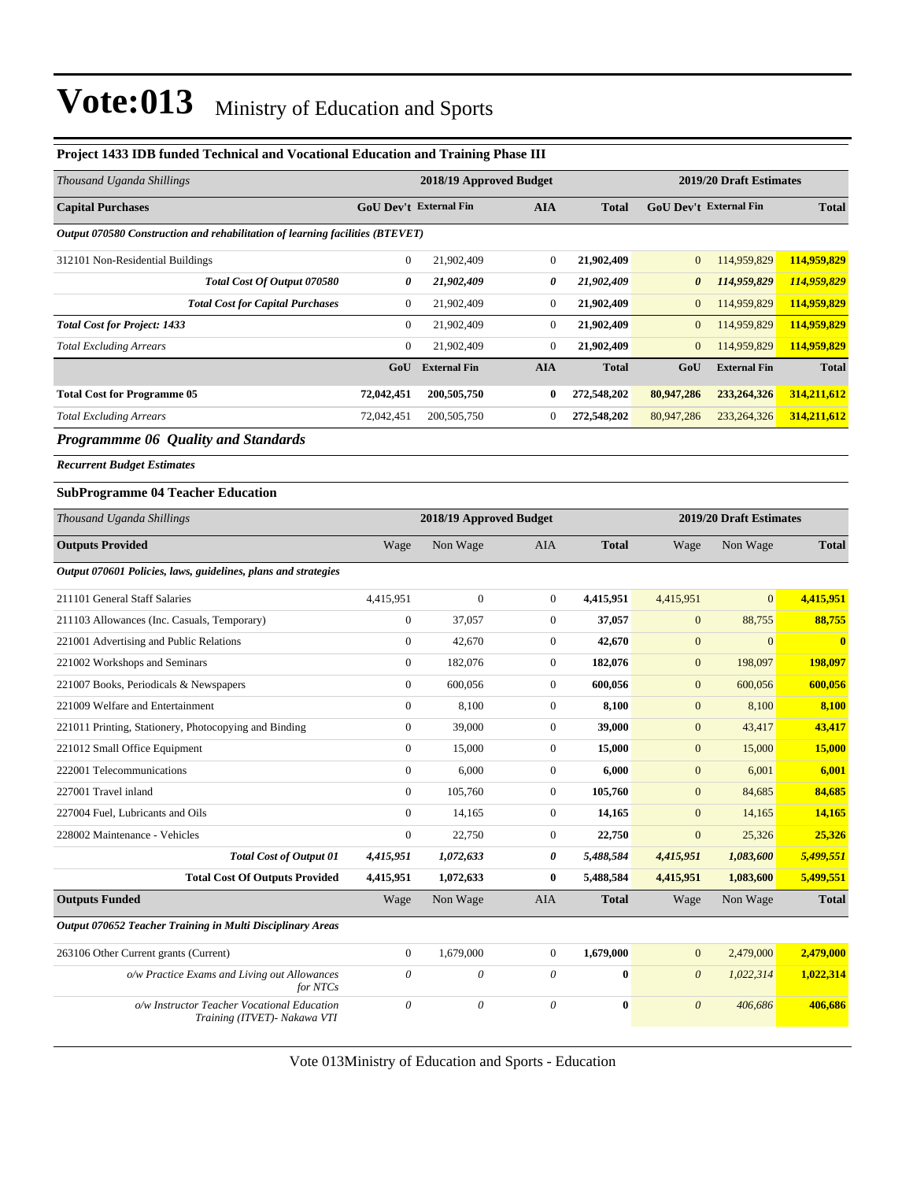| Project 1433 IDB funded Technical and Vocational Education and Training Phase III |                               |                           |                           |              |                               |                         |               |
|-----------------------------------------------------------------------------------|-------------------------------|---------------------------|---------------------------|--------------|-------------------------------|-------------------------|---------------|
| Thousand Uganda Shillings                                                         |                               | 2018/19 Approved Budget   |                           |              |                               | 2019/20 Draft Estimates |               |
| <b>Capital Purchases</b>                                                          | <b>GoU Dev't External Fin</b> |                           | <b>AIA</b>                | <b>Total</b> | <b>GoU Dev't External Fin</b> |                         | <b>Total</b>  |
| Output 070580 Construction and rehabilitation of learning facilities (BTEVET)     |                               |                           |                           |              |                               |                         |               |
| 312101 Non-Residential Buildings                                                  | $\boldsymbol{0}$              | 21,902,409                | $\boldsymbol{0}$          | 21,902,409   | $\mathbf{0}$                  | 114,959,829             | 114,959,829   |
| Total Cost Of Output 070580                                                       | 0                             | 21,902,409                | 0                         | 21,902,409   | $\boldsymbol{\theta}$         | 114,959,829             | 114,959,829   |
| <b>Total Cost for Capital Purchases</b>                                           | $\boldsymbol{0}$              | 21,902,409                | $\boldsymbol{0}$          | 21,902,409   | $\mathbf{0}$                  | 114,959,829             | 114,959,829   |
| <b>Total Cost for Project: 1433</b>                                               | $\boldsymbol{0}$              | 21,902,409                | $\boldsymbol{0}$          | 21,902,409   | $\mathbf{0}$                  | 114,959,829             | 114,959,829   |
| <b>Total Excluding Arrears</b>                                                    | $\boldsymbol{0}$              | 21,902,409                | $\boldsymbol{0}$          | 21,902,409   | $\mathbf{0}$                  | 114,959,829             | 114,959,829   |
|                                                                                   | GoU                           | <b>External Fin</b>       | <b>AIA</b>                | <b>Total</b> | GoU                           | <b>External Fin</b>     | <b>Total</b>  |
| <b>Total Cost for Programme 05</b>                                                | 72,042,451                    | 200,505,750               | 0                         | 272,548,202  | 80,947,286                    | 233, 264, 326           | 314,211,612   |
| <b>Total Excluding Arrears</b>                                                    | 72,042,451                    | 200, 505, 750             | 0                         | 272,548,202  | 80,947,286                    | 233, 264, 326           | 314,211,612   |
| <b>Programmme 06 Quality and Standards</b>                                        |                               |                           |                           |              |                               |                         |               |
| <b>Recurrent Budget Estimates</b>                                                 |                               |                           |                           |              |                               |                         |               |
| <b>SubProgramme 04 Teacher Education</b>                                          |                               |                           |                           |              |                               |                         |               |
| Thousand Uganda Shillings                                                         |                               | 2018/19 Approved Budget   |                           |              |                               | 2019/20 Draft Estimates |               |
| <b>Outputs Provided</b>                                                           | Wage                          | Non Wage                  | AIA                       | <b>Total</b> | Wage                          | Non Wage                | <b>Total</b>  |
| Output 070601 Policies, laws, guidelines, plans and strategies                    |                               |                           |                           |              |                               |                         |               |
| 211101 General Staff Salaries                                                     | 4,415,951                     | $\boldsymbol{0}$          | $\boldsymbol{0}$          | 4,415,951    | 4,415,951                     | $\overline{0}$          | 4,415,951     |
| 211103 Allowances (Inc. Casuals, Temporary)                                       | $\boldsymbol{0}$              | 37,057                    | $\boldsymbol{0}$          | 37,057       | $\mathbf{0}$                  | 88,755                  | 88,755        |
| 221001 Advertising and Public Relations                                           | $\boldsymbol{0}$              | 42,670                    | $\boldsymbol{0}$          | 42,670       | $\mathbf{0}$                  | $\mathbf{0}$            | $\bf{0}$      |
| 221002 Workshops and Seminars                                                     | $\boldsymbol{0}$              | 182,076                   | $\boldsymbol{0}$          | 182,076      | $\mathbf{0}$                  | 198,097                 | 198,097       |
| 221007 Books, Periodicals & Newspapers                                            | $\boldsymbol{0}$              | 600,056                   | $\boldsymbol{0}$          | 600,056      | $\boldsymbol{0}$              | 600,056                 | 600,056       |
| 221009 Welfare and Entertainment                                                  | $\boldsymbol{0}$              | 8,100                     | $\boldsymbol{0}$          | 8,100        | $\mathbf{0}$                  | 8,100                   | 8,100         |
| 221011 Printing, Stationery, Photocopying and Binding                             | $\boldsymbol{0}$              | 39,000                    | $\boldsymbol{0}$          | 39,000       | $\mathbf{0}$                  | 43,417                  | 43,417        |
| 221012 Small Office Equipment                                                     | $\boldsymbol{0}$              | 15,000                    | $\boldsymbol{0}$          | 15,000       | $\mathbf{0}$                  | 15,000                  | <b>15,000</b> |
| 222001 Telecommunications                                                         | $\boldsymbol{0}$              | 6,000                     | $\boldsymbol{0}$          | 6,000        | $\mathbf{0}$                  | 6,001                   | 6,001         |
| 227001 Travel inland                                                              | $\boldsymbol{0}$              | 105,760                   | $\boldsymbol{0}$          | 105,760      | $\boldsymbol{0}$              | 84,685                  | 84,685        |
| 227004 Fuel, Lubricants and Oils                                                  | $\boldsymbol{0}$              | 14,165                    | $\mathbf{0}$              | 14,165       | $\mathbf{0}$                  | 14,165                  | 14,165        |
| 228002 Maintenance - Vehicles                                                     | $\boldsymbol{0}$              | 22,750                    | $\boldsymbol{0}$          | 22,750       | $\boldsymbol{0}$              | 25,326                  | 25,326        |
| <b>Total Cost of Output 01</b>                                                    | 4,415,951                     | 1,072,633                 | 0                         | 5,488,584    | 4,415,951                     | 1,083,600               | 5,499,551     |
| <b>Total Cost Of Outputs Provided</b>                                             | 4,415,951                     | 1,072,633                 | 0                         | 5,488,584    | 4,415,951                     | 1,083,600               | 5,499,551     |
| <b>Outputs Funded</b>                                                             | Wage                          | Non Wage                  | AIA                       | <b>Total</b> | Wage                          | Non Wage                | <b>Total</b>  |
| Output 070652 Teacher Training in Multi Disciplinary Areas                        |                               |                           |                           |              |                               |                         |               |
| 263106 Other Current grants (Current)                                             | $\boldsymbol{0}$              | 1,679,000                 | $\boldsymbol{0}$          | 1,679,000    | $\boldsymbol{0}$              | 2,479,000               | 2,479,000     |
| o/w Practice Exams and Living out Allowances<br>for NTCs                          | $\boldsymbol{\mathit{0}}$     | $\theta$                  | $\boldsymbol{\mathit{0}}$ | $\bf{0}$     | $\boldsymbol{0}$              | 1,022,314               | 1,022,314     |
| o/w Instructor Teacher Vocational Education<br>Training (ITVET) - Nakawa VTI      | $\boldsymbol{\mathit{0}}$     | $\boldsymbol{\mathit{0}}$ | 0                         | $\bf{0}$     | $\boldsymbol{\mathit{0}}$     | 406,686                 | 406,686       |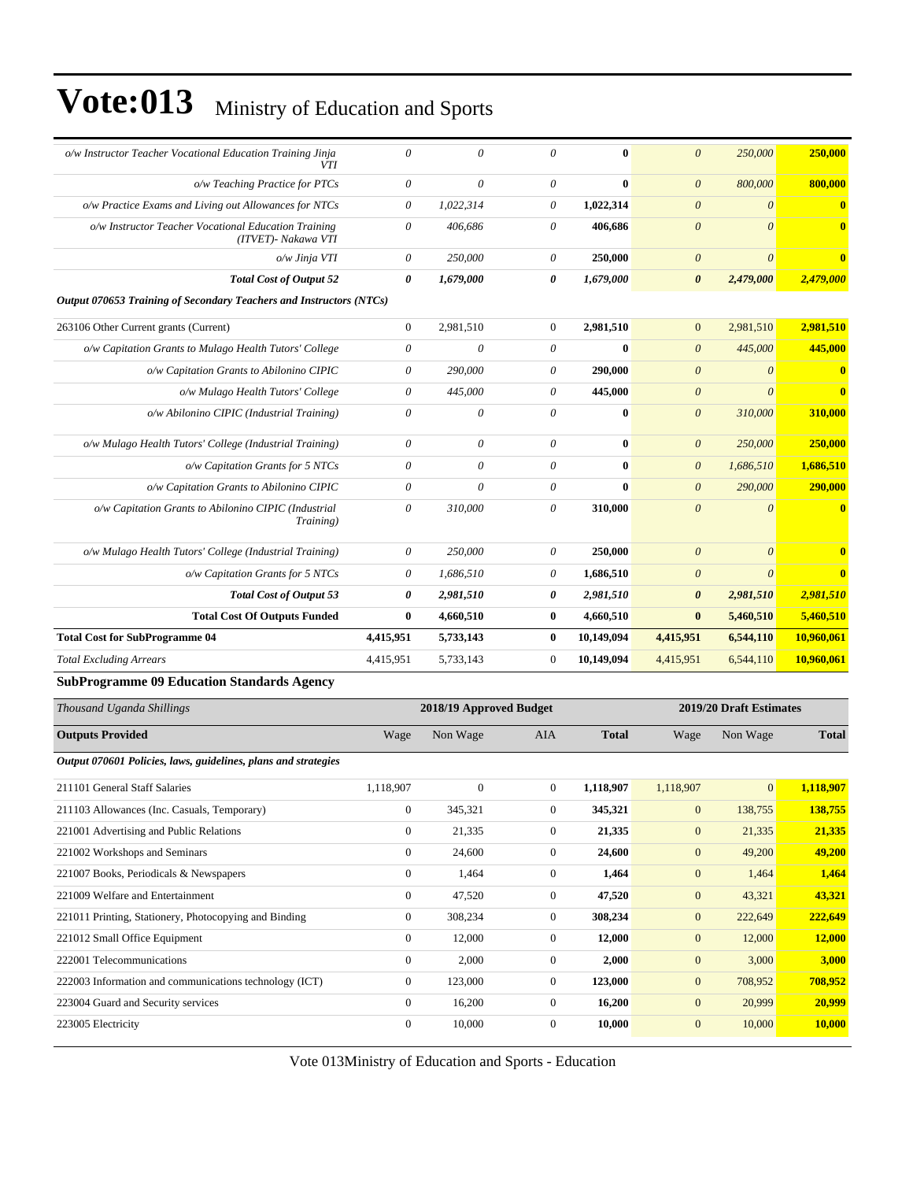| o/w Instructor Teacher Vocational Education Training Jinja<br><b>VTI</b>    | 0                | $\theta$              | $\theta$       | 0          | $\boldsymbol{0}$      | 250,000   | 250,000      |
|-----------------------------------------------------------------------------|------------------|-----------------------|----------------|------------|-----------------------|-----------|--------------|
| o/w Teaching Practice for PTCs                                              | 0                | 0                     | $\theta$       | $\bf{0}$   | $\theta$              | 800,000   | 800,000      |
| o/w Practice Exams and Living out Allowances for NTCs                       | $\theta$         | 1,022,314             | 0              | 1,022,314  | $\boldsymbol{0}$      | $\theta$  | $\mathbf{0}$ |
| o/w Instructor Teacher Vocational Education Training<br>(ITVET)- Nakawa VTI | 0                | 406,686               | $\theta$       | 406,686    | $\boldsymbol{0}$      | $\theta$  | $\mathbf{0}$ |
| o/w Jinja VTI                                                               | 0                | 250,000               | $\theta$       | 250,000    | $\theta$              | $\theta$  | $\mathbf{0}$ |
| <b>Total Cost of Output 52</b>                                              | 0                | 1,679,000             | 0              | 1,679,000  | $\boldsymbol{\theta}$ | 2,479,000 | 2,479,000    |
| Output 070653 Training of Secondary Teachers and Instructors (NTCs)         |                  |                       |                |            |                       |           |              |
| 263106 Other Current grants (Current)                                       | $\boldsymbol{0}$ | 2,981,510             | $\overline{0}$ | 2,981,510  | $\mathbf{0}$          | 2,981,510 | 2,981,510    |
| o/w Capitation Grants to Mulago Health Tutors' College                      | 0                | 0                     | $\theta$       | $\bf{0}$   | $\theta$              | 445,000   | 445,000      |
| o/w Capitation Grants to Abilonino CIPIC                                    | 0                | 290,000               | 0              | 290,000    | $\boldsymbol{\theta}$ | $\theta$  | $\mathbf{0}$ |
| o/w Mulago Health Tutors' College                                           | 0                | 445,000               | $\theta$       | 445,000    | $\boldsymbol{\theta}$ | $\theta$  | $\mathbf{0}$ |
| o/w Abilonino CIPIC (Industrial Training)                                   | $\theta$         | $\boldsymbol{\theta}$ | $\theta$       | $\bf{0}$   | $\boldsymbol{\theta}$ | 310,000   | 310,000      |
| o/w Mulago Health Tutors' College (Industrial Training)                     | 0                | 0                     | $\theta$       | $\bf{0}$   | $\theta$              | 250,000   | 250,000      |
| o/w Capitation Grants for 5 NTCs                                            | 0                | 0                     | $\theta$       | $\bf{0}$   | $\boldsymbol{\theta}$ | 1,686,510 | 1,686,510    |
| o/w Capitation Grants to Abilonino CIPIC                                    | $\theta$         | $\theta$              | $\theta$       | $\bf{0}$   | $\boldsymbol{0}$      | 290,000   | 290,000      |
| o/w Capitation Grants to Abilonino CIPIC (Industrial<br>Training)           | $\theta$         | 310,000               | 0              | 310,000    | $\theta$              | $\theta$  | $\mathbf{0}$ |
| o/w Mulago Health Tutors' College (Industrial Training)                     | $\theta$         | 250,000               | $\theta$       | 250,000    | $\theta$              | $\theta$  |              |
| o/w Capitation Grants for 5 NTCs                                            | 0                | 1,686,510             | 0              | 1,686,510  | $\boldsymbol{\theta}$ | $\theta$  | $\mathbf{0}$ |
| <b>Total Cost of Output 53</b>                                              | 0                | 2,981,510             | 0              | 2,981,510  | $\boldsymbol{\theta}$ | 2,981,510 | 2,981,510    |
| <b>Total Cost Of Outputs Funded</b>                                         | $\bf{0}$         | 4,660,510             | $\bf{0}$       | 4,660,510  | $\bf{0}$              | 5,460,510 | 5,460,510    |
| <b>Total Cost for SubProgramme 04</b>                                       | 4,415,951        | 5,733,143             | $\bf{0}$       | 10,149,094 | 4,415,951             | 6,544,110 | 10,960,061   |
| <b>Total Excluding Arrears</b>                                              | 4,415,951        | 5,733,143             | $\mathbf{0}$   | 10,149,094 | 4,415,951             | 6,544,110 | 10,960,061   |
| Cub Dreamamma 00 Education Standards Agency                                 |                  |                       |                |            |                       |           |              |

#### **SubProgramme 09 Education Standards Agency**

| Thousand Uganda Shillings                                      |                | 2018/19 Approved Budget |                |              |                | 2019/20 Draft Estimates |              |  |
|----------------------------------------------------------------|----------------|-------------------------|----------------|--------------|----------------|-------------------------|--------------|--|
| <b>Outputs Provided</b>                                        | Wage           | Non Wage                | AIA            | <b>Total</b> | Wage           | Non Wage                | <b>Total</b> |  |
| Output 070601 Policies, laws, guidelines, plans and strategies |                |                         |                |              |                |                         |              |  |
| 211101 General Staff Salaries                                  | 1,118,907      | $\mathbf{0}$            | $\overline{0}$ | 1,118,907    | 1,118,907      | $\mathbf{0}$            | 1,118,907    |  |
| 211103 Allowances (Inc. Casuals, Temporary)                    | $\mathbf{0}$   | 345,321                 | $\mathbf{0}$   | 345,321      | $\mathbf{0}$   | 138,755                 | 138,755      |  |
| 221001 Advertising and Public Relations                        | $\mathbf{0}$   | 21,335                  | $\mathbf{0}$   | 21,335       | $\mathbf{0}$   | 21,335                  | 21,335       |  |
| 221002 Workshops and Seminars                                  | $\overline{0}$ | 24,600                  | $\mathbf{0}$   | 24,600       | $\mathbf{0}$   | 49,200                  | 49,200       |  |
| 221007 Books, Periodicals & Newspapers                         | $\mathbf{0}$   | 1,464                   | $\mathbf{0}$   | 1,464        | $\mathbf{0}$   | 1,464                   | 1,464        |  |
| 221009 Welfare and Entertainment                               | $\overline{0}$ | 47,520                  | $\theta$       | 47,520       | $\mathbf{0}$   | 43,321                  | 43,321       |  |
| 221011 Printing, Stationery, Photocopying and Binding          | $\overline{0}$ | 308,234                 | $\mathbf{0}$   | 308,234      | $\mathbf{0}$   | 222,649                 | 222,649      |  |
| 221012 Small Office Equipment                                  | $\mathbf{0}$   | 12,000                  | $\mathbf{0}$   | 12,000       | $\mathbf{0}$   | 12,000                  | 12,000       |  |
| 222001 Telecommunications                                      | $\mathbf{0}$   | 2,000                   | $\theta$       | 2,000        | $\mathbf{0}$   | 3,000                   | 3,000        |  |
| 222003 Information and communications technology (ICT)         | $\overline{0}$ | 123,000                 | $\mathbf{0}$   | 123,000      | $\overline{0}$ | 708,952                 | 708,952      |  |
| 223004 Guard and Security services                             | $\overline{0}$ | 16,200                  | $\mathbf{0}$   | 16,200       | $\mathbf{0}$   | 20,999                  | 20,999       |  |
| 223005 Electricity                                             | $\mathbf{0}$   | 10,000                  | $\mathbf{0}$   | 10,000       | $\mathbf{0}$   | 10,000                  | 10,000       |  |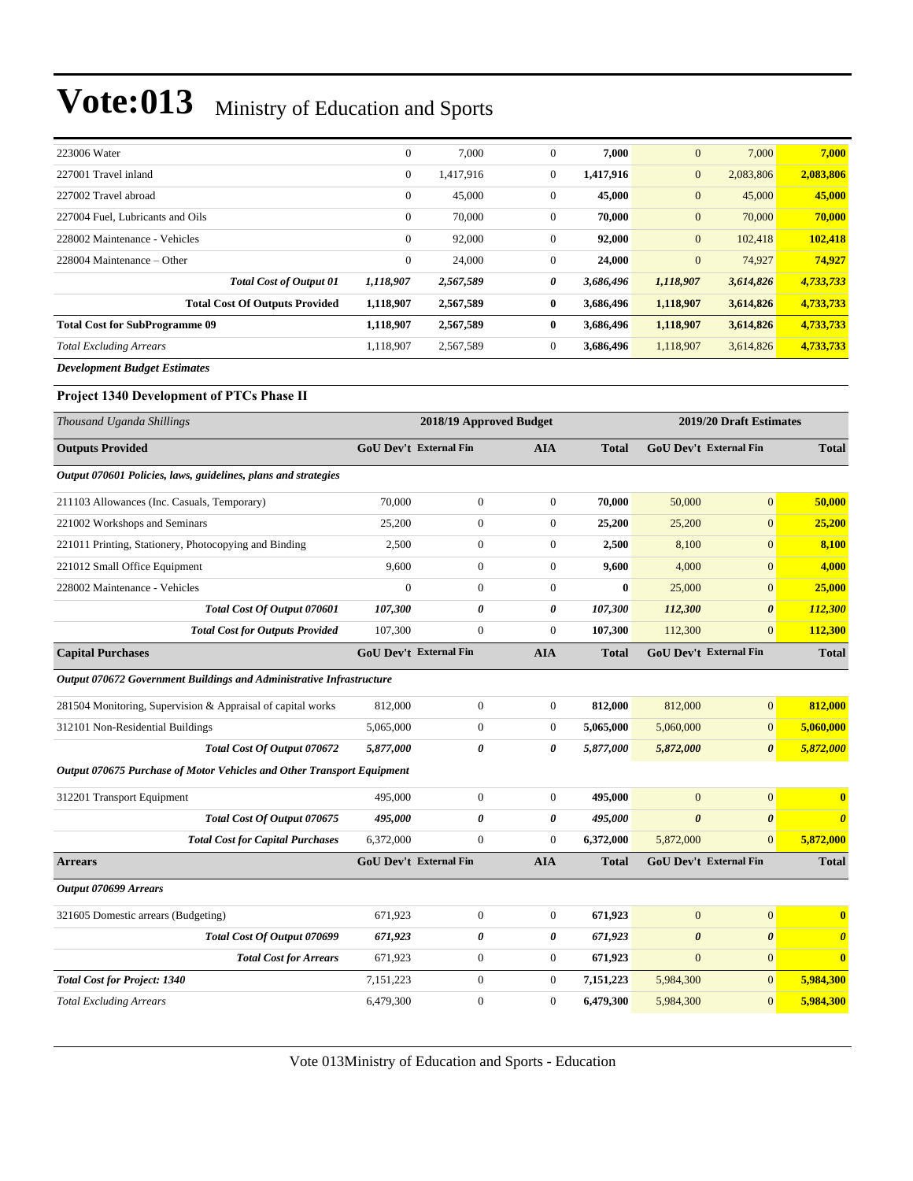| 223006 Water                          | $\mathbf{0}$ | 7,000     | $\Omega$     | 7,000     | $\mathbf{0}$   | 7,000     | 7,000     |
|---------------------------------------|--------------|-----------|--------------|-----------|----------------|-----------|-----------|
| 227001 Travel inland                  | $\mathbf{0}$ | 1,417,916 | $\mathbf{0}$ | 1,417,916 | $\mathbf{0}$   | 2,083,806 | 2,083,806 |
| 227002 Travel abroad                  | $\mathbf{0}$ | 45,000    | $\mathbf{0}$ | 45,000    | $\mathbf{0}$   | 45,000    | 45,000    |
| 227004 Fuel, Lubricants and Oils      | $\mathbf{0}$ | 70,000    | $\mathbf{0}$ | 70.000    | $\mathbf{0}$   | 70,000    | 70,000    |
| 228002 Maintenance - Vehicles         | $\mathbf{0}$ | 92,000    | $\mathbf{0}$ | 92,000    | $\mathbf{0}$   | 102,418   | 102,418   |
| $228004$ Maintenance – Other          | $\mathbf{0}$ | 24,000    | $\mathbf{0}$ | 24,000    | $\overline{0}$ | 74,927    | 74.927    |
| <b>Total Cost of Output 01</b>        | 1,118,907    | 2,567,589 | 0            | 3,686,496 | 1,118,907      | 3,614,826 | 4,733,733 |
| <b>Total Cost Of Outputs Provided</b> | 1,118,907    | 2,567,589 | $\bf{0}$     | 3,686,496 | 1,118,907      | 3,614,826 | 4,733,733 |
| <b>Total Cost for SubProgramme 09</b> | 1,118,907    | 2,567,589 | 0            | 3,686,496 | 1,118,907      | 3,614,826 | 4,733,733 |
| <b>Total Excluding Arrears</b>        | 1.118.907    | 2,567,589 | $\mathbf{0}$ | 3,686,496 | 1,118,907      | 3,614,826 | 4,733,733 |
|                                       |              |           |              |           |                |           |           |

*Development Budget Estimates*

#### Project 1340 Development of PTCs Phase II

| Thousand Uganda Shillings                                              |                               | 2018/19 Approved Budget |                  |              | 2019/20 Draft Estimates |                               |                                  |  |
|------------------------------------------------------------------------|-------------------------------|-------------------------|------------------|--------------|-------------------------|-------------------------------|----------------------------------|--|
| <b>Outputs Provided</b>                                                | <b>GoU Dev't External Fin</b> |                         | <b>AIA</b>       | <b>Total</b> |                         | <b>GoU Dev't External Fin</b> | <b>Total</b>                     |  |
| Output 070601 Policies, laws, guidelines, plans and strategies         |                               |                         |                  |              |                         |                               |                                  |  |
| 211103 Allowances (Inc. Casuals, Temporary)                            | 70,000                        | $\overline{0}$          | $\overline{0}$   | 70.000       | 50,000                  | $\overline{0}$                | 50,000                           |  |
| 221002 Workshops and Seminars                                          | 25,200                        | $\boldsymbol{0}$        | $\boldsymbol{0}$ | 25,200       | 25,200                  | $\mathbf{0}$                  | 25,200                           |  |
| 221011 Printing, Stationery, Photocopying and Binding                  | 2,500                         | $\boldsymbol{0}$        | $\overline{0}$   | 2,500        | 8,100                   | $\overline{0}$                | 8,100                            |  |
| 221012 Small Office Equipment                                          | 9,600                         | $\boldsymbol{0}$        | $\boldsymbol{0}$ | 9,600        | 4,000                   | $\overline{0}$                | 4,000                            |  |
| 228002 Maintenance - Vehicles                                          | $\overline{0}$                | $\boldsymbol{0}$        | $\boldsymbol{0}$ | $\bf{0}$     | 25,000                  | $\mathbf{0}$                  | 25,000                           |  |
| Total Cost Of Output 070601                                            | 107,300                       | 0                       | 0                | 107,300      | 112,300                 | $\boldsymbol{\theta}$         | 112,300                          |  |
| <b>Total Cost for Outputs Provided</b>                                 | 107,300                       | $\overline{0}$          | $\overline{0}$   | 107,300      | 112,300                 | $\mathbf{0}$                  | 112,300                          |  |
| <b>Capital Purchases</b>                                               | <b>GoU Dev't External Fin</b> |                         | <b>AIA</b>       | <b>Total</b> |                         | <b>GoU Dev't External Fin</b> | <b>Total</b>                     |  |
| Output 070672 Government Buildings and Administrative Infrastructure   |                               |                         |                  |              |                         |                               |                                  |  |
| 281504 Monitoring, Supervision & Appraisal of capital works            | 812,000                       | $\boldsymbol{0}$        | $\mathbf{0}$     | 812,000      | 812,000                 | $\overline{0}$                | 812,000                          |  |
| 312101 Non-Residential Buildings                                       | 5,065,000                     | $\boldsymbol{0}$        | $\overline{0}$   | 5,065,000    | 5,060,000               | $\overline{0}$                | 5,060,000                        |  |
| Total Cost Of Output 070672                                            | 5,877,000                     | 0                       | 0                | 5,877,000    | 5,872,000               | $\boldsymbol{\theta}$         | 5,872,000                        |  |
| Output 070675 Purchase of Motor Vehicles and Other Transport Equipment |                               |                         |                  |              |                         |                               |                                  |  |
| 312201 Transport Equipment                                             | 495,000                       | $\boldsymbol{0}$        | $\mathbf{0}$     | 495,000      | $\mathbf{0}$            | $\mathbf{0}$                  | $\bf{0}$                         |  |
| Total Cost Of Output 070675                                            | 495,000                       | 0                       | 0                | 495.000      | $\boldsymbol{\theta}$   | $\boldsymbol{\theta}$         | $\overline{\boldsymbol{\theta}}$ |  |
| <b>Total Cost for Capital Purchases</b>                                | 6,372,000                     | $\overline{0}$          | $\Omega$         | 6,372,000    | 5,872,000               | $\Omega$                      | 5,872,000                        |  |
| <b>Arrears</b>                                                         | <b>GoU Dev't External Fin</b> |                         | <b>AIA</b>       | Total        |                         | GoU Dev't External Fin        | <b>Total</b>                     |  |
| <b>Output 070699 Arrears</b>                                           |                               |                         |                  |              |                         |                               |                                  |  |
| 321605 Domestic arrears (Budgeting)                                    | 671,923                       | $\boldsymbol{0}$        | $\mathbf{0}$     | 671,923      | $\mathbf{0}$            | $\overline{0}$                | $\bf{0}$                         |  |
| Total Cost Of Output 070699                                            | 671,923                       | 0                       | 0                | 671,923      | $\boldsymbol{\theta}$   | $\boldsymbol{\theta}$         | $\boldsymbol{\theta}$            |  |
| <b>Total Cost for Arrears</b>                                          | 671,923                       | $\boldsymbol{0}$        | $\overline{0}$   | 671,923      | $\mathbf{0}$            | $\overline{0}$                | $\bf{0}$                         |  |
| <b>Total Cost for Project: 1340</b>                                    | 7,151,223                     | $\overline{0}$          | $\overline{0}$   | 7,151,223    | 5,984,300               | $\overline{0}$                | 5,984,300                        |  |
| <b>Total Excluding Arrears</b>                                         | 6,479,300                     | $\boldsymbol{0}$        | $\overline{0}$   | 6,479,300    | 5,984,300               | $\overline{0}$                | 5,984,300                        |  |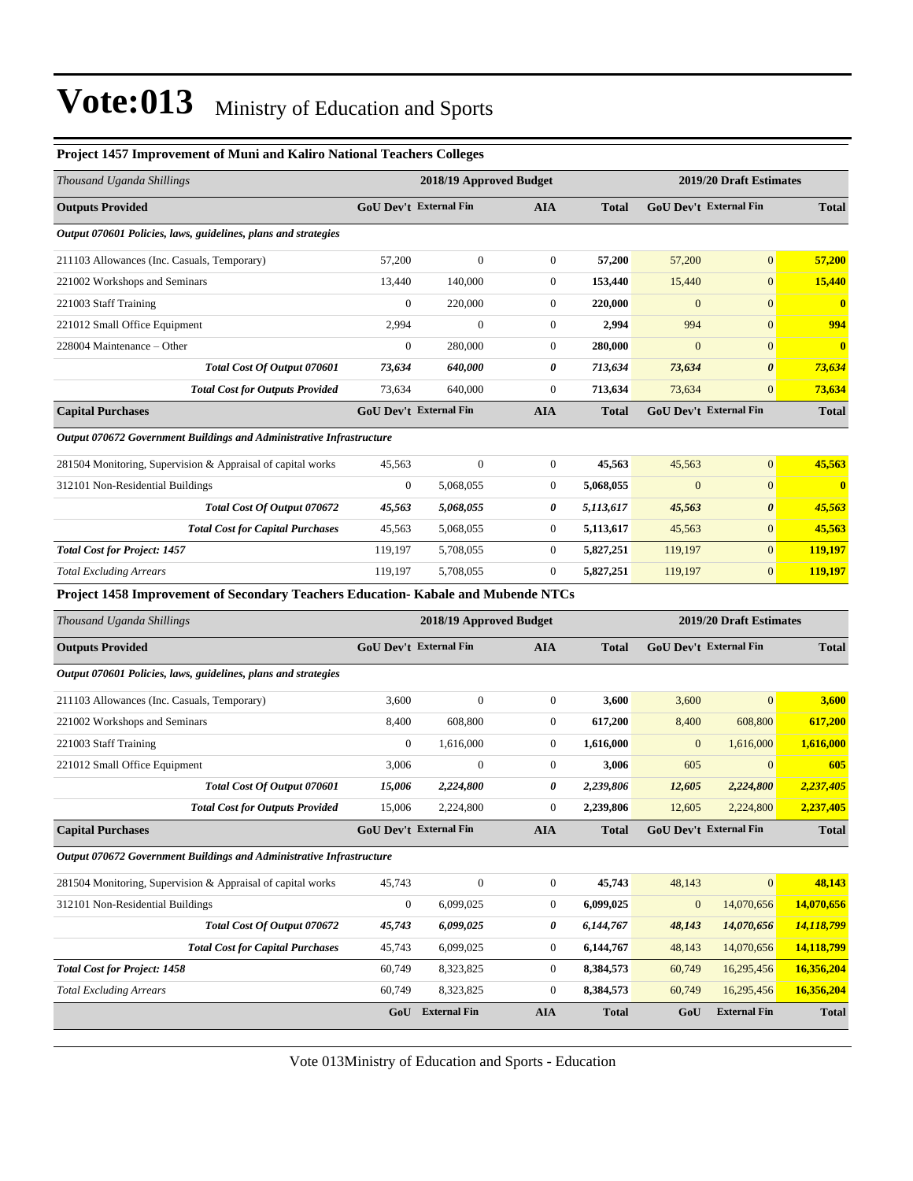| Project 1457 Improvement of Muni and Kaliro National Teachers Colleges           |                                                    |                               |                  |              |                  |                               |                         |
|----------------------------------------------------------------------------------|----------------------------------------------------|-------------------------------|------------------|--------------|------------------|-------------------------------|-------------------------|
| Thousand Uganda Shillings                                                        |                                                    | 2018/19 Approved Budget       |                  |              |                  | 2019/20 Draft Estimates       |                         |
| <b>Outputs Provided</b>                                                          |                                                    | <b>GoU Dev't External Fin</b> | <b>AIA</b>       | <b>Total</b> |                  | GoU Dev't External Fin        | <b>Total</b>            |
| Output 070601 Policies, laws, guidelines, plans and strategies                   |                                                    |                               |                  |              |                  |                               |                         |
| 211103 Allowances (Inc. Casuals, Temporary)                                      | 57,200                                             | $\boldsymbol{0}$              | $\boldsymbol{0}$ | 57,200       | 57,200           | $\overline{0}$                | 57,200                  |
| 221002 Workshops and Seminars                                                    | 13,440                                             | 140,000                       | $\boldsymbol{0}$ | 153,440      | 15,440           | $\overline{0}$                | 15,440                  |
| 221003 Staff Training                                                            | $\boldsymbol{0}$                                   | 220,000                       | $\boldsymbol{0}$ | 220,000      | $\mathbf{0}$     | $\mathbf{0}$                  | $\mathbf{0}$            |
| 221012 Small Office Equipment                                                    | 2,994                                              | $\boldsymbol{0}$              | $\boldsymbol{0}$ | 2,994        | 994              | $\mathbf{0}$                  | 994                     |
| 228004 Maintenance - Other                                                       | $\boldsymbol{0}$                                   | 280,000                       | $\boldsymbol{0}$ | 280,000      | $\mathbf{0}$     | $\boldsymbol{0}$              | $\overline{\mathbf{0}}$ |
| Total Cost Of Output 070601                                                      | 73,634                                             | 640,000                       | 0                | 713,634      | 73,634           | $\boldsymbol{\theta}$         | 73,634                  |
| <b>Total Cost for Outputs Provided</b>                                           | 73,634                                             | 640,000                       | $\boldsymbol{0}$ | 713,634      | 73,634           | $\mathbf{0}$                  | 73,634                  |
| <b>Capital Purchases</b>                                                         |                                                    | <b>GoU Dev't External Fin</b> | <b>AIA</b>       | <b>Total</b> |                  | GoU Dev't External Fin        | <b>Total</b>            |
| Output 070672 Government Buildings and Administrative Infrastructure             |                                                    |                               |                  |              |                  |                               |                         |
| 281504 Monitoring, Supervision & Appraisal of capital works                      | 45,563                                             | $\boldsymbol{0}$              | $\boldsymbol{0}$ | 45,563       | 45,563           | $\boldsymbol{0}$              | 45,563                  |
| 312101 Non-Residential Buildings                                                 | $\boldsymbol{0}$                                   | 5,068,055                     | 0                | 5,068,055    | $\boldsymbol{0}$ | $\mathbf{0}$                  | $\bf{0}$                |
| Total Cost Of Output 070672                                                      | 45,563                                             | 5,068,055                     | 0                | 5,113,617    | 45,563           | 0                             | 45,563                  |
| <b>Total Cost for Capital Purchases</b>                                          | 45,563                                             | 5,068,055                     | $\boldsymbol{0}$ | 5,113,617    | 45,563           | $\overline{0}$                | 45,563                  |
| <b>Total Cost for Project: 1457</b>                                              | 119,197                                            | 5,708,055                     | $\boldsymbol{0}$ | 5,827,251    | 119,197          | $\mathbf{0}$                  | 119,197                 |
| <b>Total Excluding Arrears</b>                                                   | 119,197                                            | 5,708,055                     | $\boldsymbol{0}$ | 5,827,251    | 119,197          | $\mathbf{0}$                  | 119,197                 |
| Project 1458 Improvement of Secondary Teachers Education-Kabale and Mubende NTCs |                                                    |                               |                  |              |                  |                               |                         |
| Thousand Uganda Shillings                                                        | 2018/19 Approved Budget<br>2019/20 Draft Estimates |                               |                  |              |                  |                               |                         |
| <b>Outputs Provided</b>                                                          |                                                    | GoU Dev't External Fin        | <b>AIA</b>       | <b>Total</b> |                  | <b>GoU Dev't External Fin</b> | <b>Total</b>            |
| Output 070601 Policies, laws, guidelines, plans and strategies                   |                                                    |                               |                  |              |                  |                               |                         |
| 211103 Allowances (Inc. Casuals, Temporary)                                      | 3,600                                              | $\boldsymbol{0}$              | $\boldsymbol{0}$ | 3,600        | 3,600            | $\mathbf{0}$                  | 3,600                   |
| 221002 Workshops and Seminars                                                    | 8,400                                              | 608,800                       | $\boldsymbol{0}$ | 617,200      | 8,400            | 608,800                       | 617,200                 |
| 221003 Staff Training                                                            | $\boldsymbol{0}$                                   | 1,616,000                     | $\boldsymbol{0}$ | 1,616,000    | $\mathbf{0}$     | 1,616,000                     | 1,616,000               |
| 221012 Small Office Equipment                                                    | 3,006                                              | 0                             | 0                | 3,006        | 605              | $\mathbf{0}$                  | 605                     |
| Total Cost Of Output 070601                                                      | 15,006                                             | 2,224,800                     | 0                | 2,239,806    | 12,605           | 2,224,800                     | 2,237,405               |
| <b>Total Cost for Outputs Provided</b>                                           | 15,006                                             | 2,224,800                     | $\mathbf{0}$     | 2.239.806    | 12,605           | 2,224,800                     | 2,237,405               |
| <b>Capital Purchases</b>                                                         |                                                    | <b>GoU Dev't External Fin</b> | <b>AIA</b>       | <b>Total</b> |                  | GoU Dev't External Fin        | <b>Total</b>            |
|                                                                                  |                                                    |                               |                  |              |                  |                               |                         |
| Output 070672 Government Buildings and Administrative Infrastructure             |                                                    |                               |                  |              |                  |                               |                         |
| 281504 Monitoring, Supervision & Appraisal of capital works                      | 45,743                                             | $\boldsymbol{0}$              | $\boldsymbol{0}$ | 45,743       | 48,143           | $\mathbf{0}$                  | 48,143                  |
| 312101 Non-Residential Buildings                                                 | $\boldsymbol{0}$                                   | 6,099,025                     | $\boldsymbol{0}$ | 6,099,025    | $\boldsymbol{0}$ | 14,070,656                    | 14,070,656              |
| Total Cost Of Output 070672                                                      | 45,743                                             | 6,099,025                     | 0                | 6,144,767    | 48,143           | 14,070,656                    | 14,118,799              |
| <b>Total Cost for Capital Purchases</b>                                          | 45,743                                             | 6,099,025                     | $\boldsymbol{0}$ | 6,144,767    | 48,143           | 14,070,656                    | 14,118,799              |
| <b>Total Cost for Project: 1458</b>                                              | 60,749                                             | 8,323,825                     | 0                | 8,384,573    | 60,749           | 16,295,456                    | 16,356,204              |
| <b>Total Excluding Arrears</b>                                                   | 60,749                                             | 8,323,825                     | $\boldsymbol{0}$ | 8,384,573    | 60,749           | 16,295,456                    | 16,356,204              |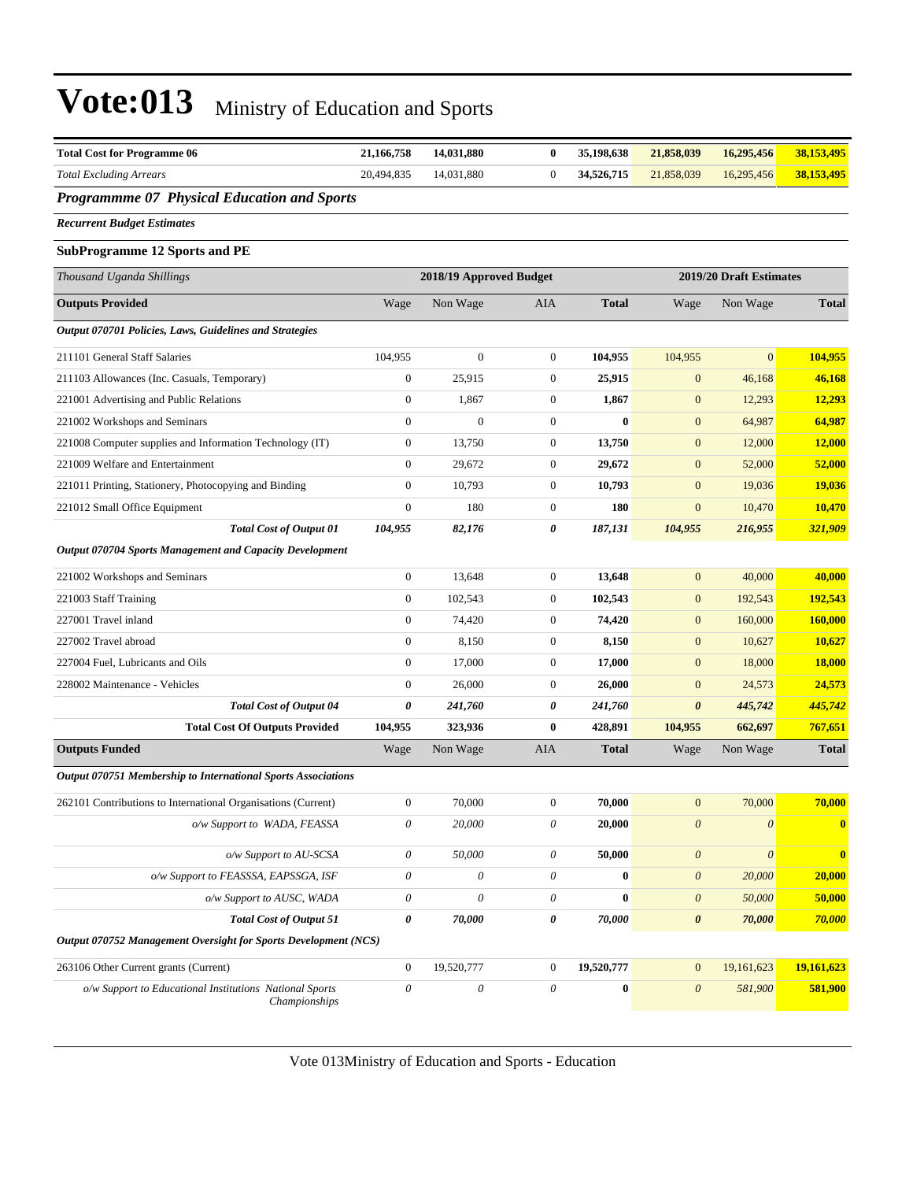| <b>Total Cost for Programme 06</b>                                       | 21,166,758            | 14,031,880                | $\bf{0}$              | 35,198,638   | 21,858,039                | 16,295,456                | 38,153,495     |
|--------------------------------------------------------------------------|-----------------------|---------------------------|-----------------------|--------------|---------------------------|---------------------------|----------------|
| <b>Total Excluding Arrears</b>                                           | 20,494,835            | 14,031,880                | $\boldsymbol{0}$      | 34,526,715   | 21,858,039                | 16,295,456                | 38,153,495     |
| <b>Programmme 07 Physical Education and Sports</b>                       |                       |                           |                       |              |                           |                           |                |
| <b>Recurrent Budget Estimates</b>                                        |                       |                           |                       |              |                           |                           |                |
| <b>SubProgramme 12 Sports and PE</b>                                     |                       |                           |                       |              |                           |                           |                |
| Thousand Uganda Shillings                                                |                       | 2018/19 Approved Budget   |                       |              |                           | 2019/20 Draft Estimates   |                |
| <b>Outputs Provided</b>                                                  | Wage                  | Non Wage                  | AIA                   | <b>Total</b> | Wage                      | Non Wage                  | <b>Total</b>   |
| Output 070701 Policies, Laws, Guidelines and Strategies                  |                       |                           |                       |              |                           |                           |                |
| 211101 General Staff Salaries                                            | 104,955               | $\boldsymbol{0}$          | $\boldsymbol{0}$      | 104,955      | 104,955                   | $\overline{0}$            | 104,955        |
| 211103 Allowances (Inc. Casuals, Temporary)                              | $\boldsymbol{0}$      | 25,915                    | $\boldsymbol{0}$      | 25,915       | $\boldsymbol{0}$          | 46,168                    | 46,168         |
| 221001 Advertising and Public Relations                                  | $\boldsymbol{0}$      | 1,867                     | $\boldsymbol{0}$      | 1,867        | $\boldsymbol{0}$          | 12,293                    | 12,293         |
| 221002 Workshops and Seminars                                            | $\boldsymbol{0}$      | $\boldsymbol{0}$          | $\mathbf{0}$          | $\bf{0}$     | $\mathbf{0}$              | 64,987                    | 64,987         |
| 221008 Computer supplies and Information Technology (IT)                 | $\boldsymbol{0}$      | 13,750                    | $\boldsymbol{0}$      | 13,750       | $\mathbf{0}$              | 12,000                    | <b>12,000</b>  |
| 221009 Welfare and Entertainment                                         | $\boldsymbol{0}$      | 29,672                    | $\boldsymbol{0}$      | 29,672       | $\boldsymbol{0}$          | 52,000                    | 52,000         |
| 221011 Printing, Stationery, Photocopying and Binding                    | $\boldsymbol{0}$      | 10,793                    | $\boldsymbol{0}$      | 10,793       | $\boldsymbol{0}$          | 19,036                    | 19,036         |
| 221012 Small Office Equipment                                            | $\boldsymbol{0}$      | 180                       | $\boldsymbol{0}$      | 180          | $\boldsymbol{0}$          | 10,470                    | 10,470         |
| <b>Total Cost of Output 01</b>                                           | 104,955               | 82,176                    | 0                     | 187,131      | 104,955                   | 216,955                   | 321,909        |
| <b>Output 070704 Sports Management and Capacity Development</b>          |                       |                           |                       |              |                           |                           |                |
| 221002 Workshops and Seminars                                            | $\boldsymbol{0}$      | 13,648                    | $\boldsymbol{0}$      | 13,648       | $\mathbf{0}$              | 40,000                    | 40,000         |
| 221003 Staff Training                                                    | $\boldsymbol{0}$      | 102,543                   | $\boldsymbol{0}$      | 102,543      | $\boldsymbol{0}$          | 192,543                   | 192,543        |
| 227001 Travel inland                                                     | $\boldsymbol{0}$      | 74,420                    | $\boldsymbol{0}$      | 74,420       | $\mathbf{0}$              | 160,000                   | <b>160,000</b> |
| 227002 Travel abroad                                                     | $\boldsymbol{0}$      | 8,150                     | $\boldsymbol{0}$      | 8,150        | $\boldsymbol{0}$          | 10,627                    | 10,627         |
| 227004 Fuel, Lubricants and Oils                                         | $\boldsymbol{0}$      | 17,000                    | $\boldsymbol{0}$      | 17,000       | $\mathbf{0}$              | 18,000                    | 18,000         |
| 228002 Maintenance - Vehicles                                            | $\boldsymbol{0}$      | 26,000                    | $\boldsymbol{0}$      | 26,000       | $\mathbf{0}$              | 24,573                    | 24,573         |
| <b>Total Cost of Output 04</b>                                           | 0                     | 241,760                   | 0                     | 241,760      | $\boldsymbol{\theta}$     | 445,742                   | 445,742        |
| <b>Total Cost Of Outputs Provided</b>                                    | 104,955               | 323,936                   | $\bf{0}$              | 428,891      | 104,955                   | 662,697                   | 767,651        |
| <b>Outputs Funded</b>                                                    | Wage                  | Non Wage                  | AIA                   | <b>Total</b> | Wage                      | Non Wage                  | <b>Total</b>   |
| Output 070751 Membership to International Sports Associations            |                       |                           |                       |              |                           |                           |                |
| 262101 Contributions to International Organisations (Current)            | $\boldsymbol{0}$      | 70,000                    | $\boldsymbol{0}$      | 70,000       | $\boldsymbol{0}$          | 70,000                    | 70,000         |
| o/w Support to WADA, FEASSA                                              | $\theta$              | 20,000                    | $\theta$              | 20,000       | $\boldsymbol{\theta}$     | $\boldsymbol{\mathit{0}}$ | $\bf{0}$       |
| o/w Support to AU-SCSA                                                   | 0                     | 50,000                    | $\boldsymbol{\theta}$ | 50,000       | $\boldsymbol{\theta}$     | $\boldsymbol{\mathit{0}}$ | $\bf{0}$       |
| o/w Support to FEASSSA, EAPSSGA, ISF                                     | 0                     | 0                         | $\theta$              | $\bf{0}$     | $\boldsymbol{\mathit{0}}$ | 20,000                    | 20,000         |
| o/w Support to AUSC, WADA                                                | 0                     | 0                         | $\boldsymbol{\theta}$ | $\bf{0}$     | $\boldsymbol{\theta}$     | 50,000                    | 50,000         |
| <b>Total Cost of Output 51</b>                                           | 0                     | 70,000                    | 0                     | 70,000       | $\boldsymbol{\theta}$     | 70,000                    | 70,000         |
| Output 070752 Management Oversight for Sports Development (NCS)          |                       |                           |                       |              |                           |                           |                |
| 263106 Other Current grants (Current)                                    | $\mathbf{0}$          | 19,520,777                | $\boldsymbol{0}$      | 19,520,777   | $\boldsymbol{0}$          | 19,161,623                | 19,161,623     |
| o/w Support to Educational Institutions National Sports<br>Championships | $\boldsymbol{\theta}$ | $\boldsymbol{\mathit{0}}$ | $\boldsymbol{\theta}$ | $\bf{0}$     | $\boldsymbol{\theta}$     | 581,900                   | 581,900        |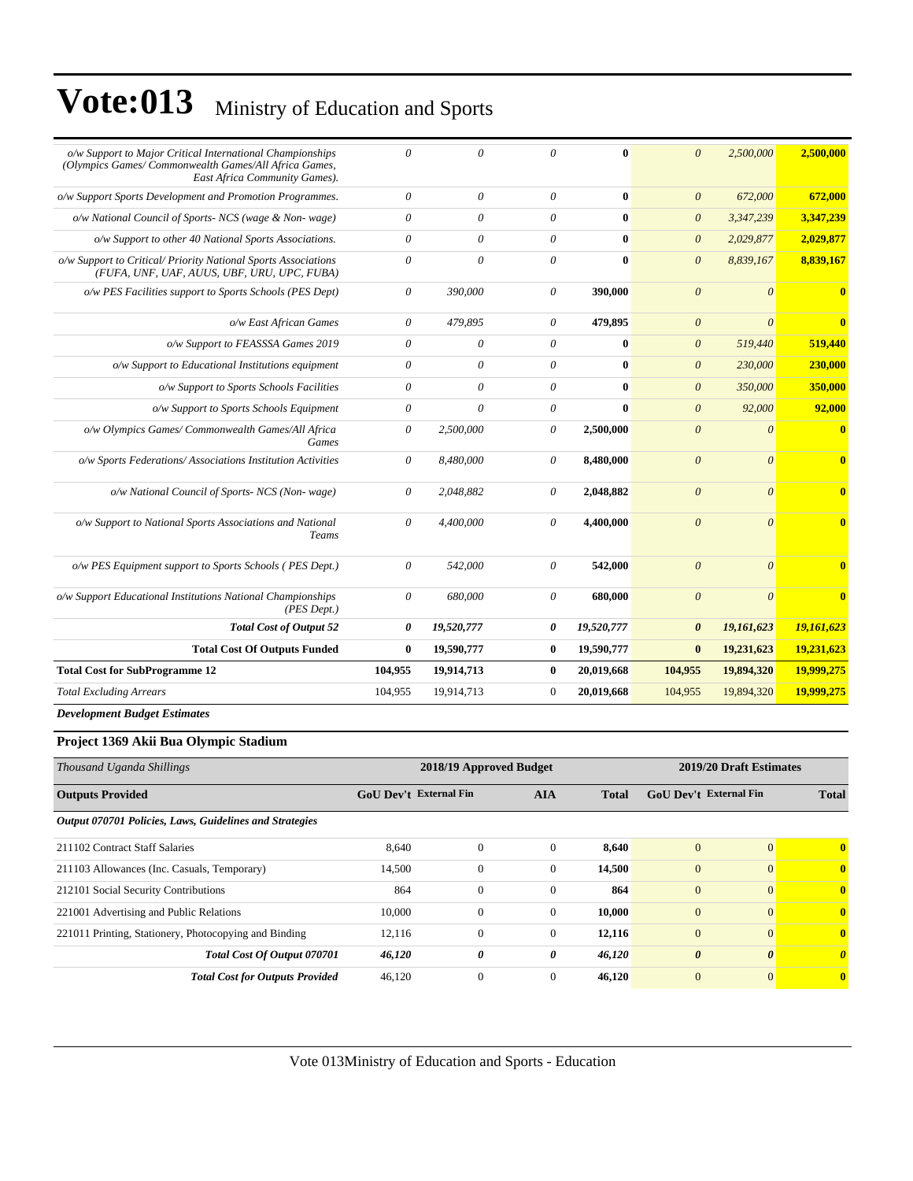| o/w Support to Major Critical International Championships<br>(Olympics Games/Commonwealth Games/All Africa Games,<br>East Africa Community Games). | $\theta$              | $\theta$   | 0              | 0            | $\theta$                | 2,500,000  | 2,500,000               |
|----------------------------------------------------------------------------------------------------------------------------------------------------|-----------------------|------------|----------------|--------------|-------------------------|------------|-------------------------|
| o/w Support Sports Development and Promotion Programmes.                                                                                           | $\boldsymbol{\theta}$ | $\theta$   | $\theta$       | $\bf{0}$     | $\boldsymbol{\theta}$   | 672,000    | 672,000                 |
| o/w National Council of Sports- NCS (wage & Non-wage)                                                                                              | $\theta$              | $\theta$   | $\theta$       | $\mathbf{0}$ | $\theta$                | 3,347,239  | 3,347,239               |
| o/w Support to other 40 National Sports Associations.                                                                                              | $\theta$              | $\theta$   | $\theta$       | $\mathbf{0}$ | $\theta$                | 2,029,877  | 2,029,877               |
| o/w Support to Critical/ Priority National Sports Associations<br>(FUFA, UNF, UAF, AUUS, UBF, URU, UPC, FUBA)                                      | $\theta$              | $\theta$   | $\theta$       | $\bf{0}$     | $\theta$                | 8,839,167  | 8,839,167               |
| o/w PES Facilities support to Sports Schools (PES Dept)                                                                                            | $\theta$              | 390,000    | $\theta$       | 390,000      | $\theta$                | $\theta$   | $\overline{\mathbf{0}}$ |
| o/w East African Games                                                                                                                             | $\theta$              | 479,895    | $\theta$       | 479,895      | $\theta$                | $\theta$   | $\bf{0}$                |
| o/w Support to FEASSSA Games 2019                                                                                                                  | $\theta$              | $\theta$   | $\theta$       | $\bf{0}$     | $\boldsymbol{\theta}$   | 519,440    | 519,440                 |
| o/w Support to Educational Institutions equipment                                                                                                  | $\boldsymbol{\theta}$ | $\theta$   | $\theta$       | $\mathbf{0}$ | $\boldsymbol{\theta}$   | 230,000    | 230,000                 |
| o/w Support to Sports Schools Facilities                                                                                                           | $\theta$              | $\theta$   | $\theta$       | $\mathbf{0}$ | $\theta$                | 350,000    | 350,000                 |
| o/w Support to Sports Schools Equipment                                                                                                            | $\theta$              | $\theta$   | $\theta$       | $\mathbf{0}$ | $\theta$                | 92,000     | 92,000                  |
| o/w Olympics Games/ Commonwealth Games/All Africa<br><b>Games</b>                                                                                  | $\boldsymbol{\theta}$ | 2,500,000  | $\theta$       | 2,500,000    | $\theta$                | $\theta$   | $\bf{0}$                |
| o/w Sports Federations/Associations Institution Activities                                                                                         | $\theta$              | 8,480,000  | $\theta$       | 8,480,000    | $\overline{\mathbf{0}}$ | $\theta$   | $\overline{\mathbf{0}}$ |
| o/w National Council of Sports- NCS (Non-wage)                                                                                                     | $\theta$              | 2,048,882  | $\theta$       | 2,048,882    | $\theta$                | $\theta$   | $\mathbf{0}$            |
| o/w Support to National Sports Associations and National<br>Teams                                                                                  | $\theta$              | 4,400,000  | $\theta$       | 4,400,000    | $\theta$                | $\theta$   | $\mathbf{0}$            |
| o/w PES Equipment support to Sports Schools (PES Dept.)                                                                                            | $\theta$              | 542,000    | $\theta$       | 542,000      | $\theta$                | $\theta$   | $\overline{\mathbf{0}}$ |
| o/w Support Educational Institutions National Championships<br>$(PES\; Dept.)$                                                                     | $\theta$              | 680,000    | $\theta$       | 680,000      | $\overline{\mathbf{0}}$ | $\theta$   | $\mathbf{0}$            |
| <b>Total Cost of Output 52</b>                                                                                                                     | 0                     | 19,520,777 | 0              | 19,520,777   | $\boldsymbol{\theta}$   | 19,161,623 | 19,161,623              |
| <b>Total Cost Of Outputs Funded</b>                                                                                                                | $\bf{0}$              | 19,590,777 | $\bf{0}$       | 19,590,777   | $\bf{0}$                | 19,231,623 | 19,231,623              |
| <b>Total Cost for SubProgramme 12</b>                                                                                                              | 104,955               | 19,914,713 | $\bf{0}$       | 20,019,668   | 104,955                 | 19,894,320 | 19,999,275              |
| <b>Total Excluding Arrears</b>                                                                                                                     | 104,955               | 19,914,713 | $\overline{0}$ | 20,019,668   | 104,955                 | 19,894,320 | 19,999,275              |
| <b>Development Budget Estimates</b>                                                                                                                |                       |            |                |              |                         |            |                         |

#### **Project 1369 Akii Bua Olympic Stadium**

| Thousand Uganda Shillings                               | 2018/19 Approved Budget       | 2019/20 Draft Estimates |              |              |                               |                       |              |
|---------------------------------------------------------|-------------------------------|-------------------------|--------------|--------------|-------------------------------|-----------------------|--------------|
| <b>Outputs Provided</b>                                 | <b>GoU Dev't External Fin</b> |                         | <b>AIA</b>   | <b>Total</b> | <b>GoU Dev't External Fin</b> |                       | <b>Total</b> |
| Output 070701 Policies, Laws, Guidelines and Strategies |                               |                         |              |              |                               |                       |              |
| 211102 Contract Staff Salaries                          | 8,640                         | $\mathbf{0}$            | $\Omega$     | 8,640        | $\mathbf{0}$                  | $\overline{0}$        | $\mathbf{0}$ |
| 211103 Allowances (Inc. Casuals, Temporary)             | 14,500                        | $\boldsymbol{0}$        | $\mathbf{0}$ | 14,500       | $\mathbf{0}$                  | $\overline{0}$        | $\mathbf{0}$ |
| 212101 Social Security Contributions                    | 864                           | $\mathbf{0}$            | $\Omega$     | 864          | $\mathbf{0}$                  | $\overline{0}$        | $\mathbf{0}$ |
| 221001 Advertising and Public Relations                 | 10,000                        | $\boldsymbol{0}$        | $\mathbf{0}$ | 10,000       | $\mathbf{0}$                  | $\overline{0}$        | $\mathbf{0}$ |
| 221011 Printing, Stationery, Photocopying and Binding   | 12,116                        | $\mathbf{0}$            | $\mathbf{0}$ | 12,116       | $\mathbf{0}$                  | $\overline{0}$        | $\mathbf{0}$ |
| Total Cost Of Output 070701                             | 46,120                        | 0                       | 0            | 46,120       | $\boldsymbol{\theta}$         | $\boldsymbol{\theta}$ | $\theta$     |
| <b>Total Cost for Outputs Provided</b>                  | 46,120                        | $\mathbf{0}$            | $\mathbf{0}$ | 46,120       | $\mathbf{0}$                  | $\overline{0}$        | $\mathbf{0}$ |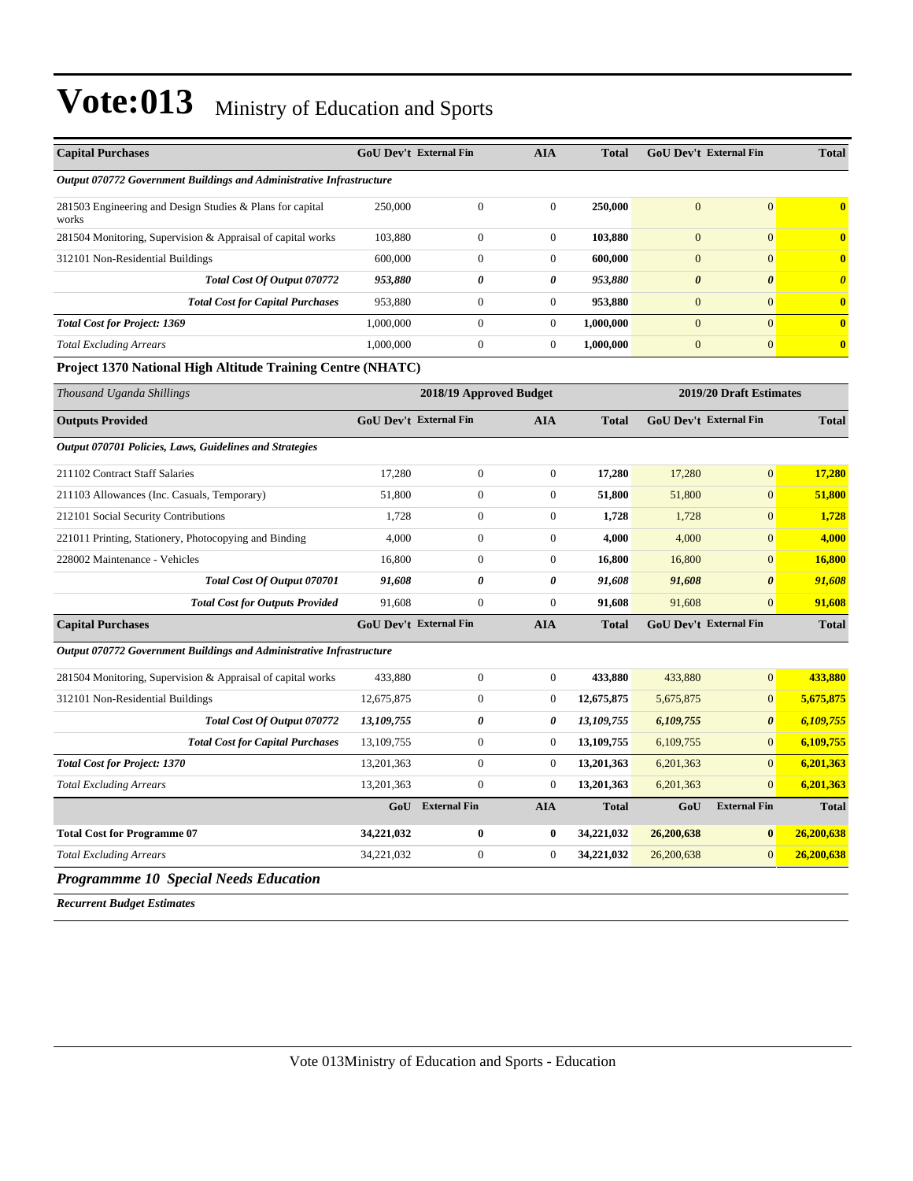| <b>Capital Purchases</b>                                             | GoU Dev't External Fin        |                         | <b>AIA</b>       | <b>Total</b> | GoU Dev't External Fin |                               | <b>Total</b>            |
|----------------------------------------------------------------------|-------------------------------|-------------------------|------------------|--------------|------------------------|-------------------------------|-------------------------|
| Output 070772 Government Buildings and Administrative Infrastructure |                               |                         |                  |              |                        |                               |                         |
| 281503 Engineering and Design Studies & Plans for capital<br>works   | 250,000                       | $\overline{0}$          | $\mathbf{0}$     | 250,000      | $\overline{0}$         | $\overline{0}$                | $\overline{\mathbf{0}}$ |
| 281504 Monitoring, Supervision & Appraisal of capital works          | 103,880                       | $\boldsymbol{0}$        | $\boldsymbol{0}$ | 103,880      | $\mathbf{0}$           | $\overline{0}$                | $\bf{0}$                |
| 312101 Non-Residential Buildings                                     | 600,000                       | $\boldsymbol{0}$        | $\boldsymbol{0}$ | 600,000      | $\mathbf{0}$           | $\overline{0}$                | $\bf{0}$                |
| Total Cost Of Output 070772                                          | 953,880                       | 0                       | 0                | 953,880      | $\boldsymbol{\theta}$  | $\boldsymbol{\theta}$         | $\boldsymbol{\theta}$   |
| <b>Total Cost for Capital Purchases</b>                              | 953.880                       | $\overline{0}$          | $\overline{0}$   | 953,880      | $\overline{0}$         | $\overline{0}$                | $\bf{0}$                |
| <b>Total Cost for Project: 1369</b>                                  | 1,000,000                     | $\boldsymbol{0}$        | $\boldsymbol{0}$ | 1,000,000    | $\overline{0}$         | $\overline{0}$                | $\bf{0}$                |
| <b>Total Excluding Arrears</b>                                       | 1,000,000                     | $\boldsymbol{0}$        | $\overline{0}$   | 1,000,000    | $\overline{0}$         | $\overline{0}$                | $\bf{0}$                |
| <b>Project 1370 National High Altitude Training Centre (NHATC)</b>   |                               |                         |                  |              |                        |                               |                         |
| Thousand Uganda Shillings                                            |                               | 2018/19 Approved Budget |                  |              |                        | 2019/20 Draft Estimates       |                         |
| <b>Outputs Provided</b>                                              | <b>GoU Dev't External Fin</b> |                         | <b>AIA</b>       | <b>Total</b> |                        | <b>GoU Dev't External Fin</b> | <b>Total</b>            |
| Output 070701 Policies, Laws, Guidelines and Strategies              |                               |                         |                  |              |                        |                               |                         |
| 211102 Contract Staff Salaries                                       | 17,280                        | $\boldsymbol{0}$        | $\boldsymbol{0}$ | 17,280       | 17,280                 | $\overline{0}$                | 17,280                  |
| 211103 Allowances (Inc. Casuals, Temporary)                          | 51,800                        | $\boldsymbol{0}$        | $\boldsymbol{0}$ | 51,800       | 51,800                 | $\mathbf{0}$                  | 51,800                  |
| 212101 Social Security Contributions                                 | 1,728                         | $\boldsymbol{0}$        | $\mathbf{0}$     | 1,728        | 1,728                  | $\overline{0}$                | 1,728                   |
| 221011 Printing, Stationery, Photocopying and Binding                | 4,000                         | $\boldsymbol{0}$        | $\boldsymbol{0}$ | 4,000        | 4,000                  | $\overline{0}$                | 4,000                   |
| 228002 Maintenance - Vehicles                                        | 16,800                        | $\overline{0}$          | $\overline{0}$   | 16,800       | 16,800                 | $\overline{0}$                | 16,800                  |
| Total Cost Of Output 070701                                          | 91,608                        | $\theta$                | 0                | 91,608       | 91,608                 | $\boldsymbol{\theta}$         | 91,608                  |
| <b>Total Cost for Outputs Provided</b>                               | 91,608                        | $\Omega$                | $\boldsymbol{0}$ | 91,608       | 91,608                 | $\Omega$                      | 91,608                  |
| <b>Capital Purchases</b>                                             | <b>GoU Dev't External Fin</b> |                         | <b>AIA</b>       | <b>Total</b> |                        | <b>GoU Dev't External Fin</b> | <b>Total</b>            |
| Output 070772 Government Buildings and Administrative Infrastructure |                               |                         |                  |              |                        |                               |                         |
| 281504 Monitoring, Supervision & Appraisal of capital works          | 433,880                       | $\boldsymbol{0}$        | $\boldsymbol{0}$ | 433,880      | 433,880                | $\overline{0}$                | 433,880                 |
| 312101 Non-Residential Buildings                                     | 12,675,875                    | $\boldsymbol{0}$        | $\boldsymbol{0}$ | 12,675,875   | 5,675,875              | $\overline{0}$                | 5,675,875               |
| Total Cost Of Output 070772                                          | 13,109,755                    | 0                       | 0                | 13,109,755   | 6,109,755              | $\boldsymbol{\theta}$         | 6,109,755               |
| <b>Total Cost for Capital Purchases</b>                              | 13,109,755                    | $\overline{0}$          | $\mathbf{0}$     | 13,109,755   | 6,109,755              | $\overline{0}$                | 6,109,755               |
| <b>Total Cost for Project: 1370</b>                                  | 13,201,363                    | $\boldsymbol{0}$        | $\boldsymbol{0}$ | 13,201,363   | 6,201,363              | $\overline{0}$                | 6,201,363               |
| <b>Total Excluding Arrears</b>                                       | 13,201,363                    | $\overline{0}$          | $\overline{0}$   | 13,201,363   | 6,201,363              | $\overline{0}$                | 6,201,363               |
|                                                                      | GoU                           | <b>External Fin</b>     | <b>AIA</b>       | <b>Total</b> | GoU                    | <b>External Fin</b>           | <b>Total</b>            |
| <b>Total Cost for Programme 07</b>                                   | 34,221,032                    | $\bf{0}$                | 0                | 34,221,032   | 26,200,638             | $\bf{0}$                      | 26,200,638              |
| <b>Total Excluding Arrears</b>                                       | 34,221,032                    | $\boldsymbol{0}$        | $\boldsymbol{0}$ | 34,221,032   | 26,200,638             | $\overline{0}$                | 26,200,638              |
| <b>Programmme 10 Special Needs Education</b>                         |                               |                         |                  |              |                        |                               |                         |

*Recurrent Budget Estimates*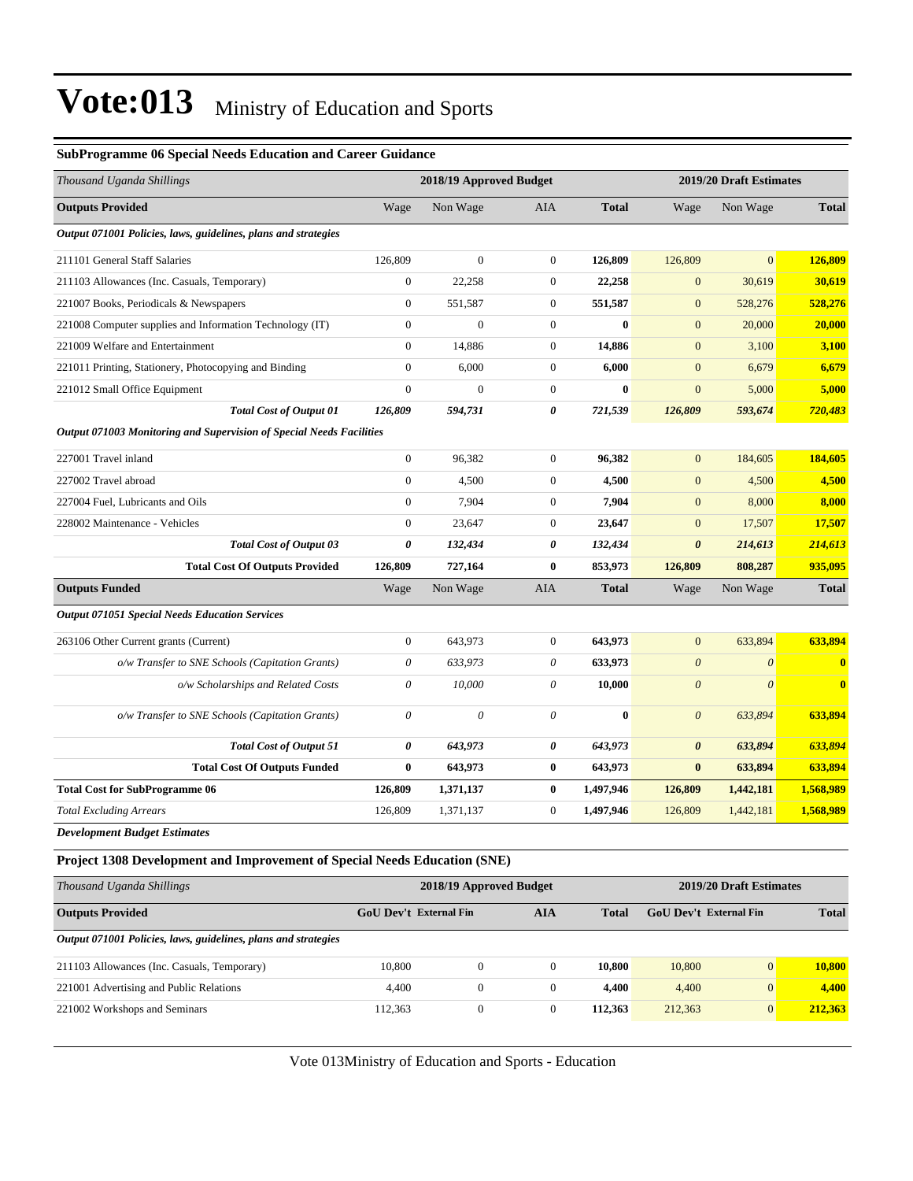*Output 071001 Policies, laws, guidelines, plans and strategies*

| <b>SubProgramme 06 Special Needs Education and Career Guidance</b>               |                               |                         |                       |              |                               |                           |              |
|----------------------------------------------------------------------------------|-------------------------------|-------------------------|-----------------------|--------------|-------------------------------|---------------------------|--------------|
| Thousand Uganda Shillings                                                        |                               | 2018/19 Approved Budget |                       |              |                               | 2019/20 Draft Estimates   |              |
| <b>Outputs Provided</b>                                                          | Wage                          | Non Wage                | <b>AIA</b>            | <b>Total</b> | Wage                          | Non Wage                  | <b>Total</b> |
| Output 071001 Policies, laws, guidelines, plans and strategies                   |                               |                         |                       |              |                               |                           |              |
| 211101 General Staff Salaries                                                    | 126,809                       | $\mathbf{0}$            | $\boldsymbol{0}$      | 126,809      | 126,809                       | $\overline{0}$            | 126,809      |
| 211103 Allowances (Inc. Casuals, Temporary)                                      | $\boldsymbol{0}$              | 22,258                  | $\mathbf{0}$          | 22,258       | $\overline{0}$                | 30,619                    | 30,619       |
| 221007 Books, Periodicals & Newspapers                                           | $\boldsymbol{0}$              | 551,587                 | $\boldsymbol{0}$      | 551,587      | $\boldsymbol{0}$              | 528,276                   | 528,276      |
| 221008 Computer supplies and Information Technology (IT)                         | $\boldsymbol{0}$              | $\boldsymbol{0}$        | $\mathbf{0}$          | $\bf{0}$     | $\mathbf{0}$                  | 20,000                    | 20,000       |
| 221009 Welfare and Entertainment                                                 | $\boldsymbol{0}$              | 14,886                  | $\mathbf{0}$          | 14,886       | $\mathbf{0}$                  | 3,100                     | 3,100        |
| 221011 Printing, Stationery, Photocopying and Binding                            | $\boldsymbol{0}$              | 6,000                   | $\mathbf{0}$          | 6,000        | $\mathbf{0}$                  | 6,679                     | 6,679        |
| 221012 Small Office Equipment                                                    | $\boldsymbol{0}$              | $\boldsymbol{0}$        | $\mathbf{0}$          | $\bf{0}$     | $\mathbf{0}$                  | 5,000                     | 5,000        |
| <b>Total Cost of Output 01</b>                                                   | 126,809                       | 594,731                 | 0                     | 721,539      | 126,809                       | 593,674                   | 720,483      |
| Output 071003 Monitoring and Supervision of Special Needs Facilities             |                               |                         |                       |              |                               |                           |              |
| 227001 Travel inland                                                             | $\boldsymbol{0}$              | 96,382                  | $\mathbf{0}$          | 96,382       | $\mathbf{0}$                  | 184,605                   | 184,605      |
| 227002 Travel abroad                                                             | $\boldsymbol{0}$              | 4,500                   | $\boldsymbol{0}$      | 4,500        | $\mathbf{0}$                  | 4,500                     | 4,500        |
| 227004 Fuel, Lubricants and Oils                                                 | $\boldsymbol{0}$              | 7,904                   | $\mathbf{0}$          | 7,904        | $\mathbf{0}$                  | 8,000                     | 8,000        |
| 228002 Maintenance - Vehicles                                                    | $\boldsymbol{0}$              | 23,647                  | $\mathbf{0}$          | 23,647       | $\mathbf{0}$                  | 17,507                    | 17,507       |
| Total Cost of Output 03                                                          | 0                             | 132,434                 | $\boldsymbol{\theta}$ | 132,434      | $\boldsymbol{\theta}$         | 214,613                   | 214,613      |
| <b>Total Cost Of Outputs Provided</b>                                            | 126,809                       | 727,164                 | $\bf{0}$              | 853,973      | 126,809                       | 808,287                   | 935,095      |
| <b>Outputs Funded</b>                                                            | Wage                          | Non Wage                | AIA                   | <b>Total</b> | Wage                          | Non Wage                  | <b>Total</b> |
| <b>Output 071051 Special Needs Education Services</b>                            |                               |                         |                       |              |                               |                           |              |
| 263106 Other Current grants (Current)                                            | $\boldsymbol{0}$              | 643,973                 | $\boldsymbol{0}$      | 643,973      | $\overline{0}$                | 633,894                   | 633,894      |
| o/w Transfer to SNE Schools (Capitation Grants)                                  | 0                             | 633,973                 | $\theta$              | 633,973      | $\theta$                      | $\boldsymbol{\mathit{0}}$ | $\bf{0}$     |
| o/w Scholarships and Related Costs                                               | $\theta$                      | 10,000                  | 0                     | 10,000       | $\boldsymbol{\theta}$         | $\boldsymbol{\theta}$     | $\bf{0}$     |
| o/w Transfer to SNE Schools (Capitation Grants)                                  | 0                             | $\theta$                | 0                     | $\bf{0}$     | $\boldsymbol{\theta}$         | 633,894                   | 633,894      |
| <b>Total Cost of Output 51</b>                                                   | 0                             | 643,973                 | 0                     | 643,973      | $\boldsymbol{\theta}$         | 633,894                   | 633,894      |
| <b>Total Cost Of Outputs Funded</b>                                              | $\boldsymbol{0}$              | 643,973                 | $\bf{0}$              | 643,973      | $\bf{0}$                      | 633,894                   | 633,894      |
| <b>Total Cost for SubProgramme 06</b>                                            | 126,809                       | 1,371,137               | $\bf{0}$              | 1,497,946    | 126,809                       | 1,442,181                 | 1,568,989    |
| <b>Total Excluding Arrears</b>                                                   | 126,809                       | 1,371,137               | $\boldsymbol{0}$      | 1,497,946    | 126,809                       | 1,442,181                 | 1,568,989    |
| <b>Development Budget Estimates</b>                                              |                               |                         |                       |              |                               |                           |              |
| <b>Project 1308 Development and Improvement of Special Needs Education (SNE)</b> |                               |                         |                       |              |                               |                           |              |
| Thousand Uganda Shillings                                                        |                               | 2018/19 Approved Budget |                       |              |                               | 2019/20 Draft Estimates   |              |
| <b>Outputs Provided</b>                                                          | <b>GoU Dev't External Fin</b> |                         | <b>AIA</b>            | <b>Total</b> | <b>GoU Dev't External Fin</b> |                           | <b>Total</b> |

Vote 013Ministry of Education and Sports - Education

211103 Allowances (Inc. Casuals, Temporary) 10,800 0 0 **10,800** 10,800 0 **10,800** 221001 Advertising and Public Relations 4,400 0 0 **4,400** 4,400 0 **4,400** 221002 Workshops and Seminars 112,363 0 0 **112,363** 212,363 0 **212,363**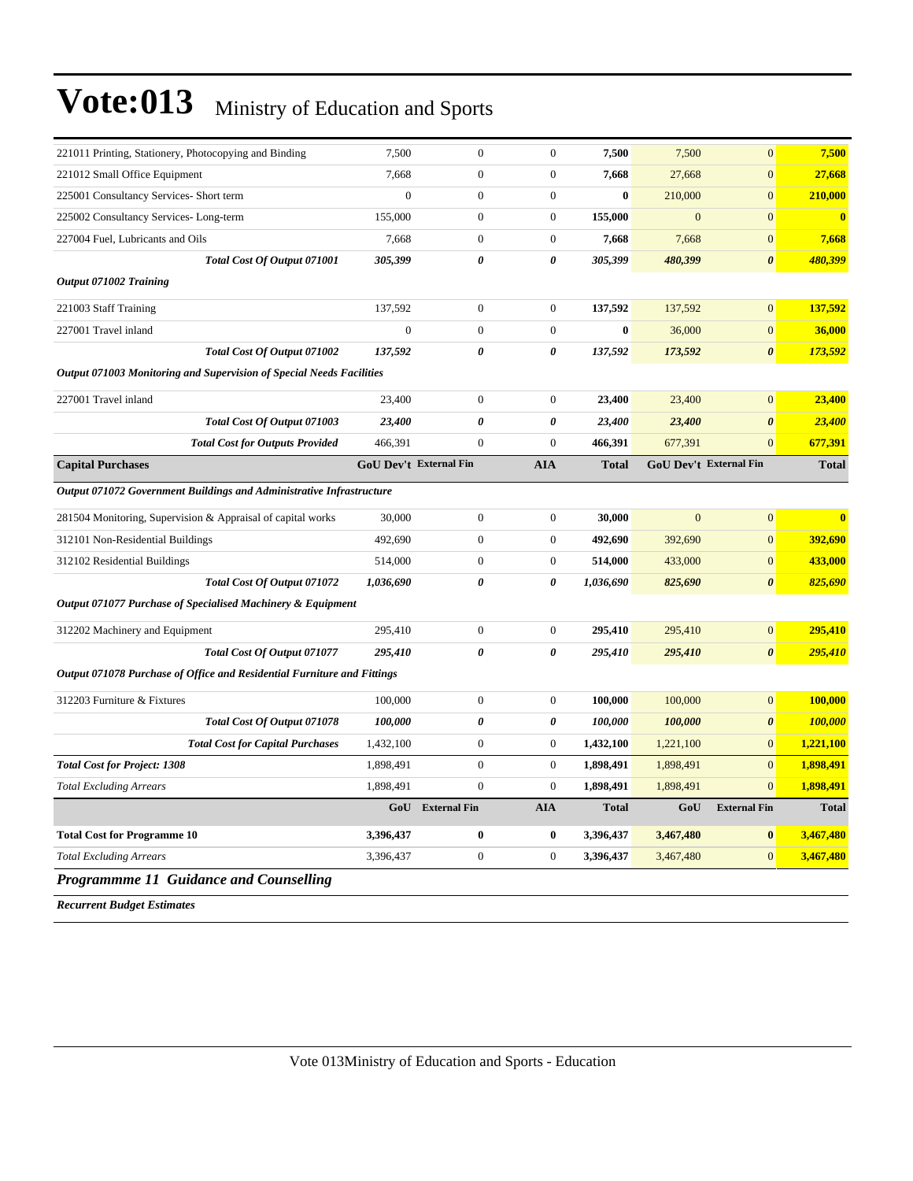| 221011 Printing, Stationery, Photocopying and Binding                   | 7,500                         | $\mathbf{0}$          | $\overline{0}$   | 7,500        | 7,500          | $\overline{0}$                | 7,500        |
|-------------------------------------------------------------------------|-------------------------------|-----------------------|------------------|--------------|----------------|-------------------------------|--------------|
| 221012 Small Office Equipment                                           | 7,668                         | $\mathbf{0}$          | $\boldsymbol{0}$ | 7,668        | 27,668         | $\overline{0}$                | 27,668       |
| 225001 Consultancy Services- Short term                                 | $\overline{0}$                | $\mathbf{0}$          | $\boldsymbol{0}$ | $\bf{0}$     | 210,000        | $\overline{0}$                | 210,000      |
| 225002 Consultancy Services-Long-term                                   | 155,000                       | $\overline{0}$        | $\overline{0}$   | 155,000      | $\mathbf{0}$   | $\overline{0}$                | $\mathbf{0}$ |
| 227004 Fuel, Lubricants and Oils                                        | 7,668                         | $\boldsymbol{0}$      | $\boldsymbol{0}$ | 7,668        | 7,668          | $\mathbf{0}$                  | 7,668        |
| Total Cost Of Output 071001                                             | 305,399                       | 0                     | 0                | 305,399      | 480,399        | $\boldsymbol{\theta}$         | 480,399      |
| Output 071002 Training                                                  |                               |                       |                  |              |                |                               |              |
| 221003 Staff Training                                                   | 137,592                       | $\overline{0}$        | $\overline{0}$   | 137,592      | 137,592        | $\overline{0}$                | 137,592      |
| 227001 Travel inland                                                    | $\overline{0}$                | $\boldsymbol{0}$      | $\boldsymbol{0}$ | $\bf{0}$     | 36,000         | $\mathbf{0}$                  | 36,000       |
| Total Cost Of Output 071002                                             | 137,592                       | $\boldsymbol{\theta}$ | $\theta$         | 137,592      | 173,592        | $\boldsymbol{\theta}$         | 173,592      |
| Output 071003 Monitoring and Supervision of Special Needs Facilities    |                               |                       |                  |              |                |                               |              |
| 227001 Travel inland                                                    | 23,400                        | $\overline{0}$        | $\overline{0}$   | 23,400       | 23,400         | $\overline{0}$                | 23,400       |
| Total Cost Of Output 071003                                             | 23,400                        | 0                     | 0                | 23,400       | 23,400         | $\boldsymbol{\theta}$         | 23,400       |
| <b>Total Cost for Outputs Provided</b>                                  | 466,391                       | $\boldsymbol{0}$      | $\boldsymbol{0}$ | 466,391      | 677,391        | $\overline{0}$                | 677,391      |
| <b>Capital Purchases</b>                                                | <b>GoU Dev't External Fin</b> |                       | <b>AIA</b>       | <b>Total</b> |                | <b>GoU Dev't External Fin</b> | <b>Total</b> |
| Output 071072 Government Buildings and Administrative Infrastructure    |                               |                       |                  |              |                |                               |              |
| 281504 Monitoring, Supervision & Appraisal of capital works             | 30,000                        | $\overline{0}$        | $\overline{0}$   | 30,000       | $\overline{0}$ | $\overline{0}$                | $\bf{0}$     |
| 312101 Non-Residential Buildings                                        | 492,690                       | $\boldsymbol{0}$      | $\boldsymbol{0}$ | 492,690      | 392,690        | $\mathbf{0}$                  | 392,690      |
| 312102 Residential Buildings                                            | 514,000                       | $\boldsymbol{0}$      | $\boldsymbol{0}$ | 514,000      | 433,000        | $\overline{0}$                | 433,000      |
| Total Cost Of Output 071072                                             | 1,036,690                     | 0                     | 0                | 1,036,690    | 825,690        | $\boldsymbol{\theta}$         | 825,690      |
| Output 071077 Purchase of Specialised Machinery & Equipment             |                               |                       |                  |              |                |                               |              |
| 312202 Machinery and Equipment                                          | 295,410                       | $\overline{0}$        | $\boldsymbol{0}$ | 295,410      | 295,410        | $\overline{0}$                | 295,410      |
| Total Cost Of Output 071077                                             | 295,410                       | 0                     | 0                | 295,410      | 295,410        | $\boldsymbol{\theta}$         | 295,410      |
| Output 071078 Purchase of Office and Residential Furniture and Fittings |                               |                       |                  |              |                |                               |              |
| 312203 Furniture & Fixtures                                             | 100,000                       | $\boldsymbol{0}$      | $\boldsymbol{0}$ | 100,000      | 100,000        | $\overline{0}$                | 100,000      |
| Total Cost Of Output 071078                                             | 100,000                       | 0                     | 0                | 100,000      | 100,000        | $\boldsymbol{\theta}$         | 100,000      |
| <b>Total Cost for Capital Purchases</b>                                 | 1,432,100                     | $\boldsymbol{0}$      | $\boldsymbol{0}$ | 1,432,100    | 1,221,100      | $\boldsymbol{0}$              | 1,221,100    |
| <b>Total Cost for Project: 1308</b>                                     | 1,898,491                     | $\boldsymbol{0}$      | $\boldsymbol{0}$ | 1,898,491    | 1,898,491      | $\mathbf{0}$                  | 1,898,491    |
| <b>Total Excluding Arrears</b>                                          | 1,898,491                     | $\mathbf{0}$          | $\overline{0}$   | 1,898,491    | 1,898,491      | $\overline{0}$                | 1,898,491    |
|                                                                         | GoU                           | <b>External Fin</b>   | <b>AIA</b>       | <b>Total</b> | GoU            | <b>External Fin</b>           | <b>Total</b> |
| <b>Total Cost for Programme 10</b>                                      | 3,396,437                     | 0                     | 0                | 3,396,437    | 3,467,480      | $\bf{0}$                      | 3,467,480    |
| <b>Total Excluding Arrears</b>                                          | 3,396,437                     | $\boldsymbol{0}$      | $\boldsymbol{0}$ | 3,396,437    | 3,467,480      | $\mathbf{0}$                  | 3,467,480    |
| Programmme 11 Guidance and Counselling                                  |                               |                       |                  |              |                |                               |              |

*Recurrent Budget Estimates*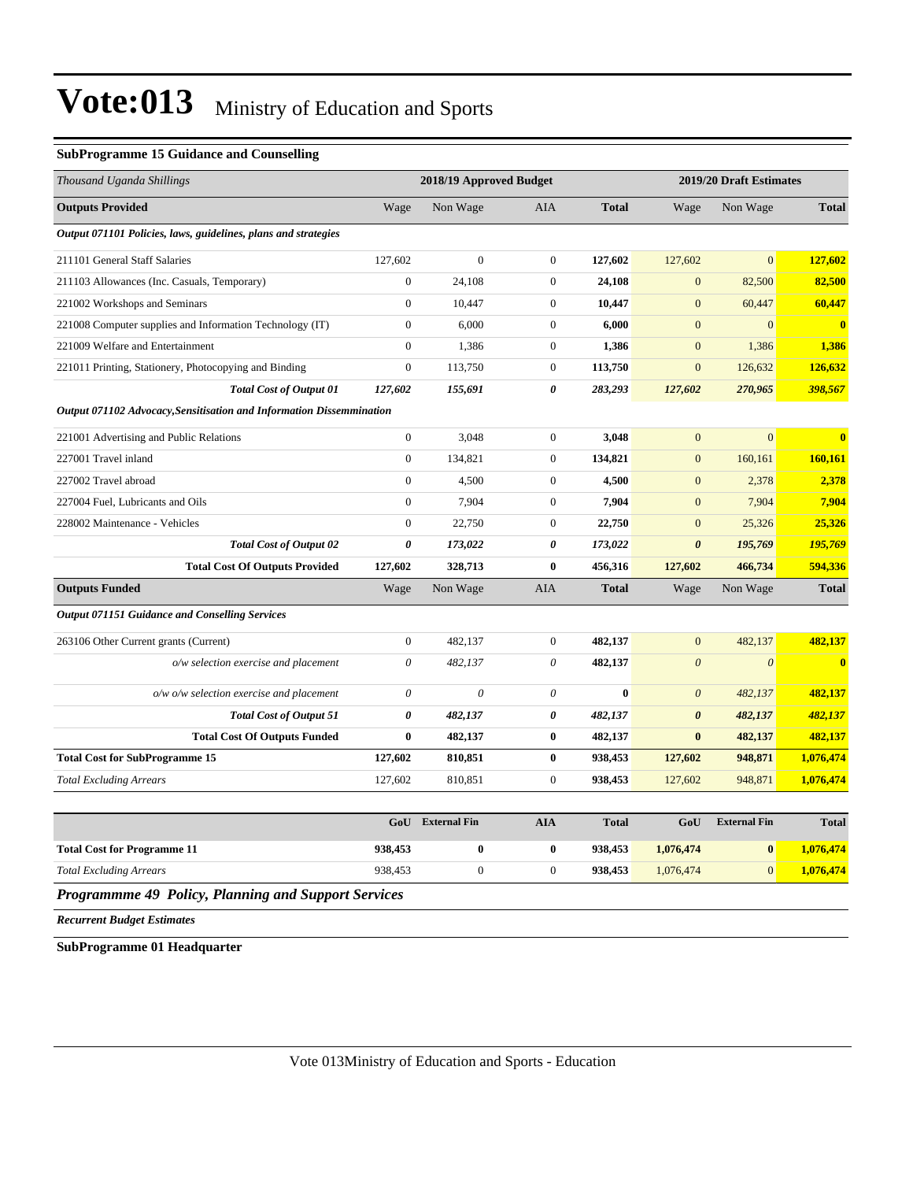#### **SubProgramme 15 Guidance and Counselling**

| Thousand Uganda Shillings                                            |                       | 2018/19 Approved Budget |                       |              |                       | 2019/20 Draft Estimates   |              |  |
|----------------------------------------------------------------------|-----------------------|-------------------------|-----------------------|--------------|-----------------------|---------------------------|--------------|--|
| <b>Outputs Provided</b>                                              | Wage                  | Non Wage                | <b>AIA</b>            | <b>Total</b> | Wage                  | Non Wage                  | <b>Total</b> |  |
| Output 071101 Policies, laws, guidelines, plans and strategies       |                       |                         |                       |              |                       |                           |              |  |
| 211101 General Staff Salaries                                        | 127,602               | $\mathbf{0}$            | $\mathbf{0}$          | 127,602      | 127,602               | $\overline{0}$            | 127,602      |  |
| 211103 Allowances (Inc. Casuals, Temporary)                          | $\boldsymbol{0}$      | 24,108                  | $\boldsymbol{0}$      | 24,108       | $\boldsymbol{0}$      | 82,500                    | 82,500       |  |
| 221002 Workshops and Seminars                                        | $\boldsymbol{0}$      | 10,447                  | $\mathbf{0}$          | 10,447       | $\boldsymbol{0}$      | 60,447                    | 60,447       |  |
| 221008 Computer supplies and Information Technology (IT)             | $\boldsymbol{0}$      | 6,000                   | $\mathbf{0}$          | 6,000        | $\overline{0}$        | $\overline{0}$            | $\mathbf{0}$ |  |
| 221009 Welfare and Entertainment                                     | $\overline{0}$        | 1,386                   | $\mathbf{0}$          | 1,386        | $\boldsymbol{0}$      | 1,386                     | 1,386        |  |
| 221011 Printing, Stationery, Photocopying and Binding                | $\boldsymbol{0}$      | 113,750                 | $\boldsymbol{0}$      | 113,750      | $\boldsymbol{0}$      | 126,632                   | 126,632      |  |
| <b>Total Cost of Output 01</b>                                       | 127,602               | 155,691                 | $\boldsymbol{\theta}$ | 283,293      | 127,602               | 270,965                   | 398,567      |  |
| Output 071102 Advocacy, Sensitisation and Information Dissemmination |                       |                         |                       |              |                       |                           |              |  |
| 221001 Advertising and Public Relations                              | $\boldsymbol{0}$      | 3,048                   | $\boldsymbol{0}$      | 3,048        | $\boldsymbol{0}$      | $\mathbf{0}$              | $\mathbf{0}$ |  |
| 227001 Travel inland                                                 | $\boldsymbol{0}$      | 134,821                 | $\boldsymbol{0}$      | 134,821      | $\mathbf{0}$          | 160,161                   | 160,161      |  |
| 227002 Travel abroad                                                 | $\boldsymbol{0}$      | 4,500                   | $\mathbf{0}$          | 4,500        | $\boldsymbol{0}$      | 2,378                     | 2,378        |  |
| 227004 Fuel, Lubricants and Oils                                     | $\boldsymbol{0}$      | 7,904                   | $\mathbf{0}$          | 7,904        | $\mathbf{0}$          | 7,904                     | 7,904        |  |
| 228002 Maintenance - Vehicles                                        | $\mathbf{0}$          | 22,750                  | $\mathbf{0}$          | 22,750       | $\overline{0}$        | 25,326                    | 25,326       |  |
| <b>Total Cost of Output 02</b>                                       | 0                     | 173,022                 | 0                     | 173,022      | $\boldsymbol{\theta}$ | 195,769                   | 195,769      |  |
| <b>Total Cost Of Outputs Provided</b>                                | 127,602               | 328,713                 | $\bf{0}$              | 456,316      | 127,602               | 466,734                   | 594,336      |  |
| <b>Outputs Funded</b>                                                | Wage                  | Non Wage                | AIA                   | <b>Total</b> | Wage                  | Non Wage                  | <b>Total</b> |  |
| <b>Output 071151 Guidance and Conselling Services</b>                |                       |                         |                       |              |                       |                           |              |  |
| 263106 Other Current grants (Current)                                | $\overline{0}$        | 482,137                 | $\mathbf{0}$          | 482,137      | $\boldsymbol{0}$      | 482,137                   | 482,137      |  |
| o/w selection exercise and placement                                 | $\boldsymbol{\theta}$ | 482,137                 | $\theta$              | 482,137      | $\boldsymbol{\theta}$ | $\boldsymbol{\mathit{0}}$ | $\mathbf{0}$ |  |
| o/w o/w selection exercise and placement                             | $\boldsymbol{\theta}$ | $\theta$                | $\theta$              | $\bf{0}$     | $\boldsymbol{\theta}$ | 482,137                   | 482,137      |  |
| <b>Total Cost of Output 51</b>                                       | 0                     | 482,137                 | 0                     | 482,137      | 0                     | 482,137                   | 482,137      |  |
| <b>Total Cost Of Outputs Funded</b>                                  | $\bf{0}$              | 482,137                 | $\bf{0}$              | 482,137      | $\bf{0}$              | 482,137                   | 482,137      |  |
| <b>Total Cost for SubProgramme 15</b>                                | 127,602               | 810,851                 | $\bf{0}$              | 938,453      | 127,602               | 948,871                   | 1,076,474    |  |
| <b>Total Excluding Arrears</b>                                       | 127,602               | 810,851                 | $\overline{0}$        | 938,453      | 127,602               | 948,871                   | 1,076,474    |  |
|                                                                      |                       |                         |                       |              |                       |                           |              |  |
|                                                                      | GoU                   | <b>External Fin</b>     | <b>AIA</b>            | <b>Total</b> | GoU                   | <b>External Fin</b>       | <b>Total</b> |  |
| <b>Total Cost for Programme 11</b>                                   | 938,453               | $\bf{0}$                | $\mathbf{0}$          | 938,453      | 1.076.474             | $\bf{0}$                  | 1,076,474    |  |

*Programmme 49 Policy, Planning and Support Services*

*Recurrent Budget Estimates*

**SubProgramme 01 Headquarter**

*Total Excluding Arrears* 938,453 0 0 **938,453** 1,076,474 0 **1,076,474**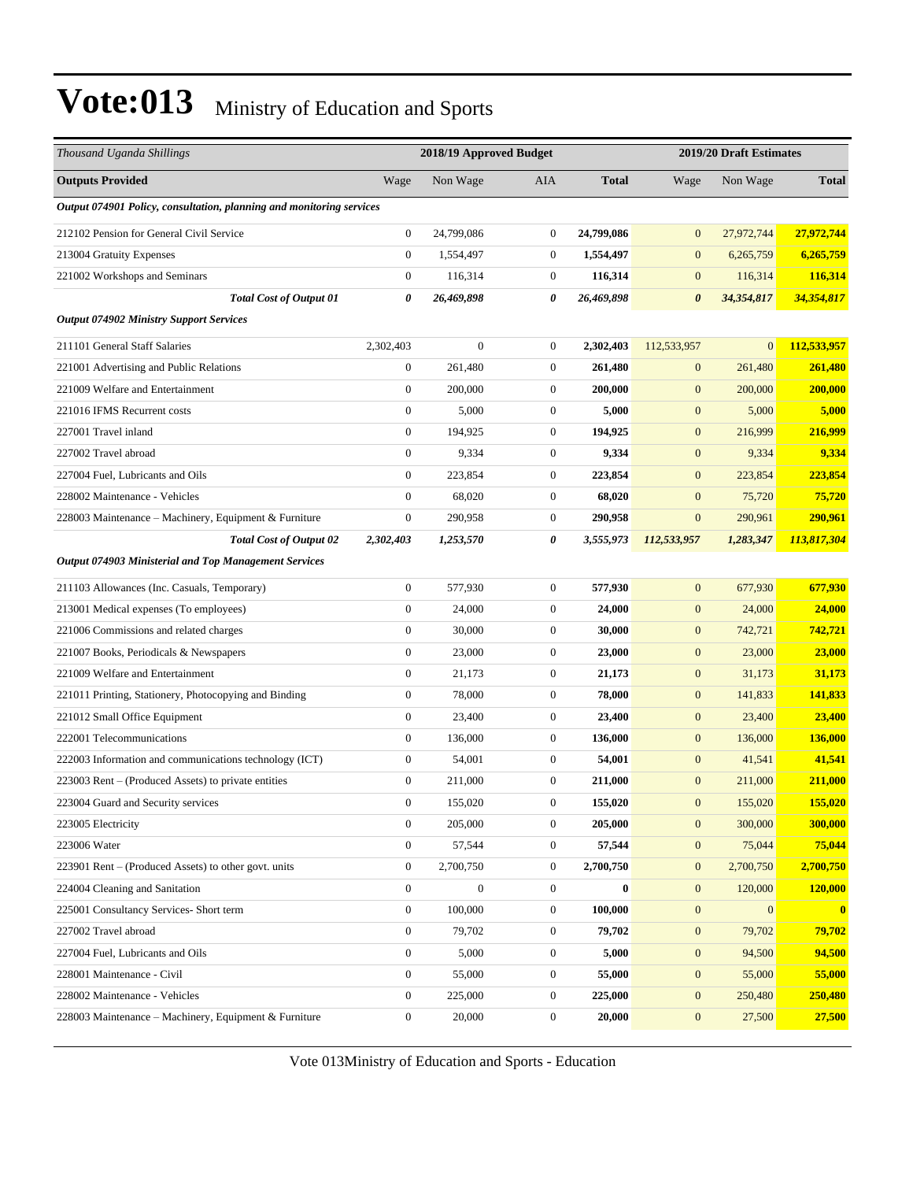| Thousand Uganda Shillings                                            |                  | 2018/19 Approved Budget |                  |              | 2019/20 Draft Estimates |                |              |
|----------------------------------------------------------------------|------------------|-------------------------|------------------|--------------|-------------------------|----------------|--------------|
| <b>Outputs Provided</b>                                              | Wage             | Non Wage                | <b>AIA</b>       | <b>Total</b> | Wage                    | Non Wage       | <b>Total</b> |
| Output 074901 Policy, consultation, planning and monitoring services |                  |                         |                  |              |                         |                |              |
| 212102 Pension for General Civil Service                             | $\boldsymbol{0}$ | 24,799,086              | $\mathbf{0}$     | 24,799,086   | $\mathbf{0}$            | 27,972,744     | 27,972,744   |
| 213004 Gratuity Expenses                                             | $\boldsymbol{0}$ | 1,554,497               | $\mathbf{0}$     | 1,554,497    | $\mathbf{0}$            | 6,265,759      | 6,265,759    |
| 221002 Workshops and Seminars                                        | $\boldsymbol{0}$ | 116,314                 | $\mathbf{0}$     | 116,314      | $\boldsymbol{0}$        | 116,314        | 116,314      |
| <b>Total Cost of Output 01</b>                                       | 0                | 26,469,898              | 0                | 26,469,898   | $\boldsymbol{\theta}$   | 34,354,817     | 34,354,817   |
| <b>Output 074902 Ministry Support Services</b>                       |                  |                         |                  |              |                         |                |              |
| 211101 General Staff Salaries                                        | 2,302,403        | $\boldsymbol{0}$        | $\mathbf{0}$     | 2,302,403    | 112,533,957             | $\overline{0}$ | 112,533,957  |
| 221001 Advertising and Public Relations                              | $\boldsymbol{0}$ | 261,480                 | $\mathbf{0}$     | 261,480      | $\boldsymbol{0}$        | 261,480        | 261,480      |
| 221009 Welfare and Entertainment                                     | $\boldsymbol{0}$ | 200,000                 | $\mathbf{0}$     | 200,000      | $\boldsymbol{0}$        | 200,000        | 200,000      |
| 221016 IFMS Recurrent costs                                          | $\boldsymbol{0}$ | 5,000                   | $\mathbf{0}$     | 5,000        | $\boldsymbol{0}$        | 5,000          | 5,000        |
| 227001 Travel inland                                                 | $\boldsymbol{0}$ | 194,925                 | $\mathbf{0}$     | 194,925      | $\mathbf{0}$            | 216,999        | 216,999      |
| 227002 Travel abroad                                                 | $\boldsymbol{0}$ | 9,334                   | $\mathbf{0}$     | 9,334        | $\boldsymbol{0}$        | 9,334          | 9,334        |
| 227004 Fuel, Lubricants and Oils                                     | $\boldsymbol{0}$ | 223,854                 | $\mathbf{0}$     | 223,854      | $\boldsymbol{0}$        | 223,854        | 223,854      |
| 228002 Maintenance - Vehicles                                        | $\boldsymbol{0}$ | 68,020                  | $\mathbf{0}$     | 68,020       | $\boldsymbol{0}$        | 75,720         | 75,720       |
| 228003 Maintenance – Machinery, Equipment & Furniture                | $\boldsymbol{0}$ | 290,958                 | $\mathbf{0}$     | 290,958      | $\boldsymbol{0}$        | 290,961        | 290,961      |
| <b>Total Cost of Output 02</b>                                       | 2,302,403        | 1,253,570               | 0                | 3,555,973    | 112,533,957             | 1,283,347      | 113,817,304  |
| <b>Output 074903 Ministerial and Top Management Services</b>         |                  |                         |                  |              |                         |                |              |
| 211103 Allowances (Inc. Casuals, Temporary)                          | $\boldsymbol{0}$ | 577,930                 | $\boldsymbol{0}$ | 577,930      | $\mathbf{0}$            | 677,930        | 677,930      |
| 213001 Medical expenses (To employees)                               | $\boldsymbol{0}$ | 24,000                  | $\mathbf{0}$     | 24,000       | $\boldsymbol{0}$        | 24,000         | 24,000       |
| 221006 Commissions and related charges                               | $\boldsymbol{0}$ | 30,000                  | $\mathbf{0}$     | 30,000       | $\mathbf{0}$            | 742,721        | 742,721      |
| 221007 Books, Periodicals & Newspapers                               | $\boldsymbol{0}$ | 23,000                  | $\mathbf{0}$     | 23,000       | $\mathbf{0}$            | 23,000         | 23,000       |
| 221009 Welfare and Entertainment                                     | $\boldsymbol{0}$ | 21,173                  | $\boldsymbol{0}$ | 21,173       | $\boldsymbol{0}$        | 31,173         | 31,173       |
| 221011 Printing, Stationery, Photocopying and Binding                | $\boldsymbol{0}$ | 78,000                  | $\mathbf{0}$     | 78,000       | $\mathbf{0}$            | 141,833        | 141,833      |
| 221012 Small Office Equipment                                        | $\boldsymbol{0}$ | 23,400                  | $\mathbf{0}$     | 23,400       | $\boldsymbol{0}$        | 23,400         | 23,400       |
| 222001 Telecommunications                                            | $\boldsymbol{0}$ | 136,000                 | $\mathbf{0}$     | 136,000      | $\mathbf{0}$            | 136,000        | 136,000      |
| 222003 Information and communications technology (ICT)               | $\boldsymbol{0}$ | 54,001                  | $\mathbf{0}$     | 54,001       | $\mathbf{0}$            | 41,541         | 41,541       |
| 223003 Rent – (Produced Assets) to private entities                  | $\boldsymbol{0}$ | 211,000                 | $\mathbf{0}$     | 211,000      | $\mathbf{0}$            | 211,000        | 211,000      |
| 223004 Guard and Security services                                   | 0                | 155,020                 | 0                | 155,020      | $\boldsymbol{0}$        | 155,020        | 155.020      |
| 223005 Electricity                                                   | $\boldsymbol{0}$ | 205,000                 | $\boldsymbol{0}$ | 205,000      | $\boldsymbol{0}$        | 300,000        | 300,000      |
| 223006 Water                                                         | $\boldsymbol{0}$ | 57,544                  | $\boldsymbol{0}$ | 57,544       | $\boldsymbol{0}$        | 75,044         | 75,044       |
| 223901 Rent – (Produced Assets) to other govt. units                 | $\boldsymbol{0}$ | 2,700,750               | $\boldsymbol{0}$ | 2,700,750    | $\boldsymbol{0}$        | 2,700,750      | 2,700,750    |
| 224004 Cleaning and Sanitation                                       | $\boldsymbol{0}$ | $\boldsymbol{0}$        | $\mathbf{0}$     | $\bf{0}$     | $\boldsymbol{0}$        | 120,000        | 120,000      |
| 225001 Consultancy Services- Short term                              | $\boldsymbol{0}$ | 100,000                 | $\boldsymbol{0}$ | 100,000      | $\boldsymbol{0}$        | $\overline{0}$ | $\mathbf{0}$ |
| 227002 Travel abroad                                                 | $\boldsymbol{0}$ | 79,702                  | $\mathbf{0}$     | 79,702       | $\boldsymbol{0}$        | 79,702         | 79,702       |
| 227004 Fuel, Lubricants and Oils                                     | $\boldsymbol{0}$ | 5,000                   | $\boldsymbol{0}$ | 5,000        | $\boldsymbol{0}$        | 94,500         | 94,500       |
| 228001 Maintenance - Civil                                           | $\boldsymbol{0}$ | 55,000                  | $\boldsymbol{0}$ | 55,000       | $\boldsymbol{0}$        | 55,000         | 55,000       |
| 228002 Maintenance - Vehicles                                        | $\boldsymbol{0}$ | 225,000                 | $\boldsymbol{0}$ | 225,000      | $\boldsymbol{0}$        | 250,480        | 250,480      |
| 228003 Maintenance - Machinery, Equipment & Furniture                | $\boldsymbol{0}$ | 20,000                  | $\boldsymbol{0}$ | 20,000       | $\mathbf{0}$            | 27,500         | 27,500       |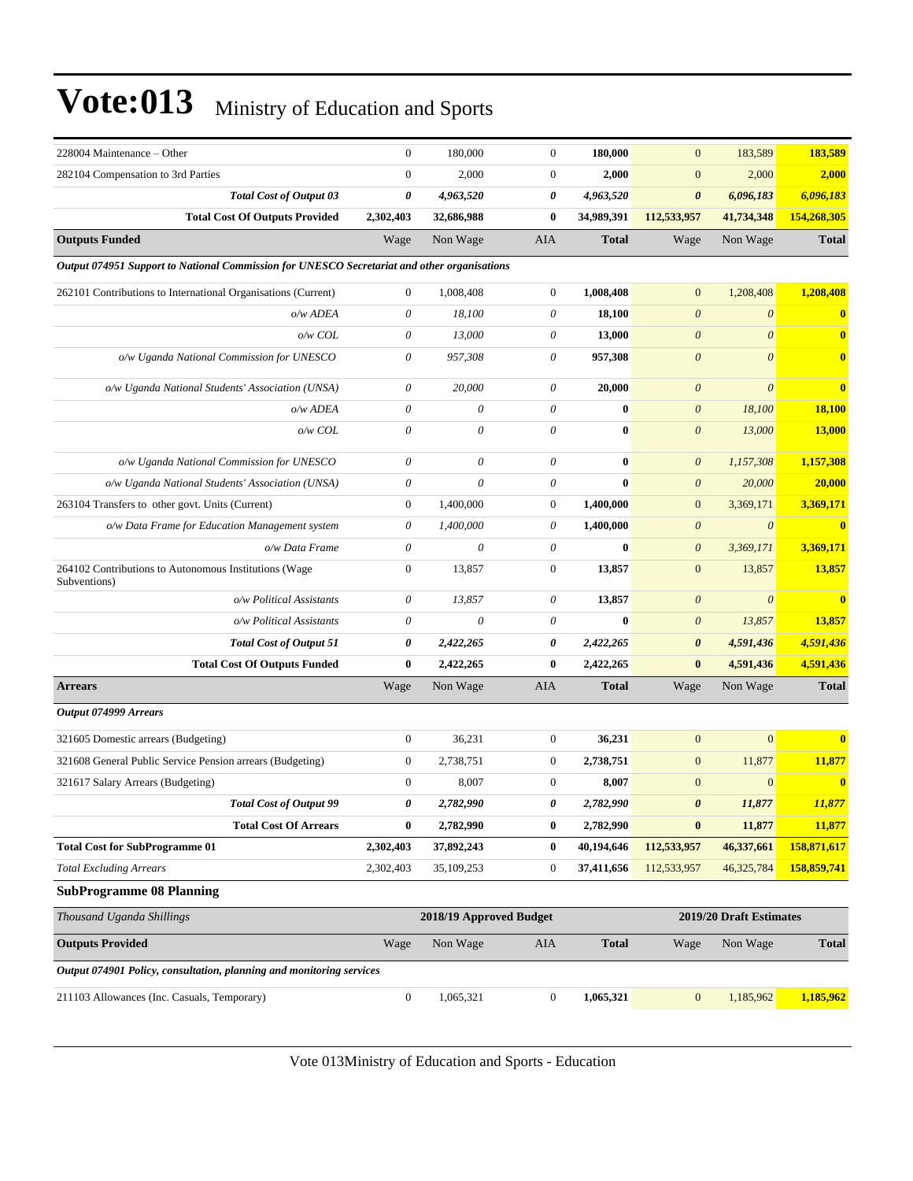| 228004 Maintenance - Other                                                                  | $\mathbf{0}$              | 180,000                   | $\boldsymbol{0}$          | 180,000      | $\mathbf{0}$          | 183,589                 | 183,589                 |
|---------------------------------------------------------------------------------------------|---------------------------|---------------------------|---------------------------|--------------|-----------------------|-------------------------|-------------------------|
| 282104 Compensation to 3rd Parties                                                          | $\boldsymbol{0}$          | 2,000                     | $\boldsymbol{0}$          | 2,000        | $\mathbf{0}$          | 2,000                   | 2,000                   |
| <b>Total Cost of Output 03</b>                                                              | 0                         | 4,963,520                 | 0                         | 4,963,520    | $\boldsymbol{\theta}$ | 6,096,183               | 6,096,183               |
| <b>Total Cost Of Outputs Provided</b>                                                       | 2,302,403                 | 32,686,988                | 0                         | 34,989,391   | 112,533,957           | 41,734,348              | 154,268,305             |
| <b>Outputs Funded</b>                                                                       | Wage                      | Non Wage                  | AIA                       | <b>Total</b> | Wage                  | Non Wage                | <b>Total</b>            |
| Output 074951 Support to National Commission for UNESCO Secretariat and other organisations |                           |                           |                           |              |                       |                         |                         |
| 262101 Contributions to International Organisations (Current)                               | $\mathbf{0}$              | 1,008,408                 | $\overline{0}$            | 1,008,408    | $\mathbf{0}$          | 1,208,408               | 1,208,408               |
| o/w ADEA                                                                                    | $\theta$                  | 18,100                    | $\theta$                  | 18,100       | $\boldsymbol{0}$      | $\boldsymbol{\theta}$   | $\bf{0}$                |
| o/w COL                                                                                     | $\theta$                  | 13,000                    | 0                         | 13,000       | $\boldsymbol{\theta}$ | $\boldsymbol{\theta}$   | $\mathbf{0}$            |
| o/w Uganda National Commission for UNESCO                                                   | 0                         | 957,308                   | $\theta$                  | 957,308      | $\boldsymbol{\theta}$ | $\theta$                | $\bf{0}$                |
| o/w Uganda National Students' Association (UNSA)                                            | 0                         | 20,000                    | 0                         | 20,000       | $\boldsymbol{\theta}$ | $\theta$                | $\bf{0}$                |
| o/w ADEA                                                                                    | $\boldsymbol{\mathit{0}}$ | $\theta$                  | $\boldsymbol{\mathit{0}}$ | $\bf{0}$     | $\boldsymbol{\theta}$ | 18,100                  | 18,100                  |
| o/w COL                                                                                     | $\theta$                  | 0                         | $\theta$                  | $\bf{0}$     | $\boldsymbol{\theta}$ | 13,000                  | <b>13,000</b>           |
| o/w Uganda National Commission for UNESCO                                                   | 0                         | $\theta$                  | $\boldsymbol{\mathit{0}}$ | $\bf{0}$     | $\boldsymbol{\theta}$ | 1,157,308               | 1,157,308               |
| o/w Uganda National Students' Association (UNSA)                                            | $\boldsymbol{\mathit{0}}$ | 0                         | $\theta$                  | $\bf{0}$     | $\boldsymbol{\theta}$ | 20,000                  | 20,000                  |
| 263104 Transfers to other govt. Units (Current)                                             | $\boldsymbol{0}$          | 1,400,000                 | $\overline{0}$            | 1,400,000    | $\mathbf{0}$          | 3,369,171               | 3,369,171               |
| o/w Data Frame for Education Management system                                              | 0                         | 1,400,000                 | 0                         | 1,400,000    | $\boldsymbol{\theta}$ | $\boldsymbol{\theta}$   | $\overline{\mathbf{0}}$ |
| o/w Data Frame                                                                              | $\theta$                  | $\boldsymbol{\theta}$     | $\boldsymbol{\mathit{0}}$ | $\bf{0}$     | $\boldsymbol{\theta}$ | 3,369,171               | 3,369,171               |
| 264102 Contributions to Autonomous Institutions (Wage<br>Subventions)                       | $\boldsymbol{0}$          | 13,857                    | $\boldsymbol{0}$          | 13,857       | $\mathbf{0}$          | 13,857                  | 13,857                  |
| o/w Political Assistants                                                                    | 0                         | 13,857                    | 0                         | 13,857       | $\boldsymbol{0}$      | $\boldsymbol{\theta}$   | $\mathbf{0}$            |
| o/w Political Assistants                                                                    | 0                         | $\boldsymbol{\mathit{0}}$ | 0                         | $\bf{0}$     | $\boldsymbol{\theta}$ | 13,857                  | 13,857                  |
| <b>Total Cost of Output 51</b>                                                              | 0                         | 2,422,265                 | 0                         | 2,422,265    | $\boldsymbol{\theta}$ | 4,591,436               | 4,591,436               |
| <b>Total Cost Of Outputs Funded</b>                                                         | $\bf{0}$                  | 2,422,265                 | 0                         | 2,422,265    | $\bf{0}$              | 4,591,436               | 4,591,436               |
| <b>Arrears</b>                                                                              | Wage                      | Non Wage                  | AIA                       | <b>Total</b> | Wage                  | Non Wage                | <b>Total</b>            |
| Output 074999 Arrears                                                                       |                           |                           |                           |              |                       |                         |                         |
| 321605 Domestic arrears (Budgeting)                                                         | $\mathbf{0}$              | 36,231                    | $\boldsymbol{0}$          | 36,231       | $\mathbf{0}$          | $\mathbf{0}$            | $\mathbf{0}$            |
| 321608 General Public Service Pension arrears (Budgeting)                                   | $\boldsymbol{0}$          | 2,738,751                 | $\boldsymbol{0}$          | 2,738,751    | $\mathbf{0}$          | 11,877                  | 11,877                  |
| 321617 Salary Arrears (Budgeting)                                                           | $\boldsymbol{0}$          | 8,007                     | $\boldsymbol{0}$          | 8,007        | $\mathbf{0}$          | $\mathbf{0}$            | $\bf{0}$                |
| <b>Total Cost of Output 99</b>                                                              | 0                         | 2,782,990                 | 0                         | 2,782,990    | $\boldsymbol{\theta}$ | 11,877                  | 11,877                  |
| <b>Total Cost Of Arrears</b>                                                                | $\bf{0}$                  | 2,782,990                 | $\bf{0}$                  | 2,782,990    | $\bf{0}$              | 11,877                  | 11,877                  |
| <b>Total Cost for SubProgramme 01</b>                                                       | 2,302,403                 | 37,892,243                | 0                         | 40,194,646   | 112,533,957           | 46,337,661              | 158,871,617             |
| <b>Total Excluding Arrears</b>                                                              | 2,302,403                 | 35,109,253                | $\boldsymbol{0}$          | 37,411,656   | 112,533,957           | 46,325,784              | 158,859,741             |
| <b>SubProgramme 08 Planning</b>                                                             |                           |                           |                           |              |                       |                         |                         |
| Thousand Uganda Shillings                                                                   |                           | 2018/19 Approved Budget   |                           |              |                       | 2019/20 Draft Estimates |                         |
| <b>Outputs Provided</b>                                                                     | Wage                      | Non Wage                  | AIA                       | <b>Total</b> | Wage                  | Non Wage                | <b>Total</b>            |
| Output 074901 Policy, consultation, planning and monitoring services                        |                           |                           |                           |              |                       |                         |                         |
| 211103 Allowances (Inc. Casuals, Temporary)                                                 | $\boldsymbol{0}$          | 1,065,321                 | $\boldsymbol{0}$          | 1,065,321    | $\mathbf{0}$          | 1,185,962               | 1,185,962               |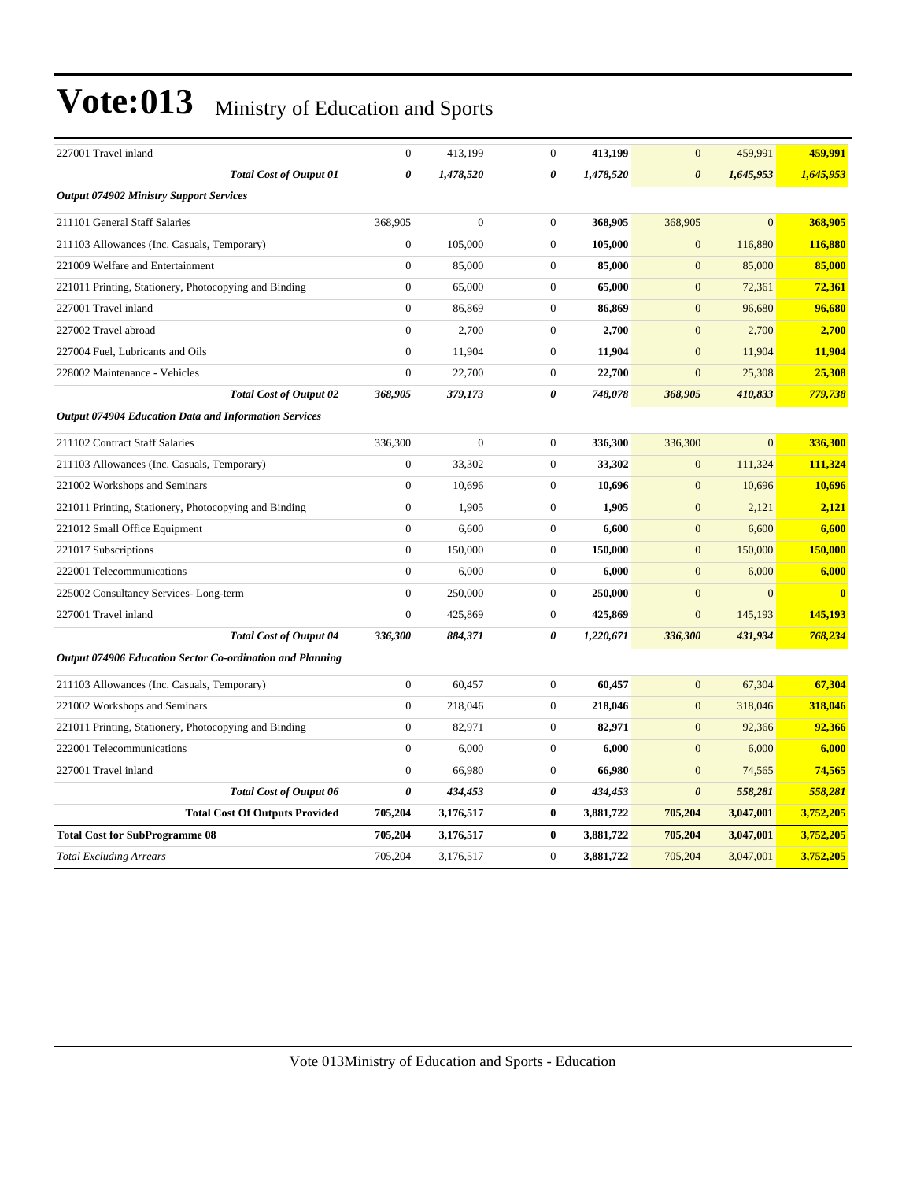| 227001 Travel inland                                      | $\boldsymbol{0}$      | 413,199      | $\mathbf{0}$     | 413,199   | $\mathbf{0}$          | 459,991        | 459,991   |
|-----------------------------------------------------------|-----------------------|--------------|------------------|-----------|-----------------------|----------------|-----------|
| <b>Total Cost of Output 01</b>                            | $\boldsymbol{\theta}$ | 1,478,520    | $\theta$         | 1,478,520 | $\boldsymbol{\theta}$ | 1,645,953      | 1,645,953 |
| <b>Output 074902 Ministry Support Services</b>            |                       |              |                  |           |                       |                |           |
| 211101 General Staff Salaries                             | 368,905               | $\mathbf{0}$ | $\mathbf{0}$     | 368,905   | 368,905               | $\overline{0}$ | 368,905   |
| 211103 Allowances (Inc. Casuals, Temporary)               | $\overline{0}$        | 105,000      | $\overline{0}$   | 105,000   | $\mathbf{0}$          | 116,880        | 116,880   |
| 221009 Welfare and Entertainment                          | $\overline{0}$        | 85,000       | $\overline{0}$   | 85,000    | $\overline{0}$        | 85,000         | 85,000    |
| 221011 Printing, Stationery, Photocopying and Binding     | $\overline{0}$        | 65,000       | $\overline{0}$   | 65,000    | $\mathbf{0}$          | 72,361         | 72,361    |
| 227001 Travel inland                                      | $\boldsymbol{0}$      | 86,869       | $\mathbf{0}$     | 86,869    | $\mathbf{0}$          | 96,680         | 96,680    |
| 227002 Travel abroad                                      | $\boldsymbol{0}$      | 2,700        | $\mathbf{0}$     | 2,700     | $\mathbf{0}$          | 2,700          | 2,700     |
| 227004 Fuel, Lubricants and Oils                          | $\overline{0}$        | 11,904       | $\mathbf{0}$     | 11,904    | $\mathbf{0}$          | 11,904         | 11,904    |
| 228002 Maintenance - Vehicles                             | $\overline{0}$        | 22,700       | $\mathbf{0}$     | 22,700    | $\overline{0}$        | 25,308         | 25,308    |
| <b>Total Cost of Output 02</b>                            | 368,905               | 379,173      | 0                | 748,078   | 368,905               | 410,833        | 779,738   |
| Output 074904 Education Data and Information Services     |                       |              |                  |           |                       |                |           |
| 211102 Contract Staff Salaries                            | 336,300               | $\mathbf{0}$ | $\overline{0}$   | 336,300   | 336,300               | $\Omega$       | 336,300   |
| 211103 Allowances (Inc. Casuals, Temporary)               | $\boldsymbol{0}$      | 33,302       | $\mathbf{0}$     | 33,302    | $\mathbf{0}$          | 111,324        | 111,324   |
| 221002 Workshops and Seminars                             | $\overline{0}$        | 10,696       | $\mathbf{0}$     | 10,696    | $\mathbf{0}$          | 10,696         | 10,696    |
| 221011 Printing, Stationery, Photocopying and Binding     | $\boldsymbol{0}$      | 1,905        | $\mathbf{0}$     | 1,905     | $\mathbf{0}$          | 2,121          | 2,121     |
| 221012 Small Office Equipment                             | $\overline{0}$        | 6,600        | $\mathbf{0}$     | 6,600     | $\mathbf{0}$          | 6,600          | 6,600     |
| 221017 Subscriptions                                      | $\overline{0}$        | 150,000      | $\overline{0}$   | 150,000   | $\overline{0}$        | 150,000        | 150,000   |
| 222001 Telecommunications                                 | $\overline{0}$        | 6,000        | $\overline{0}$   | 6,000     | $\overline{0}$        | 6,000          | 6.000     |
| 225002 Consultancy Services-Long-term                     | $\boldsymbol{0}$      | 250,000      | $\mathbf{0}$     | 250,000   | $\mathbf{0}$          | $\overline{0}$ | $\bf{0}$  |
| 227001 Travel inland                                      | $\mathbf{0}$          | 425,869      | $\mathbf{0}$     | 425,869   | $\mathbf{0}$          | 145,193        | 145,193   |
| <b>Total Cost of Output 04</b>                            | 336,300               | 884,371      | 0                | 1,220,671 | 336,300               | 431,934        | 768,234   |
| Output 074906 Education Sector Co-ordination and Planning |                       |              |                  |           |                       |                |           |
| 211103 Allowances (Inc. Casuals, Temporary)               | $\boldsymbol{0}$      | 60,457       | $\mathbf{0}$     | 60,457    | $\mathbf{0}$          | 67,304         | 67,304    |
| 221002 Workshops and Seminars                             | $\overline{0}$        | 218,046      | $\overline{0}$   | 218,046   | $\mathbf{0}$          | 318,046        | 318,046   |
| 221011 Printing, Stationery, Photocopying and Binding     | $\boldsymbol{0}$      | 82,971       | $\mathbf{0}$     | 82,971    | $\mathbf{0}$          | 92,366         | 92,366    |
| 222001 Telecommunications                                 | $\boldsymbol{0}$      | 6,000        | $\mathbf{0}$     | 6,000     | $\mathbf{0}$          | 6,000          | 6,000     |
| 227001 Travel inland                                      | $\overline{0}$        | 66,980       | $\mathbf{0}$     | 66,980    | $\mathbf{0}$          | 74,565         | 74,565    |
| <b>Total Cost of Output 06</b>                            | 0                     | 434,453      | 0                | 434,453   | $\boldsymbol{\theta}$ | 558,281        | 558,281   |
| <b>Total Cost Of Outputs Provided</b>                     | 705,204               | 3,176,517    | $\bf{0}$         | 3,881,722 | 705,204               | 3,047,001      | 3,752,205 |
| <b>Total Cost for SubProgramme 08</b>                     | 705,204               | 3,176,517    | $\bf{0}$         | 3,881,722 | 705,204               | 3,047,001      | 3,752,205 |
| <b>Total Excluding Arrears</b>                            | 705,204               | 3,176,517    | $\boldsymbol{0}$ | 3,881,722 | 705,204               | 3,047,001      | 3,752,205 |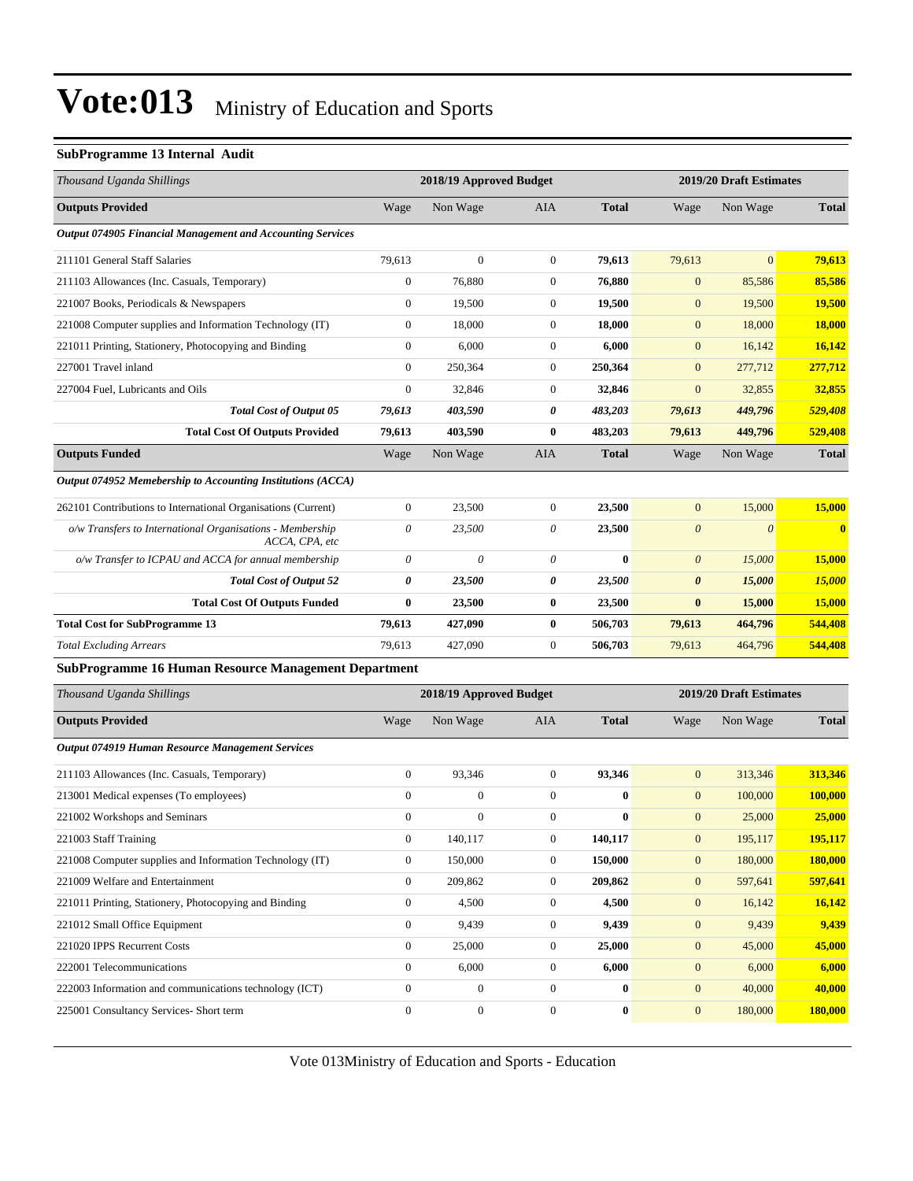#### **SubProgramme 13 Internal Audit**

| Thousand Uganda Shillings                                                   | 2018/19 Approved Budget   |                         |                  |              | 2019/20 Draft Estimates |                         |               |  |
|-----------------------------------------------------------------------------|---------------------------|-------------------------|------------------|--------------|-------------------------|-------------------------|---------------|--|
| <b>Outputs Provided</b>                                                     | Wage                      | Non Wage                | AIA              | <b>Total</b> | Wage                    | Non Wage                | <b>Total</b>  |  |
| Output 074905 Financial Management and Accounting Services                  |                           |                         |                  |              |                         |                         |               |  |
| 211101 General Staff Salaries                                               | 79,613                    | $\boldsymbol{0}$        | $\boldsymbol{0}$ | 79,613       | 79,613                  | $\overline{0}$          | 79,613        |  |
| 211103 Allowances (Inc. Casuals, Temporary)                                 | $\boldsymbol{0}$          | 76,880                  | $\boldsymbol{0}$ | 76,880       | $\mathbf{0}$            | 85,586                  | 85,586        |  |
| 221007 Books, Periodicals & Newspapers                                      | $\boldsymbol{0}$          | 19,500                  | $\boldsymbol{0}$ | 19,500       | $\mathbf{0}$            | 19,500                  | 19,500        |  |
| 221008 Computer supplies and Information Technology (IT)                    | $\boldsymbol{0}$          | 18,000                  | 0                | 18,000       | $\mathbf{0}$            | 18,000                  | <b>18,000</b> |  |
| 221011 Printing, Stationery, Photocopying and Binding                       | $\boldsymbol{0}$          | 6,000                   | $\boldsymbol{0}$ | 6,000        | $\mathbf{0}$            | 16,142                  | 16,142        |  |
| 227001 Travel inland                                                        | $\boldsymbol{0}$          | 250,364                 | 0                | 250,364      | $\mathbf{0}$            | 277,712                 | 277,712       |  |
| 227004 Fuel, Lubricants and Oils                                            | $\boldsymbol{0}$          | 32,846                  | $\boldsymbol{0}$ | 32,846       | $\boldsymbol{0}$        | 32,855                  | 32,855        |  |
| <b>Total Cost of Output 05</b>                                              | 79,613                    | 403,590                 | 0                | 483,203      | 79,613                  | 449,796                 | 529,408       |  |
| <b>Total Cost Of Outputs Provided</b>                                       | 79,613                    | 403,590                 | 0                | 483,203      | 79,613                  | 449,796                 | 529,408       |  |
| <b>Outputs Funded</b>                                                       | Wage                      | Non Wage                | AIA              | <b>Total</b> | Wage                    | Non Wage                | <b>Total</b>  |  |
| Output 074952 Memebership to Accounting Institutions (ACCA)                 |                           |                         |                  |              |                         |                         |               |  |
| 262101 Contributions to International Organisations (Current)               | $\boldsymbol{0}$          | 23,500                  | $\boldsymbol{0}$ | 23,500       | $\mathbf{0}$            | 15,000                  | 15,000        |  |
| o/w Transfers to International Organisations - Membership<br>ACCA, CPA, etc | $\boldsymbol{\mathit{0}}$ | 23,500                  | $\theta$         | 23,500       | $\boldsymbol{\theta}$   | $\boldsymbol{\theta}$   | $\bf{0}$      |  |
| o/w Transfer to ICPAU and ACCA for annual membership                        | 0                         | 0                       | 0                | $\bf{0}$     | $\boldsymbol{\theta}$   | 15,000                  | 15,000        |  |
| <b>Total Cost of Output 52</b>                                              | 0                         | 23,500                  | 0                | 23,500       | $\boldsymbol{\theta}$   | 15,000                  | <b>15,000</b> |  |
| <b>Total Cost Of Outputs Funded</b>                                         | $\bf{0}$                  | 23,500                  | 0                | 23,500       | $\bf{0}$                | 15,000                  | 15,000        |  |
| <b>Total Cost for SubProgramme 13</b>                                       | 79,613                    | 427,090                 | 0                | 506,703      | 79,613                  | 464,796                 | 544,408       |  |
| <b>Total Excluding Arrears</b>                                              | 79,613                    | 427,090                 | $\boldsymbol{0}$ | 506,703      | 79,613                  | 464,796                 | 544,408       |  |
| <b>SubProgramme 16 Human Resource Management Department</b>                 |                           |                         |                  |              |                         |                         |               |  |
| Thousand Uganda Shillings                                                   |                           | 2018/19 Approved Budget |                  |              |                         | 2019/20 Draft Estimates |               |  |
| <b>Outputs Provided</b>                                                     | Wage                      | Non Wage                | AIA              | <b>Total</b> | Wage                    | Non Wage                | <b>Total</b>  |  |
| Output 074919 Human Resource Management Services                            |                           |                         |                  |              |                         |                         |               |  |
| 211103 Allowances (Inc. Casuals, Temporary)                                 | $\boldsymbol{0}$          | 93,346                  | $\boldsymbol{0}$ | 93,346       | $\mathbf{0}$            | 313,346                 | 313,346       |  |
| 213001 Medical expenses (To employees)                                      | $\boldsymbol{0}$          | $\boldsymbol{0}$        | $\boldsymbol{0}$ | $\bf{0}$     | $\mathbf{0}$            | 100,000                 | 100,000       |  |
| 221002 Workshops and Seminars                                               | $\boldsymbol{0}$          | $\boldsymbol{0}$        | $\boldsymbol{0}$ | $\bf{0}$     | $\mathbf{0}$            | 25,000                  | 25,000        |  |
| 221003 Staff Training                                                       | $\boldsymbol{0}$          | 140,117                 | $\boldsymbol{0}$ | 140,117      | $\mathbf{0}$            | 195,117                 | 195,117       |  |
| 221008 Computer supplies and Information Technology (IT)                    | $\mathbf{0}$              | 150,000                 | $\boldsymbol{0}$ | 150,000      | $\mathbf{0}$            | 180,000                 | 180,000       |  |
| 221009 Welfare and Entertainment                                            | $\mathbf{0}$              | 209,862                 | $\overline{0}$   | 209,862      | $\mathbf{0}$            | 597,641                 | 597,641       |  |
| 221011 Printing, Stationery, Photocopying and Binding                       | $\boldsymbol{0}$          | 4,500                   | $\boldsymbol{0}$ | 4,500        | $\boldsymbol{0}$        | 16,142                  | 16,142        |  |
| 221012 Small Office Equipment                                               | $\boldsymbol{0}$          | 9,439                   | $\boldsymbol{0}$ | 9,439        | $\mathbf{0}$            | 9,439                   | 9,439         |  |
| 221020 IPPS Recurrent Costs                                                 | $\boldsymbol{0}$          | 25,000                  | $\boldsymbol{0}$ | 25,000       | $\mathbf{0}$            | 45,000                  | 45,000        |  |
| 222001 Telecommunications                                                   | $\boldsymbol{0}$          | 6,000                   | $\boldsymbol{0}$ | 6,000        | $\mathbf{0}$            | 6,000                   | 6,000         |  |
| 222003 Information and communications technology (ICT)                      | $\boldsymbol{0}$          | $\boldsymbol{0}$        | $\overline{0}$   | $\bf{0}$     | $\mathbf{0}$            | 40,000                  | 40,000        |  |
| 225001 Consultancy Services- Short term                                     | $\boldsymbol{0}$          | $\boldsymbol{0}$        | $\boldsymbol{0}$ | $\bf{0}$     | $\mathbf{0}$            | 180,000                 | 180,000       |  |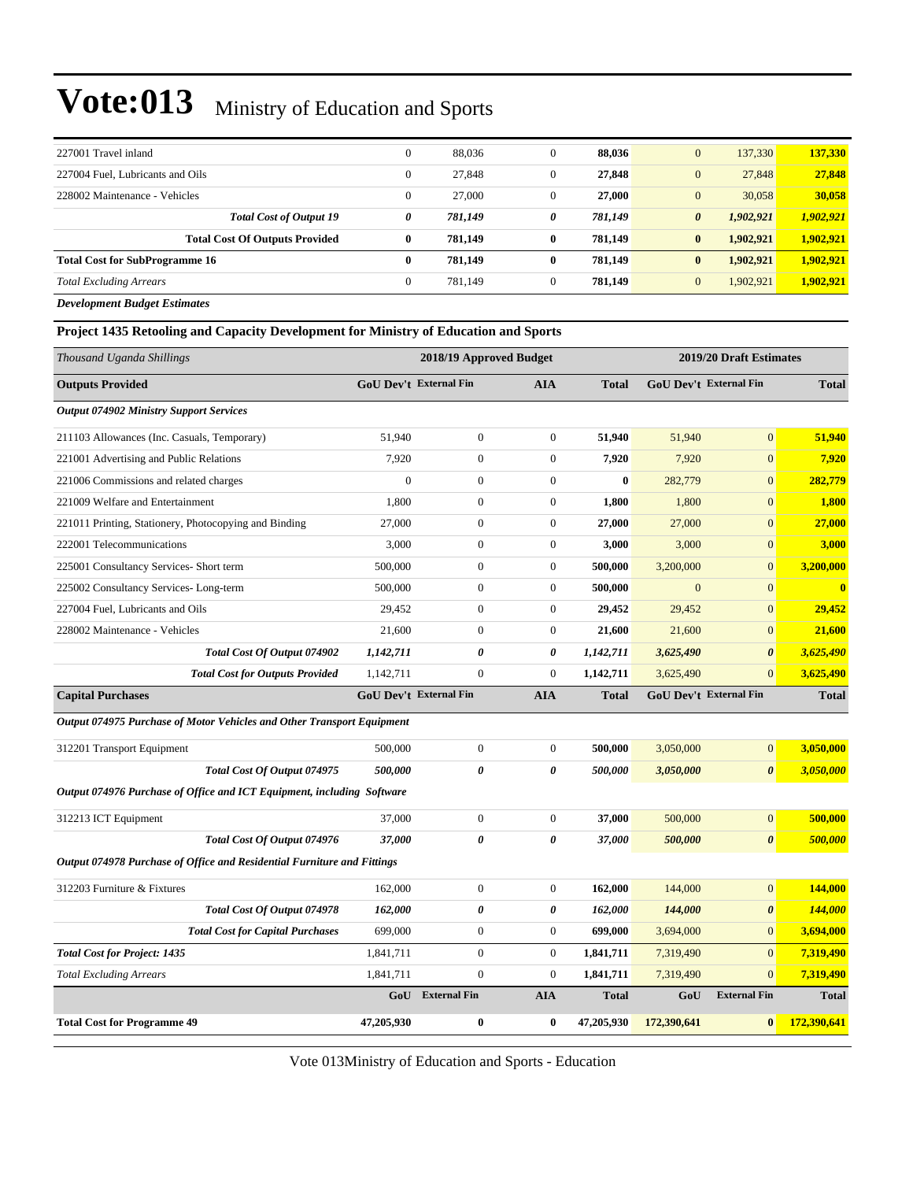| $\theta$ | 88,036  | 0 | 88.036  | 137.330<br>$\mathbf{0}$            | 137,330   |
|----------|---------|---|---------|------------------------------------|-----------|
| $\theta$ | 27,848  | 0 | 27,848  | 27,848<br>$\mathbf{0}$             | 27,848    |
| $\theta$ | 27,000  | 0 | 27,000  | 30,058<br>$\mathbf{0}$             | 30,058    |
| 0        | 781,149 | 0 | 781,149 | 1,902,921<br>$\boldsymbol{\theta}$ | 1,902,921 |
| $\bf{0}$ | 781.149 | 0 | 781.149 | 1.902.921<br>$\bf{0}$              | 1.902.921 |
| 0        | 781.149 | 0 | 781.149 | $\bf{0}$<br>1,902,921              | 1.902.921 |
| $\Omega$ | 781.149 | 0 | 781.149 | $\mathbf{0}$<br>1.902.921          | 1.902.921 |
|          |         |   |         |                                    |           |

*Development Budget Estimates*

**Project 1435 Retooling and Capacity Development for Ministry of Education and Sports**

| Thousand Uganda Shillings                                               | 2018/19 Approved Budget       |                  |                       |              | 2019/20 Draft Estimates |                               |              |
|-------------------------------------------------------------------------|-------------------------------|------------------|-----------------------|--------------|-------------------------|-------------------------------|--------------|
| <b>Outputs Provided</b>                                                 | <b>GoU Dev't External Fin</b> |                  | <b>AIA</b>            | <b>Total</b> |                         | <b>GoU Dev't External Fin</b> | <b>Total</b> |
| <b>Output 074902 Ministry Support Services</b>                          |                               |                  |                       |              |                         |                               |              |
| 211103 Allowances (Inc. Casuals, Temporary)                             | 51,940                        | $\boldsymbol{0}$ | $\mathbf{0}$          | 51,940       | 51,940                  | $\boldsymbol{0}$              | 51,940       |
| 221001 Advertising and Public Relations                                 | 7,920                         | $\overline{0}$   | $\overline{0}$        | 7,920        | 7,920                   | $\overline{0}$                | 7,920        |
| 221006 Commissions and related charges                                  | $\boldsymbol{0}$              | $\boldsymbol{0}$ | $\boldsymbol{0}$      | $\bf{0}$     | 282,779                 | $\boldsymbol{0}$              | 282,779      |
| 221009 Welfare and Entertainment                                        | 1,800                         | $\boldsymbol{0}$ | $\mathbf{0}$          | 1,800        | 1,800                   | $\boldsymbol{0}$              | 1,800        |
| 221011 Printing, Stationery, Photocopying and Binding                   | 27,000                        | $\boldsymbol{0}$ | $\mathbf{0}$          | 27,000       | 27,000                  | $\overline{0}$                | 27,000       |
| 222001 Telecommunications                                               | 3,000                         | $\boldsymbol{0}$ | $\mathbf{0}$          | 3,000        | 3,000                   | $\boldsymbol{0}$              | 3,000        |
| 225001 Consultancy Services- Short term                                 | 500,000                       | $\boldsymbol{0}$ | $\boldsymbol{0}$      | 500,000      | 3,200,000               | $\boldsymbol{0}$              | 3,200,000    |
| 225002 Consultancy Services-Long-term                                   | 500,000                       | $\boldsymbol{0}$ | $\boldsymbol{0}$      | 500,000      | $\mathbf{0}$            | $\overline{0}$                | $\bf{0}$     |
| 227004 Fuel, Lubricants and Oils                                        | 29,452                        | $\boldsymbol{0}$ | $\mathbf{0}$          | 29,452       | 29,452                  | $\boldsymbol{0}$              | 29,452       |
| 228002 Maintenance - Vehicles                                           | 21,600                        | $\boldsymbol{0}$ | $\boldsymbol{0}$      | 21,600       | 21,600                  | $\overline{0}$                | 21,600       |
| Total Cost Of Output 074902                                             | 1,142,711                     | 0                | $\boldsymbol{\theta}$ | 1,142,711    | 3,625,490               | $\boldsymbol{\theta}$         | 3,625,490    |
| <b>Total Cost for Outputs Provided</b>                                  | 1,142,711                     | $\overline{0}$   | $\boldsymbol{0}$      | 1,142,711    | 3,625,490               | $\overline{0}$                | 3,625,490    |
| <b>Capital Purchases</b>                                                | <b>GoU Dev't External Fin</b> |                  | <b>AIA</b>            | <b>Total</b> |                         | GoU Dev't External Fin        | <b>Total</b> |
| Output 074975 Purchase of Motor Vehicles and Other Transport Equipment  |                               |                  |                       |              |                         |                               |              |
| 312201 Transport Equipment                                              | 500,000                       | $\boldsymbol{0}$ | $\mathbf{0}$          | 500,000      | 3,050,000               | $\overline{0}$                | 3,050,000    |
| Total Cost Of Output 074975                                             | 500,000                       | 0                | 0                     | 500,000      | 3,050,000               | $\boldsymbol{\theta}$         | 3,050,000    |
| Output 074976 Purchase of Office and ICT Equipment, including Software  |                               |                  |                       |              |                         |                               |              |
| 312213 ICT Equipment                                                    | 37,000                        | $\boldsymbol{0}$ | $\mathbf{0}$          | 37,000       | 500,000                 | $\overline{0}$                | 500,000      |
| Total Cost Of Output 074976                                             | 37.000                        | 0                | 0                     | 37,000       | 500,000                 | $\boldsymbol{\theta}$         | 500,000      |
| Output 074978 Purchase of Office and Residential Furniture and Fittings |                               |                  |                       |              |                         |                               |              |
| 312203 Furniture & Fixtures                                             | 162,000                       | $\boldsymbol{0}$ | $\boldsymbol{0}$      | 162,000      | 144,000                 | $\overline{0}$                | 144,000      |
| Total Cost Of Output 074978                                             | 162,000                       | 0                | 0                     | 162,000      | 144,000                 | $\boldsymbol{\theta}$         | 144,000      |
| <b>Total Cost for Capital Purchases</b>                                 | 699,000                       | $\boldsymbol{0}$ | $\boldsymbol{0}$      | 699,000      | 3,694,000               | $\overline{0}$                | 3,694,000    |
| <b>Total Cost for Project: 1435</b>                                     | 1,841,711                     | $\boldsymbol{0}$ | $\boldsymbol{0}$      | 1,841,711    | 7,319,490               | $\overline{0}$                | 7,319,490    |
| <b>Total Excluding Arrears</b>                                          | 1,841,711                     | $\boldsymbol{0}$ | $\boldsymbol{0}$      | 1,841,711    | 7,319,490               | $\overline{0}$                | 7,319,490    |
|                                                                         |                               | GoU External Fin | <b>AIA</b>            | <b>Total</b> | GoU                     | <b>External Fin</b>           | <b>Total</b> |
| <b>Total Cost for Programme 49</b>                                      | 47,205,930                    | $\bf{0}$         | $\bf{0}$              | 47,205,930   | 172,390,641             | $\bf{0}$                      | 172,390,641  |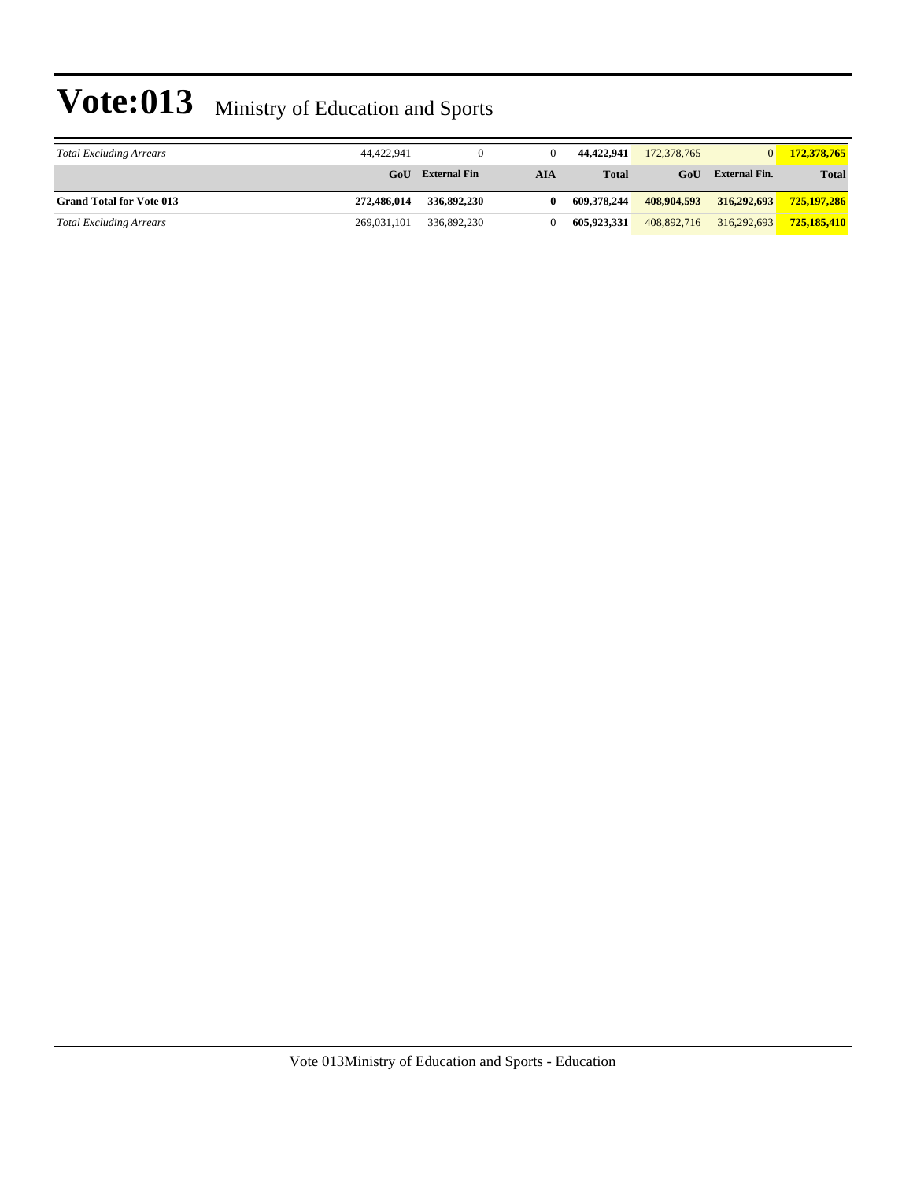| <b>Total Excluding Arrears</b>  | 44.422.941  |                     |            | 44.422.941   | 172,378,765 | $\overline{0}$       | 172,378,765  |
|---------------------------------|-------------|---------------------|------------|--------------|-------------|----------------------|--------------|
|                                 | GoU         | <b>External Fin</b> | <b>AIA</b> | <b>Total</b> | GoU         | <b>External Fin.</b> | <b>Total</b> |
| <b>Grand Total for Vote 013</b> | 272,486,014 | 336,892,230         |            | 609.378.244  | 408,904,593 | 316,292,693          | 725,197,286  |
| <b>Total Excluding Arrears</b>  | 269,031,101 | 336,892,230         |            | 605.923.331  | 408.892.716 | 316,292,693          | 725,185,410  |